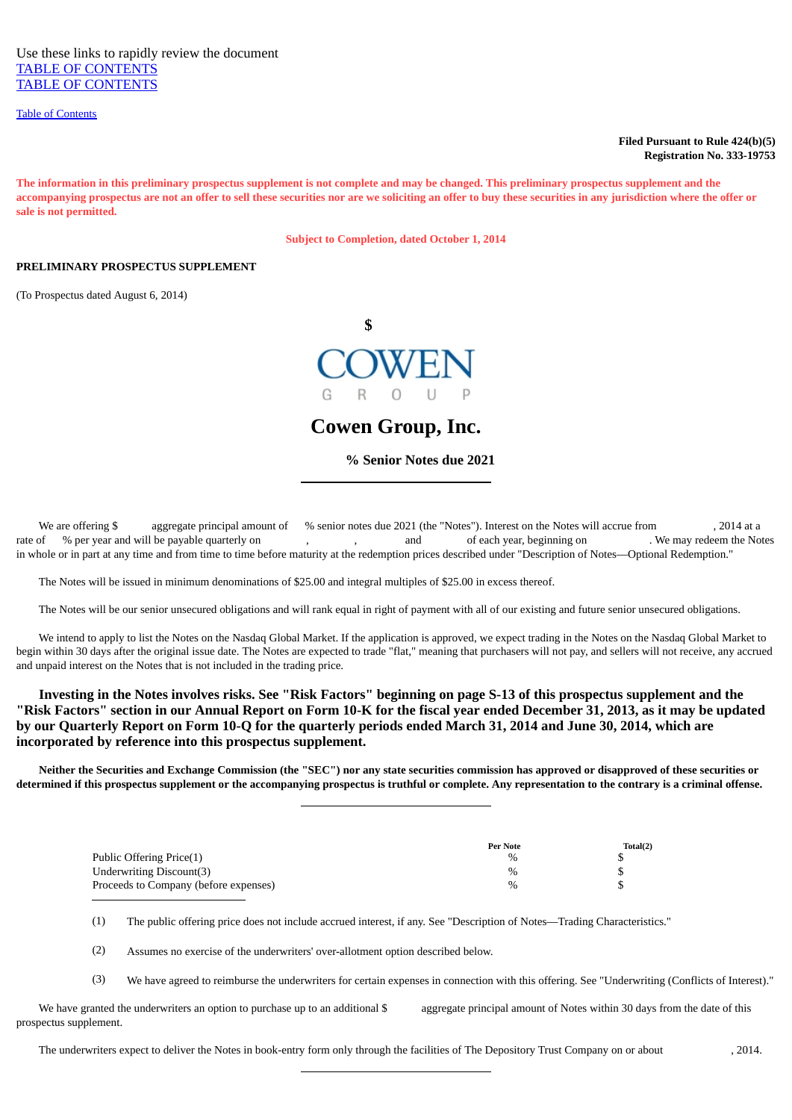[Table of Contents](#page-2-1)

## **Filed Pursuant to Rule 424(b)(5) Registration No. 333-19753**

**The information in this preliminary prospectus supplement is not complete and may be changed. This preliminary prospectus supplement and the accompanying prospectus are not an offer to sell these securities nor are we soliciting an offer to buy these securities in any jurisdiction where the offer or sale is not permitted.**

**Subject to Completion, dated October 1, 2014**

## **PRELIMINARY PROSPECTUS SUPPLEMENT**

(To Prospectus dated August 6, 2014)



**Cowen Group, Inc.**

 **% Senior Notes due 2021**

We are offering \$ aggregate principal amount of % senior notes due 2021 (the "Notes"). Interest on the Notes will accrue from , 2014 at a contes will accrue from , and of each year, beginning on . We may redeem the Notes o rate of % per year and will be payable quarterly on , , and of each year, beginning on . in whole or in part at any time and from time to time before maturity at the redemption prices described under "Description of Notes—Optional Redemption."

The Notes will be issued in minimum denominations of \$25.00 and integral multiples of \$25.00 in excess thereof.

The Notes will be our senior unsecured obligations and will rank equal in right of payment with all of our existing and future senior unsecured obligations.

 We intend to apply to list the Notes on the Nasdaq Global Market. If the application is approved, we expect trading in the Notes on the Nasdaq Global Market to begin within 30 days after the original issue date. The Notes are expected to trade "flat," meaning that purchasers will not pay, and sellers will not receive, any accrued and unpaid interest on the Notes that is not included in the trading price.

 **Investing in the Notes involves risks. See "Risk Factors" beginning on page S-13 of this prospectus supplement and the "Risk Factors" section in our Annual Report on Form 10-K for the fiscal year ended December 31, 2013, as it may be updated by our Quarterly Report on Form 10-Q for the quarterly periods ended March 31, 2014 and June 30, 2014, which are incorporated by reference into this prospectus supplement.**

 **Neither the Securities and Exchange Commission (the "SEC") nor any state securities commission has approved or disapproved of these securities or determined if this prospectus supplement or the accompanying prospectus is truthful or complete. Any representation to the contrary is a criminal offense.**

|                                       | <b>Per Note</b> | Total(2) |
|---------------------------------------|-----------------|----------|
| Public Offering Price(1)              | %               |          |
| Underwriting Discount(3)              | $\%$            |          |
| Proceeds to Company (before expenses) | %               |          |

(1) The public offering price does not include accrued interest, if any. See "Description of Notes—Trading Characteristics."

(2) Assumes no exercise of the underwriters' over-allotment option described below.

(3) We have agreed to reimburse the underwriters for certain expenses in connection with this offering. See "Underwriting (Conflicts of Interest)."

We have granted the underwriters an option to purchase up to an additional \$ aggregate principal amount of Notes within 30 days from the date of this prospectus supplement.

The underwriters expect to deliver the Notes in book-entry form only through the facilities of The Depository Trust Company on or about , 2014.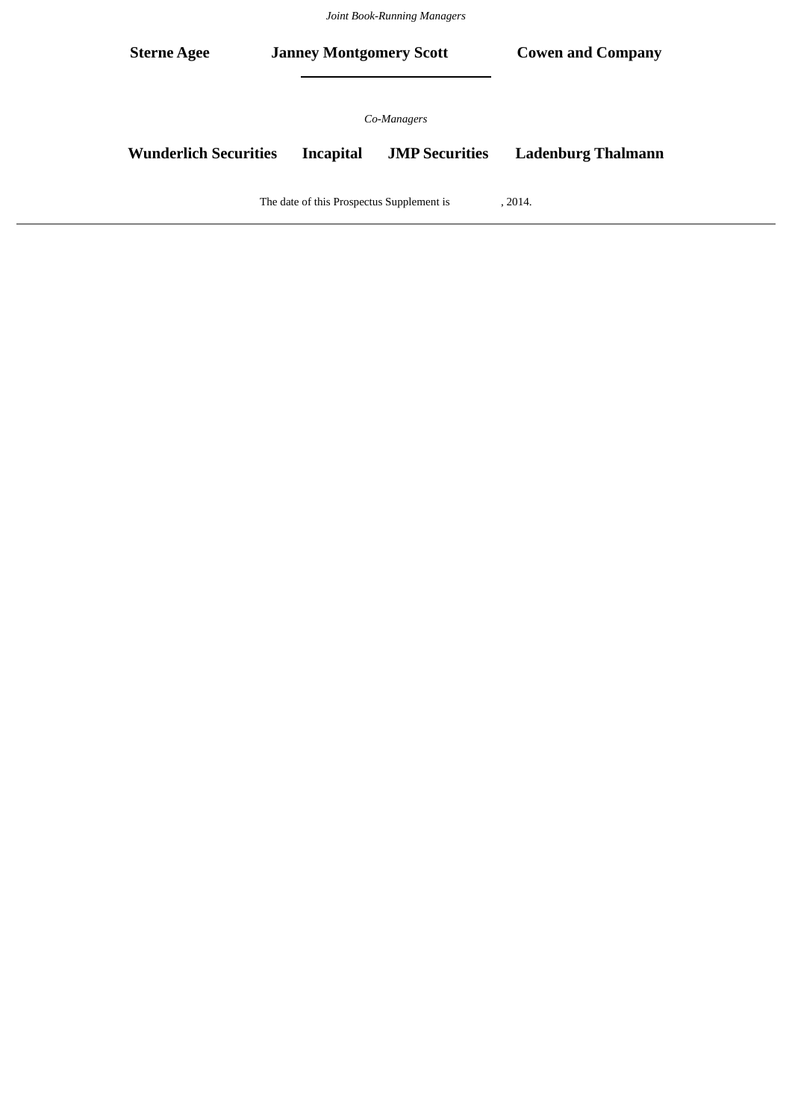*Joint Book-Running Managers*

| <b>Sterne Agee</b>                        |  | <b>Janney Montgomery Scott</b> |                                      | <b>Cowen and Company</b>  |
|-------------------------------------------|--|--------------------------------|--------------------------------------|---------------------------|
| <b>Wunderlich Securities</b>              |  | <b>Incapital</b>               | Co-Managers<br><b>JMP Securities</b> | <b>Ladenburg Thalmann</b> |
| The date of this Prospectus Supplement is |  |                                |                                      | , 2014.                   |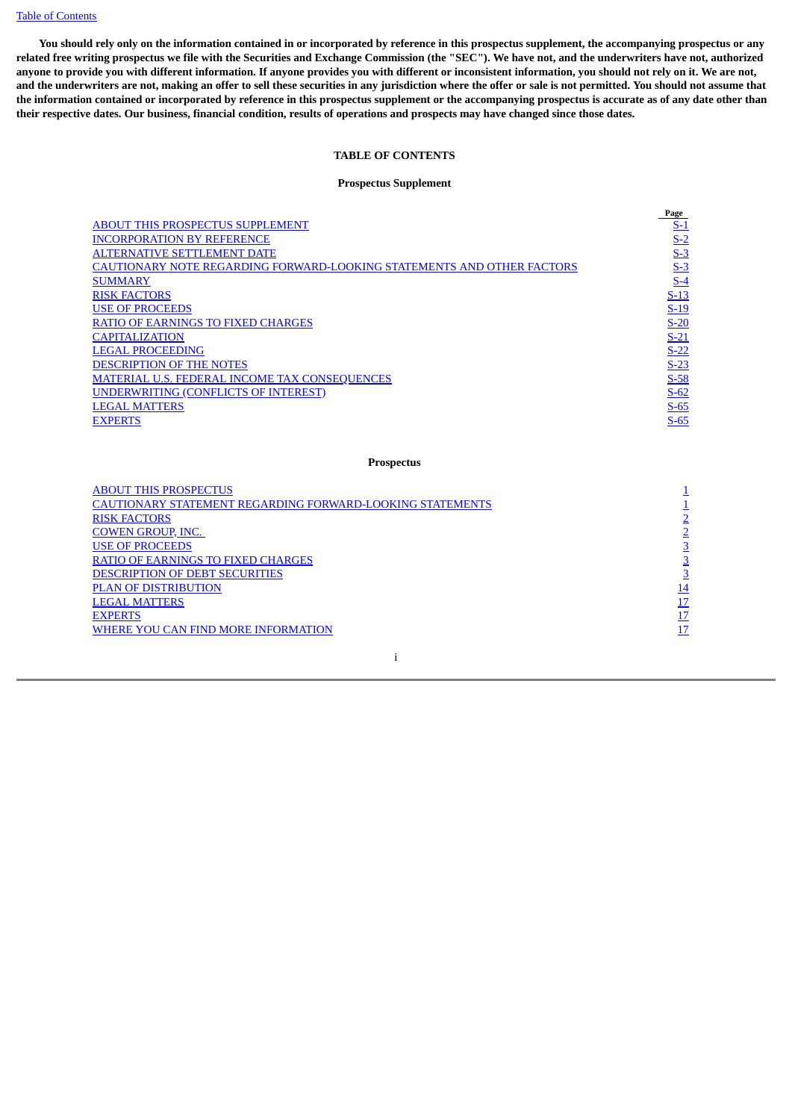[Table of Contents](#page-2-1)

<span id="page-2-1"></span><span id="page-2-0"></span> **You should rely only on the information contained in or incorporated by reference in this prospectus supplement, the accompanying prospectus or any related free writing prospectus we file with the Securities and Exchange Commission (the "SEC"). We have not, and the underwriters have not, authorized anyone to provide you with different information. If anyone provides you with different or inconsistent information, you should not rely on it. We are not, and the underwriters are not, making an offer to sell these securities in any jurisdiction where the offer or sale is not permitted. You should not assume that the information contained or incorporated by reference in this prospectus supplement or the accompanying prospectus is accurate as of any date other than their respective dates. Our business, financial condition, results of operations and prospects may have changed since those dates.**

# **TABLE OF CONTENTS**

# **Prospectus Supplement**

|                                                                        | Page       |
|------------------------------------------------------------------------|------------|
| <b>ABOUT THIS PROSPECTUS SUPPLEMENT</b>                                | <u>S-1</u> |
| <b>INCORPORATION BY REFERENCE</b>                                      | $S-2$      |
| <b>ALTERNATIVE SETTLEMENT DATE</b>                                     | $S-3$      |
| CAUTIONARY NOTE REGARDING FORWARD-LOOKING STATEMENTS AND OTHER FACTORS | $S-3$      |
| <b>SUMMARY</b>                                                         | $S-4$      |
| <b>RISK FACTORS</b>                                                    | $S-13$     |
| <b>USE OF PROCEEDS</b>                                                 | $S-19$     |
| <b>RATIO OF EARNINGS TO FIXED CHARGES</b>                              | $S-20$     |
| <b>CAPITALIZATION</b>                                                  | $S-21$     |
| <b>LEGAL PROCEEDING</b>                                                | $S-22$     |
| <b>DESCRIPTION OF THE NOTES</b>                                        | $S-23$     |
| <b>MATERIAL U.S. FEDERAL INCOME TAX CONSEQUENCES</b>                   | $S-58$     |
| <b>UNDERWRITING (CONFLICTS OF INTEREST)</b>                            | $S-62$     |
| <b>LEGAL MATTERS</b>                                                   | $S-65$     |
| <b>EXPERTS</b>                                                         | $S-65$     |
|                                                                        |            |
|                                                                        |            |

## **Prospectus**

| <b>ABOUT THIS PROSPECTUS</b>                                     |    |
|------------------------------------------------------------------|----|
| <b>CAUTIONARY STATEMENT REGARDING FORWARD-LOOKING STATEMENTS</b> |    |
| <b>RISK FACTORS</b>                                              |    |
| <b>COWEN GROUP, INC.</b>                                         |    |
| <b>USE OF PROCEEDS</b>                                           |    |
| <b>RATIO OF EARNINGS TO FIXED CHARGES</b>                        |    |
| <b>DESCRIPTION OF DEBT SECURITIES</b>                            |    |
| <b>PLAN OF DISTRIBUTION</b>                                      | 14 |
| <b>LEGAL MATTERS</b>                                             |    |
| <b>EXPERTS</b>                                                   |    |
| WHERE YOU CAN FIND MORE INFORMATION                              |    |
|                                                                  |    |

i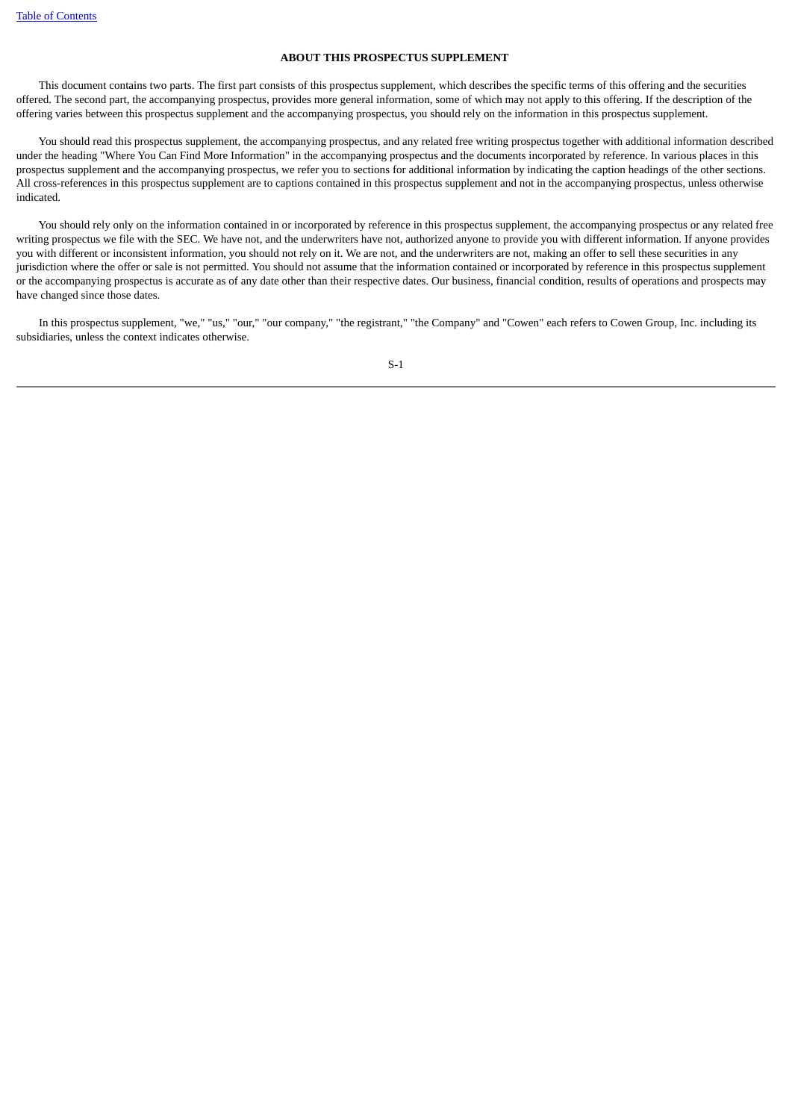# **ABOUT THIS PROSPECTUS SUPPLEMENT**

<span id="page-3-0"></span> This document contains two parts. The first part consists of this prospectus supplement, which describes the specific terms of this offering and the securities offered. The second part, the accompanying prospectus, provides more general information, some of which may not apply to this offering. If the description of the offering varies between this prospectus supplement and the accompanying prospectus, you should rely on the information in this prospectus supplement.

 You should read this prospectus supplement, the accompanying prospectus, and any related free writing prospectus together with additional information described under the heading "Where You Can Find More Information" in the accompanying prospectus and the documents incorporated by reference. In various places in this prospectus supplement and the accompanying prospectus, we refer you to sections for additional information by indicating the caption headings of the other sections. All cross-references in this prospectus supplement are to captions contained in this prospectus supplement and not in the accompanying prospectus, unless otherwise indicated.

 You should rely only on the information contained in or incorporated by reference in this prospectus supplement, the accompanying prospectus or any related free writing prospectus we file with the SEC. We have not, and the underwriters have not, authorized anyone to provide you with different information. If anyone provides you with different or inconsistent information, you should not rely on it. We are not, and the underwriters are not, making an offer to sell these securities in any jurisdiction where the offer or sale is not permitted. You should not assume that the information contained or incorporated by reference in this prospectus supplement or the accompanying prospectus is accurate as of any date other than their respective dates. Our business, financial condition, results of operations and prospects may have changed since those dates.

 In this prospectus supplement, "we," "us," "our," "our company," "the registrant," "the Company" and "Cowen" each refers to Cowen Group, Inc. including its subsidiaries, unless the context indicates otherwise.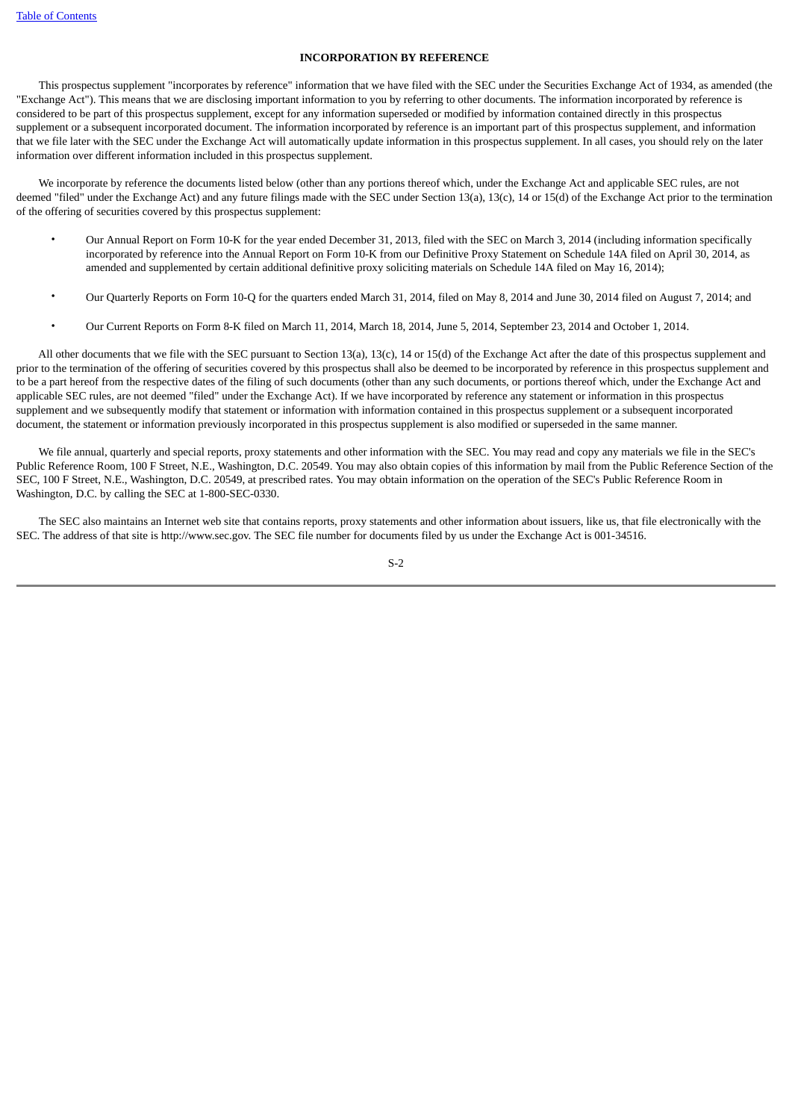# **INCORPORATION BY REFERENCE**

<span id="page-4-0"></span> This prospectus supplement "incorporates by reference" information that we have filed with the SEC under the Securities Exchange Act of 1934, as amended (the "Exchange Act"). This means that we are disclosing important information to you by referring to other documents. The information incorporated by reference is considered to be part of this prospectus supplement, except for any information superseded or modified by information contained directly in this prospectus supplement or a subsequent incorporated document. The information incorporated by reference is an important part of this prospectus supplement, and information that we file later with the SEC under the Exchange Act will automatically update information in this prospectus supplement. In all cases, you should rely on the later information over different information included in this prospectus supplement.

 We incorporate by reference the documents listed below (other than any portions thereof which, under the Exchange Act and applicable SEC rules, are not deemed "filed" under the Exchange Act) and any future filings made with the SEC under Section 13(a), 13(c), 14 or 15(d) of the Exchange Act prior to the termination of the offering of securities covered by this prospectus supplement:

- Our Annual Report on Form 10-K for the year ended December 31, 2013, filed with the SEC on March 3, 2014 (including information specifically incorporated by reference into the Annual Report on Form 10-K from our Definitive Proxy Statement on Schedule 14A filed on April 30, 2014, as amended and supplemented by certain additional definitive proxy soliciting materials on Schedule 14A filed on May 16, 2014);
- Our Quarterly Reports on Form 10-Q for the quarters ended March 31, 2014, filed on May 8, 2014 and June 30, 2014 filed on August 7, 2014; and
- Our Current Reports on Form 8-K filed on March 11, 2014, March 18, 2014, June 5, 2014, September 23, 2014 and October 1, 2014.

 All other documents that we file with the SEC pursuant to Section 13(a), 13(c), 14 or 15(d) of the Exchange Act after the date of this prospectus supplement and prior to the termination of the offering of securities covered by this prospectus shall also be deemed to be incorporated by reference in this prospectus supplement and to be a part hereof from the respective dates of the filing of such documents (other than any such documents, or portions thereof which, under the Exchange Act and applicable SEC rules, are not deemed "filed" under the Exchange Act). If we have incorporated by reference any statement or information in this prospectus supplement and we subsequently modify that statement or information with information contained in this prospectus supplement or a subsequent incorporated document, the statement or information previously incorporated in this prospectus supplement is also modified or superseded in the same manner.

 We file annual, quarterly and special reports, proxy statements and other information with the SEC. You may read and copy any materials we file in the SEC's Public Reference Room, 100 F Street, N.E., Washington, D.C. 20549. You may also obtain copies of this information by mail from the Public Reference Section of the SEC, 100 F Street, N.E., Washington, D.C. 20549, at prescribed rates. You may obtain information on the operation of the SEC's Public Reference Room in Washington, D.C. by calling the SEC at 1-800-SEC-0330.

 The SEC also maintains an Internet web site that contains reports, proxy statements and other information about issuers, like us, that file electronically with the SEC. The address of that site is http://www.sec.gov. The SEC file number for documents filed by us under the Exchange Act is 001-34516.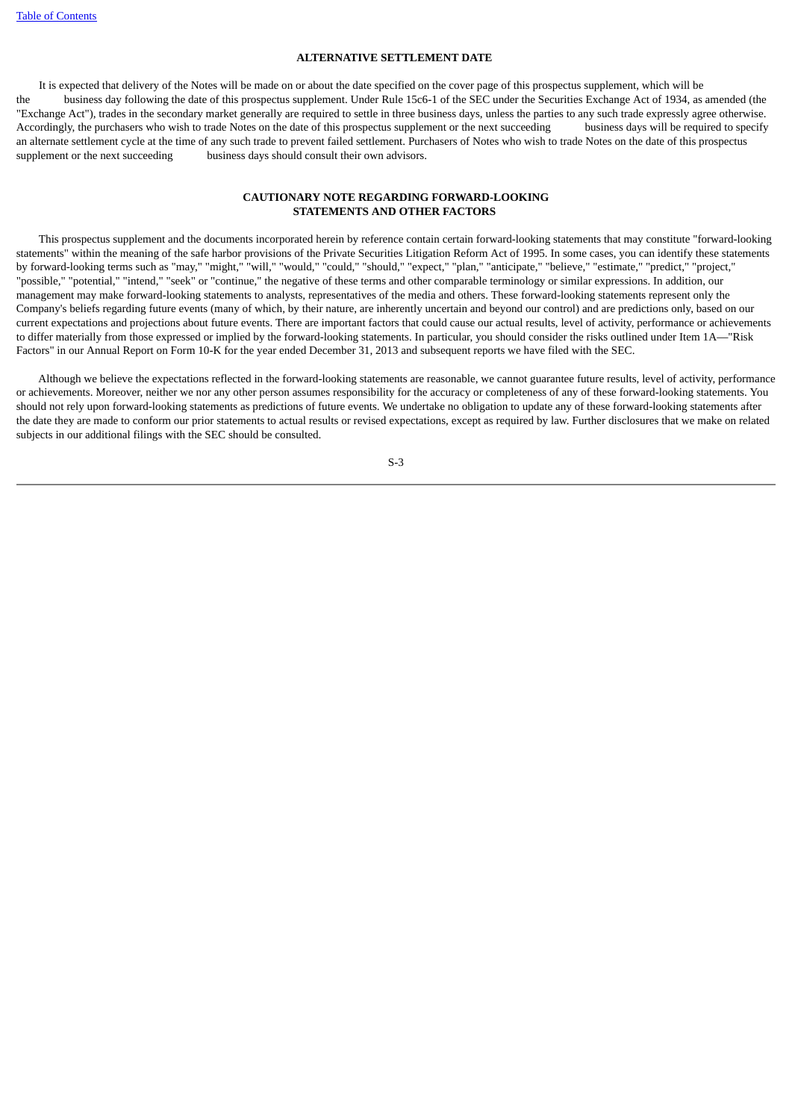# **ALTERNATIVE SETTLEMENT DATE**

<span id="page-5-0"></span> It is expected that delivery of the Notes will be made on or about the date specified on the cover page of this prospectus supplement, which will be the business day following the date of this prospectus supplement. Under Rule 15c6-1 of the SEC under the Securities Exchange Act of 1934, as amended (the "Exchange Act"), trades in the secondary market generally are required to settle in three business days, unless the parties to any such trade expressly agree otherwise. Accordingly, the purchasers who wish to trade Notes on the date of this prospectus supplement or the next succeeding business days will be required to specify an alternate settlement cycle at the time of any such trade to prevent failed settlement. Purchasers of Notes who wish to trade Notes on the date of this prospectus supplement or the next succeeding business days should consult their own advisors.

# **CAUTIONARY NOTE REGARDING FORWARD-LOOKING STATEMENTS AND OTHER FACTORS**

<span id="page-5-1"></span> This prospectus supplement and the documents incorporated herein by reference contain certain forward-looking statements that may constitute "forward-looking statements" within the meaning of the safe harbor provisions of the Private Securities Litigation Reform Act of 1995. In some cases, you can identify these statements by forward-looking terms such as "may," "might," "will," "would," "could," "should," "expect," "plan," "anticipate," "believe," "estimate," "predict," "project," "possible," "potential," "intend," "seek" or "continue," the negative of these terms and other comparable terminology or similar expressions. In addition, our management may make forward-looking statements to analysts, representatives of the media and others. These forward-looking statements represent only the Company's beliefs regarding future events (many of which, by their nature, are inherently uncertain and beyond our control) and are predictions only, based on our current expectations and projections about future events. There are important factors that could cause our actual results, level of activity, performance or achievements to differ materially from those expressed or implied by the forward-looking statements. In particular, you should consider the risks outlined under Item 1A—"Risk Factors" in our Annual Report on Form 10-K for the year ended December 31, 2013 and subsequent reports we have filed with the SEC.

 Although we believe the expectations reflected in the forward-looking statements are reasonable, we cannot guarantee future results, level of activity, performance or achievements. Moreover, neither we nor any other person assumes responsibility for the accuracy or completeness of any of these forward-looking statements. You should not rely upon forward-looking statements as predictions of future events. We undertake no obligation to update any of these forward-looking statements after the date they are made to conform our prior statements to actual results or revised expectations, except as required by law. Further disclosures that we make on related subjects in our additional filings with the SEC should be consulted.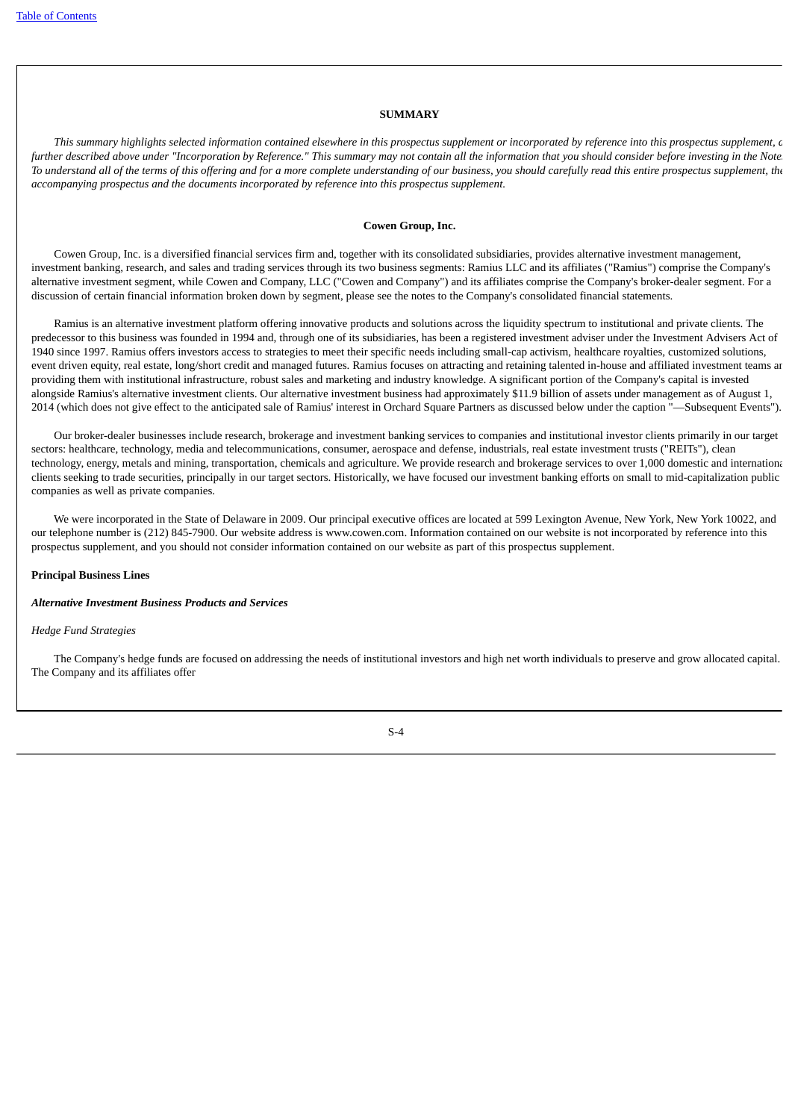#### **SUMMARY**

<span id="page-6-0"></span> *This summary highlights selected information contained elsewhere in this prospectus supplement or incorporated by reference into this prospectus supplement, a further described above under "Incorporation by Reference." This summary may not contain all the information that you should consider before investing in the Notes To understand all of the terms of this offering and for a more complete understanding of our business, you should carefully read this entire prospectus supplement, the accompanying prospectus and the documents incorporated by reference into this prospectus supplement.*

## **Cowen Group, Inc.**

 Cowen Group, Inc. is a diversified financial services firm and, together with its consolidated subsidiaries, provides alternative investment management, investment banking, research, and sales and trading services through its two business segments: Ramius LLC and its affiliates ("Ramius") comprise the Company's alternative investment segment, while Cowen and Company, LLC ("Cowen and Company") and its affiliates comprise the Company's broker-dealer segment. For a discussion of certain financial information broken down by segment, please see the notes to the Company's consolidated financial statements.

 Ramius is an alternative investment platform offering innovative products and solutions across the liquidity spectrum to institutional and private clients. The predecessor to this business was founded in 1994 and, through one of its subsidiaries, has been a registered investment adviser under the Investment Advisers Act of 1940 since 1997. Ramius offers investors access to strategies to meet their specific needs including small-cap activism, healthcare royalties, customized solutions, event driven equity, real estate, long/short credit and managed futures. Ramius focuses on attracting and retaining talented in-house and affiliated investment teams ar providing them with institutional infrastructure, robust sales and marketing and industry knowledge. A significant portion of the Company's capital is invested alongside Ramius's alternative investment clients. Our alternative investment business had approximately \$11.9 billion of assets under management as of August 1, 2014 (which does not give effect to the anticipated sale of Ramius' interest in Orchard Square Partners as discussed below under the caption "—Subsequent Events").

 Our broker-dealer businesses include research, brokerage and investment banking services to companies and institutional investor clients primarily in our target sectors: healthcare, technology, media and telecommunications, consumer, aerospace and defense, industrials, real estate investment trusts ("REITs"), clean technology, energy, metals and mining, transportation, chemicals and agriculture. We provide research and brokerage services to over 1,000 domestic and internationa clients seeking to trade securities, principally in our target sectors. Historically, we have focused our investment banking efforts on small to mid-capitalization public companies as well as private companies.

 We were incorporated in the State of Delaware in 2009. Our principal executive offices are located at 599 Lexington Avenue, New York, New York 10022, and our telephone number is (212) 845-7900. Our website address is www.cowen.com. Information contained on our website is not incorporated by reference into this prospectus supplement, and you should not consider information contained on our website as part of this prospectus supplement.

# **Principal Business Lines**

## *Alternative Investment Business Products and Services*

### *Hedge Fund Strategies*

 The Company's hedge funds are focused on addressing the needs of institutional investors and high net worth individuals to preserve and grow allocated capital. The Company and its affiliates offer

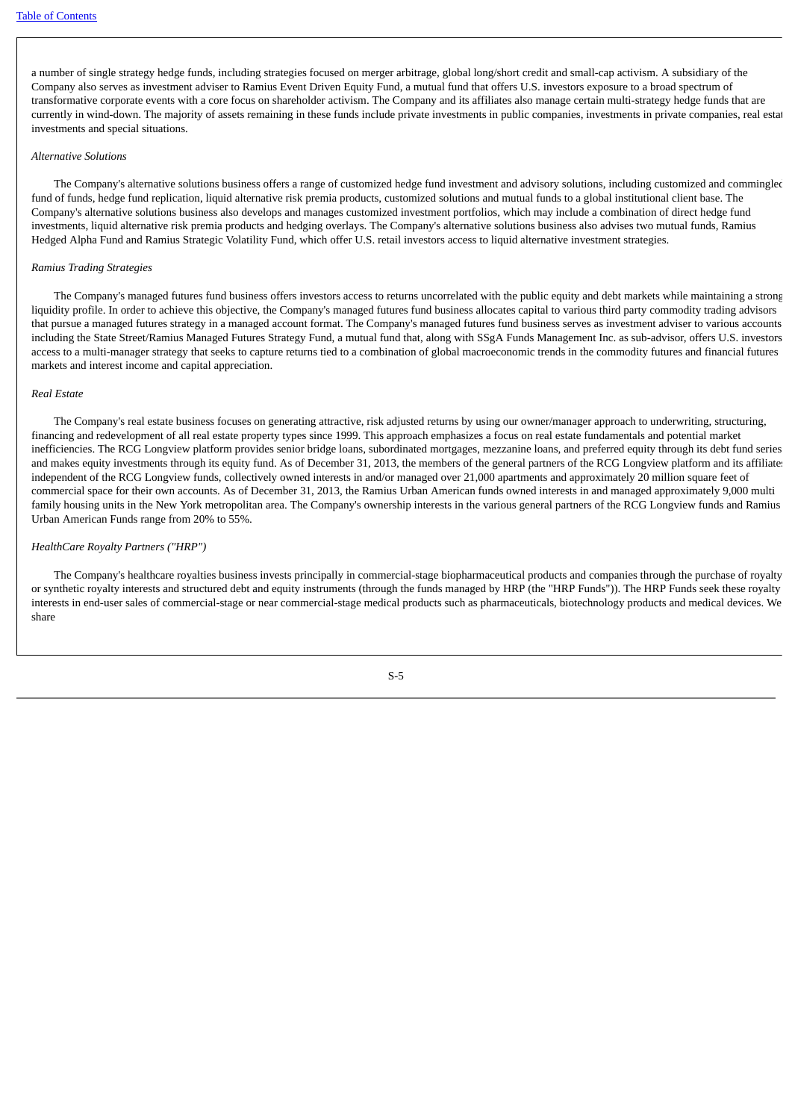a number of single strategy hedge funds, including strategies focused on merger arbitrage, global long/short credit and small-cap activism. A subsidiary of the Company also serves as investment adviser to Ramius Event Driven Equity Fund, a mutual fund that offers U.S. investors exposure to a broad spectrum of transformative corporate events with a core focus on shareholder activism. The Company and its affiliates also manage certain multi-strategy hedge funds that are currently in wind-down. The majority of assets remaining in these funds include private investments in public companies, investments in private companies, real estat investments and special situations.

#### *Alternative Solutions*

The Company's alternative solutions business offers a range of customized hedge fund investment and advisory solutions, including customized and commingled fund of funds, hedge fund replication, liquid alternative risk premia products, customized solutions and mutual funds to a global institutional client base. The Company's alternative solutions business also develops and manages customized investment portfolios, which may include a combination of direct hedge fund investments, liquid alternative risk premia products and hedging overlays. The Company's alternative solutions business also advises two mutual funds, Ramius Hedged Alpha Fund and Ramius Strategic Volatility Fund, which offer U.S. retail investors access to liquid alternative investment strategies.

#### *Ramius Trading Strategies*

 The Company's managed futures fund business offers investors access to returns uncorrelated with the public equity and debt markets while maintaining a strong liquidity profile. In order to achieve this objective, the Company's managed futures fund business allocates capital to various third party commodity trading advisors that pursue a managed futures strategy in a managed account format. The Company's managed futures fund business serves as investment adviser to various accounts including the State Street/Ramius Managed Futures Strategy Fund, a mutual fund that, along with SSgA Funds Management Inc. as sub-advisor, offers U.S. investors access to a multi-manager strategy that seeks to capture returns tied to a combination of global macroeconomic trends in the commodity futures and financial futures markets and interest income and capital appreciation.

## *Real Estate*

 The Company's real estate business focuses on generating attractive, risk adjusted returns by using our owner/manager approach to underwriting, structuring, financing and redevelopment of all real estate property types since 1999. This approach emphasizes a focus on real estate fundamentals and potential market inefficiencies. The RCG Longview platform provides senior bridge loans, subordinated mortgages, mezzanine loans, and preferred equity through its debt fund series and makes equity investments through its equity fund. As of December 31, 2013, the members of the general partners of the RCG Longview platform and its affiliates independent of the RCG Longview funds, collectively owned interests in and/or managed over 21,000 apartments and approximately 20 million square feet of commercial space for their own accounts. As of December 31, 2013, the Ramius Urban American funds owned interests in and managed approximately 9,000 multi family housing units in the New York metropolitan area. The Company's ownership interests in the various general partners of the RCG Longview funds and Ramius Urban American Funds range from 20% to 55%.

### *HealthCare Royalty Partners ("HRP")*

 The Company's healthcare royalties business invests principally in commercial-stage biopharmaceutical products and companies through the purchase of royalty or synthetic royalty interests and structured debt and equity instruments (through the funds managed by HRP (the "HRP Funds")). The HRP Funds seek these royalty interests in end-user sales of commercial-stage or near commercial-stage medical products such as pharmaceuticals, biotechnology products and medical devices. We share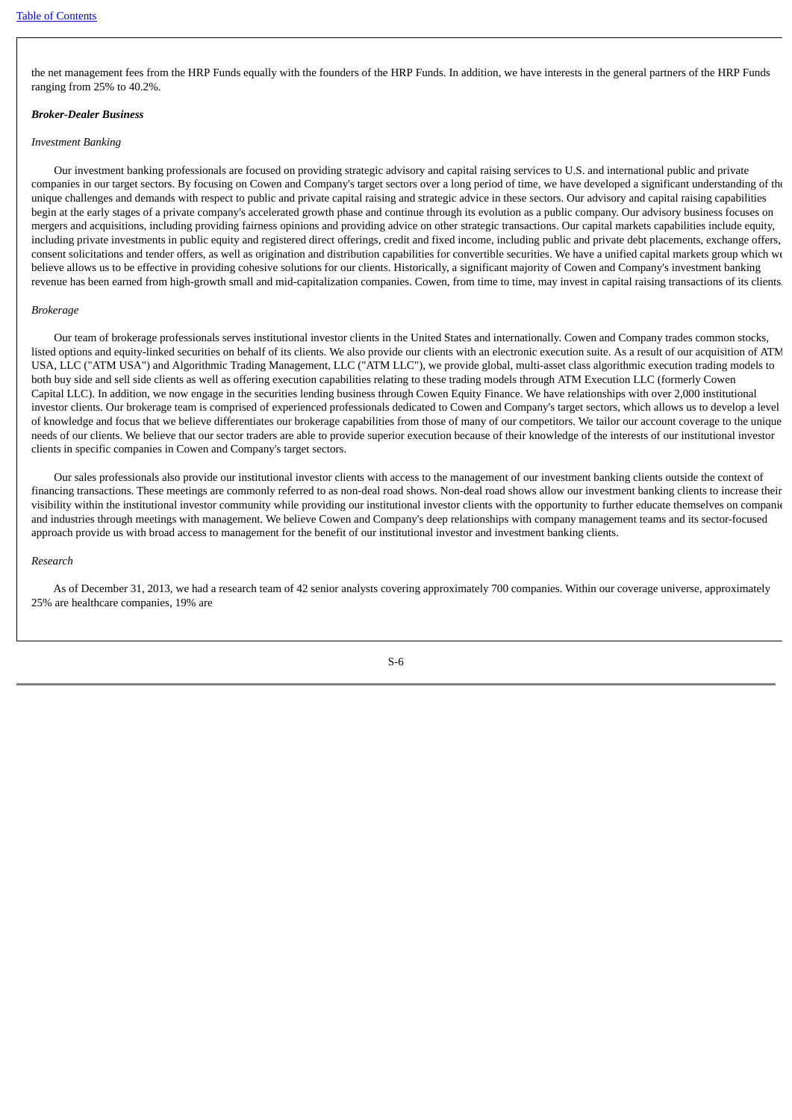the net management fees from the HRP Funds equally with the founders of the HRP Funds. In addition, we have interests in the general partners of the HRP Funds ranging from 25% to 40.2%.

#### *Broker-Dealer Business*

### *Investment Banking*

 Our investment banking professionals are focused on providing strategic advisory and capital raising services to U.S. and international public and private companies in our target sectors. By focusing on Cowen and Company's target sectors over a long period of time, we have developed a significant understanding of the unique challenges and demands with respect to public and private capital raising and strategic advice in these sectors. Our advisory and capital raising capabilities begin at the early stages of a private company's accelerated growth phase and continue through its evolution as a public company. Our advisory business focuses on mergers and acquisitions, including providing fairness opinions and providing advice on other strategic transactions. Our capital markets capabilities include equity, including private investments in public equity and registered direct offerings, credit and fixed income, including public and private debt placements, exchange offers, consent solicitations and tender offers, as well as origination and distribution capabilities for convertible securities. We have a unified capital markets group which we believe allows us to be effective in providing cohesive solutions for our clients. Historically, a significant majority of Cowen and Company's investment banking revenue has been earned from high-growth small and mid-capitalization companies. Cowen, from time to time, may invest in capital raising transactions of its clients.

#### *Brokerage*

 Our team of brokerage professionals serves institutional investor clients in the United States and internationally. Cowen and Company trades common stocks, listed options and equity-linked securities on behalf of its clients. We also provide our clients with an electronic execution suite. As a result of our acquisition of ATM USA, LLC ("ATM USA") and Algorithmic Trading Management, LLC ("ATM LLC"), we provide global, multi-asset class algorithmic execution trading models to both buy side and sell side clients as well as offering execution capabilities relating to these trading models through ATM Execution LLC (formerly Cowen Capital LLC). In addition, we now engage in the securities lending business through Cowen Equity Finance. We have relationships with over 2,000 institutional investor clients. Our brokerage team is comprised of experienced professionals dedicated to Cowen and Company's target sectors, which allows us to develop a level of knowledge and focus that we believe differentiates our brokerage capabilities from those of many of our competitors. We tailor our account coverage to the unique needs of our clients. We believe that our sector traders are able to provide superior execution because of their knowledge of the interests of our institutional investor clients in specific companies in Cowen and Company's target sectors.

 Our sales professionals also provide our institutional investor clients with access to the management of our investment banking clients outside the context of financing transactions. These meetings are commonly referred to as non-deal road shows. Non-deal road shows allow our investment banking clients to increase their visibility within the institutional investor community while providing our institutional investor clients with the opportunity to further educate themselves on companie and industries through meetings with management. We believe Cowen and Company's deep relationships with company management teams and its sector-focused approach provide us with broad access to management for the benefit of our institutional investor and investment banking clients.

## *Research*

 As of December 31, 2013, we had a research team of 42 senior analysts covering approximately 700 companies. Within our coverage universe, approximately 25% are healthcare companies, 19% are

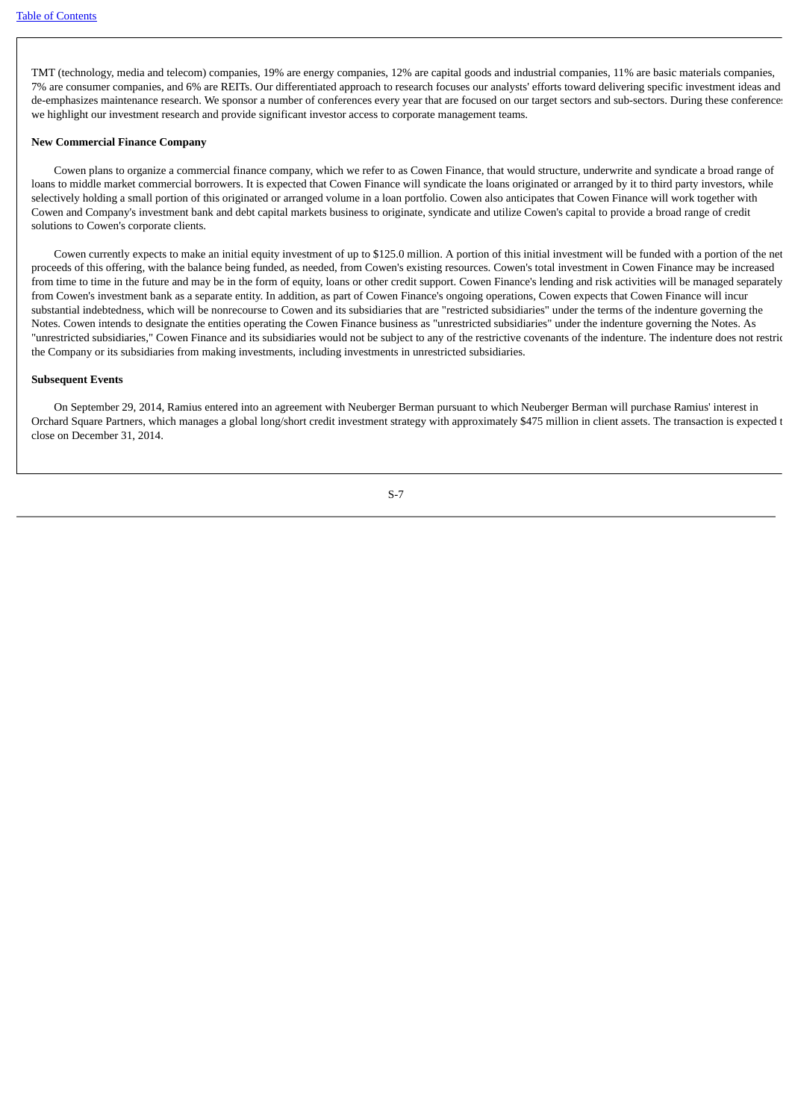TMT (technology, media and telecom) companies, 19% are energy companies, 12% are capital goods and industrial companies, 11% are basic materials companies, 7% are consumer companies, and 6% are REITs. Our differentiated approach to research focuses our analysts' efforts toward delivering specific investment ideas and de-emphasizes maintenance research. We sponsor a number of conferences every year that are focused on our target sectors and sub-sectors. During these conferences we highlight our investment research and provide significant investor access to corporate management teams.

# **New Commercial Finance Company**

 Cowen plans to organize a commercial finance company, which we refer to as Cowen Finance, that would structure, underwrite and syndicate a broad range of loans to middle market commercial borrowers. It is expected that Cowen Finance will syndicate the loans originated or arranged by it to third party investors, while selectively holding a small portion of this originated or arranged volume in a loan portfolio. Cowen also anticipates that Cowen Finance will work together with Cowen and Company's investment bank and debt capital markets business to originate, syndicate and utilize Cowen's capital to provide a broad range of credit solutions to Cowen's corporate clients.

 Cowen currently expects to make an initial equity investment of up to \$125.0 million. A portion of this initial investment will be funded with a portion of the net proceeds of this offering, with the balance being funded, as needed, from Cowen's existing resources. Cowen's total investment in Cowen Finance may be increased from time to time in the future and may be in the form of equity, loans or other credit support. Cowen Finance's lending and risk activities will be managed separately from Cowen's investment bank as a separate entity. In addition, as part of Cowen Finance's ongoing operations, Cowen expects that Cowen Finance will incur substantial indebtedness, which will be nonrecourse to Cowen and its subsidiaries that are "restricted subsidiaries" under the terms of the indenture governing the Notes. Cowen intends to designate the entities operating the Cowen Finance business as "unrestricted subsidiaries" under the indenture governing the Notes. As "unrestricted subsidiaries," Cowen Finance and its subsidiaries would not be subject to any of the restrictive covenants of the indenture. The indenture does not restric the Company or its subsidiaries from making investments, including investments in unrestricted subsidiaries.

#### **Subsequent Events**

 On September 29, 2014, Ramius entered into an agreement with Neuberger Berman pursuant to which Neuberger Berman will purchase Ramius' interest in Orchard Square Partners, which manages a global long/short credit investment strategy with approximately \$475 million in client assets. The transaction is expected t close on December 31, 2014.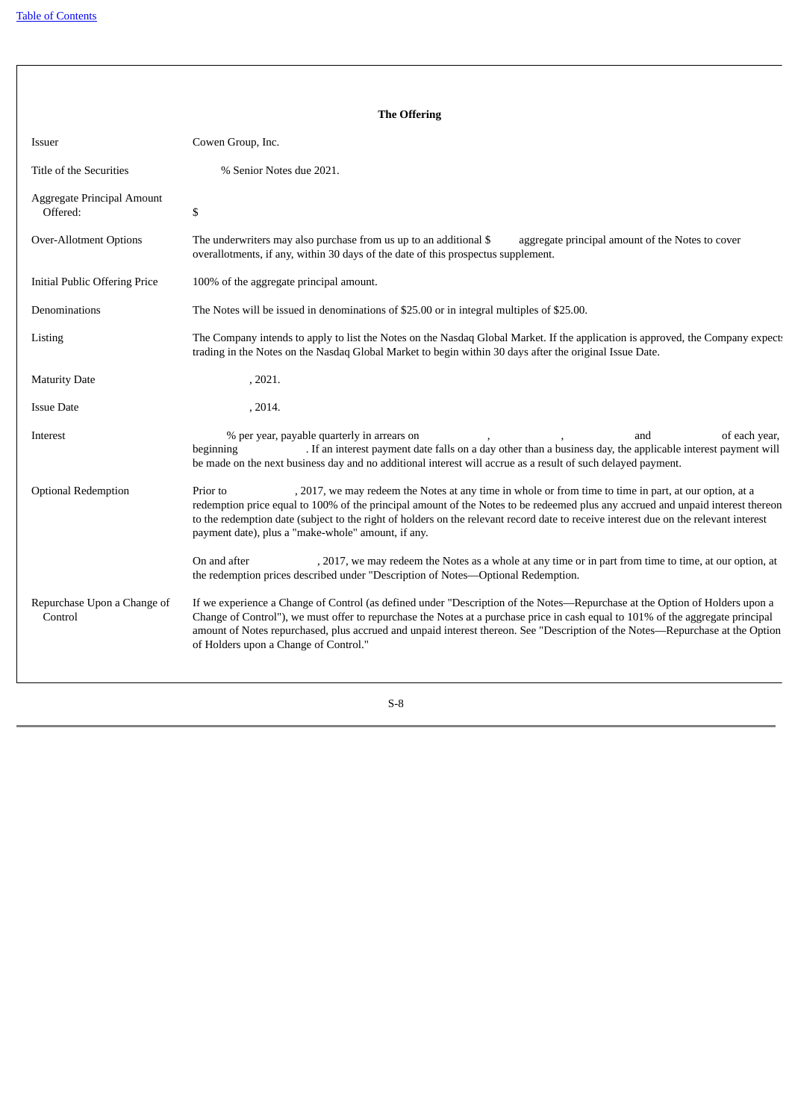|                                        | <b>The Offering</b>                                                                                                                                                                                                                                                                                                                                                                                                                                 |
|----------------------------------------|-----------------------------------------------------------------------------------------------------------------------------------------------------------------------------------------------------------------------------------------------------------------------------------------------------------------------------------------------------------------------------------------------------------------------------------------------------|
| Issuer                                 | Cowen Group, Inc.                                                                                                                                                                                                                                                                                                                                                                                                                                   |
| Title of the Securities                | % Senior Notes due 2021.                                                                                                                                                                                                                                                                                                                                                                                                                            |
| Aggregate Principal Amount<br>Offered: | \$                                                                                                                                                                                                                                                                                                                                                                                                                                                  |
| <b>Over-Allotment Options</b>          | The underwriters may also purchase from us up to an additional \$<br>aggregate principal amount of the Notes to cover<br>overallotments, if any, within 30 days of the date of this prospectus supplement.                                                                                                                                                                                                                                          |
| <b>Initial Public Offering Price</b>   | 100% of the aggregate principal amount.                                                                                                                                                                                                                                                                                                                                                                                                             |
| Denominations                          | The Notes will be issued in denominations of \$25.00 or in integral multiples of \$25.00.                                                                                                                                                                                                                                                                                                                                                           |
| Listing                                | The Company intends to apply to list the Notes on the Nasdaq Global Market. If the application is approved, the Company expects<br>trading in the Notes on the Nasdaq Global Market to begin within 30 days after the original Issue Date.                                                                                                                                                                                                          |
| <b>Maturity Date</b>                   | , 2021.                                                                                                                                                                                                                                                                                                                                                                                                                                             |
| <b>Issue Date</b>                      | , 2014.                                                                                                                                                                                                                                                                                                                                                                                                                                             |
| Interest                               | % per year, payable quarterly in arrears on<br>of each year,<br>and<br>. If an interest payment date falls on a day other than a business day, the applicable interest payment will<br>beginning<br>be made on the next business day and no additional interest will accrue as a result of such delayed payment.                                                                                                                                    |
| <b>Optional Redemption</b>             | , 2017, we may redeem the Notes at any time in whole or from time to time in part, at our option, at a<br>Prior to<br>redemption price equal to 100% of the principal amount of the Notes to be redeemed plus any accrued and unpaid interest thereon<br>to the redemption date (subject to the right of holders on the relevant record date to receive interest due on the relevant interest<br>payment date), plus a "make-whole" amount, if any. |
|                                        | On and after<br>, 2017, we may redeem the Notes as a whole at any time or in part from time to time, at our option, at<br>the redemption prices described under "Description of Notes-Optional Redemption.                                                                                                                                                                                                                                          |
| Repurchase Upon a Change of<br>Control | If we experience a Change of Control (as defined under "Description of the Notes-Repurchase at the Option of Holders upon a<br>Change of Control"), we must offer to repurchase the Notes at a purchase price in cash equal to 101% of the aggregate principal<br>amount of Notes repurchased, plus accrued and unpaid interest thereon. See "Description of the Notes-Repurchase at the Option<br>of Holders upon a Change of Control."            |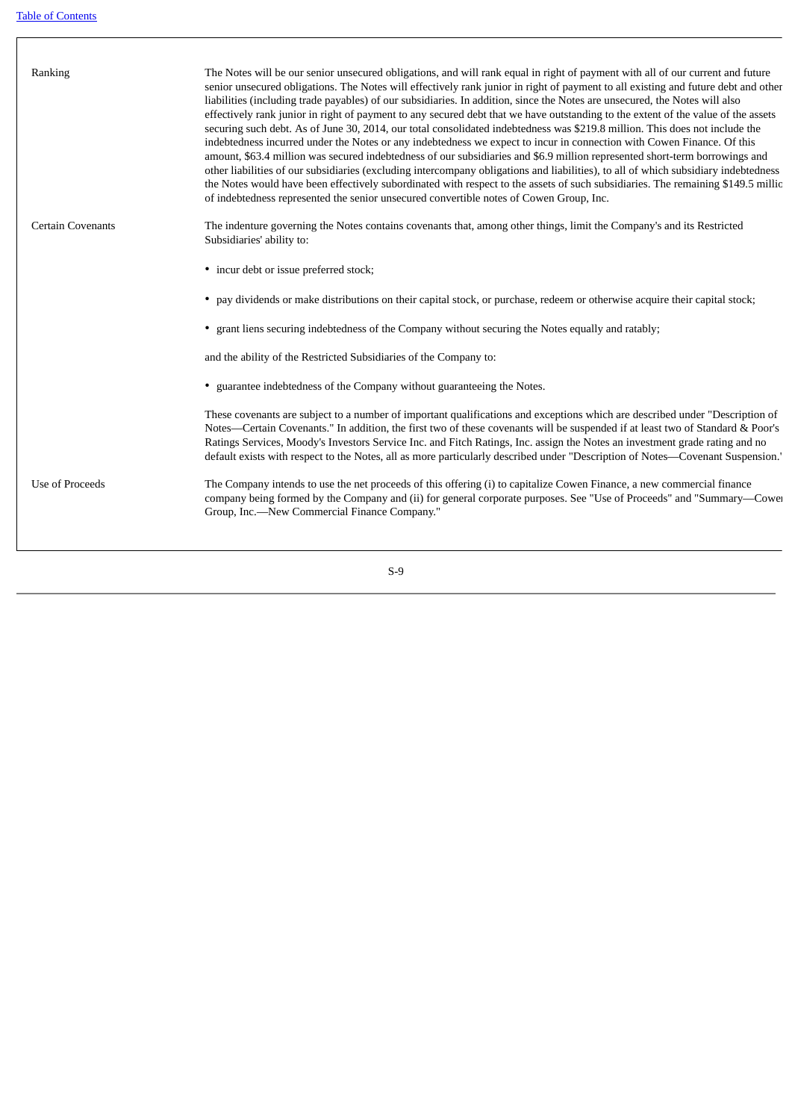I

| Ranking                  | The Notes will be our senior unsecured obligations, and will rank equal in right of payment with all of our current and future<br>senior unsecured obligations. The Notes will effectively rank junior in right of payment to all existing and future debt and other<br>liabilities (including trade payables) of our subsidiaries. In addition, since the Notes are unsecured, the Notes will also<br>effectively rank junior in right of payment to any secured debt that we have outstanding to the extent of the value of the assets<br>securing such debt. As of June 30, 2014, our total consolidated indebtedness was \$219.8 million. This does not include the<br>indebtedness incurred under the Notes or any indebtedness we expect to incur in connection with Cowen Finance. Of this<br>amount, \$63.4 million was secured indebtedness of our subsidiaries and \$6.9 million represented short-term borrowings and<br>other liabilities of our subsidiaries (excluding intercompany obligations and liabilities), to all of which subsidiary indebtedness<br>the Notes would have been effectively subordinated with respect to the assets of such subsidiaries. The remaining \$149.5 millio<br>of indebtedness represented the senior unsecured convertible notes of Cowen Group, Inc. |
|--------------------------|--------------------------------------------------------------------------------------------------------------------------------------------------------------------------------------------------------------------------------------------------------------------------------------------------------------------------------------------------------------------------------------------------------------------------------------------------------------------------------------------------------------------------------------------------------------------------------------------------------------------------------------------------------------------------------------------------------------------------------------------------------------------------------------------------------------------------------------------------------------------------------------------------------------------------------------------------------------------------------------------------------------------------------------------------------------------------------------------------------------------------------------------------------------------------------------------------------------------------------------------------------------------------------------------------------|
| <b>Certain Covenants</b> | The indenture governing the Notes contains covenants that, among other things, limit the Company's and its Restricted<br>Subsidiaries' ability to:                                                                                                                                                                                                                                                                                                                                                                                                                                                                                                                                                                                                                                                                                                                                                                                                                                                                                                                                                                                                                                                                                                                                                     |
|                          | • incur debt or issue preferred stock;                                                                                                                                                                                                                                                                                                                                                                                                                                                                                                                                                                                                                                                                                                                                                                                                                                                                                                                                                                                                                                                                                                                                                                                                                                                                 |
|                          | • pay dividends or make distributions on their capital stock, or purchase, redeem or otherwise acquire their capital stock;                                                                                                                                                                                                                                                                                                                                                                                                                                                                                                                                                                                                                                                                                                                                                                                                                                                                                                                                                                                                                                                                                                                                                                            |
|                          | • grant liens securing indebtedness of the Company without securing the Notes equally and ratably;                                                                                                                                                                                                                                                                                                                                                                                                                                                                                                                                                                                                                                                                                                                                                                                                                                                                                                                                                                                                                                                                                                                                                                                                     |
|                          | and the ability of the Restricted Subsidiaries of the Company to:                                                                                                                                                                                                                                                                                                                                                                                                                                                                                                                                                                                                                                                                                                                                                                                                                                                                                                                                                                                                                                                                                                                                                                                                                                      |
|                          | • guarantee indebtedness of the Company without guaranteeing the Notes.                                                                                                                                                                                                                                                                                                                                                                                                                                                                                                                                                                                                                                                                                                                                                                                                                                                                                                                                                                                                                                                                                                                                                                                                                                |
|                          | These covenants are subject to a number of important qualifications and exceptions which are described under "Description of<br>Notes—Certain Covenants." In addition, the first two of these covenants will be suspended if at least two of Standard & Poor's<br>Ratings Services, Moody's Investors Service Inc. and Fitch Ratings, Inc. assign the Notes an investment grade rating and no<br>default exists with respect to the Notes, all as more particularly described under "Description of Notes-Covenant Suspension."                                                                                                                                                                                                                                                                                                                                                                                                                                                                                                                                                                                                                                                                                                                                                                        |
| Use of Proceeds          | The Company intends to use the net proceeds of this offering (i) to capitalize Cowen Finance, a new commercial finance<br>company being formed by the Company and (ii) for general corporate purposes. See "Use of Proceeds" and "Summary—Cower<br>Group, Inc.-New Commercial Finance Company."                                                                                                                                                                                                                                                                                                                                                                                                                                                                                                                                                                                                                                                                                                                                                                                                                                                                                                                                                                                                        |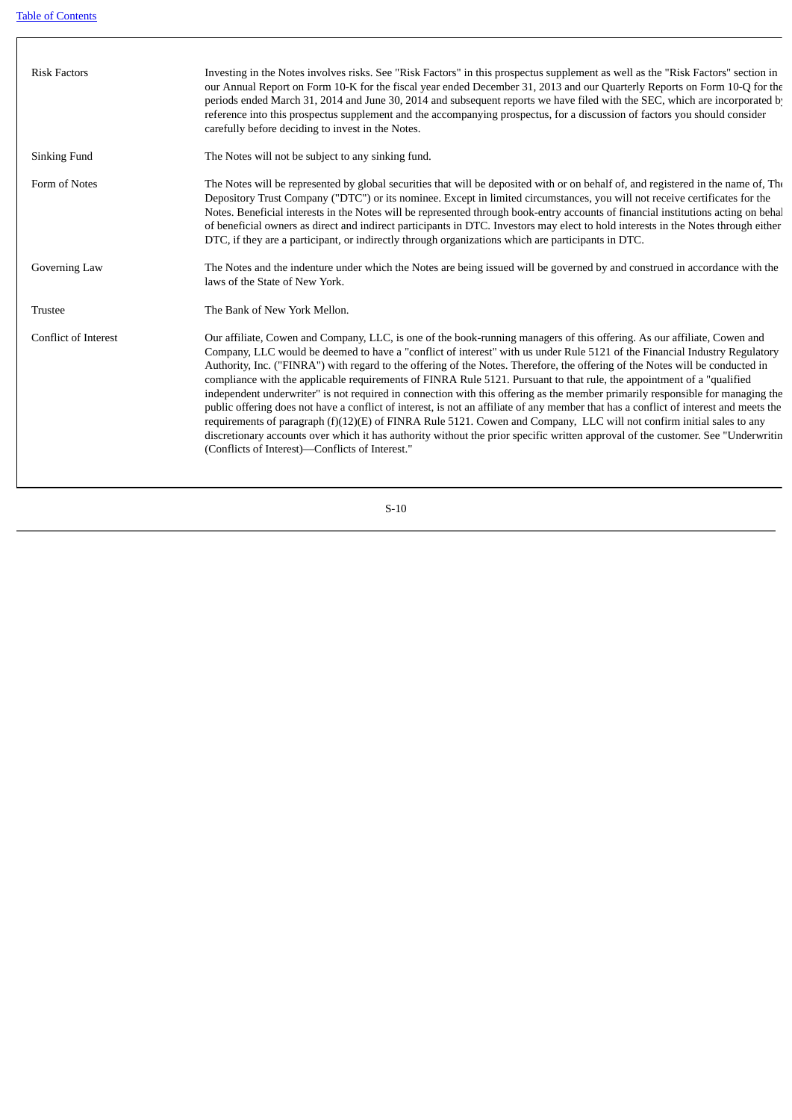| <b>Risk Factors</b>  | Investing in the Notes involves risks. See "Risk Factors" in this prospectus supplement as well as the "Risk Factors" section in<br>our Annual Report on Form 10-K for the fiscal year ended December 31, 2013 and our Quarterly Reports on Form 10-Q for the<br>periods ended March 31, 2014 and June 30, 2014 and subsequent reports we have filed with the SEC, which are incorporated by<br>reference into this prospectus supplement and the accompanying prospectus, for a discussion of factors you should consider<br>carefully before deciding to invest in the Notes.                                                                                                                                                                                                                                                                                                                                                                                                                                                                                                                                |
|----------------------|----------------------------------------------------------------------------------------------------------------------------------------------------------------------------------------------------------------------------------------------------------------------------------------------------------------------------------------------------------------------------------------------------------------------------------------------------------------------------------------------------------------------------------------------------------------------------------------------------------------------------------------------------------------------------------------------------------------------------------------------------------------------------------------------------------------------------------------------------------------------------------------------------------------------------------------------------------------------------------------------------------------------------------------------------------------------------------------------------------------|
| Sinking Fund         | The Notes will not be subject to any sinking fund.                                                                                                                                                                                                                                                                                                                                                                                                                                                                                                                                                                                                                                                                                                                                                                                                                                                                                                                                                                                                                                                             |
| Form of Notes        | The Notes will be represented by global securities that will be deposited with or on behalf of, and registered in the name of, The<br>Depository Trust Company ("DTC") or its nominee. Except in limited circumstances, you will not receive certificates for the<br>Notes. Beneficial interests in the Notes will be represented through book-entry accounts of financial institutions acting on behal<br>of beneficial owners as direct and indirect participants in DTC. Investors may elect to hold interests in the Notes through either<br>DTC, if they are a participant, or indirectly through organizations which are participants in DTC.                                                                                                                                                                                                                                                                                                                                                                                                                                                            |
| Governing Law        | The Notes and the indenture under which the Notes are being issued will be governed by and construed in accordance with the<br>laws of the State of New York.                                                                                                                                                                                                                                                                                                                                                                                                                                                                                                                                                                                                                                                                                                                                                                                                                                                                                                                                                  |
| <b>Trustee</b>       | The Bank of New York Mellon.                                                                                                                                                                                                                                                                                                                                                                                                                                                                                                                                                                                                                                                                                                                                                                                                                                                                                                                                                                                                                                                                                   |
| Conflict of Interest | Our affiliate, Cowen and Company, LLC, is one of the book-running managers of this offering. As our affiliate, Cowen and<br>Company, LLC would be deemed to have a "conflict of interest" with us under Rule 5121 of the Financial Industry Regulatory<br>Authority, Inc. ("FINRA") with regard to the offering of the Notes. Therefore, the offering of the Notes will be conducted in<br>compliance with the applicable requirements of FINRA Rule 5121. Pursuant to that rule, the appointment of a "qualified<br>independent underwriter" is not required in connection with this offering as the member primarily responsible for managing the<br>public offering does not have a conflict of interest, is not an affiliate of any member that has a conflict of interest and meets the<br>requirements of paragraph $(f)(12)(E)$ of FINRA Rule 5121. Cowen and Company, LLC will not confirm initial sales to any<br>discretionary accounts over which it has authority without the prior specific written approval of the customer. See "Underwritin<br>(Conflicts of Interest)-Conflicts of Interest." |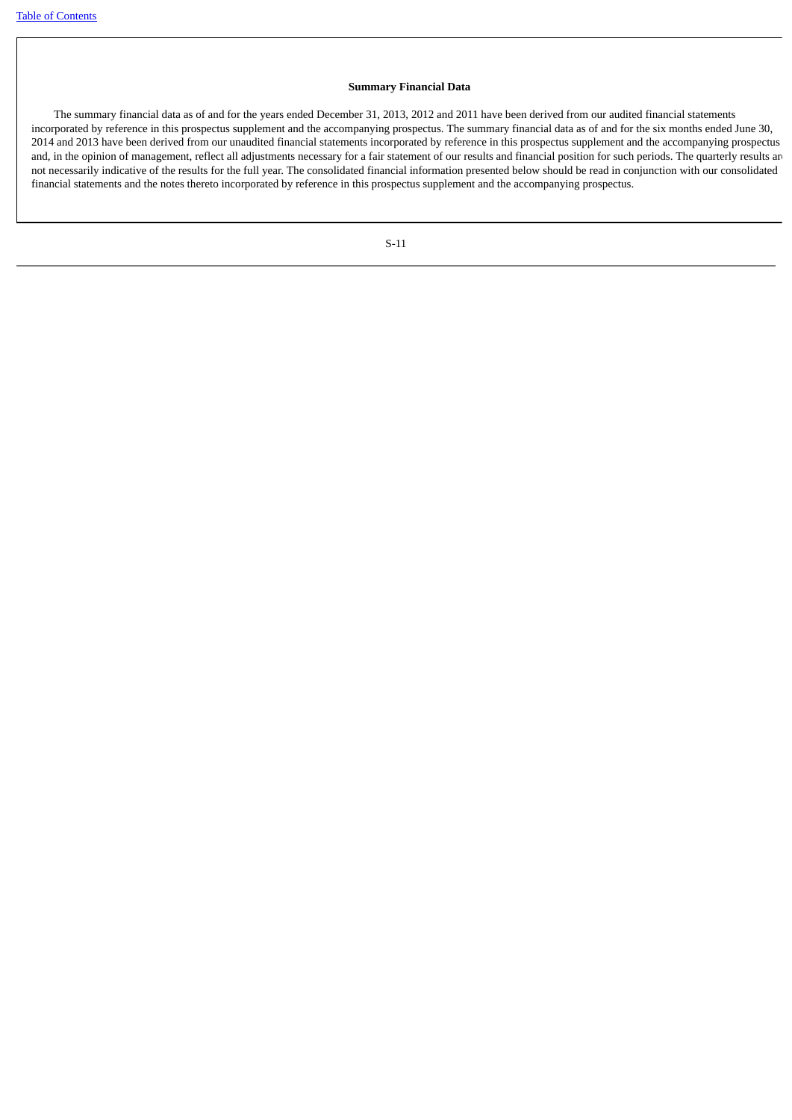# **Summary Financial Data**

 The summary financial data as of and for the years ended December 31, 2013, 2012 and 2011 have been derived from our audited financial statements incorporated by reference in this prospectus supplement and the accompanying prospectus. The summary financial data as of and for the six months ended June 30, 2014 and 2013 have been derived from our unaudited financial statements incorporated by reference in this prospectus supplement and the accompanying prospectus and, in the opinion of management, reflect all adjustments necessary for a fair statement of our results and financial position for such periods. The quarterly results are not necessarily indicative of the results for the full year. The consolidated financial information presented below should be read in conjunction with our consolidated financial statements and the notes thereto incorporated by reference in this prospectus supplement and the accompanying prospectus.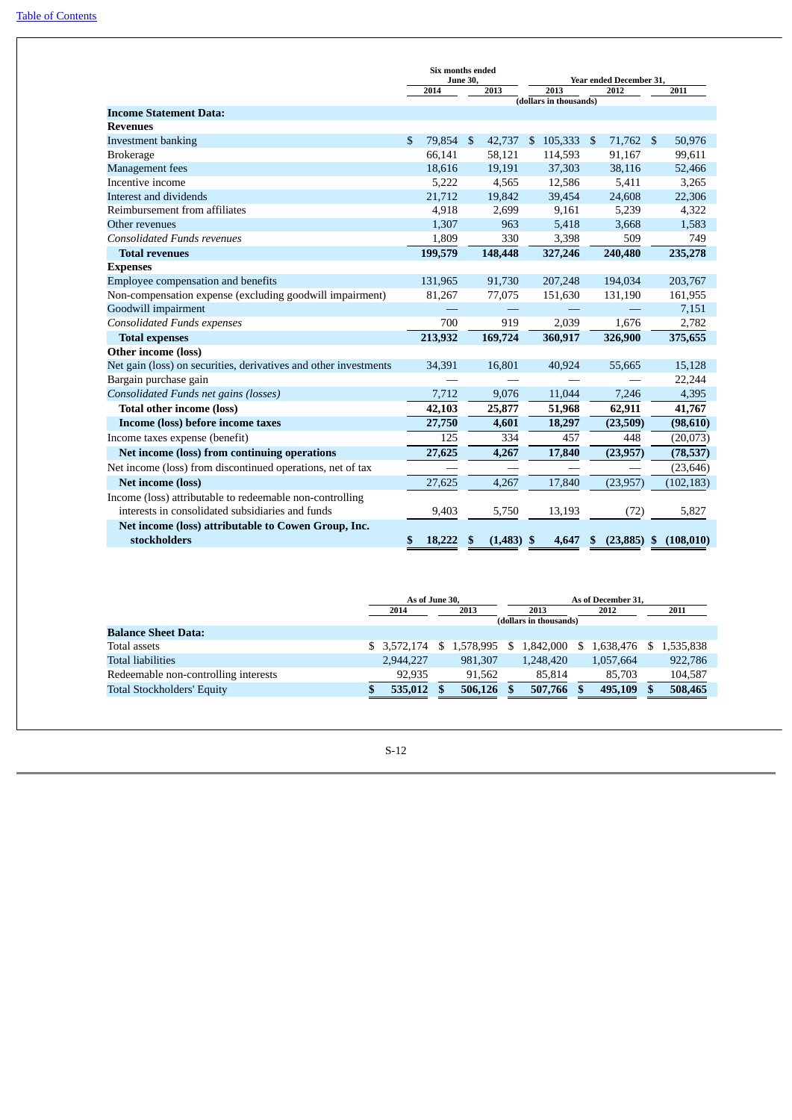|                                                                  | Six months ended<br>June 30, |                  |     | Year ended December 31, |      |                    |      |                  |      |              |
|------------------------------------------------------------------|------------------------------|------------------|-----|-------------------------|------|--------------------|------|------------------|------|--------------|
|                                                                  | 2014<br>2013                 |                  |     |                         | 2013 |                    | 2012 |                  | 2011 |              |
|                                                                  | (dollars in thousands)       |                  |     |                         |      |                    |      |                  |      |              |
| <b>Income Statement Data:</b><br><b>Revenues</b>                 |                              |                  |     |                         |      |                    |      |                  |      |              |
|                                                                  |                              |                  |     |                         |      |                    |      |                  |      |              |
| <b>Investment banking</b>                                        | \$                           | 79,854<br>66,141 | \$  | 42,737<br>58,121        | \$   | 105,333<br>114,593 | \$   | 71,762<br>91,167 | -\$  | 50,976       |
| <b>Brokerage</b>                                                 |                              |                  |     |                         |      |                    |      |                  |      | 99,611       |
| Management fees<br>Incentive income                              |                              | 18,616           |     | 19,191                  |      | 37,303             |      | 38,116           |      | 52,466       |
| Interest and dividends                                           |                              | 5,222<br>21,712  |     | 4,565                   |      | 12,586             |      | 5,411<br>24,608  |      | 3,265        |
| Reimbursement from affiliates                                    |                              |                  |     | 19,842                  |      | 39,454             |      |                  |      | 22,306       |
| Other revenues                                                   |                              | 4,918<br>1,307   |     | 2,699<br>963            |      | 9,161<br>5,418     |      | 5,239<br>3,668   |      | 4,322        |
| <b>Consolidated Funds revenues</b>                               |                              |                  |     | 330                     |      |                    |      | 509              |      | 1,583<br>749 |
|                                                                  |                              | 1,809            |     |                         |      | 3,398              |      |                  |      |              |
| <b>Total revenues</b>                                            |                              | 199,579          |     | 148,448                 |      | 327,246            |      | 240,480          |      | 235,278      |
| <b>Expenses</b>                                                  |                              |                  |     |                         |      |                    |      |                  |      |              |
| Employee compensation and benefits                               |                              | 131,965          |     | 91,730                  |      | 207,248            |      | 194,034          |      | 203,767      |
| Non-compensation expense (excluding goodwill impairment)         |                              | 81,267           |     | 77,075                  |      | 151,630            |      | 131,190          |      | 161,955      |
| Goodwill impairment                                              |                              | 700              |     |                         |      |                    |      |                  |      | 7,151        |
| <b>Consolidated Funds expenses</b>                               |                              |                  |     | 919                     |      | 2,039              |      | 1,676            |      | 2,782        |
| <b>Total expenses</b>                                            |                              | 213,932          |     | 169,724                 |      | 360,917            |      | 326,900          |      | 375,655      |
| Other income (loss)                                              |                              |                  |     |                         |      |                    |      |                  |      |              |
| Net gain (loss) on securities, derivatives and other investments |                              | 34,391           |     | 16.801                  |      | 40,924             |      | 55,665           |      | 15,128       |
| Bargain purchase gain                                            |                              |                  |     |                         |      |                    |      |                  |      | 22,244       |
| Consolidated Funds net gains (losses)                            |                              | 7,712            |     | 9,076                   |      | 11,044             |      | 7,246            |      | 4,395        |
| <b>Total other income (loss)</b>                                 |                              | 42,103           |     | 25,877                  |      | 51,968             |      | 62,911           |      | 41,767       |
| Income (loss) before income taxes                                |                              | 27,750           |     | 4,601                   |      | 18,297             |      | (23,509)         |      | (98, 610)    |
| Income taxes expense (benefit)                                   |                              | 125              |     | 334                     |      | 457                |      | 448              |      | (20,073)     |
| Net income (loss) from continuing operations                     |                              | 27,625           |     | 4,267                   |      | 17,840             |      | (23, 957)        |      | (78, 537)    |
| Net income (loss) from discontinued operations, net of tax       |                              |                  |     |                         |      |                    |      |                  |      | (23, 646)    |
| <b>Net income (loss)</b>                                         |                              | 27,625           |     | 4,267                   |      | 17,840             |      | (23, 957)        |      | (102, 183)   |
| Income (loss) attributable to redeemable non-controlling         |                              |                  |     |                         |      |                    |      |                  |      |              |
| interests in consolidated subsidiaries and funds                 |                              | 9,403            |     | 5,750                   |      | 13,193             |      | (72)             |      | 5,827        |
| Net income (loss) attributable to Cowen Group, Inc.              |                              |                  |     |                         |      |                    |      |                  |      |              |
| stockholders                                                     | \$                           | 18,222           | -\$ | $(1,483)$ \$            |      | 4,647              | \$   | $(23,885)$ \$    |      | (108, 010)   |

|                                      | As of June 30, |              |    | As of December 31.     |  |           |      |           |      |           |
|--------------------------------------|----------------|--------------|----|------------------------|--|-----------|------|-----------|------|-----------|
|                                      | 2013<br>2014   |              |    | 2013                   |  |           | 2012 |           | 2011 |           |
|                                      |                |              |    | (dollars in thousands) |  |           |      |           |      |           |
| <b>Balance Sheet Data:</b>           |                |              |    |                        |  |           |      |           |      |           |
| Total assets                         |                | \$ 3.572.174 | S. | 1.578.995 \$           |  | 1.842.000 | \$.  | 1.638.476 |      | 1,535,838 |
| Total liabilities                    |                | 2,944,227    |    | 981.307                |  | 1,248,420 |      | 1,057,664 |      | 922,786   |
| Redeemable non-controlling interests |                | 92.935       |    | 91.562                 |  | 85.814    |      | 85,703    |      | 104,587   |
| <b>Total Stockholders' Equity</b>    |                | 535,012      |    | 506,126                |  | 507,766   |      | 495,109   |      | 508,465   |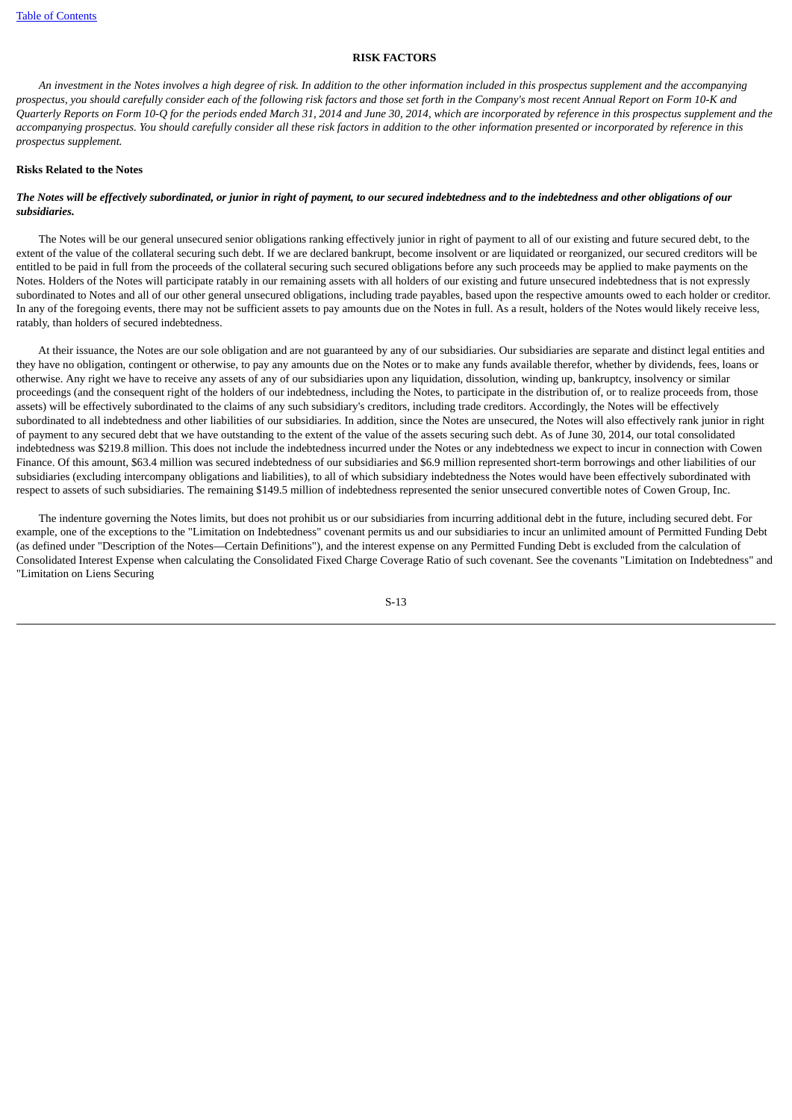# **RISK FACTORS**

<span id="page-15-0"></span> *An investment in the Notes involves a high degree of risk. In addition to the other information included in this prospectus supplement and the accompanying prospectus, you should carefully consider each of the following risk factors and those set forth in the Company's most recent Annual Report on Form 10-K and Quarterly Reports on Form 10-Q for the periods ended March 31, 2014 and June 30, 2014, which are incorporated by reference in this prospectus supplement and the accompanying prospectus. You should carefully consider all these risk factors in addition to the other information presented or incorporated by reference in this prospectus supplement.*

#### **Risks Related to the Notes**

# *The Notes will be effectively subordinated, or junior in right of payment, to our secured indebtedness and to the indebtedness and other obligations of our subsidiaries.*

 The Notes will be our general unsecured senior obligations ranking effectively junior in right of payment to all of our existing and future secured debt, to the extent of the value of the collateral securing such debt. If we are declared bankrupt, become insolvent or are liquidated or reorganized, our secured creditors will be entitled to be paid in full from the proceeds of the collateral securing such secured obligations before any such proceeds may be applied to make payments on the Notes. Holders of the Notes will participate ratably in our remaining assets with all holders of our existing and future unsecured indebtedness that is not expressly subordinated to Notes and all of our other general unsecured obligations, including trade payables, based upon the respective amounts owed to each holder or creditor. In any of the foregoing events, there may not be sufficient assets to pay amounts due on the Notes in full. As a result, holders of the Notes would likely receive less, ratably, than holders of secured indebtedness.

 At their issuance, the Notes are our sole obligation and are not guaranteed by any of our subsidiaries. Our subsidiaries are separate and distinct legal entities and they have no obligation, contingent or otherwise, to pay any amounts due on the Notes or to make any funds available therefor, whether by dividends, fees, loans or otherwise. Any right we have to receive any assets of any of our subsidiaries upon any liquidation, dissolution, winding up, bankruptcy, insolvency or similar proceedings (and the consequent right of the holders of our indebtedness, including the Notes, to participate in the distribution of, or to realize proceeds from, those assets) will be effectively subordinated to the claims of any such subsidiary's creditors, including trade creditors. Accordingly, the Notes will be effectively subordinated to all indebtedness and other liabilities of our subsidiaries. In addition, since the Notes are unsecured, the Notes will also effectively rank junior in right of payment to any secured debt that we have outstanding to the extent of the value of the assets securing such debt. As of June 30, 2014, our total consolidated indebtedness was \$219.8 million. This does not include the indebtedness incurred under the Notes or any indebtedness we expect to incur in connection with Cowen Finance. Of this amount, \$63.4 million was secured indebtedness of our subsidiaries and \$6.9 million represented short-term borrowings and other liabilities of our subsidiaries (excluding intercompany obligations and liabilities), to all of which subsidiary indebtedness the Notes would have been effectively subordinated with respect to assets of such subsidiaries. The remaining \$149.5 million of indebtedness represented the senior unsecured convertible notes of Cowen Group, Inc.

 The indenture governing the Notes limits, but does not prohibit us or our subsidiaries from incurring additional debt in the future, including secured debt. For example, one of the exceptions to the "Limitation on Indebtedness" covenant permits us and our subsidiaries to incur an unlimited amount of Permitted Funding Debt (as defined under "Description of the Notes—Certain Definitions"), and the interest expense on any Permitted Funding Debt is excluded from the calculation of Consolidated Interest Expense when calculating the Consolidated Fixed Charge Coverage Ratio of such covenant. See the covenants "Limitation on Indebtedness" and "Limitation on Liens Securing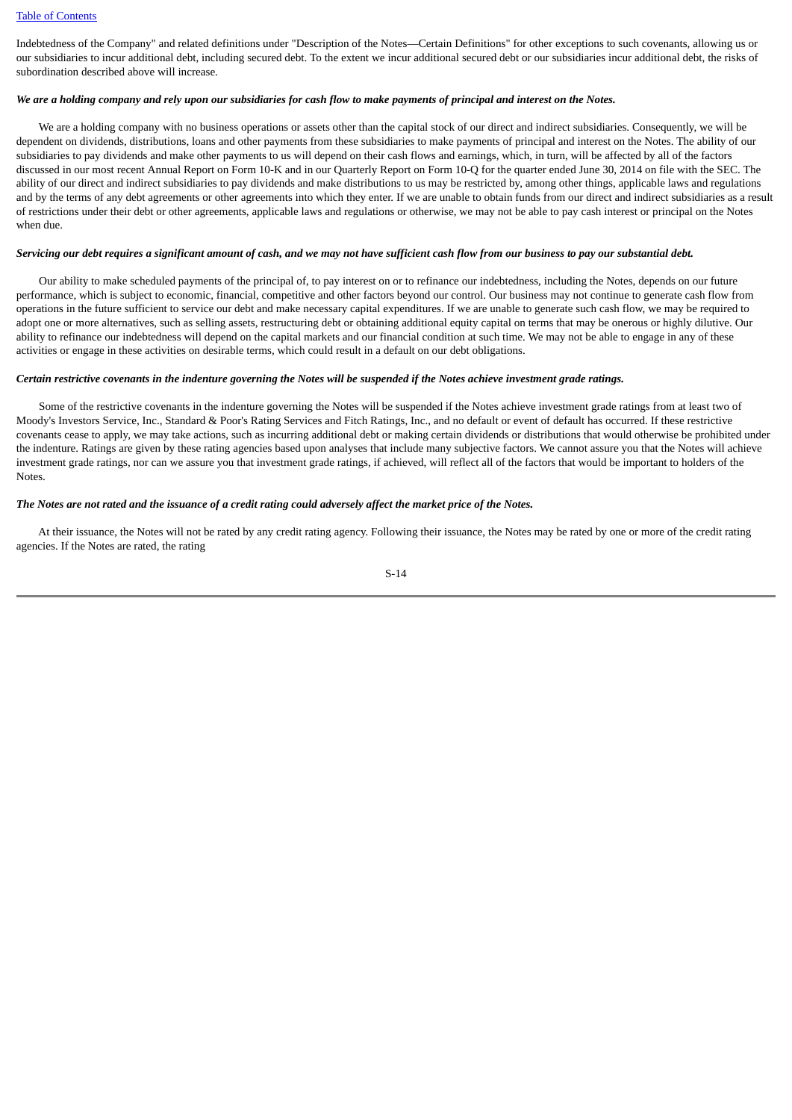Indebtedness of the Company" and related definitions under "Description of the Notes—Certain Definitions" for other exceptions to such covenants, allowing us or our subsidiaries to incur additional debt, including secured debt. To the extent we incur additional secured debt or our subsidiaries incur additional debt, the risks of subordination described above will increase.

### *We are a holding company and rely upon our subsidiaries for cash flow to make payments of principal and interest on the Notes.*

 We are a holding company with no business operations or assets other than the capital stock of our direct and indirect subsidiaries. Consequently, we will be dependent on dividends, distributions, loans and other payments from these subsidiaries to make payments of principal and interest on the Notes. The ability of our subsidiaries to pay dividends and make other payments to us will depend on their cash flows and earnings, which, in turn, will be affected by all of the factors discussed in our most recent Annual Report on Form 10-K and in our Quarterly Report on Form 10-Q for the quarter ended June 30, 2014 on file with the SEC. The ability of our direct and indirect subsidiaries to pay dividends and make distributions to us may be restricted by, among other things, applicable laws and regulations and by the terms of any debt agreements or other agreements into which they enter. If we are unable to obtain funds from our direct and indirect subsidiaries as a result of restrictions under their debt or other agreements, applicable laws and regulations or otherwise, we may not be able to pay cash interest or principal on the Notes when due.

# *Servicing our debt requires a significant amount of cash, and we may not have sufficient cash flow from our business to pay our substantial debt.*

 Our ability to make scheduled payments of the principal of, to pay interest on or to refinance our indebtedness, including the Notes, depends on our future performance, which is subject to economic, financial, competitive and other factors beyond our control. Our business may not continue to generate cash flow from operations in the future sufficient to service our debt and make necessary capital expenditures. If we are unable to generate such cash flow, we may be required to adopt one or more alternatives, such as selling assets, restructuring debt or obtaining additional equity capital on terms that may be onerous or highly dilutive. Our ability to refinance our indebtedness will depend on the capital markets and our financial condition at such time. We may not be able to engage in any of these activities or engage in these activities on desirable terms, which could result in a default on our debt obligations.

## *Certain restrictive covenants in the indenture governing the Notes will be suspended if the Notes achieve investment grade ratings.*

 Some of the restrictive covenants in the indenture governing the Notes will be suspended if the Notes achieve investment grade ratings from at least two of Moody's Investors Service, Inc., Standard & Poor's Rating Services and Fitch Ratings, Inc., and no default or event of default has occurred. If these restrictive covenants cease to apply, we may take actions, such as incurring additional debt or making certain dividends or distributions that would otherwise be prohibited under the indenture. Ratings are given by these rating agencies based upon analyses that include many subjective factors. We cannot assure you that the Notes will achieve investment grade ratings, nor can we assure you that investment grade ratings, if achieved, will reflect all of the factors that would be important to holders of the Notes.

# *The Notes are not rated and the issuance of a credit rating could adversely affect the market price of the Notes.*

 At their issuance, the Notes will not be rated by any credit rating agency. Following their issuance, the Notes may be rated by one or more of the credit rating agencies. If the Notes are rated, the rating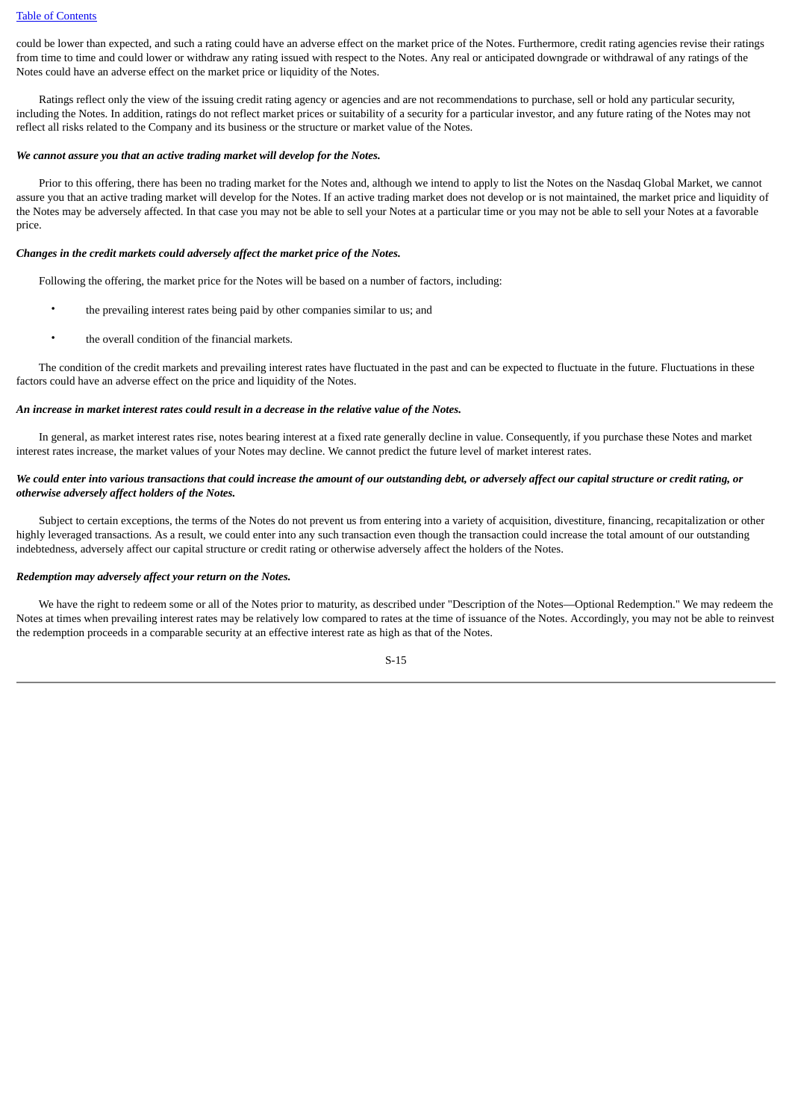could be lower than expected, and such a rating could have an adverse effect on the market price of the Notes. Furthermore, credit rating agencies revise their ratings from time to time and could lower or withdraw any rating issued with respect to the Notes. Any real or anticipated downgrade or withdrawal of any ratings of the Notes could have an adverse effect on the market price or liquidity of the Notes.

 Ratings reflect only the view of the issuing credit rating agency or agencies and are not recommendations to purchase, sell or hold any particular security, including the Notes. In addition, ratings do not reflect market prices or suitability of a security for a particular investor, and any future rating of the Notes may not reflect all risks related to the Company and its business or the structure or market value of the Notes.

### *We cannot assure you that an active trading market will develop for the Notes.*

 Prior to this offering, there has been no trading market for the Notes and, although we intend to apply to list the Notes on the Nasdaq Global Market, we cannot assure you that an active trading market will develop for the Notes. If an active trading market does not develop or is not maintained, the market price and liquidity of the Notes may be adversely affected. In that case you may not be able to sell your Notes at a particular time or you may not be able to sell your Notes at a favorable price.

# *Changes in the credit markets could adversely affect the market price of the Notes.*

Following the offering, the market price for the Notes will be based on a number of factors, including:

- the prevailing interest rates being paid by other companies similar to us; and
- the overall condition of the financial markets.

The condition of the credit markets and prevailing interest rates have fluctuated in the past and can be expected to fluctuate in the future. Fluctuations in these factors could have an adverse effect on the price and liquidity of the Notes.

### *An increase in market interest rates could result in a decrease in the relative value of the Notes.*

 In general, as market interest rates rise, notes bearing interest at a fixed rate generally decline in value. Consequently, if you purchase these Notes and market interest rates increase, the market values of your Notes may decline. We cannot predict the future level of market interest rates.

# *We could enter into various transactions that could increase the amount of our outstanding debt, or adversely affect our capital structure or credit rating, or otherwise adversely affect holders of the Notes.*

 Subject to certain exceptions, the terms of the Notes do not prevent us from entering into a variety of acquisition, divestiture, financing, recapitalization or other highly leveraged transactions. As a result, we could enter into any such transaction even though the transaction could increase the total amount of our outstanding indebtedness, adversely affect our capital structure or credit rating or otherwise adversely affect the holders of the Notes.

## *Redemption may adversely affect your return on the Notes.*

 We have the right to redeem some or all of the Notes prior to maturity, as described under "Description of the Notes—Optional Redemption." We may redeem the Notes at times when prevailing interest rates may be relatively low compared to rates at the time of issuance of the Notes. Accordingly, you may not be able to reinvest the redemption proceeds in a comparable security at an effective interest rate as high as that of the Notes.

$$
S-15
$$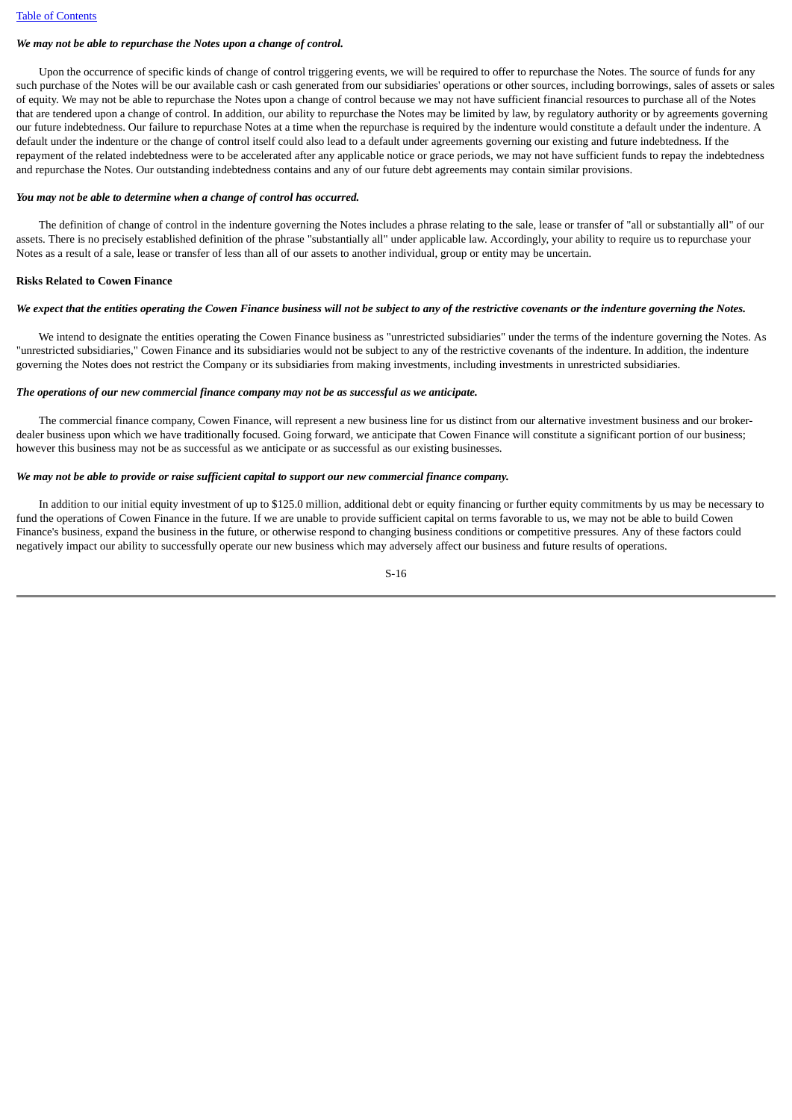# *We may not be able to repurchase the Notes upon a change of control.*

 Upon the occurrence of specific kinds of change of control triggering events, we will be required to offer to repurchase the Notes. The source of funds for any such purchase of the Notes will be our available cash or cash generated from our subsidiaries' operations or other sources, including borrowings, sales of assets or sales of equity. We may not be able to repurchase the Notes upon a change of control because we may not have sufficient financial resources to purchase all of the Notes that are tendered upon a change of control. In addition, our ability to repurchase the Notes may be limited by law, by regulatory authority or by agreements governing our future indebtedness. Our failure to repurchase Notes at a time when the repurchase is required by the indenture would constitute a default under the indenture. A default under the indenture or the change of control itself could also lead to a default under agreements governing our existing and future indebtedness. If the repayment of the related indebtedness were to be accelerated after any applicable notice or grace periods, we may not have sufficient funds to repay the indebtedness and repurchase the Notes. Our outstanding indebtedness contains and any of our future debt agreements may contain similar provisions.

## *You may not be able to determine when a change of control has occurred.*

 The definition of change of control in the indenture governing the Notes includes a phrase relating to the sale, lease or transfer of "all or substantially all" of our assets. There is no precisely established definition of the phrase "substantially all" under applicable law. Accordingly, your ability to require us to repurchase your Notes as a result of a sale, lease or transfer of less than all of our assets to another individual, group or entity may be uncertain.

## **Risks Related to Cowen Finance**

## *We expect that the entities operating the Cowen Finance business will not be subject to any of the restrictive covenants or the indenture governing the Notes.*

 We intend to designate the entities operating the Cowen Finance business as "unrestricted subsidiaries" under the terms of the indenture governing the Notes. As "unrestricted subsidiaries," Cowen Finance and its subsidiaries would not be subject to any of the restrictive covenants of the indenture. In addition, the indenture governing the Notes does not restrict the Company or its subsidiaries from making investments, including investments in unrestricted subsidiaries.

## *The operations of our new commercial finance company may not be as successful as we anticipate.*

 The commercial finance company, Cowen Finance, will represent a new business line for us distinct from our alternative investment business and our brokerdealer business upon which we have traditionally focused. Going forward, we anticipate that Cowen Finance will constitute a significant portion of our business; however this business may not be as successful as we anticipate or as successful as our existing businesses.

### *We may not be able to provide or raise sufficient capital to support our new commercial finance company.*

In addition to our initial equity investment of up to \$125.0 million, additional debt or equity financing or further equity commitments by us may be necessary to fund the operations of Cowen Finance in the future. If we are unable to provide sufficient capital on terms favorable to us, we may not be able to build Cowen Finance's business, expand the business in the future, or otherwise respond to changing business conditions or competitive pressures. Any of these factors could negatively impact our ability to successfully operate our new business which may adversely affect our business and future results of operations.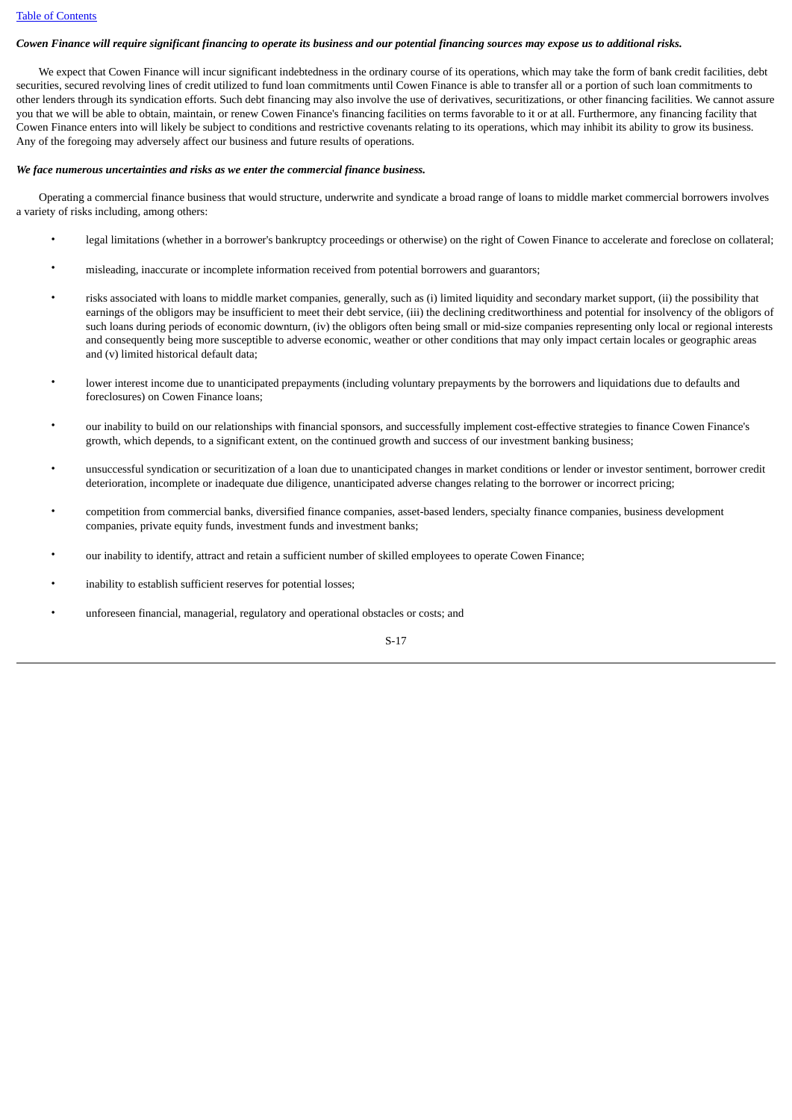# *Cowen Finance will require significant financing to operate its business and our potential financing sources may expose us to additional risks.*

 We expect that Cowen Finance will incur significant indebtedness in the ordinary course of its operations, which may take the form of bank credit facilities, debt securities, secured revolving lines of credit utilized to fund loan commitments until Cowen Finance is able to transfer all or a portion of such loan commitments to other lenders through its syndication efforts. Such debt financing may also involve the use of derivatives, securitizations, or other financing facilities. We cannot assure you that we will be able to obtain, maintain, or renew Cowen Finance's financing facilities on terms favorable to it or at all. Furthermore, any financing facility that Cowen Finance enters into will likely be subject to conditions and restrictive covenants relating to its operations, which may inhibit its ability to grow its business. Any of the foregoing may adversely affect our business and future results of operations.

### *We face numerous uncertainties and risks as we enter the commercial finance business.*

 Operating a commercial finance business that would structure, underwrite and syndicate a broad range of loans to middle market commercial borrowers involves a variety of risks including, among others:

- legal limitations (whether in a borrower's bankruptcy proceedings or otherwise) on the right of Cowen Finance to accelerate and foreclose on collateral;
- misleading, inaccurate or incomplete information received from potential borrowers and guarantors;
- risks associated with loans to middle market companies, generally, such as (i) limited liquidity and secondary market support, (ii) the possibility that earnings of the obligors may be insufficient to meet their debt service, (iii) the declining creditworthiness and potential for insolvency of the obligors of such loans during periods of economic downturn, (iv) the obligors often being small or mid-size companies representing only local or regional interests and consequently being more susceptible to adverse economic, weather or other conditions that may only impact certain locales or geographic areas and (v) limited historical default data;
- lower interest income due to unanticipated prepayments (including voluntary prepayments by the borrowers and liquidations due to defaults and foreclosures) on Cowen Finance loans;
- our inability to build on our relationships with financial sponsors, and successfully implement cost-effective strategies to finance Cowen Finance's growth, which depends, to a significant extent, on the continued growth and success of our investment banking business;
- unsuccessful syndication or securitization of a loan due to unanticipated changes in market conditions or lender or investor sentiment, borrower credit deterioration, incomplete or inadequate due diligence, unanticipated adverse changes relating to the borrower or incorrect pricing;
- competition from commercial banks, diversified finance companies, asset-based lenders, specialty finance companies, business development companies, private equity funds, investment funds and investment banks;
- our inability to identify, attract and retain a sufficient number of skilled employees to operate Cowen Finance;
- inability to establish sufficient reserves for potential losses;
- unforeseen financial, managerial, regulatory and operational obstacles or costs; and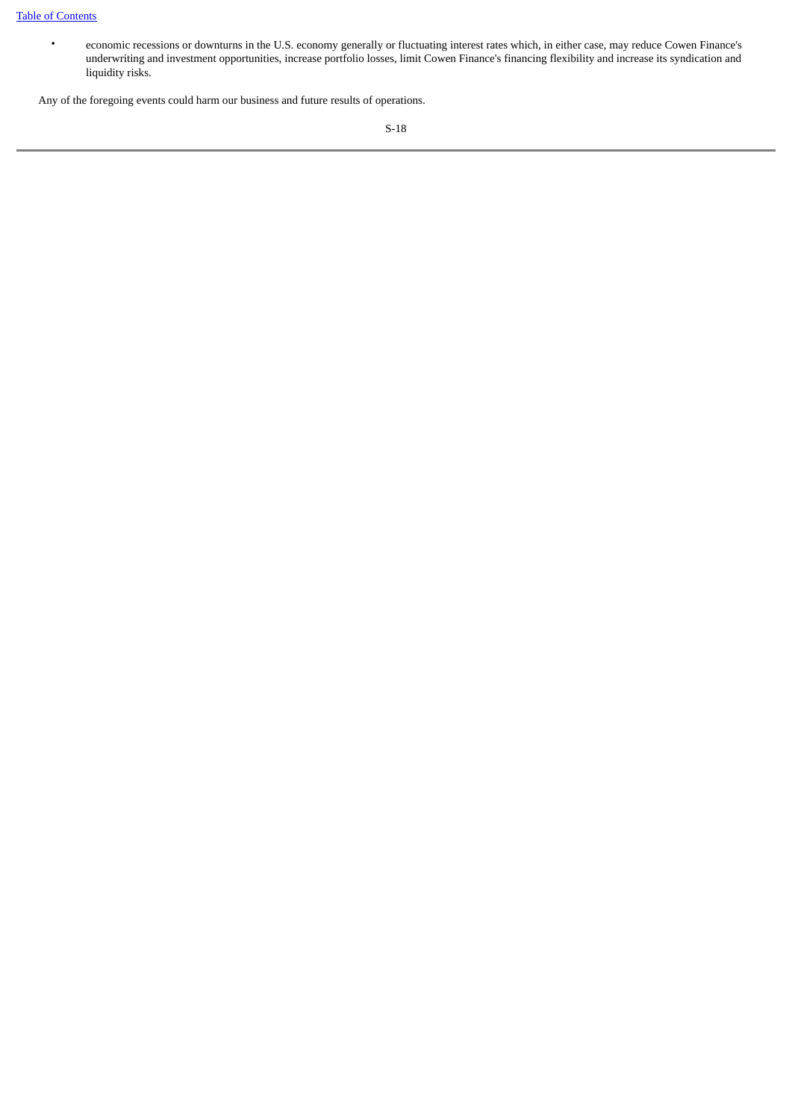• economic recessions or downturns in the U.S. economy generally or fluctuating interest rates which, in either case, may reduce Cowen Finance's underwriting and investment opportunities, increase portfolio losses, limit Cowen Finance's financing flexibility and increase its syndication and liquidity risks.

Any of the foregoing events could harm our business and future results of operations.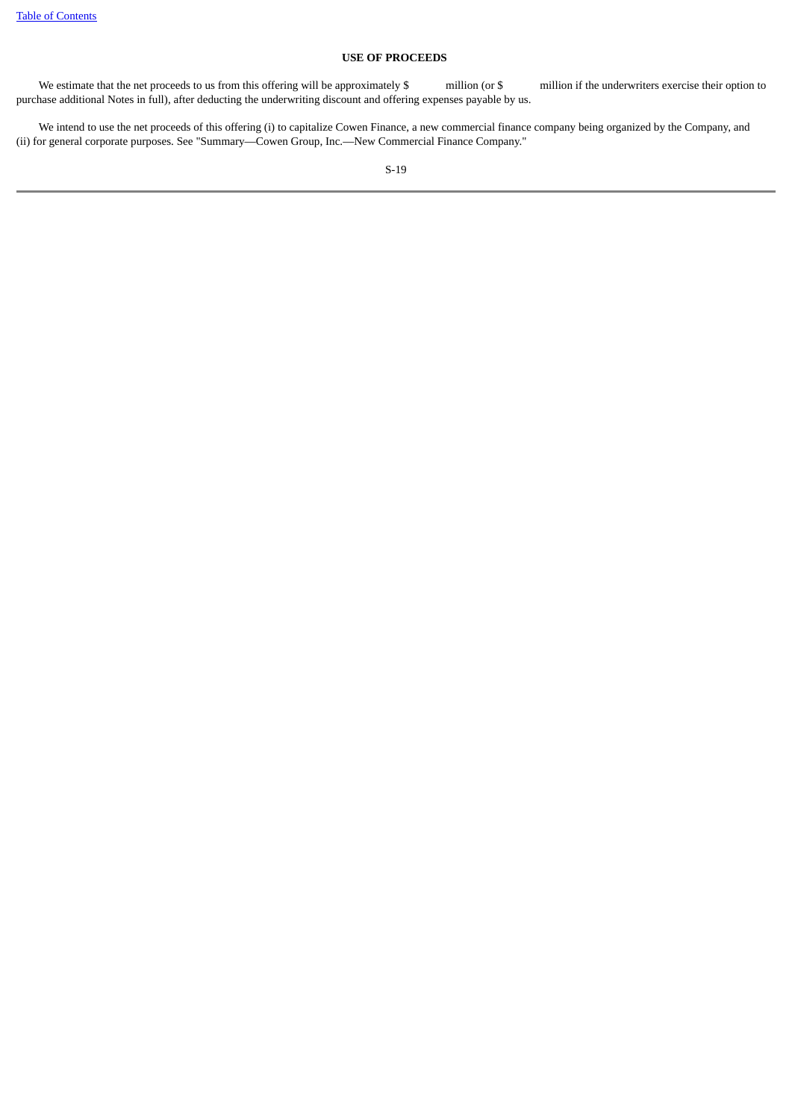# **USE OF PROCEEDS**

<span id="page-21-0"></span>We estimate that the net proceeds to us from this offering will be approximately \$ million (or \$ million if the underwriters exercise their option to purchase additional Notes in full), after deducting the underwriting discount and offering expenses payable by us.

 We intend to use the net proceeds of this offering (i) to capitalize Cowen Finance, a new commercial finance company being organized by the Company, and (ii) for general corporate purposes. See "Summary—Cowen Group, Inc.—New Commercial Finance Company."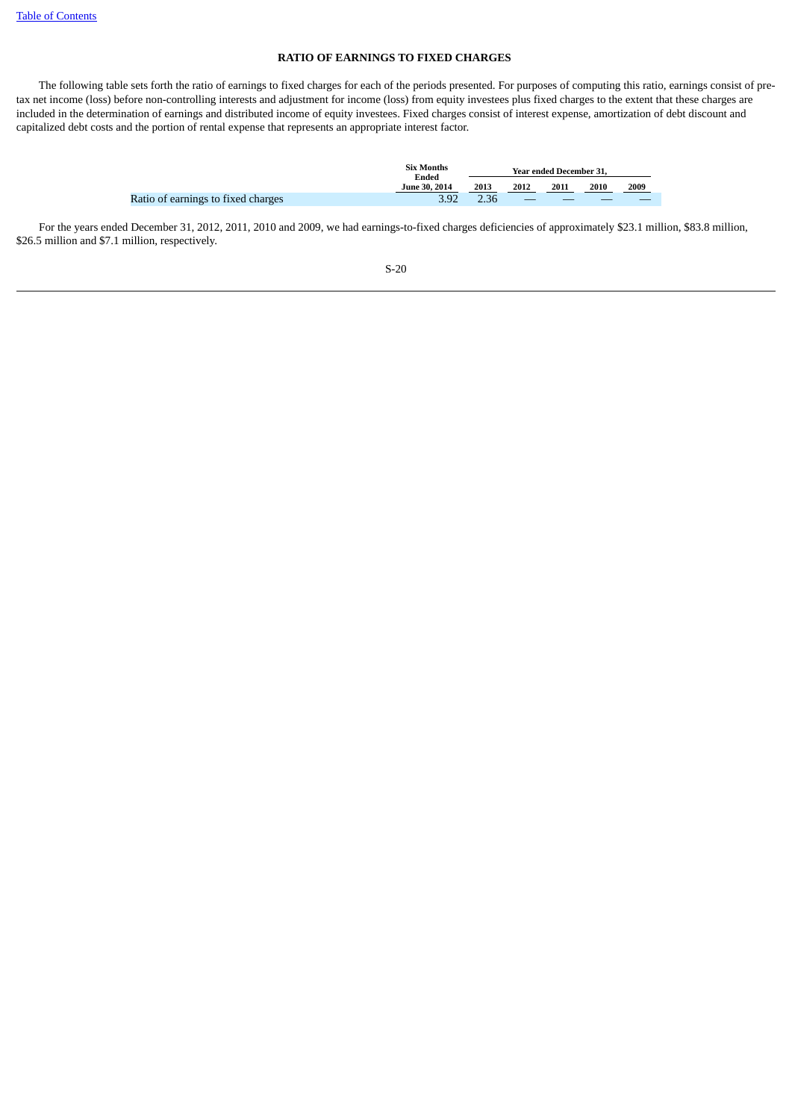# **RATIO OF EARNINGS TO FIXED CHARGES**

<span id="page-22-0"></span> The following table sets forth the ratio of earnings to fixed charges for each of the periods presented. For purposes of computing this ratio, earnings consist of pretax net income (loss) before non-controlling interests and adjustment for income (loss) from equity investees plus fixed charges to the extent that these charges are included in the determination of earnings and distributed income of equity investees. Fixed charges consist of interest expense, amortization of debt discount and capitalized debt costs and the portion of rental expense that represents an appropriate interest factor.

|                                    | <b>Six Months</b><br>Ended | Year ended December 31. |      |      |      |      |  |  |  |  |
|------------------------------------|----------------------------|-------------------------|------|------|------|------|--|--|--|--|
|                                    | <b>June 30, 2014</b>       | 2013                    | 2012 | 2011 | 2010 | 2009 |  |  |  |  |
| Ratio of earnings to fixed charges | 3.92                       | 2.36                    |      |      |      |      |  |  |  |  |

 For the years ended December 31, 2012, 2011, 2010 and 2009, we had earnings-to-fixed charges deficiencies of approximately \$23.1 million, \$83.8 million, \$26.5 million and \$7.1 million, respectively.

| I<br>۰,<br>× | ۰.<br>v.<br>۰. |
|--------------|----------------|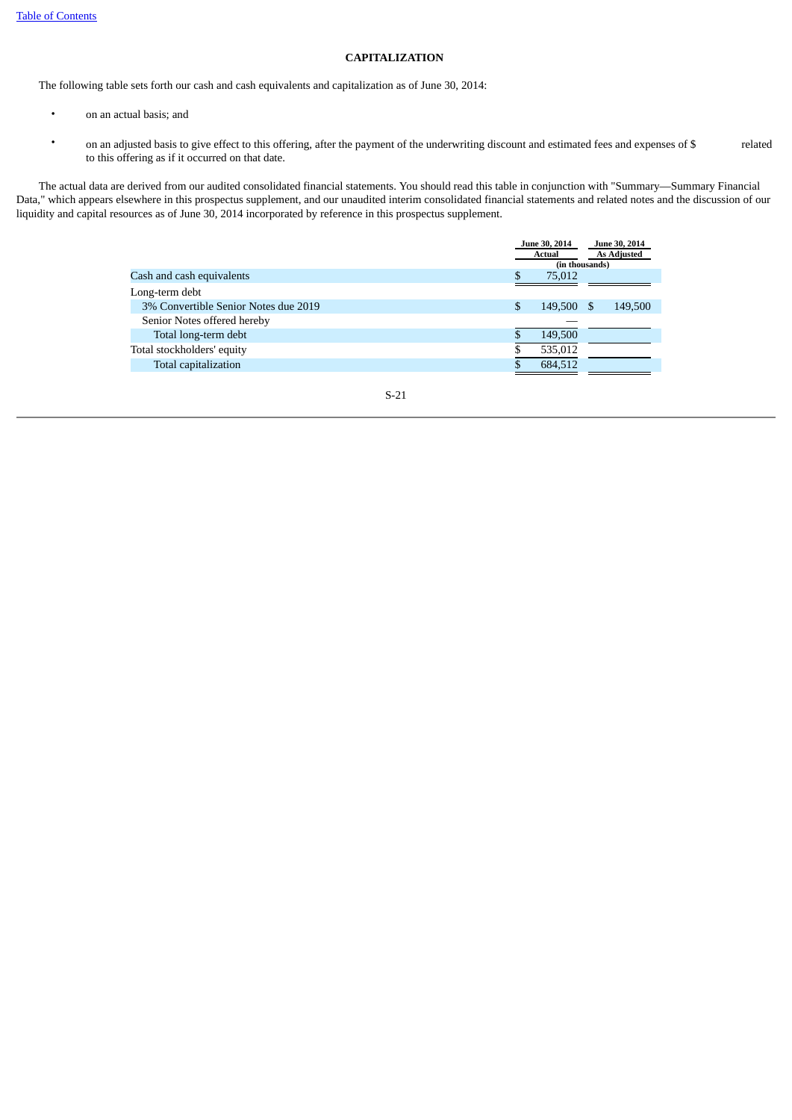# **CAPITALIZATION**

<span id="page-23-0"></span>The following table sets forth our cash and cash equivalents and capitalization as of June 30, 2014:

- on an actual basis; and
- on an adjusted basis to give effect to this offering, after the payment of the underwriting discount and estimated fees and expenses of \$ related to this offering as if it occurred on that date.

 The actual data are derived from our audited consolidated financial statements. You should read this table in conjunction with "Summary—Summary Financial Data," which appears elsewhere in this prospectus supplement, and our unaudited interim consolidated financial statements and related notes and the discussion of our liquidity and capital resources as of June 30, 2014 incorporated by reference in this prospectus supplement.

|                                      |          | June 30, 2014  |  | June 30, 2014      |
|--------------------------------------|----------|----------------|--|--------------------|
|                                      |          | Actual         |  | <b>As Adjusted</b> |
|                                      |          | (in thousands) |  |                    |
| Cash and cash equivalents            | \$.      | 75,012         |  |                    |
| Long-term debt                       |          |                |  |                    |
| 3% Convertible Senior Notes due 2019 | \$       | 149,500        |  | 149,500            |
| Senior Notes offered hereby          |          |                |  |                    |
| Total long-term debt                 | <b>S</b> | 149,500        |  |                    |
| Total stockholders' equity           |          | 535,012        |  |                    |
| Total capitalization                 |          | 684,512        |  |                    |
|                                      |          |                |  |                    |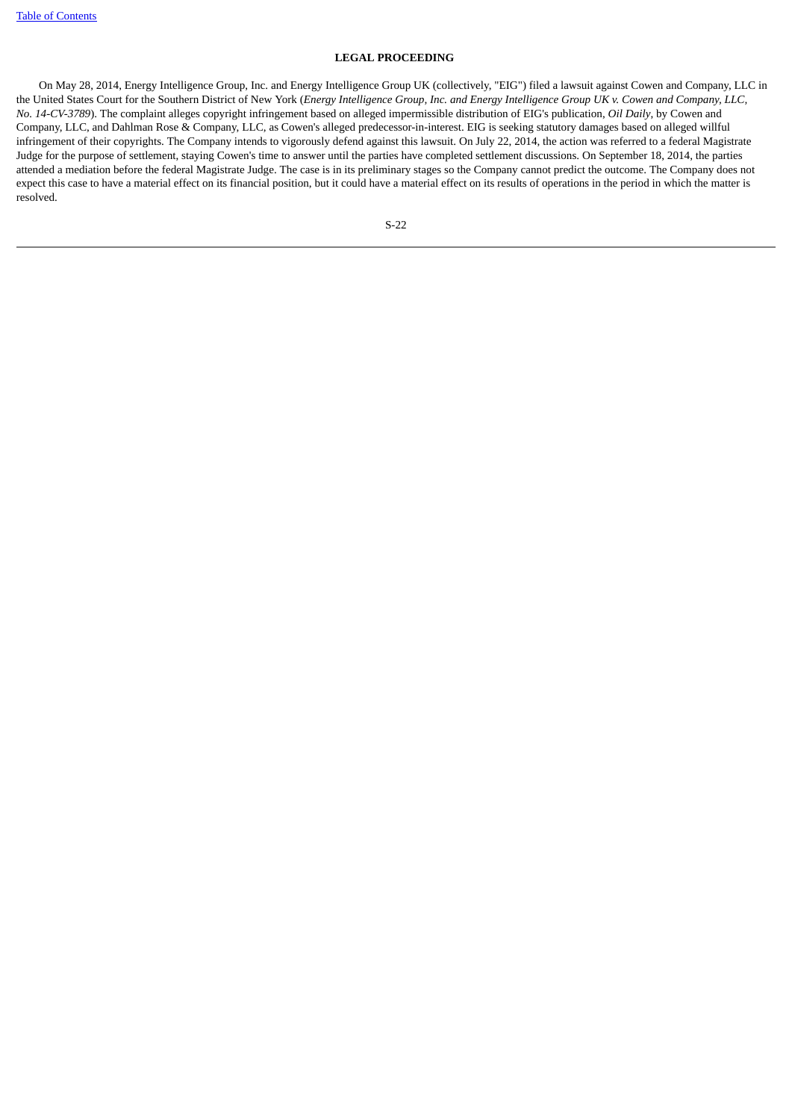# **LEGAL PROCEEDING**

<span id="page-24-0"></span> On May 28, 2014, Energy Intelligence Group, Inc. and Energy Intelligence Group UK (collectively, "EIG") filed a lawsuit against Cowen and Company, LLC in the United States Court for the Southern District of New York (*Energy Intelligence Group, Inc. and Energy Intelligence Group UK v. Cowen and Company, LLC, No. 14-CV-3789*). The complaint alleges copyright infringement based on alleged impermissible distribution of EIG's publication, *Oil Daily*, by Cowen and Company, LLC, and Dahlman Rose & Company, LLC, as Cowen's alleged predecessor-in-interest. EIG is seeking statutory damages based on alleged willful infringement of their copyrights. The Company intends to vigorously defend against this lawsuit. On July 22, 2014, the action was referred to a federal Magistrate Judge for the purpose of settlement, staying Cowen's time to answer until the parties have completed settlement discussions. On September 18, 2014, the parties attended a mediation before the federal Magistrate Judge. The case is in its preliminary stages so the Company cannot predict the outcome. The Company does not expect this case to have a material effect on its financial position, but it could have a material effect on its results of operations in the period in which the matter is resolved.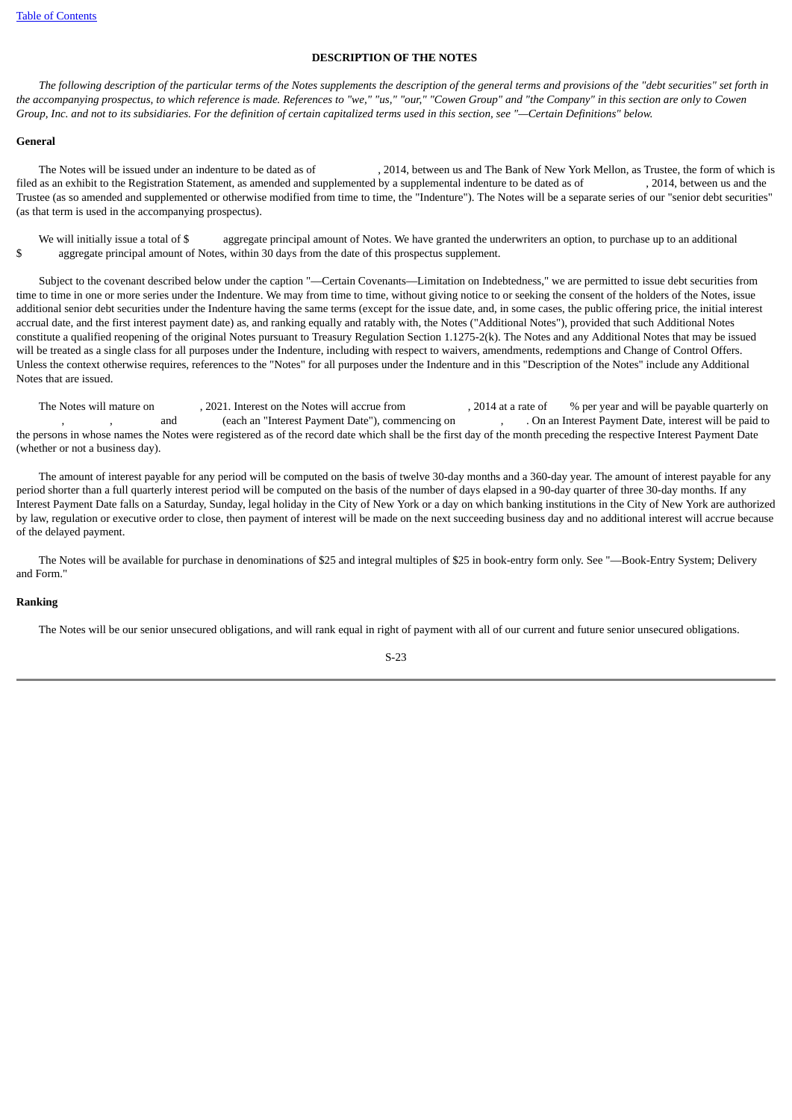# **DESCRIPTION OF THE NOTES**

<span id="page-25-0"></span> *The following description of the particular terms of the Notes supplements the description of the general terms and provisions of the "debt securities" set forth in the accompanying prospectus, to which reference is made. References to "we," "us," "our," "Cowen Group" and "the Company" in this section are only to Cowen Group, Inc. and not to its subsidiaries. For the definition of certain capitalized terms used in this section, see "—Certain Definitions" below.*

# **General**

 The Notes will be issued under an indenture to be dated as of , 2014, between us and The Bank of New York Mellon, as Trustee, the form of which is filed as an exhibit to the Registration Statement, as amended and supplemented by a supplemental indenture to be dated as of , 2014, between us and the Trustee (as so amended and supplemented or otherwise modified from time to time, the "Indenture"). The Notes will be a separate series of our "senior debt securities" (as that term is used in the accompanying prospectus).

We will initially issue a total of \$ aggregate principal amount of Notes. We have granted the underwriters an option, to purchase up to an additional \$ aggregate principal amount of Notes, within 30 days from the date of this prospectus supplement.

 Subject to the covenant described below under the caption "—Certain Covenants—Limitation on Indebtedness," we are permitted to issue debt securities from time to time in one or more series under the Indenture. We may from time to time, without giving notice to or seeking the consent of the holders of the Notes, issue additional senior debt securities under the Indenture having the same terms (except for the issue date, and, in some cases, the public offering price, the initial interest accrual date, and the first interest payment date) as, and ranking equally and ratably with, the Notes ("Additional Notes"), provided that such Additional Notes constitute a qualified reopening of the original Notes pursuant to Treasury Regulation Section 1.1275-2(k). The Notes and any Additional Notes that may be issued will be treated as a single class for all purposes under the Indenture, including with respect to waivers, amendments, redemptions and Change of Control Offers. Unless the context otherwise requires, references to the "Notes" for all purposes under the Indenture and in this "Description of the Notes" include any Additional Notes that are issued.

The Notes will mature on , 2021. Interest on the Notes will accrue from , 2014 at a rate of % per year and will be payable quarterly on and (each an "Interest Payment Date"), commencing on , . On an Interest Payment Date, interest will be paid to the persons in whose names the Notes were registered as of the record date which shall be the first day of the month preceding the respective Interest Payment Date (whether or not a business day).

 The amount of interest payable for any period will be computed on the basis of twelve 30-day months and a 360-day year. The amount of interest payable for any period shorter than a full quarterly interest period will be computed on the basis of the number of days elapsed in a 90-day quarter of three 30-day months. If any Interest Payment Date falls on a Saturday, Sunday, legal holiday in the City of New York or a day on which banking institutions in the City of New York are authorized by law, regulation or executive order to close, then payment of interest will be made on the next succeeding business day and no additional interest will accrue because of the delayed payment.

 The Notes will be available for purchase in denominations of \$25 and integral multiples of \$25 in book-entry form only. See "—Book-Entry System; Delivery and Form."

### **Ranking**

The Notes will be our senior unsecured obligations, and will rank equal in right of payment with all of our current and future senior unsecured obligations.

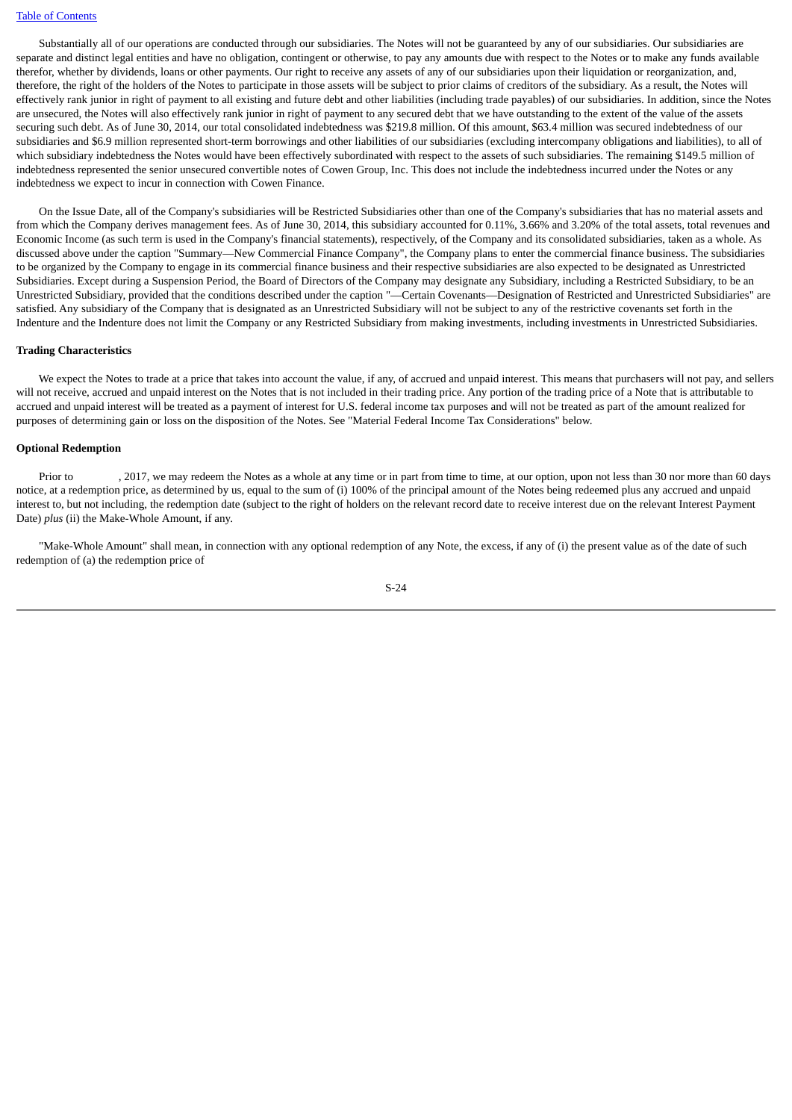Substantially all of our operations are conducted through our subsidiaries. The Notes will not be guaranteed by any of our subsidiaries. Our subsidiaries are separate and distinct legal entities and have no obligation, contingent or otherwise, to pay any amounts due with respect to the Notes or to make any funds available therefor, whether by dividends, loans or other payments. Our right to receive any assets of any of our subsidiaries upon their liquidation or reorganization, and, therefore, the right of the holders of the Notes to participate in those assets will be subject to prior claims of creditors of the subsidiary. As a result, the Notes will effectively rank junior in right of payment to all existing and future debt and other liabilities (including trade payables) of our subsidiaries. In addition, since the Notes are unsecured, the Notes will also effectively rank junior in right of payment to any secured debt that we have outstanding to the extent of the value of the assets securing such debt. As of June 30, 2014, our total consolidated indebtedness was \$219.8 million. Of this amount, \$63.4 million was secured indebtedness of our subsidiaries and \$6.9 million represented short-term borrowings and other liabilities of our subsidiaries (excluding intercompany obligations and liabilities), to all of which subsidiary indebtedness the Notes would have been effectively subordinated with respect to the assets of such subsidiaries. The remaining \$149.5 million of indebtedness represented the senior unsecured convertible notes of Cowen Group, Inc. This does not include the indebtedness incurred under the Notes or any indebtedness we expect to incur in connection with Cowen Finance.

 On the Issue Date, all of the Company's subsidiaries will be Restricted Subsidiaries other than one of the Company's subsidiaries that has no material assets and from which the Company derives management fees. As of June 30, 2014, this subsidiary accounted for 0.11%, 3.66% and 3.20% of the total assets, total revenues and Economic Income (as such term is used in the Company's financial statements), respectively, of the Company and its consolidated subsidiaries, taken as a whole. As discussed above under the caption "Summary—New Commercial Finance Company", the Company plans to enter the commercial finance business. The subsidiaries to be organized by the Company to engage in its commercial finance business and their respective subsidiaries are also expected to be designated as Unrestricted Subsidiaries. Except during a Suspension Period, the Board of Directors of the Company may designate any Subsidiary, including a Restricted Subsidiary, to be an Unrestricted Subsidiary, provided that the conditions described under the caption "—Certain Covenants—Designation of Restricted and Unrestricted Subsidiaries" are satisfied. Any subsidiary of the Company that is designated as an Unrestricted Subsidiary will not be subject to any of the restrictive covenants set forth in the Indenture and the Indenture does not limit the Company or any Restricted Subsidiary from making investments, including investments in Unrestricted Subsidiaries.

### **Trading Characteristics**

 We expect the Notes to trade at a price that takes into account the value, if any, of accrued and unpaid interest. This means that purchasers will not pay, and sellers will not receive, accrued and unpaid interest on the Notes that is not included in their trading price. Any portion of the trading price of a Note that is attributable to accrued and unpaid interest will be treated as a payment of interest for U.S. federal income tax purposes and will not be treated as part of the amount realized for purposes of determining gain or loss on the disposition of the Notes. See "Material Federal Income Tax Considerations" below.

## **Optional Redemption**

Prior to , 2017, we may redeem the Notes as a whole at any time or in part from time to time, at our option, upon not less than 30 nor more than 60 days notice, at a redemption price, as determined by us, equal to the sum of (i) 100% of the principal amount of the Notes being redeemed plus any accrued and unpaid interest to, but not including, the redemption date (subject to the right of holders on the relevant record date to receive interest due on the relevant Interest Payment Date) *plus* (ii) the Make-Whole Amount, if any.

 "Make-Whole Amount" shall mean, in connection with any optional redemption of any Note, the excess, if any of (i) the present value as of the date of such redemption of (a) the redemption price of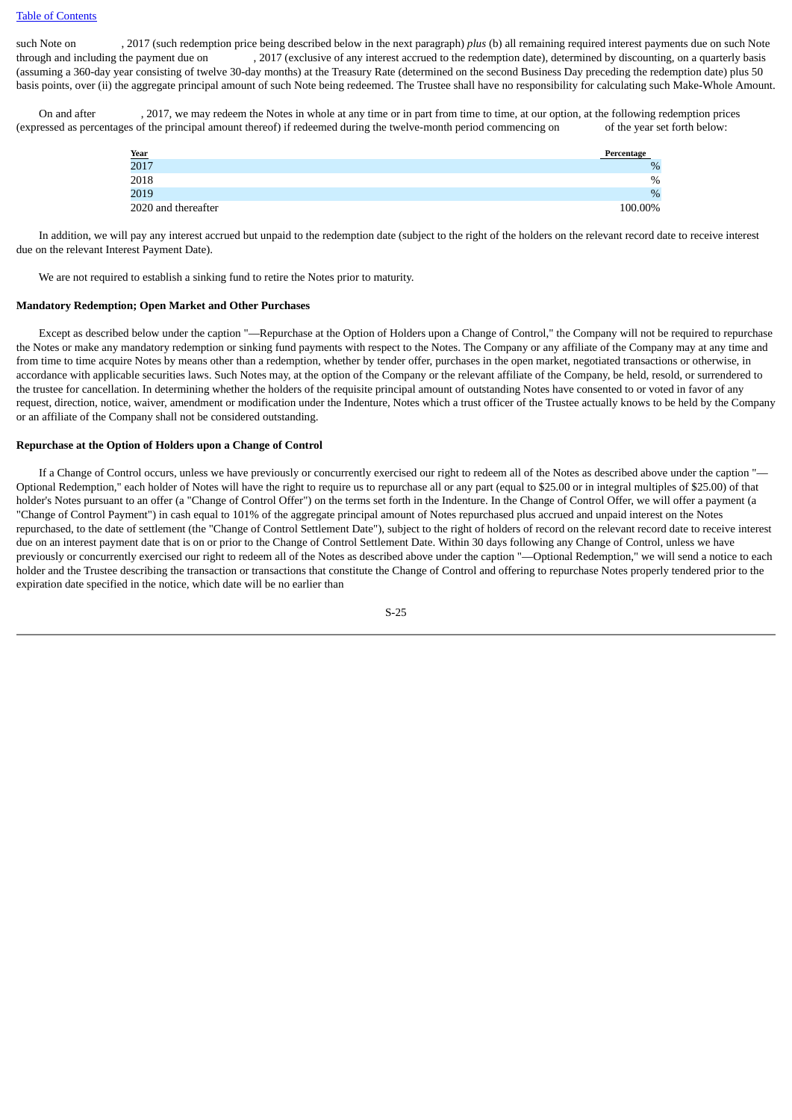such Note on , 2017 (such redemption price being described below in the next paragraph) *plus* (b) all remaining required interest payments due on such Note through and including the payment due on , 2017 (exclusive of any interest accrued to the redemption date), determined by discounting, on a quarterly basis (assuming a 360-day year consisting of twelve 30-day months) at the Treasury Rate (determined on the second Business Day preceding the redemption date) plus 50 basis points, over (ii) the aggregate principal amount of such Note being redeemed. The Trustee shall have no responsibility for calculating such Make-Whole Amount.

 On and after , 2017, we may redeem the Notes in whole at any time or in part from time to time, at our option, at the following redemption prices (expressed as percentages of the principal amount thereof) if redeemed during the twelve-month period commencing on of the year set forth below:

|                            | Percentage |
|----------------------------|------------|
| $\frac{\text{Year}}{2017}$ | $\%$       |
| 2018                       | $\%$       |
| 2019                       | $\%$       |
| 2020 and thereafter        | 100.00%    |

 In addition, we will pay any interest accrued but unpaid to the redemption date (subject to the right of the holders on the relevant record date to receive interest due on the relevant Interest Payment Date).

We are not required to establish a sinking fund to retire the Notes prior to maturity.

### **Mandatory Redemption; Open Market and Other Purchases**

 Except as described below under the caption "—Repurchase at the Option of Holders upon a Change of Control," the Company will not be required to repurchase the Notes or make any mandatory redemption or sinking fund payments with respect to the Notes. The Company or any affiliate of the Company may at any time and from time to time acquire Notes by means other than a redemption, whether by tender offer, purchases in the open market, negotiated transactions or otherwise, in accordance with applicable securities laws. Such Notes may, at the option of the Company or the relevant affiliate of the Company, be held, resold, or surrendered to the trustee for cancellation. In determining whether the holders of the requisite principal amount of outstanding Notes have consented to or voted in favor of any request, direction, notice, waiver, amendment or modification under the Indenture, Notes which a trust officer of the Trustee actually knows to be held by the Company or an affiliate of the Company shall not be considered outstanding.

# **Repurchase at the Option of Holders upon a Change of Control**

 If a Change of Control occurs, unless we have previously or concurrently exercised our right to redeem all of the Notes as described above under the caption "— Optional Redemption," each holder of Notes will have the right to require us to repurchase all or any part (equal to \$25.00 or in integral multiples of \$25.00) of that holder's Notes pursuant to an offer (a "Change of Control Offer") on the terms set forth in the Indenture. In the Change of Control Offer, we will offer a payment (a "Change of Control Payment") in cash equal to 101% of the aggregate principal amount of Notes repurchased plus accrued and unpaid interest on the Notes repurchased, to the date of settlement (the "Change of Control Settlement Date"), subject to the right of holders of record on the relevant record date to receive interest due on an interest payment date that is on or prior to the Change of Control Settlement Date. Within 30 days following any Change of Control, unless we have previously or concurrently exercised our right to redeem all of the Notes as described above under the caption "—Optional Redemption," we will send a notice to each holder and the Trustee describing the transaction or transactions that constitute the Change of Control and offering to repurchase Notes properly tendered prior to the expiration date specified in the notice, which date will be no earlier than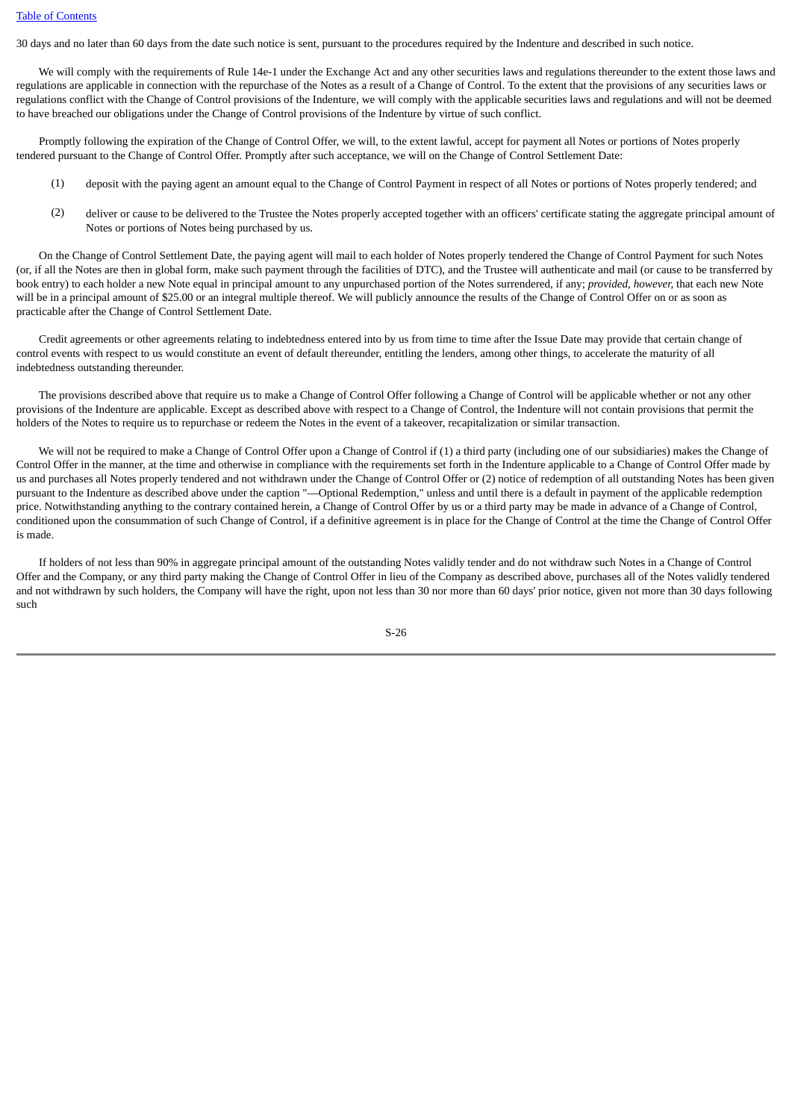30 days and no later than 60 days from the date such notice is sent, pursuant to the procedures required by the Indenture and described in such notice.

 We will comply with the requirements of Rule 14e-1 under the Exchange Act and any other securities laws and regulations thereunder to the extent those laws and regulations are applicable in connection with the repurchase of the Notes as a result of a Change of Control. To the extent that the provisions of any securities laws or regulations conflict with the Change of Control provisions of the Indenture, we will comply with the applicable securities laws and regulations and will not be deemed to have breached our obligations under the Change of Control provisions of the Indenture by virtue of such conflict.

 Promptly following the expiration of the Change of Control Offer, we will, to the extent lawful, accept for payment all Notes or portions of Notes properly tendered pursuant to the Change of Control Offer. Promptly after such acceptance, we will on the Change of Control Settlement Date:

- (1) deposit with the paying agent an amount equal to the Change of Control Payment in respect of all Notes or portions of Notes properly tendered; and
- (2) deliver or cause to be delivered to the Trustee the Notes properly accepted together with an officers' certificate stating the aggregate principal amount of Notes or portions of Notes being purchased by us.

 On the Change of Control Settlement Date, the paying agent will mail to each holder of Notes properly tendered the Change of Control Payment for such Notes (or, if all the Notes are then in global form, make such payment through the facilities of DTC), and the Trustee will authenticate and mail (or cause to be transferred by book entry) to each holder a new Note equal in principal amount to any unpurchased portion of the Notes surrendered, if any; *provided, however,* that each new Note will be in a principal amount of \$25.00 or an integral multiple thereof. We will publicly announce the results of the Change of Control Offer on or as soon as practicable after the Change of Control Settlement Date.

 Credit agreements or other agreements relating to indebtedness entered into by us from time to time after the Issue Date may provide that certain change of control events with respect to us would constitute an event of default thereunder, entitling the lenders, among other things, to accelerate the maturity of all indebtedness outstanding thereunder.

 The provisions described above that require us to make a Change of Control Offer following a Change of Control will be applicable whether or not any other provisions of the Indenture are applicable. Except as described above with respect to a Change of Control, the Indenture will not contain provisions that permit the holders of the Notes to require us to repurchase or redeem the Notes in the event of a takeover, recapitalization or similar transaction.

 We will not be required to make a Change of Control Offer upon a Change of Control if (1) a third party (including one of our subsidiaries) makes the Change of Control Offer in the manner, at the time and otherwise in compliance with the requirements set forth in the Indenture applicable to a Change of Control Offer made by us and purchases all Notes properly tendered and not withdrawn under the Change of Control Offer or (2) notice of redemption of all outstanding Notes has been given pursuant to the Indenture as described above under the caption "—Optional Redemption," unless and until there is a default in payment of the applicable redemption price. Notwithstanding anything to the contrary contained herein, a Change of Control Offer by us or a third party may be made in advance of a Change of Control, conditioned upon the consummation of such Change of Control, if a definitive agreement is in place for the Change of Control at the time the Change of Control Offer is made.

 If holders of not less than 90% in aggregate principal amount of the outstanding Notes validly tender and do not withdraw such Notes in a Change of Control Offer and the Company, or any third party making the Change of Control Offer in lieu of the Company as described above, purchases all of the Notes validly tendered and not withdrawn by such holders, the Company will have the right, upon not less than 30 nor more than 60 days' prior notice, given not more than 30 days following such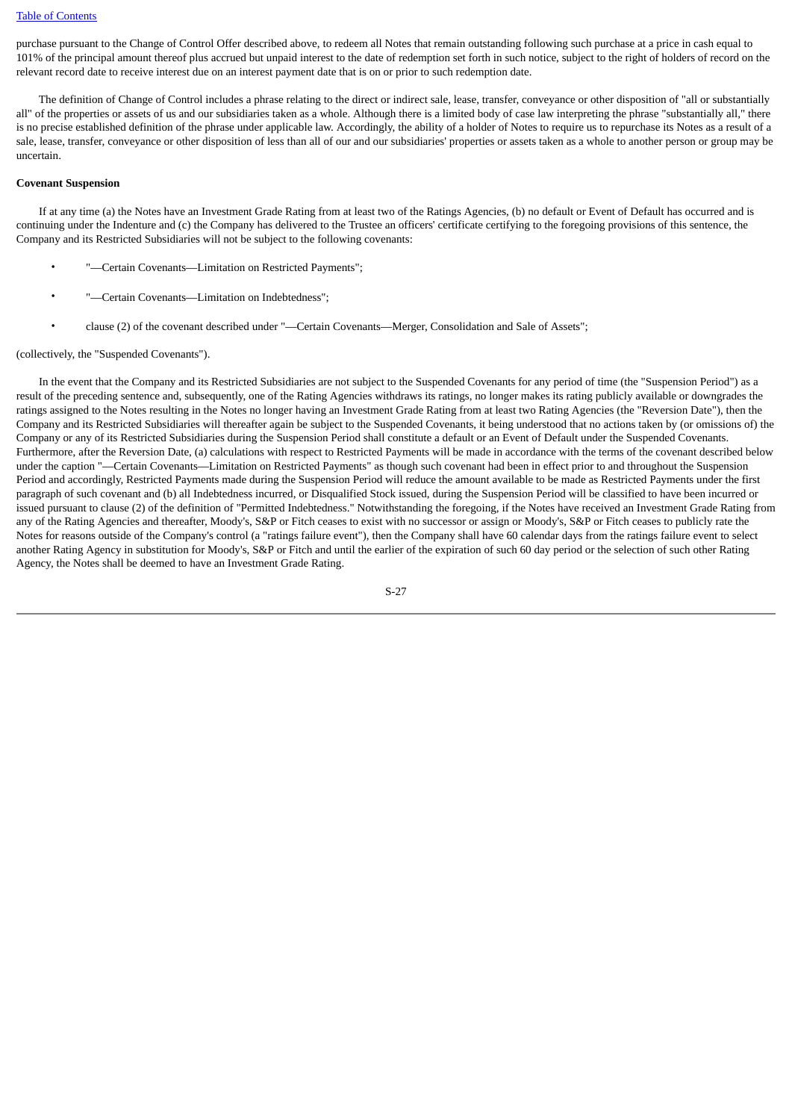purchase pursuant to the Change of Control Offer described above, to redeem all Notes that remain outstanding following such purchase at a price in cash equal to 101% of the principal amount thereof plus accrued but unpaid interest to the date of redemption set forth in such notice, subject to the right of holders of record on the relevant record date to receive interest due on an interest payment date that is on or prior to such redemption date.

 The definition of Change of Control includes a phrase relating to the direct or indirect sale, lease, transfer, conveyance or other disposition of "all or substantially all" of the properties or assets of us and our subsidiaries taken as a whole. Although there is a limited body of case law interpreting the phrase "substantially all," there is no precise established definition of the phrase under applicable law. Accordingly, the ability of a holder of Notes to require us to repurchase its Notes as a result of a sale, lease, transfer, conveyance or other disposition of less than all of our and our subsidiaries' properties or assets taken as a whole to another person or group may be uncertain.

# **Covenant Suspension**

 If at any time (a) the Notes have an Investment Grade Rating from at least two of the Ratings Agencies, (b) no default or Event of Default has occurred and is continuing under the Indenture and (c) the Company has delivered to the Trustee an officers' certificate certifying to the foregoing provisions of this sentence, the Company and its Restricted Subsidiaries will not be subject to the following covenants:

- -Certain Covenants-Limitation on Restricted Payments";
- -Certain Covenants-Limitation on Indebtedness";
- clause (2) of the covenant described under "—Certain Covenants—Merger, Consolidation and Sale of Assets";

### (collectively, the "Suspended Covenants").

 In the event that the Company and its Restricted Subsidiaries are not subject to the Suspended Covenants for any period of time (the "Suspension Period") as a result of the preceding sentence and, subsequently, one of the Rating Agencies withdraws its ratings, no longer makes its rating publicly available or downgrades the ratings assigned to the Notes resulting in the Notes no longer having an Investment Grade Rating from at least two Rating Agencies (the "Reversion Date"), then the Company and its Restricted Subsidiaries will thereafter again be subject to the Suspended Covenants, it being understood that no actions taken by (or omissions of) the Company or any of its Restricted Subsidiaries during the Suspension Period shall constitute a default or an Event of Default under the Suspended Covenants. Furthermore, after the Reversion Date, (a) calculations with respect to Restricted Payments will be made in accordance with the terms of the covenant described below under the caption "—Certain Covenants—Limitation on Restricted Payments" as though such covenant had been in effect prior to and throughout the Suspension Period and accordingly, Restricted Payments made during the Suspension Period will reduce the amount available to be made as Restricted Payments under the first paragraph of such covenant and (b) all Indebtedness incurred, or Disqualified Stock issued, during the Suspension Period will be classified to have been incurred or issued pursuant to clause (2) of the definition of "Permitted Indebtedness." Notwithstanding the foregoing, if the Notes have received an Investment Grade Rating from any of the Rating Agencies and thereafter, Moody's, S&P or Fitch ceases to exist with no successor or assign or Moody's, S&P or Fitch ceases to publicly rate the Notes for reasons outside of the Company's control (a "ratings failure event"), then the Company shall have 60 calendar days from the ratings failure event to select another Rating Agency in substitution for Moody's, S&P or Fitch and until the earlier of the expiration of such 60 day period or the selection of such other Rating Agency, the Notes shall be deemed to have an Investment Grade Rating.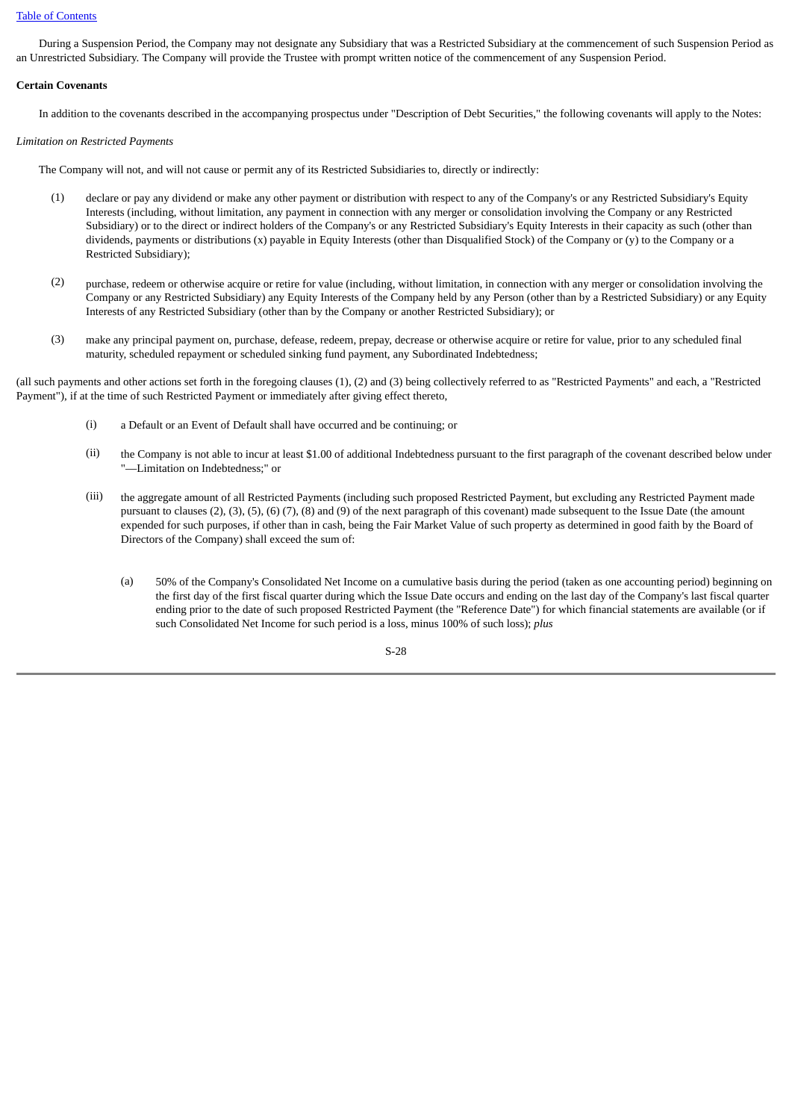### [Table of Contents](#page-2-1)

 During a Suspension Period, the Company may not designate any Subsidiary that was a Restricted Subsidiary at the commencement of such Suspension Period as an Unrestricted Subsidiary. The Company will provide the Trustee with prompt written notice of the commencement of any Suspension Period.

## **Certain Covenants**

In addition to the covenants described in the accompanying prospectus under "Description of Debt Securities," the following covenants will apply to the Notes:

## *Limitation on Restricted Payments*

The Company will not, and will not cause or permit any of its Restricted Subsidiaries to, directly or indirectly:

- (1) declare or pay any dividend or make any other payment or distribution with respect to any of the Company's or any Restricted Subsidiary's Equity Interests (including, without limitation, any payment in connection with any merger or consolidation involving the Company or any Restricted Subsidiary) or to the direct or indirect holders of the Company's or any Restricted Subsidiary's Equity Interests in their capacity as such (other than dividends, payments or distributions (x) payable in Equity Interests (other than Disqualified Stock) of the Company or (y) to the Company or a Restricted Subsidiary);
- (2) purchase, redeem or otherwise acquire or retire for value (including, without limitation, in connection with any merger or consolidation involving the Company or any Restricted Subsidiary) any Equity Interests of the Company held by any Person (other than by a Restricted Subsidiary) or any Equity Interests of any Restricted Subsidiary (other than by the Company or another Restricted Subsidiary); or
- (3) make any principal payment on, purchase, defease, redeem, prepay, decrease or otherwise acquire or retire for value, prior to any scheduled final maturity, scheduled repayment or scheduled sinking fund payment, any Subordinated Indebtedness;

(all such payments and other actions set forth in the foregoing clauses (1), (2) and (3) being collectively referred to as "Restricted Payments" and each, a "Restricted Payment"), if at the time of such Restricted Payment or immediately after giving effect thereto,

- (i) a Default or an Event of Default shall have occurred and be continuing; or
- (ii) the Company is not able to incur at least \$1.00 of additional Indebtedness pursuant to the first paragraph of the covenant described below under "—Limitation on Indebtedness;" or
- (iii) the aggregate amount of all Restricted Payments (including such proposed Restricted Payment, but excluding any Restricted Payment made pursuant to clauses (2), (3), (5), (6) (7), (8) and (9) of the next paragraph of this covenant) made subsequent to the Issue Date (the amount expended for such purposes, if other than in cash, being the Fair Market Value of such property as determined in good faith by the Board of Directors of the Company) shall exceed the sum of:
	- (a) 50% of the Company's Consolidated Net Income on a cumulative basis during the period (taken as one accounting period) beginning on the first day of the first fiscal quarter during which the Issue Date occurs and ending on the last day of the Company's last fiscal quarter ending prior to the date of such proposed Restricted Payment (the "Reference Date") for which financial statements are available (or if such Consolidated Net Income for such period is a loss, minus 100% of such loss); *plus*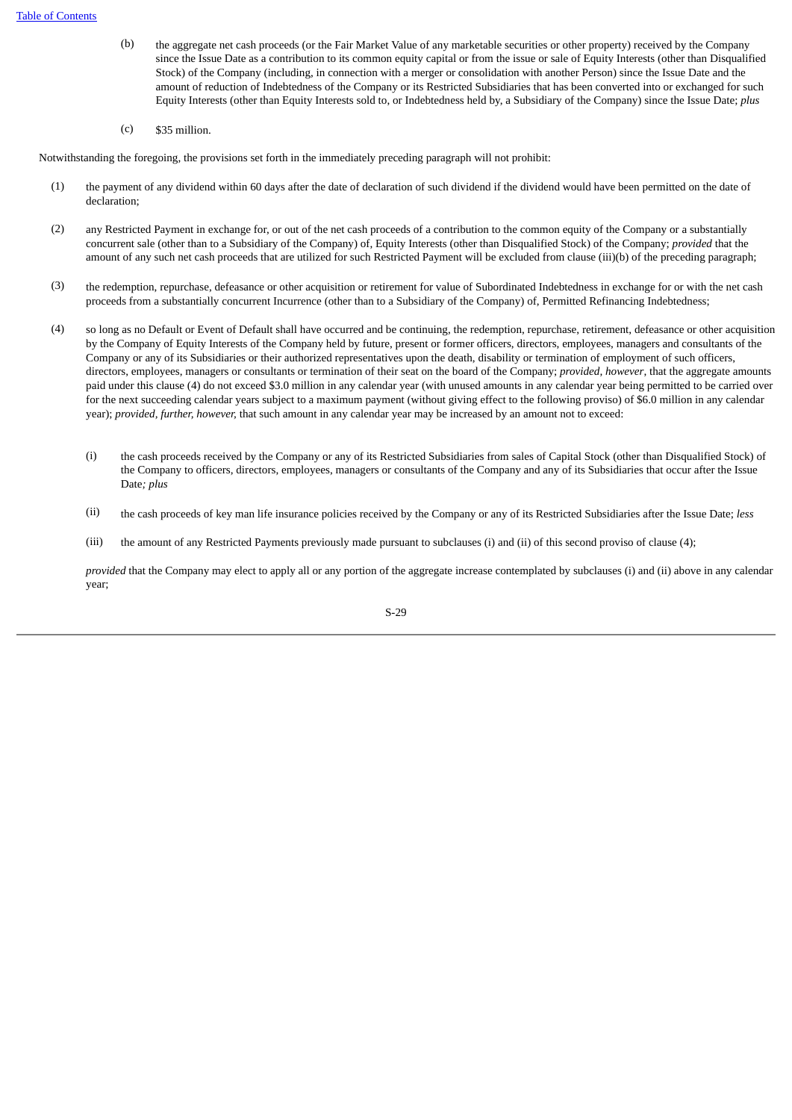- (b) the aggregate net cash proceeds (or the Fair Market Value of any marketable securities or other property) received by the Company since the Issue Date as a contribution to its common equity capital or from the issue or sale of Equity Interests (other than Disqualified Stock) of the Company (including, in connection with a merger or consolidation with another Person) since the Issue Date and the amount of reduction of Indebtedness of the Company or its Restricted Subsidiaries that has been converted into or exchanged for such Equity Interests (other than Equity Interests sold to, or Indebtedness held by, a Subsidiary of the Company) since the Issue Date; *plus*
- $(c)$  \$35 million.

Notwithstanding the foregoing, the provisions set forth in the immediately preceding paragraph will not prohibit:

- (1) the payment of any dividend within 60 days after the date of declaration of such dividend if the dividend would have been permitted on the date of declaration;
- (2) any Restricted Payment in exchange for, or out of the net cash proceeds of a contribution to the common equity of the Company or a substantially concurrent sale (other than to a Subsidiary of the Company) of, Equity Interests (other than Disqualified Stock) of the Company; *provided* that the amount of any such net cash proceeds that are utilized for such Restricted Payment will be excluded from clause (iii)(b) of the preceding paragraph;
- (3) the redemption, repurchase, defeasance or other acquisition or retirement for value of Subordinated Indebtedness in exchange for or with the net cash proceeds from a substantially concurrent Incurrence (other than to a Subsidiary of the Company) of, Permitted Refinancing Indebtedness;
- (4) so long as no Default or Event of Default shall have occurred and be continuing, the redemption, repurchase, retirement, defeasance or other acquisition by the Company of Equity Interests of the Company held by future, present or former officers, directors, employees, managers and consultants of the Company or any of its Subsidiaries or their authorized representatives upon the death, disability or termination of employment of such officers, directors, employees, managers or consultants or termination of their seat on the board of the Company; *provided, however*, that the aggregate amounts paid under this clause (4) do not exceed \$3.0 million in any calendar year (with unused amounts in any calendar year being permitted to be carried over for the next succeeding calendar years subject to a maximum payment (without giving effect to the following proviso) of \$6.0 million in any calendar year); *provided, further, however,* that such amount in any calendar year may be increased by an amount not to exceed:
	- (i) the cash proceeds received by the Company or any of its Restricted Subsidiaries from sales of Capital Stock (other than Disqualified Stock) of the Company to officers, directors, employees, managers or consultants of the Company and any of its Subsidiaries that occur after the Issue Date*; plus*
	- (ii) the cash proceeds of key man life insurance policies received by the Company or any of its Restricted Subsidiaries after the Issue Date; *less*
	- (iii) the amount of any Restricted Payments previously made pursuant to subclauses (i) and (ii) of this second proviso of clause (4);

*provided* that the Company may elect to apply all or any portion of the aggregate increase contemplated by subclauses (i) and (ii) above in any calendar year;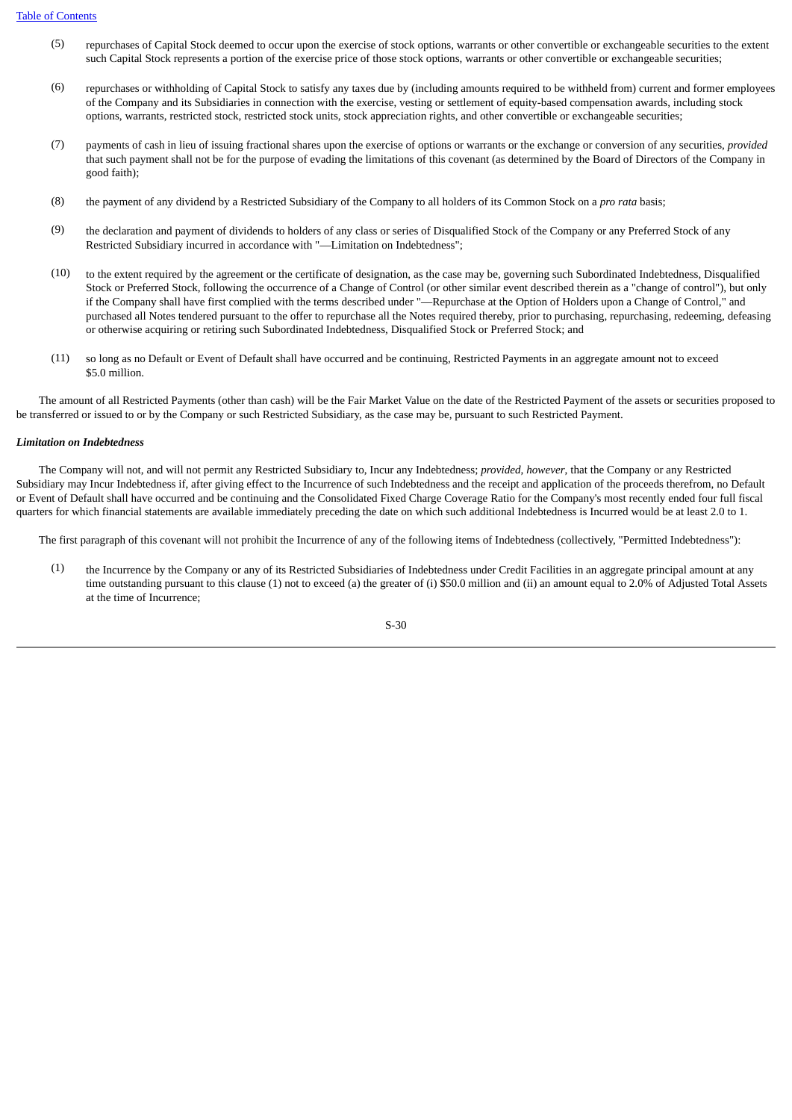- (5) repurchases of Capital Stock deemed to occur upon the exercise of stock options, warrants or other convertible or exchangeable securities to the extent such Capital Stock represents a portion of the exercise price of those stock options, warrants or other convertible or exchangeable securities;
- (6) repurchases or withholding of Capital Stock to satisfy any taxes due by (including amounts required to be withheld from) current and former employees of the Company and its Subsidiaries in connection with the exercise, vesting or settlement of equity-based compensation awards, including stock options, warrants, restricted stock, restricted stock units, stock appreciation rights, and other convertible or exchangeable securities;
- (7) payments of cash in lieu of issuing fractional shares upon the exercise of options or warrants or the exchange or conversion of any securities, *provided* that such payment shall not be for the purpose of evading the limitations of this covenant (as determined by the Board of Directors of the Company in good faith);
- (8) the payment of any dividend by a Restricted Subsidiary of the Company to all holders of its Common Stock on a *pro rata* basis;
- (9) the declaration and payment of dividends to holders of any class or series of Disqualified Stock of the Company or any Preferred Stock of any Restricted Subsidiary incurred in accordance with "—Limitation on Indebtedness";
- (10) to the extent required by the agreement or the certificate of designation, as the case may be, governing such Subordinated Indebtedness, Disqualified Stock or Preferred Stock, following the occurrence of a Change of Control (or other similar event described therein as a "change of control"), but only if the Company shall have first complied with the terms described under "—Repurchase at the Option of Holders upon a Change of Control," and purchased all Notes tendered pursuant to the offer to repurchase all the Notes required thereby, prior to purchasing, repurchasing, redeeming, defeasing or otherwise acquiring or retiring such Subordinated Indebtedness, Disqualified Stock or Preferred Stock; and
- (11) so long as no Default or Event of Default shall have occurred and be continuing, Restricted Payments in an aggregate amount not to exceed \$5.0 million.

 The amount of all Restricted Payments (other than cash) will be the Fair Market Value on the date of the Restricted Payment of the assets or securities proposed to be transferred or issued to or by the Company or such Restricted Subsidiary, as the case may be, pursuant to such Restricted Payment.

## *Limitation on Indebtedness*

 The Company will not, and will not permit any Restricted Subsidiary to, Incur any Indebtedness; *provided*, *however*, that the Company or any Restricted Subsidiary may Incur Indebtedness if, after giving effect to the Incurrence of such Indebtedness and the receipt and application of the proceeds therefrom, no Default or Event of Default shall have occurred and be continuing and the Consolidated Fixed Charge Coverage Ratio for the Company's most recently ended four full fiscal quarters for which financial statements are available immediately preceding the date on which such additional Indebtedness is Incurred would be at least 2.0 to 1.

The first paragraph of this covenant will not prohibit the Incurrence of any of the following items of Indebtedness (collectively, "Permitted Indebtedness"):

(1) the Incurrence by the Company or any of its Restricted Subsidiaries of Indebtedness under Credit Facilities in an aggregate principal amount at any time outstanding pursuant to this clause (1) not to exceed (a) the greater of (i) \$50.0 million and (ii) an amount equal to 2.0% of Adjusted Total Assets at the time of Incurrence;

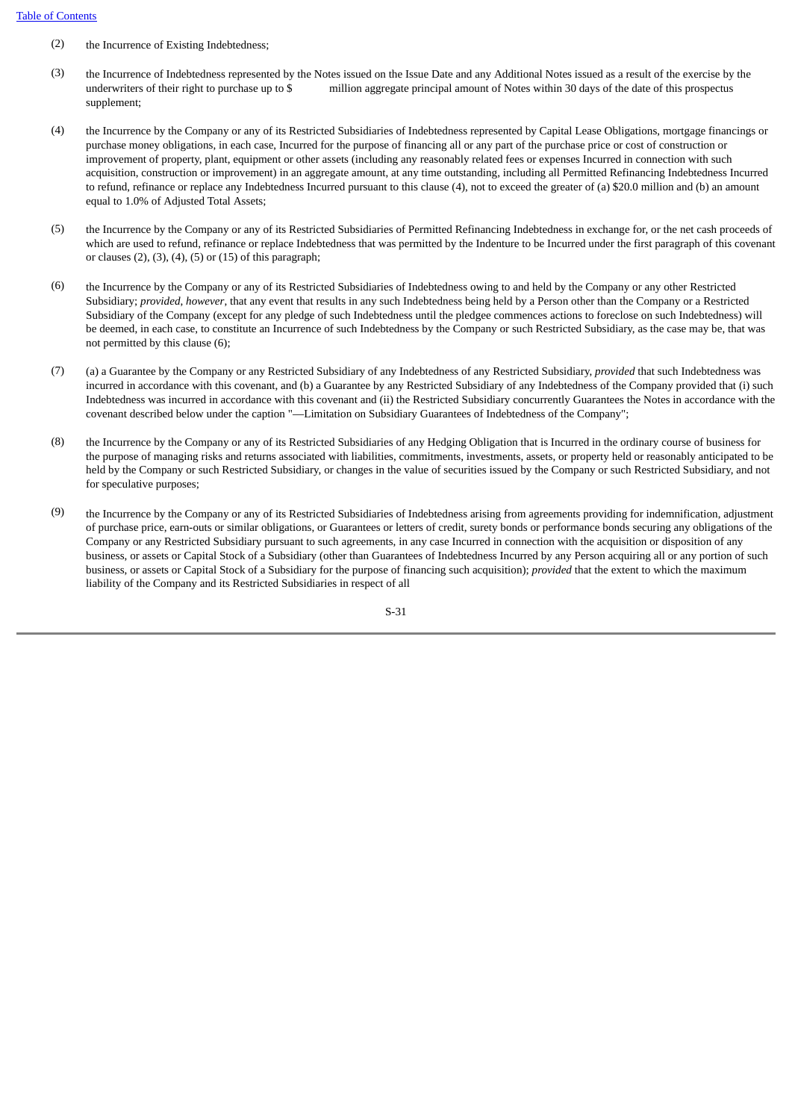- (2) the Incurrence of Existing Indebtedness;
- (3) the Incurrence of Indebtedness represented by the Notes issued on the Issue Date and any Additional Notes issued as a result of the exercise by the underwriters of their right to purchase up to \$ million aggregate principal amount of Notes within 30 days of the date of this prospectus supplement;
- (4) the Incurrence by the Company or any of its Restricted Subsidiaries of Indebtedness represented by Capital Lease Obligations, mortgage financings or purchase money obligations, in each case, Incurred for the purpose of financing all or any part of the purchase price or cost of construction or improvement of property, plant, equipment or other assets (including any reasonably related fees or expenses Incurred in connection with such acquisition, construction or improvement) in an aggregate amount, at any time outstanding, including all Permitted Refinancing Indebtedness Incurred to refund, refinance or replace any Indebtedness Incurred pursuant to this clause (4), not to exceed the greater of (a) \$20.0 million and (b) an amount equal to 1.0% of Adjusted Total Assets;
- (5) the Incurrence by the Company or any of its Restricted Subsidiaries of Permitted Refinancing Indebtedness in exchange for, or the net cash proceeds of which are used to refund, refinance or replace Indebtedness that was permitted by the Indenture to be Incurred under the first paragraph of this covenant or clauses (2), (3), (4), (5) or (15) of this paragraph;
- (6) the Incurrence by the Company or any of its Restricted Subsidiaries of Indebtedness owing to and held by the Company or any other Restricted Subsidiary; *provided*, *however*, that any event that results in any such Indebtedness being held by a Person other than the Company or a Restricted Subsidiary of the Company (except for any pledge of such Indebtedness until the pledgee commences actions to foreclose on such Indebtedness) will be deemed, in each case, to constitute an Incurrence of such Indebtedness by the Company or such Restricted Subsidiary, as the case may be, that was not permitted by this clause (6);
- (7) (a) a Guarantee by the Company or any Restricted Subsidiary of any Indebtedness of any Restricted Subsidiary, *provided* that such Indebtedness was incurred in accordance with this covenant, and (b) a Guarantee by any Restricted Subsidiary of any Indebtedness of the Company provided that (i) such Indebtedness was incurred in accordance with this covenant and (ii) the Restricted Subsidiary concurrently Guarantees the Notes in accordance with the covenant described below under the caption "—Limitation on Subsidiary Guarantees of Indebtedness of the Company";
- (8) the Incurrence by the Company or any of its Restricted Subsidiaries of any Hedging Obligation that is Incurred in the ordinary course of business for the purpose of managing risks and returns associated with liabilities, commitments, investments, assets, or property held or reasonably anticipated to be held by the Company or such Restricted Subsidiary, or changes in the value of securities issued by the Company or such Restricted Subsidiary, and not for speculative purposes;
- (9) the Incurrence by the Company or any of its Restricted Subsidiaries of Indebtedness arising from agreements providing for indemnification, adjustment of purchase price, earn-outs or similar obligations, or Guarantees or letters of credit, surety bonds or performance bonds securing any obligations of the Company or any Restricted Subsidiary pursuant to such agreements, in any case Incurred in connection with the acquisition or disposition of any business, or assets or Capital Stock of a Subsidiary (other than Guarantees of Indebtedness Incurred by any Person acquiring all or any portion of such business, or assets or Capital Stock of a Subsidiary for the purpose of financing such acquisition); *provided* that the extent to which the maximum liability of the Company and its Restricted Subsidiaries in respect of all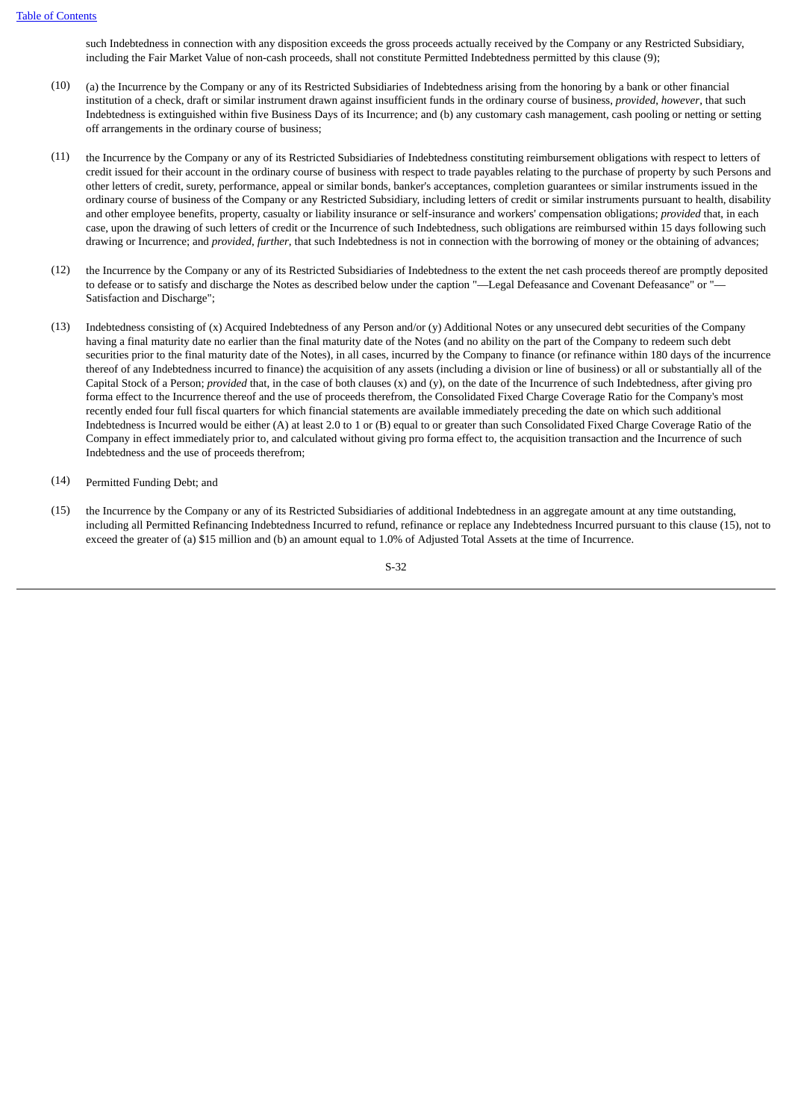such Indebtedness in connection with any disposition exceeds the gross proceeds actually received by the Company or any Restricted Subsidiary, including the Fair Market Value of non-cash proceeds, shall not constitute Permitted Indebtedness permitted by this clause (9);

- (10) (a) the Incurrence by the Company or any of its Restricted Subsidiaries of Indebtedness arising from the honoring by a bank or other financial institution of a check, draft or similar instrument drawn against insufficient funds in the ordinary course of business, *provided*, *however*, that such Indebtedness is extinguished within five Business Days of its Incurrence; and (b) any customary cash management, cash pooling or netting or setting off arrangements in the ordinary course of business;
- (11) the Incurrence by the Company or any of its Restricted Subsidiaries of Indebtedness constituting reimbursement obligations with respect to letters of credit issued for their account in the ordinary course of business with respect to trade payables relating to the purchase of property by such Persons and other letters of credit, surety, performance, appeal or similar bonds, banker's acceptances, completion guarantees or similar instruments issued in the ordinary course of business of the Company or any Restricted Subsidiary, including letters of credit or similar instruments pursuant to health, disability and other employee benefits, property, casualty or liability insurance or self-insurance and workers' compensation obligations; *provided* that, in each case, upon the drawing of such letters of credit or the Incurrence of such Indebtedness, such obligations are reimbursed within 15 days following such drawing or Incurrence; and *provided*, *further*, that such Indebtedness is not in connection with the borrowing of money or the obtaining of advances;
- (12) the Incurrence by the Company or any of its Restricted Subsidiaries of Indebtedness to the extent the net cash proceeds thereof are promptly deposited to defease or to satisfy and discharge the Notes as described below under the caption "—Legal Defeasance and Covenant Defeasance" or "— Satisfaction and Discharge";
- (13) Indebtedness consisting of (x) Acquired Indebtedness of any Person and/or (y) Additional Notes or any unsecured debt securities of the Company having a final maturity date no earlier than the final maturity date of the Notes (and no ability on the part of the Company to redeem such debt securities prior to the final maturity date of the Notes), in all cases, incurred by the Company to finance (or refinance within 180 days of the incurrence thereof of any Indebtedness incurred to finance) the acquisition of any assets (including a division or line of business) or all or substantially all of the Capital Stock of a Person; *provided* that, in the case of both clauses (x) and (y), on the date of the Incurrence of such Indebtedness, after giving pro forma effect to the Incurrence thereof and the use of proceeds therefrom, the Consolidated Fixed Charge Coverage Ratio for the Company's most recently ended four full fiscal quarters for which financial statements are available immediately preceding the date on which such additional Indebtedness is Incurred would be either (A) at least 2.0 to 1 or (B) equal to or greater than such Consolidated Fixed Charge Coverage Ratio of the Company in effect immediately prior to, and calculated without giving pro forma effect to, the acquisition transaction and the Incurrence of such Indebtedness and the use of proceeds therefrom;
- (14) Permitted Funding Debt; and
- (15) the Incurrence by the Company or any of its Restricted Subsidiaries of additional Indebtedness in an aggregate amount at any time outstanding, including all Permitted Refinancing Indebtedness Incurred to refund, refinance or replace any Indebtedness Incurred pursuant to this clause (15), not to exceed the greater of (a) \$15 million and (b) an amount equal to 1.0% of Adjusted Total Assets at the time of Incurrence.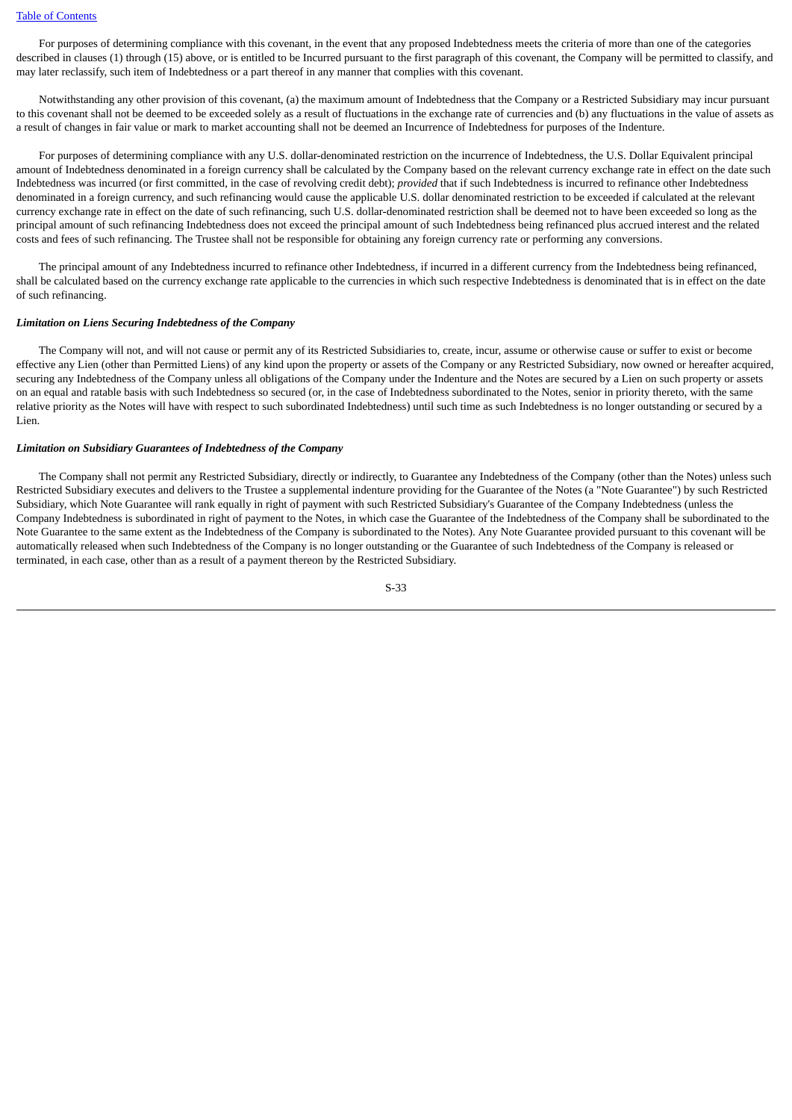For purposes of determining compliance with this covenant, in the event that any proposed Indebtedness meets the criteria of more than one of the categories described in clauses (1) through (15) above, or is entitled to be Incurred pursuant to the first paragraph of this covenant, the Company will be permitted to classify, and may later reclassify, such item of Indebtedness or a part thereof in any manner that complies with this covenant.

 Notwithstanding any other provision of this covenant, (a) the maximum amount of Indebtedness that the Company or a Restricted Subsidiary may incur pursuant to this covenant shall not be deemed to be exceeded solely as a result of fluctuations in the exchange rate of currencies and (b) any fluctuations in the value of assets as a result of changes in fair value or mark to market accounting shall not be deemed an Incurrence of Indebtedness for purposes of the Indenture.

 For purposes of determining compliance with any U.S. dollar-denominated restriction on the incurrence of Indebtedness, the U.S. Dollar Equivalent principal amount of Indebtedness denominated in a foreign currency shall be calculated by the Company based on the relevant currency exchange rate in effect on the date such Indebtedness was incurred (or first committed, in the case of revolving credit debt); *provided* that if such Indebtedness is incurred to refinance other Indebtedness denominated in a foreign currency, and such refinancing would cause the applicable U.S. dollar denominated restriction to be exceeded if calculated at the relevant currency exchange rate in effect on the date of such refinancing, such U.S. dollar-denominated restriction shall be deemed not to have been exceeded so long as the principal amount of such refinancing Indebtedness does not exceed the principal amount of such Indebtedness being refinanced plus accrued interest and the related costs and fees of such refinancing. The Trustee shall not be responsible for obtaining any foreign currency rate or performing any conversions.

 The principal amount of any Indebtedness incurred to refinance other Indebtedness, if incurred in a different currency from the Indebtedness being refinanced, shall be calculated based on the currency exchange rate applicable to the currencies in which such respective Indebtedness is denominated that is in effect on the date of such refinancing.

### *Limitation on Liens Securing Indebtedness of the Company*

 The Company will not, and will not cause or permit any of its Restricted Subsidiaries to, create, incur, assume or otherwise cause or suffer to exist or become effective any Lien (other than Permitted Liens) of any kind upon the property or assets of the Company or any Restricted Subsidiary, now owned or hereafter acquired, securing any Indebtedness of the Company unless all obligations of the Company under the Indenture and the Notes are secured by a Lien on such property or assets on an equal and ratable basis with such Indebtedness so secured (or, in the case of Indebtedness subordinated to the Notes, senior in priority thereto, with the same relative priority as the Notes will have with respect to such subordinated Indebtedness) until such time as such Indebtedness is no longer outstanding or secured by a Lien.

## *Limitation on Subsidiary Guarantees of Indebtedness of the Company*

 The Company shall not permit any Restricted Subsidiary, directly or indirectly, to Guarantee any Indebtedness of the Company (other than the Notes) unless such Restricted Subsidiary executes and delivers to the Trustee a supplemental indenture providing for the Guarantee of the Notes (a "Note Guarantee") by such Restricted Subsidiary, which Note Guarantee will rank equally in right of payment with such Restricted Subsidiary's Guarantee of the Company Indebtedness (unless the Company Indebtedness is subordinated in right of payment to the Notes, in which case the Guarantee of the Indebtedness of the Company shall be subordinated to the Note Guarantee to the same extent as the Indebtedness of the Company is subordinated to the Notes). Any Note Guarantee provided pursuant to this covenant will be automatically released when such Indebtedness of the Company is no longer outstanding or the Guarantee of such Indebtedness of the Company is released or terminated, in each case, other than as a result of a payment thereon by the Restricted Subsidiary.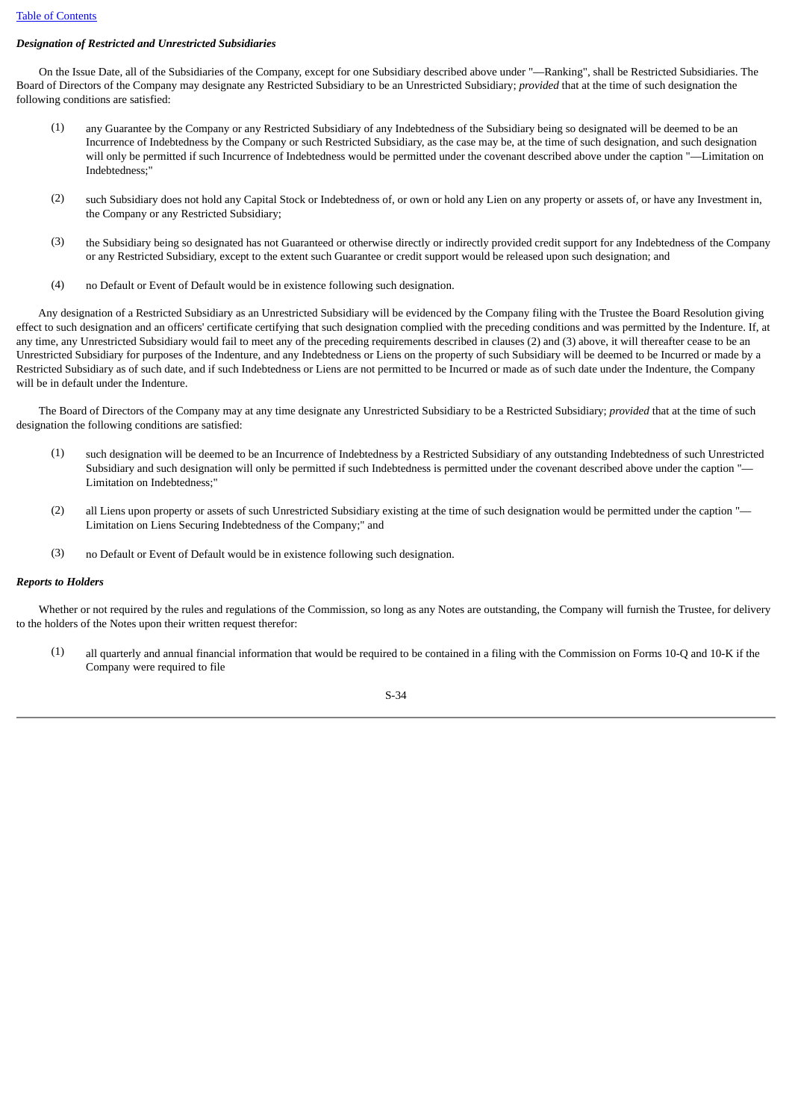# *Designation of Restricted and Unrestricted Subsidiaries*

 On the Issue Date, all of the Subsidiaries of the Company, except for one Subsidiary described above under "—Ranking", shall be Restricted Subsidiaries. The Board of Directors of the Company may designate any Restricted Subsidiary to be an Unrestricted Subsidiary; *provided* that at the time of such designation the following conditions are satisfied:

- (1) any Guarantee by the Company or any Restricted Subsidiary of any Indebtedness of the Subsidiary being so designated will be deemed to be an Incurrence of Indebtedness by the Company or such Restricted Subsidiary, as the case may be, at the time of such designation, and such designation will only be permitted if such Incurrence of Indebtedness would be permitted under the covenant described above under the caption "—Limitation on Indebtedness;"
- (2) such Subsidiary does not hold any Capital Stock or Indebtedness of, or own or hold any Lien on any property or assets of, or have any Investment in, the Company or any Restricted Subsidiary;
- (3) the Subsidiary being so designated has not Guaranteed or otherwise directly or indirectly provided credit support for any Indebtedness of the Company or any Restricted Subsidiary, except to the extent such Guarantee or credit support would be released upon such designation; and
- (4) no Default or Event of Default would be in existence following such designation.

 Any designation of a Restricted Subsidiary as an Unrestricted Subsidiary will be evidenced by the Company filing with the Trustee the Board Resolution giving effect to such designation and an officers' certificate certifying that such designation complied with the preceding conditions and was permitted by the Indenture. If, at any time, any Unrestricted Subsidiary would fail to meet any of the preceding requirements described in clauses (2) and (3) above, it will thereafter cease to be an Unrestricted Subsidiary for purposes of the Indenture, and any Indebtedness or Liens on the property of such Subsidiary will be deemed to be Incurred or made by a Restricted Subsidiary as of such date, and if such Indebtedness or Liens are not permitted to be Incurred or made as of such date under the Indenture, the Company will be in default under the Indenture.

 The Board of Directors of the Company may at any time designate any Unrestricted Subsidiary to be a Restricted Subsidiary; *provided* that at the time of such designation the following conditions are satisfied:

- (1) such designation will be deemed to be an Incurrence of Indebtedness by a Restricted Subsidiary of any outstanding Indebtedness of such Unrestricted Subsidiary and such designation will only be permitted if such Indebtedness is permitted under the covenant described above under the caption "— Limitation on Indebtedness;"
- (2) all Liens upon property or assets of such Unrestricted Subsidiary existing at the time of such designation would be permitted under the caption "— Limitation on Liens Securing Indebtedness of the Company;" and
- (3) no Default or Event of Default would be in existence following such designation.

### *Reports to Holders*

 Whether or not required by the rules and regulations of the Commission, so long as any Notes are outstanding, the Company will furnish the Trustee, for delivery to the holders of the Notes upon their written request therefor:

(1) all quarterly and annual financial information that would be required to be contained in a filing with the Commission on Forms 10-Q and 10-K if the Company were required to file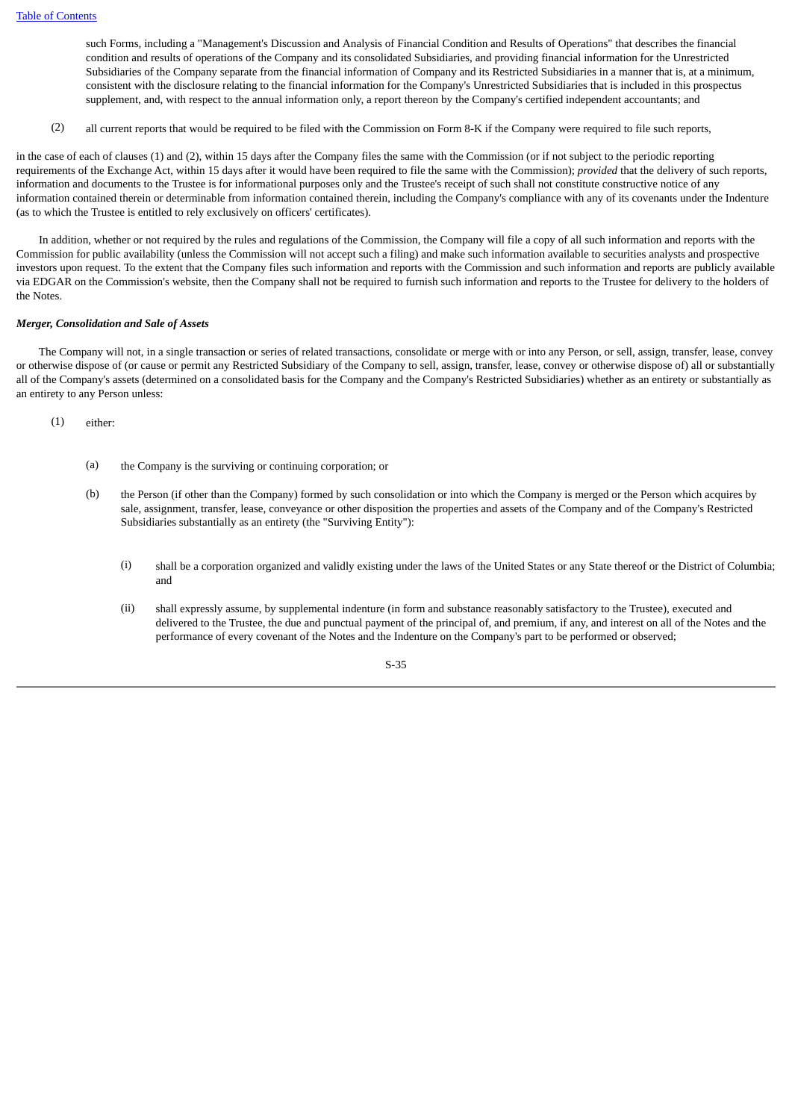such Forms, including a "Management's Discussion and Analysis of Financial Condition and Results of Operations" that describes the financial condition and results of operations of the Company and its consolidated Subsidiaries, and providing financial information for the Unrestricted Subsidiaries of the Company separate from the financial information of Company and its Restricted Subsidiaries in a manner that is, at a minimum, consistent with the disclosure relating to the financial information for the Company's Unrestricted Subsidiaries that is included in this prospectus supplement, and, with respect to the annual information only, a report thereon by the Company's certified independent accountants; and

(2) all current reports that would be required to be filed with the Commission on Form 8-K if the Company were required to file such reports,

in the case of each of clauses (1) and (2), within 15 days after the Company files the same with the Commission (or if not subject to the periodic reporting requirements of the Exchange Act, within 15 days after it would have been required to file the same with the Commission); *provided* that the delivery of such reports, information and documents to the Trustee is for informational purposes only and the Trustee's receipt of such shall not constitute constructive notice of any information contained therein or determinable from information contained therein, including the Company's compliance with any of its covenants under the Indenture (as to which the Trustee is entitled to rely exclusively on officers' certificates).

 In addition, whether or not required by the rules and regulations of the Commission, the Company will file a copy of all such information and reports with the Commission for public availability (unless the Commission will not accept such a filing) and make such information available to securities analysts and prospective investors upon request. To the extent that the Company files such information and reports with the Commission and such information and reports are publicly available via EDGAR on the Commission's website, then the Company shall not be required to furnish such information and reports to the Trustee for delivery to the holders of the Notes.

#### *Merger, Consolidation and Sale of Assets*

 The Company will not, in a single transaction or series of related transactions, consolidate or merge with or into any Person, or sell, assign, transfer, lease, convey or otherwise dispose of (or cause or permit any Restricted Subsidiary of the Company to sell, assign, transfer, lease, convey or otherwise dispose of) all or substantially all of the Company's assets (determined on a consolidated basis for the Company and the Company's Restricted Subsidiaries) whether as an entirety or substantially as an entirety to any Person unless:

(1) either:

- (a) the Company is the surviving or continuing corporation; or
- (b) the Person (if other than the Company) formed by such consolidation or into which the Company is merged or the Person which acquires by sale, assignment, transfer, lease, conveyance or other disposition the properties and assets of the Company and of the Company's Restricted Subsidiaries substantially as an entirety (the "Surviving Entity"):
	- (i) shall be a corporation organized and validly existing under the laws of the United States or any State thereof or the District of Columbia; and
	- (ii) shall expressly assume, by supplemental indenture (in form and substance reasonably satisfactory to the Trustee), executed and delivered to the Trustee, the due and punctual payment of the principal of, and premium, if any, and interest on all of the Notes and the performance of every covenant of the Notes and the Indenture on the Company's part to be performed or observed;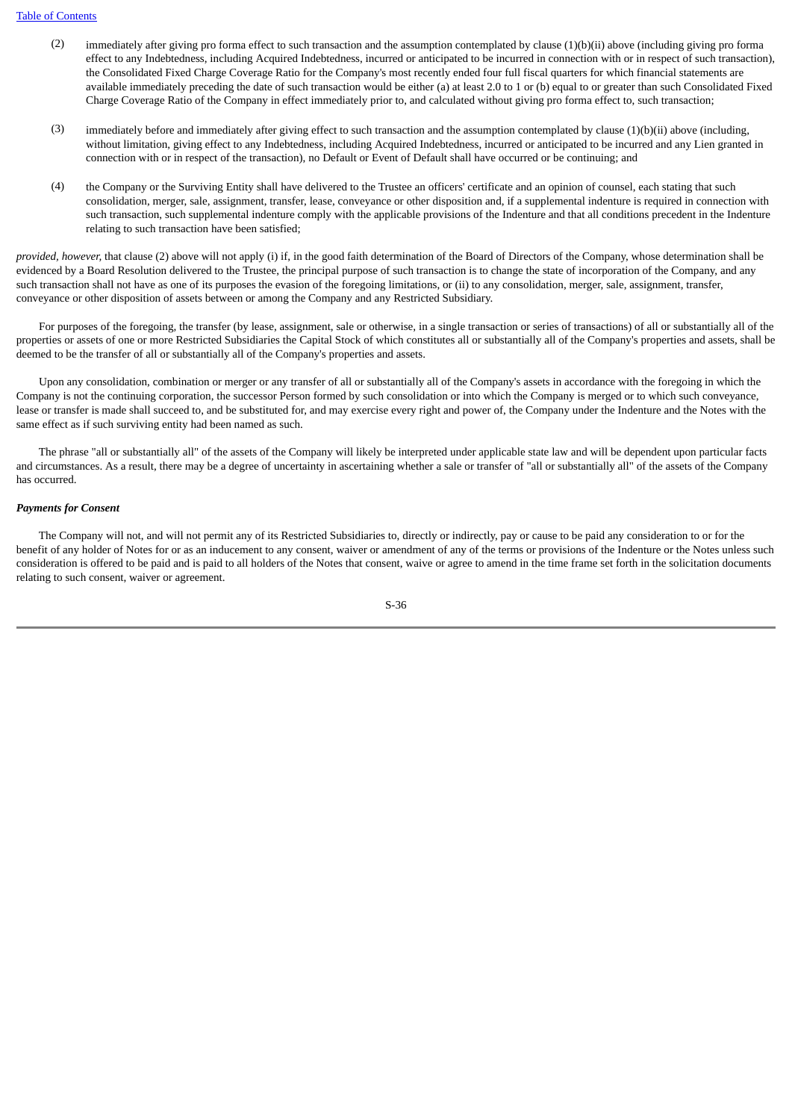- (2) immediately after giving pro forma effect to such transaction and the assumption contemplated by clause (1)(b)(ii) above (including giving pro forma effect to any Indebtedness, including Acquired Indebtedness, incurred or anticipated to be incurred in connection with or in respect of such transaction), the Consolidated Fixed Charge Coverage Ratio for the Company's most recently ended four full fiscal quarters for which financial statements are available immediately preceding the date of such transaction would be either (a) at least 2.0 to 1 or (b) equal to or greater than such Consolidated Fixed Charge Coverage Ratio of the Company in effect immediately prior to, and calculated without giving pro forma effect to, such transaction;
- (3) immediately before and immediately after giving effect to such transaction and the assumption contemplated by clause (1)(b)(ii) above (including, without limitation, giving effect to any Indebtedness, including Acquired Indebtedness, incurred or anticipated to be incurred and any Lien granted in connection with or in respect of the transaction), no Default or Event of Default shall have occurred or be continuing; and
- (4) the Company or the Surviving Entity shall have delivered to the Trustee an officers' certificate and an opinion of counsel, each stating that such consolidation, merger, sale, assignment, transfer, lease, conveyance or other disposition and, if a supplemental indenture is required in connection with such transaction, such supplemental indenture comply with the applicable provisions of the Indenture and that all conditions precedent in the Indenture relating to such transaction have been satisfied;

*provided, however,* that clause (2) above will not apply (i) if, in the good faith determination of the Board of Directors of the Company, whose determination shall be evidenced by a Board Resolution delivered to the Trustee, the principal purpose of such transaction is to change the state of incorporation of the Company, and any such transaction shall not have as one of its purposes the evasion of the foregoing limitations, or (ii) to any consolidation, merger, sale, assignment, transfer, conveyance or other disposition of assets between or among the Company and any Restricted Subsidiary.

 For purposes of the foregoing, the transfer (by lease, assignment, sale or otherwise, in a single transaction or series of transactions) of all or substantially all of the properties or assets of one or more Restricted Subsidiaries the Capital Stock of which constitutes all or substantially all of the Company's properties and assets, shall be deemed to be the transfer of all or substantially all of the Company's properties and assets.

 Upon any consolidation, combination or merger or any transfer of all or substantially all of the Company's assets in accordance with the foregoing in which the Company is not the continuing corporation, the successor Person formed by such consolidation or into which the Company is merged or to which such conveyance, lease or transfer is made shall succeed to, and be substituted for, and may exercise every right and power of, the Company under the Indenture and the Notes with the same effect as if such surviving entity had been named as such.

 The phrase "all or substantially all" of the assets of the Company will likely be interpreted under applicable state law and will be dependent upon particular facts and circumstances. As a result, there may be a degree of uncertainty in ascertaining whether a sale or transfer of "all or substantially all" of the assets of the Company has occurred.

### *Payments for Consent*

 The Company will not, and will not permit any of its Restricted Subsidiaries to, directly or indirectly, pay or cause to be paid any consideration to or for the benefit of any holder of Notes for or as an inducement to any consent, waiver or amendment of any of the terms or provisions of the Indenture or the Notes unless such consideration is offered to be paid and is paid to all holders of the Notes that consent, waive or agree to amend in the time frame set forth in the solicitation documents relating to such consent, waiver or agreement.

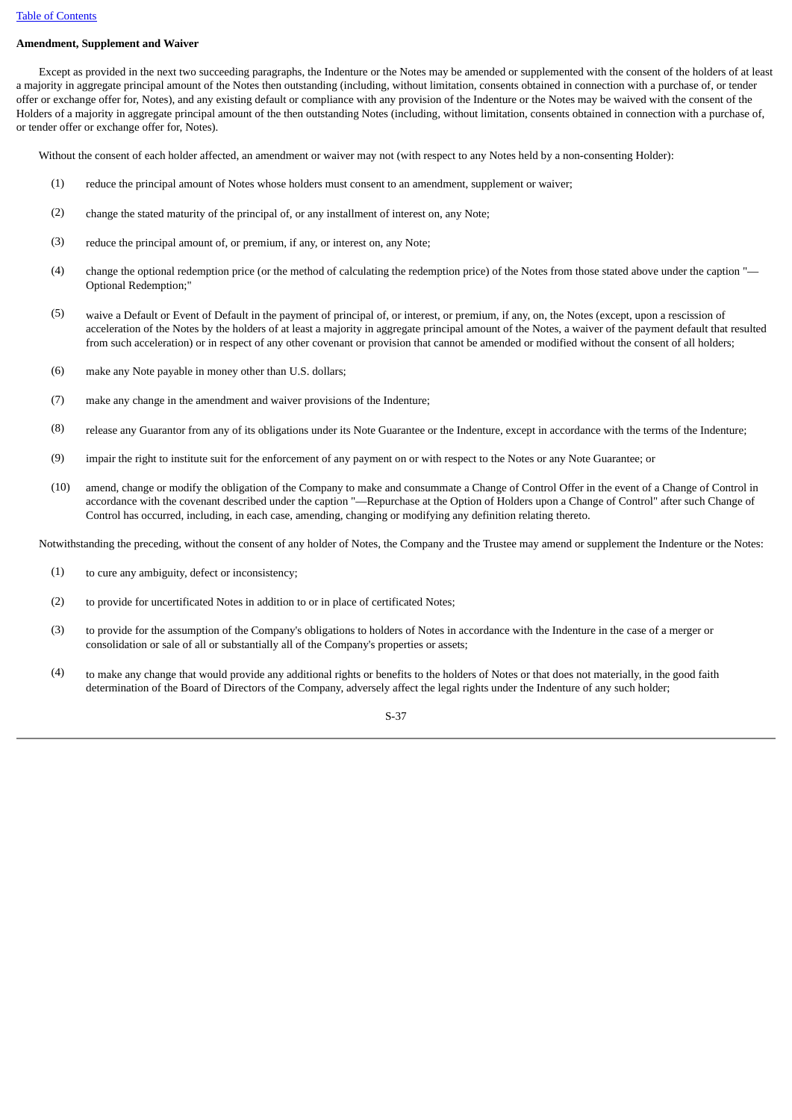# **Amendment, Supplement and Waiver**

 Except as provided in the next two succeeding paragraphs, the Indenture or the Notes may be amended or supplemented with the consent of the holders of at least a majority in aggregate principal amount of the Notes then outstanding (including, without limitation, consents obtained in connection with a purchase of, or tender offer or exchange offer for, Notes), and any existing default or compliance with any provision of the Indenture or the Notes may be waived with the consent of the Holders of a majority in aggregate principal amount of the then outstanding Notes (including, without limitation, consents obtained in connection with a purchase of, or tender offer or exchange offer for, Notes).

Without the consent of each holder affected, an amendment or waiver may not (with respect to any Notes held by a non-consenting Holder):

- (1) reduce the principal amount of Notes whose holders must consent to an amendment, supplement or waiver;
- (2) change the stated maturity of the principal of, or any installment of interest on, any Note;
- (3) reduce the principal amount of, or premium, if any, or interest on, any Note;
- (4) change the optional redemption price (or the method of calculating the redemption price) of the Notes from those stated above under the caption "— Optional Redemption;"
- (5) waive a Default or Event of Default in the payment of principal of, or interest, or premium, if any, on, the Notes (except, upon a rescission of acceleration of the Notes by the holders of at least a majority in aggregate principal amount of the Notes, a waiver of the payment default that resulted from such acceleration) or in respect of any other covenant or provision that cannot be amended or modified without the consent of all holders;
- (6) make any Note payable in money other than U.S. dollars;
- (7) make any change in the amendment and waiver provisions of the Indenture;
- (8) release any Guarantor from any of its obligations under its Note Guarantee or the Indenture, except in accordance with the terms of the Indenture;
- (9) impair the right to institute suit for the enforcement of any payment on or with respect to the Notes or any Note Guarantee; or
- (10) amend, change or modify the obligation of the Company to make and consummate a Change of Control Offer in the event of a Change of Control in accordance with the covenant described under the caption "—Repurchase at the Option of Holders upon a Change of Control" after such Change of Control has occurred, including, in each case, amending, changing or modifying any definition relating thereto.

Notwithstanding the preceding, without the consent of any holder of Notes, the Company and the Trustee may amend or supplement the Indenture or the Notes:

- (1) to cure any ambiguity, defect or inconsistency;
- (2) to provide for uncertificated Notes in addition to or in place of certificated Notes;
- (3) to provide for the assumption of the Company's obligations to holders of Notes in accordance with the Indenture in the case of a merger or consolidation or sale of all or substantially all of the Company's properties or assets;
- (4) to make any change that would provide any additional rights or benefits to the holders of Notes or that does not materially, in the good faith determination of the Board of Directors of the Company, adversely affect the legal rights under the Indenture of any such holder;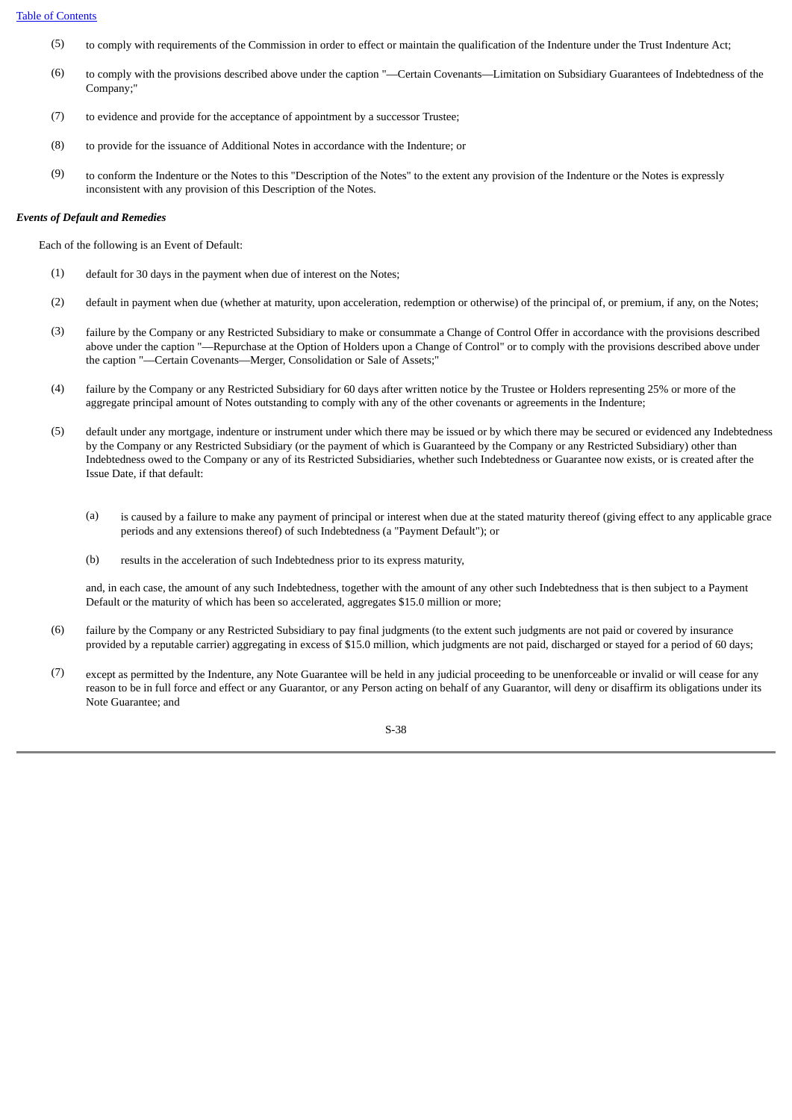- (5) to comply with requirements of the Commission in order to effect or maintain the qualification of the Indenture under the Trust Indenture Act;
- (6) to comply with the provisions described above under the caption "—Certain Covenants—Limitation on Subsidiary Guarantees of Indebtedness of the Company;"
- (7) to evidence and provide for the acceptance of appointment by a successor Trustee;
- (8) to provide for the issuance of Additional Notes in accordance with the Indenture; or
- (9) to conform the Indenture or the Notes to this "Description of the Notes" to the extent any provision of the Indenture or the Notes is expressly inconsistent with any provision of this Description of the Notes.

### *Events of Default and Remedies*

Each of the following is an Event of Default:

- (1) default for 30 days in the payment when due of interest on the Notes;
- (2) default in payment when due (whether at maturity, upon acceleration, redemption or otherwise) of the principal of, or premium, if any, on the Notes;
- (3) failure by the Company or any Restricted Subsidiary to make or consummate a Change of Control Offer in accordance with the provisions described above under the caption "—Repurchase at the Option of Holders upon a Change of Control" or to comply with the provisions described above under the caption "—Certain Covenants—Merger, Consolidation or Sale of Assets;"
- (4) failure by the Company or any Restricted Subsidiary for 60 days after written notice by the Trustee or Holders representing 25% or more of the aggregate principal amount of Notes outstanding to comply with any of the other covenants or agreements in the Indenture;
- (5) default under any mortgage, indenture or instrument under which there may be issued or by which there may be secured or evidenced any Indebtedness by the Company or any Restricted Subsidiary (or the payment of which is Guaranteed by the Company or any Restricted Subsidiary) other than Indebtedness owed to the Company or any of its Restricted Subsidiaries, whether such Indebtedness or Guarantee now exists, or is created after the Issue Date, if that default:
	- (a) is caused by a failure to make any payment of principal or interest when due at the stated maturity thereof (giving effect to any applicable grace periods and any extensions thereof) of such Indebtedness (a "Payment Default"); or
	- (b) results in the acceleration of such Indebtedness prior to its express maturity,

and, in each case, the amount of any such Indebtedness, together with the amount of any other such Indebtedness that is then subject to a Payment Default or the maturity of which has been so accelerated, aggregates \$15.0 million or more;

- (6) failure by the Company or any Restricted Subsidiary to pay final judgments (to the extent such judgments are not paid or covered by insurance provided by a reputable carrier) aggregating in excess of \$15.0 million, which judgments are not paid, discharged or stayed for a period of 60 days;
- (7) except as permitted by the Indenture, any Note Guarantee will be held in any judicial proceeding to be unenforceable or invalid or will cease for any reason to be in full force and effect or any Guarantor, or any Person acting on behalf of any Guarantor, will deny or disaffirm its obligations under its Note Guarantee; and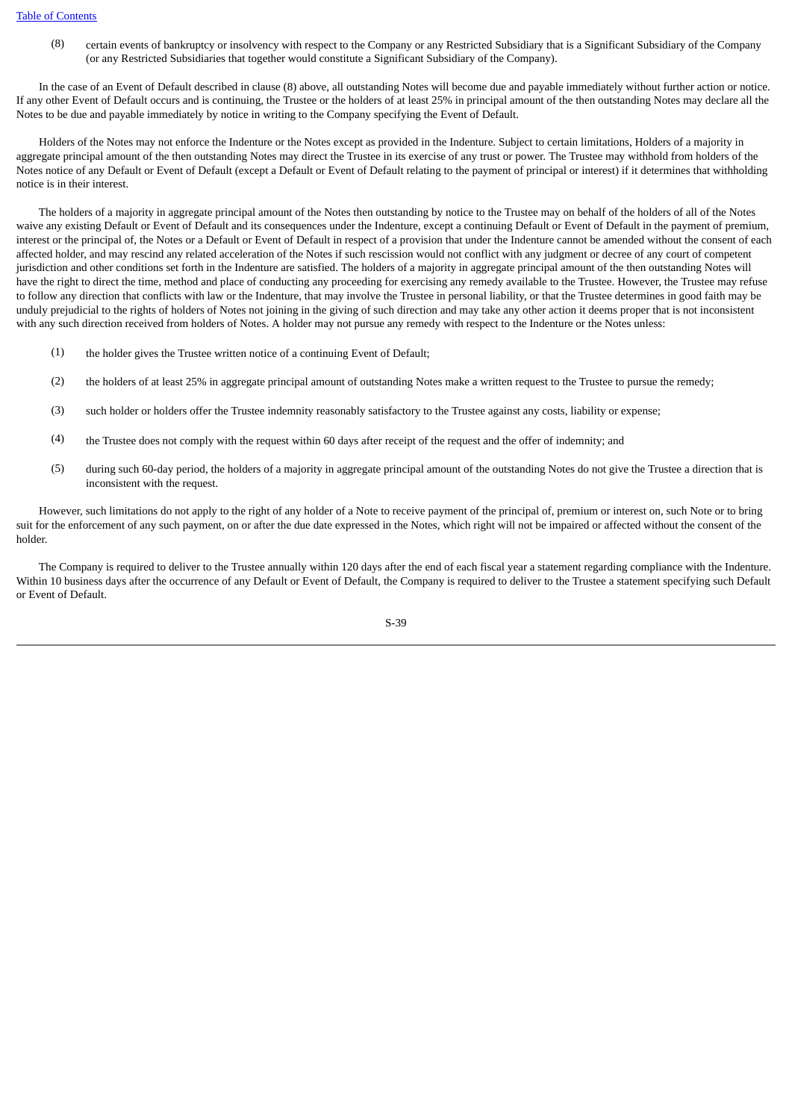(8) certain events of bankruptcy or insolvency with respect to the Company or any Restricted Subsidiary that is a Significant Subsidiary of the Company (or any Restricted Subsidiaries that together would constitute a Significant Subsidiary of the Company).

 In the case of an Event of Default described in clause (8) above, all outstanding Notes will become due and payable immediately without further action or notice. If any other Event of Default occurs and is continuing, the Trustee or the holders of at least 25% in principal amount of the then outstanding Notes may declare all the Notes to be due and payable immediately by notice in writing to the Company specifying the Event of Default.

 Holders of the Notes may not enforce the Indenture or the Notes except as provided in the Indenture. Subject to certain limitations, Holders of a majority in aggregate principal amount of the then outstanding Notes may direct the Trustee in its exercise of any trust or power. The Trustee may withhold from holders of the Notes notice of any Default or Event of Default (except a Default or Event of Default relating to the payment of principal or interest) if it determines that withholding notice is in their interest.

 The holders of a majority in aggregate principal amount of the Notes then outstanding by notice to the Trustee may on behalf of the holders of all of the Notes waive any existing Default or Event of Default and its consequences under the Indenture, except a continuing Default or Event of Default in the payment of premium, interest or the principal of, the Notes or a Default or Event of Default in respect of a provision that under the Indenture cannot be amended without the consent of each affected holder, and may rescind any related acceleration of the Notes if such rescission would not conflict with any judgment or decree of any court of competent jurisdiction and other conditions set forth in the Indenture are satisfied. The holders of a majority in aggregate principal amount of the then outstanding Notes will have the right to direct the time, method and place of conducting any proceeding for exercising any remedy available to the Trustee. However, the Trustee may refuse to follow any direction that conflicts with law or the Indenture, that may involve the Trustee in personal liability, or that the Trustee determines in good faith may be unduly prejudicial to the rights of holders of Notes not joining in the giving of such direction and may take any other action it deems proper that is not inconsistent with any such direction received from holders of Notes. A holder may not pursue any remedy with respect to the Indenture or the Notes unless:

- (1) the holder gives the Trustee written notice of a continuing Event of Default;
- (2) the holders of at least 25% in aggregate principal amount of outstanding Notes make a written request to the Trustee to pursue the remedy;
- (3) such holder or holders offer the Trustee indemnity reasonably satisfactory to the Trustee against any costs, liability or expense;
- (4) the Trustee does not comply with the request within 60 days after receipt of the request and the offer of indemnity; and
- (5) during such 60-day period, the holders of a majority in aggregate principal amount of the outstanding Notes do not give the Trustee a direction that is inconsistent with the request.

 However, such limitations do not apply to the right of any holder of a Note to receive payment of the principal of, premium or interest on, such Note or to bring suit for the enforcement of any such payment, on or after the due date expressed in the Notes, which right will not be impaired or affected without the consent of the holder.

 The Company is required to deliver to the Trustee annually within 120 days after the end of each fiscal year a statement regarding compliance with the Indenture. Within 10 business days after the occurrence of any Default or Event of Default, the Company is required to deliver to the Trustee a statement specifying such Default or Event of Default.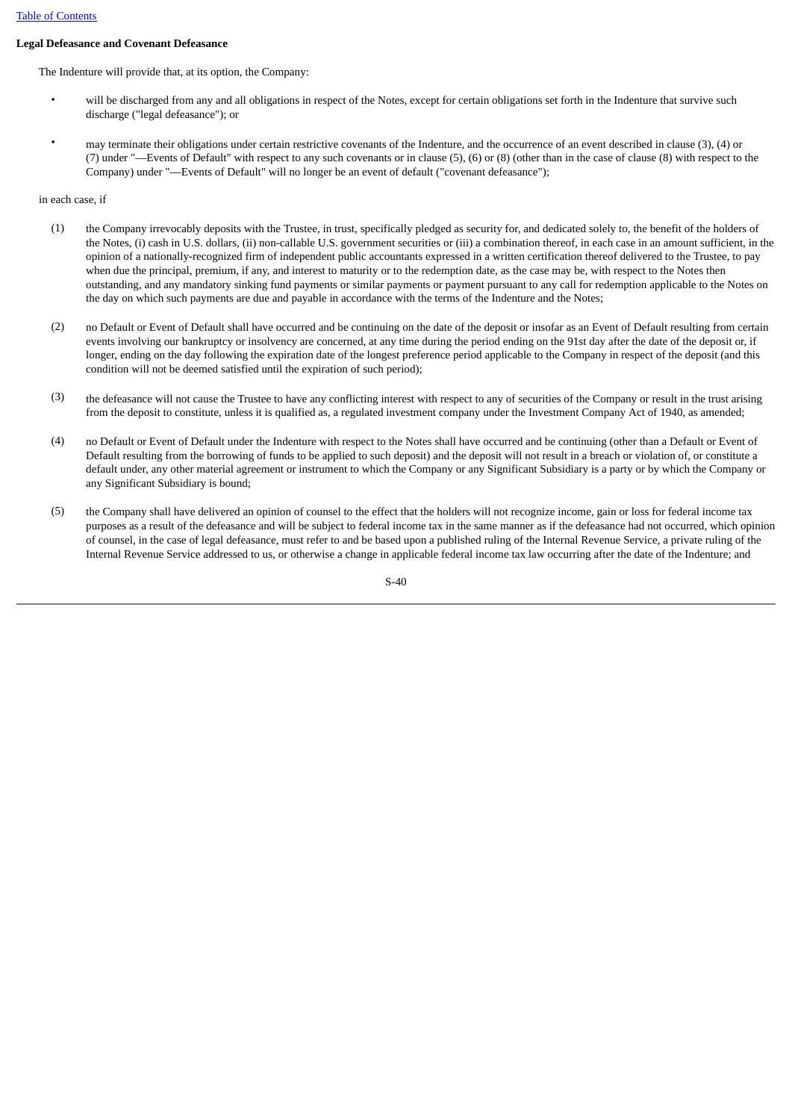# **Legal Defeasance and Covenant Defeasance**

The Indenture will provide that, at its option, the Company:

- will be discharged from any and all obligations in respect of the Notes, except for certain obligations set forth in the Indenture that survive such discharge ("legal defeasance"); or
- may terminate their obligations under certain restrictive covenants of the Indenture, and the occurrence of an event described in clause (3), (4) or (7) under "—Events of Default" with respect to any such covenants or in clause (5), (6) or (8) (other than in the case of clause (8) with respect to the Company) under "—Events of Default" will no longer be an event of default ("covenant defeasance");

in each case, if

- (1) the Company irrevocably deposits with the Trustee, in trust, specifically pledged as security for, and dedicated solely to, the benefit of the holders of the Notes, (i) cash in U.S. dollars, (ii) non-callable U.S. government securities or (iii) a combination thereof, in each case in an amount sufficient, in the opinion of a nationally-recognized firm of independent public accountants expressed in a written certification thereof delivered to the Trustee, to pay when due the principal, premium, if any, and interest to maturity or to the redemption date, as the case may be, with respect to the Notes then outstanding, and any mandatory sinking fund payments or similar payments or payment pursuant to any call for redemption applicable to the Notes on the day on which such payments are due and payable in accordance with the terms of the Indenture and the Notes;
- (2) no Default or Event of Default shall have occurred and be continuing on the date of the deposit or insofar as an Event of Default resulting from certain events involving our bankruptcy or insolvency are concerned, at any time during the period ending on the 91st day after the date of the deposit or, if longer, ending on the day following the expiration date of the longest preference period applicable to the Company in respect of the deposit (and this condition will not be deemed satisfied until the expiration of such period);
- (3) the defeasance will not cause the Trustee to have any conflicting interest with respect to any of securities of the Company or result in the trust arising from the deposit to constitute, unless it is qualified as, a regulated investment company under the Investment Company Act of 1940, as amended;
- (4) no Default or Event of Default under the Indenture with respect to the Notes shall have occurred and be continuing (other than a Default or Event of Default resulting from the borrowing of funds to be applied to such deposit) and the deposit will not result in a breach or violation of, or constitute a default under, any other material agreement or instrument to which the Company or any Significant Subsidiary is a party or by which the Company or any Significant Subsidiary is bound;
- (5) the Company shall have delivered an opinion of counsel to the effect that the holders will not recognize income, gain or loss for federal income tax purposes as a result of the defeasance and will be subject to federal income tax in the same manner as if the defeasance had not occurred, which opinion of counsel, in the case of legal defeasance, must refer to and be based upon a published ruling of the Internal Revenue Service, a private ruling of the Internal Revenue Service addressed to us, or otherwise a change in applicable federal income tax law occurring after the date of the Indenture; and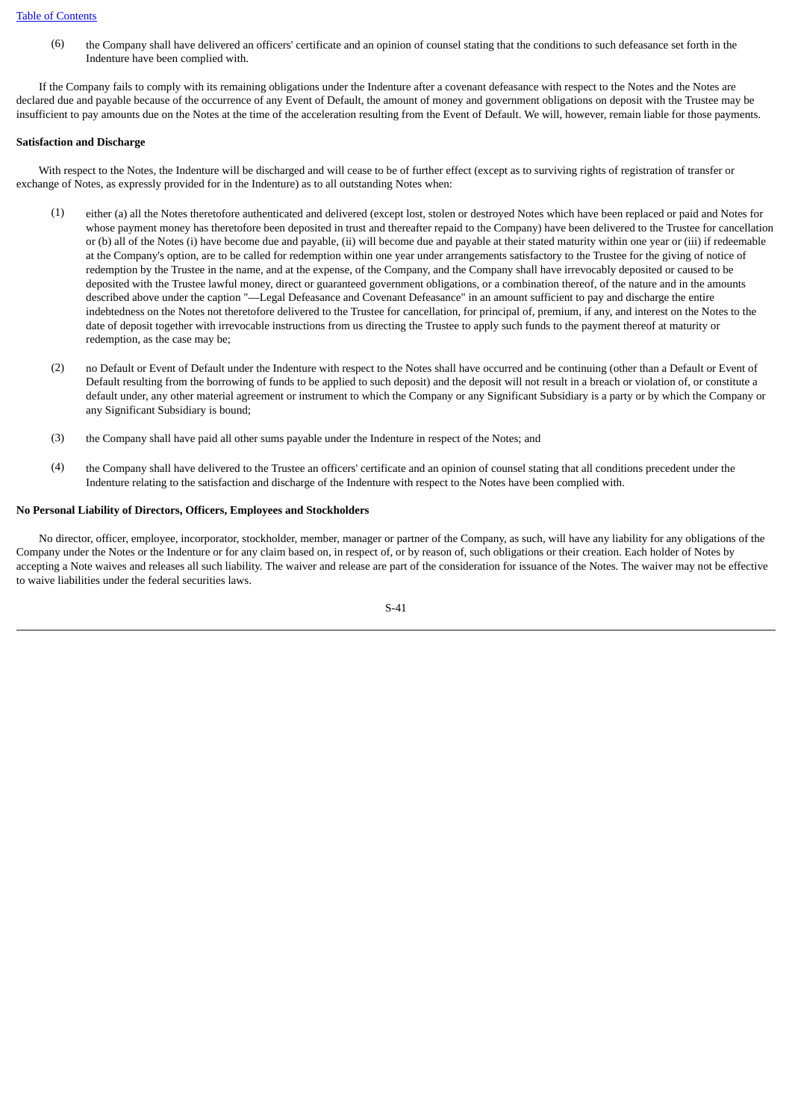(6) the Company shall have delivered an officers' certificate and an opinion of counsel stating that the conditions to such defeasance set forth in the Indenture have been complied with.

 If the Company fails to comply with its remaining obligations under the Indenture after a covenant defeasance with respect to the Notes and the Notes are declared due and payable because of the occurrence of any Event of Default, the amount of money and government obligations on deposit with the Trustee may be insufficient to pay amounts due on the Notes at the time of the acceleration resulting from the Event of Default. We will, however, remain liable for those payments.

### **Satisfaction and Discharge**

 With respect to the Notes, the Indenture will be discharged and will cease to be of further effect (except as to surviving rights of registration of transfer or exchange of Notes, as expressly provided for in the Indenture) as to all outstanding Notes when:

- (1) either (a) all the Notes theretofore authenticated and delivered (except lost, stolen or destroyed Notes which have been replaced or paid and Notes for whose payment money has theretofore been deposited in trust and thereafter repaid to the Company) have been delivered to the Trustee for cancellation or (b) all of the Notes (i) have become due and payable, (ii) will become due and payable at their stated maturity within one year or (iii) if redeemable at the Company's option, are to be called for redemption within one year under arrangements satisfactory to the Trustee for the giving of notice of redemption by the Trustee in the name, and at the expense, of the Company, and the Company shall have irrevocably deposited or caused to be deposited with the Trustee lawful money, direct or guaranteed government obligations, or a combination thereof, of the nature and in the amounts described above under the caption "—Legal Defeasance and Covenant Defeasance" in an amount sufficient to pay and discharge the entire indebtedness on the Notes not theretofore delivered to the Trustee for cancellation, for principal of, premium, if any, and interest on the Notes to the date of deposit together with irrevocable instructions from us directing the Trustee to apply such funds to the payment thereof at maturity or redemption, as the case may be;
- (2) no Default or Event of Default under the Indenture with respect to the Notes shall have occurred and be continuing (other than a Default or Event of Default resulting from the borrowing of funds to be applied to such deposit) and the deposit will not result in a breach or violation of, or constitute a default under, any other material agreement or instrument to which the Company or any Significant Subsidiary is a party or by which the Company or any Significant Subsidiary is bound;
- (3) the Company shall have paid all other sums payable under the Indenture in respect of the Notes; and
- (4) the Company shall have delivered to the Trustee an officers' certificate and an opinion of counsel stating that all conditions precedent under the Indenture relating to the satisfaction and discharge of the Indenture with respect to the Notes have been complied with.

### **No Personal Liability of Directors, Officers, Employees and Stockholders**

 No director, officer, employee, incorporator, stockholder, member, manager or partner of the Company, as such, will have any liability for any obligations of the Company under the Notes or the Indenture or for any claim based on, in respect of, or by reason of, such obligations or their creation. Each holder of Notes by accepting a Note waives and releases all such liability. The waiver and release are part of the consideration for issuance of the Notes. The waiver may not be effective to waive liabilities under the federal securities laws.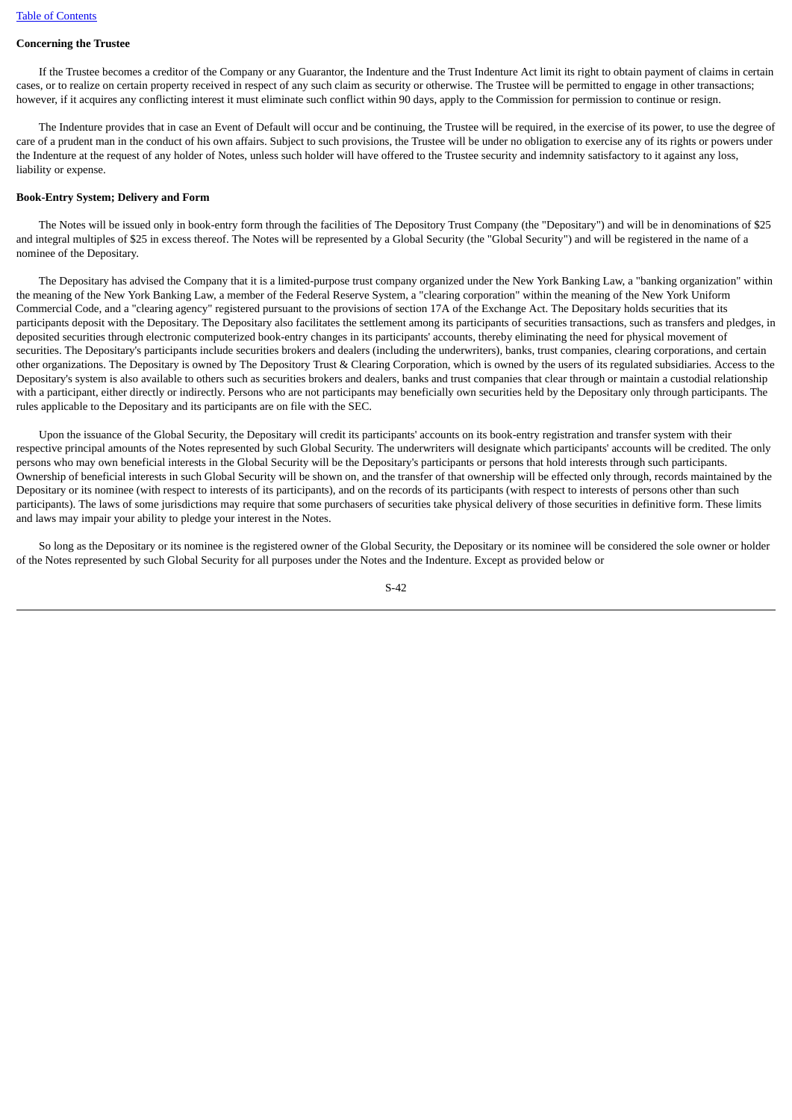### **Concerning the Trustee**

 If the Trustee becomes a creditor of the Company or any Guarantor, the Indenture and the Trust Indenture Act limit its right to obtain payment of claims in certain cases, or to realize on certain property received in respect of any such claim as security or otherwise. The Trustee will be permitted to engage in other transactions; however, if it acquires any conflicting interest it must eliminate such conflict within 90 days, apply to the Commission for permission to continue or resign.

 The Indenture provides that in case an Event of Default will occur and be continuing, the Trustee will be required, in the exercise of its power, to use the degree of care of a prudent man in the conduct of his own affairs. Subject to such provisions, the Trustee will be under no obligation to exercise any of its rights or powers under the Indenture at the request of any holder of Notes, unless such holder will have offered to the Trustee security and indemnity satisfactory to it against any loss, liability or expense.

#### **Book-Entry System; Delivery and Form**

 The Notes will be issued only in book-entry form through the facilities of The Depository Trust Company (the "Depositary") and will be in denominations of \$25 and integral multiples of \$25 in excess thereof. The Notes will be represented by a Global Security (the "Global Security") and will be registered in the name of a nominee of the Depositary.

 The Depositary has advised the Company that it is a limited-purpose trust company organized under the New York Banking Law, a "banking organization" within the meaning of the New York Banking Law, a member of the Federal Reserve System, a "clearing corporation" within the meaning of the New York Uniform Commercial Code, and a "clearing agency" registered pursuant to the provisions of section 17A of the Exchange Act. The Depositary holds securities that its participants deposit with the Depositary. The Depositary also facilitates the settlement among its participants of securities transactions, such as transfers and pledges, in deposited securities through electronic computerized book-entry changes in its participants' accounts, thereby eliminating the need for physical movement of securities. The Depositary's participants include securities brokers and dealers (including the underwriters), banks, trust companies, clearing corporations, and certain other organizations. The Depositary is owned by The Depository Trust & Clearing Corporation, which is owned by the users of its regulated subsidiaries. Access to the Depositary's system is also available to others such as securities brokers and dealers, banks and trust companies that clear through or maintain a custodial relationship with a participant, either directly or indirectly. Persons who are not participants may beneficially own securities held by the Depositary only through participants. The rules applicable to the Depositary and its participants are on file with the SEC.

 Upon the issuance of the Global Security, the Depositary will credit its participants' accounts on its book-entry registration and transfer system with their respective principal amounts of the Notes represented by such Global Security. The underwriters will designate which participants' accounts will be credited. The only persons who may own beneficial interests in the Global Security will be the Depositary's participants or persons that hold interests through such participants. Ownership of beneficial interests in such Global Security will be shown on, and the transfer of that ownership will be effected only through, records maintained by the Depositary or its nominee (with respect to interests of its participants), and on the records of its participants (with respect to interests of persons other than such participants). The laws of some jurisdictions may require that some purchasers of securities take physical delivery of those securities in definitive form. These limits and laws may impair your ability to pledge your interest in the Notes.

So long as the Depositary or its nominee is the registered owner of the Global Security, the Depositary or its nominee will be considered the sole owner or holder of the Notes represented by such Global Security for all purposes under the Notes and the Indenture. Except as provided below or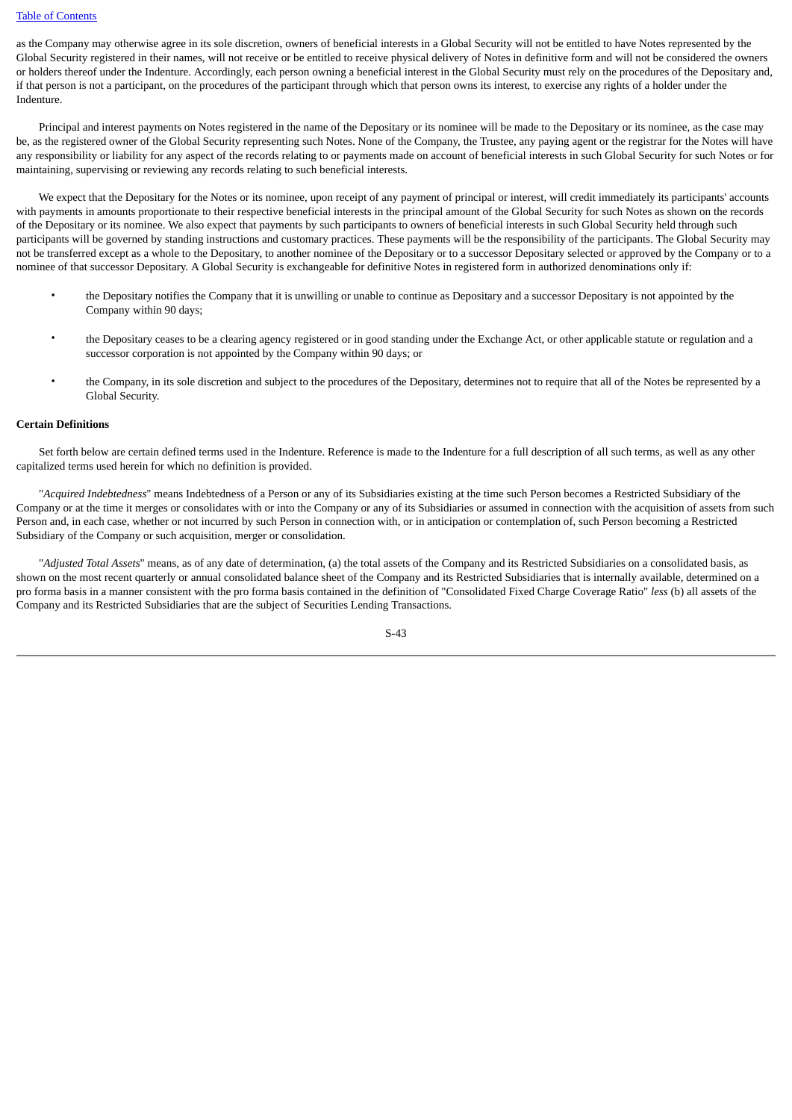as the Company may otherwise agree in its sole discretion, owners of beneficial interests in a Global Security will not be entitled to have Notes represented by the Global Security registered in their names, will not receive or be entitled to receive physical delivery of Notes in definitive form and will not be considered the owners or holders thereof under the Indenture. Accordingly, each person owning a beneficial interest in the Global Security must rely on the procedures of the Depositary and, if that person is not a participant, on the procedures of the participant through which that person owns its interest, to exercise any rights of a holder under the Indenture.

 Principal and interest payments on Notes registered in the name of the Depositary or its nominee will be made to the Depositary or its nominee, as the case may be, as the registered owner of the Global Security representing such Notes. None of the Company, the Trustee, any paying agent or the registrar for the Notes will have any responsibility or liability for any aspect of the records relating to or payments made on account of beneficial interests in such Global Security for such Notes or for maintaining, supervising or reviewing any records relating to such beneficial interests.

 We expect that the Depositary for the Notes or its nominee, upon receipt of any payment of principal or interest, will credit immediately its participants' accounts with payments in amounts proportionate to their respective beneficial interests in the principal amount of the Global Security for such Notes as shown on the records of the Depositary or its nominee. We also expect that payments by such participants to owners of beneficial interests in such Global Security held through such participants will be governed by standing instructions and customary practices. These payments will be the responsibility of the participants. The Global Security may not be transferred except as a whole to the Depositary, to another nominee of the Depositary or to a successor Depositary selected or approved by the Company or to a nominee of that successor Depositary. A Global Security is exchangeable for definitive Notes in registered form in authorized denominations only if:

- the Depositary notifies the Company that it is unwilling or unable to continue as Depositary and a successor Depositary is not appointed by the Company within 90 days;
- the Depositary ceases to be a clearing agency registered or in good standing under the Exchange Act, or other applicable statute or regulation and a successor corporation is not appointed by the Company within 90 days; or
- the Company, in its sole discretion and subject to the procedures of the Depositary, determines not to require that all of the Notes be represented by a Global Security.

#### **Certain Definitions**

 Set forth below are certain defined terms used in the Indenture. Reference is made to the Indenture for a full description of all such terms, as well as any other capitalized terms used herein for which no definition is provided.

 "*Acquired Indebtedness*" means Indebtedness of a Person or any of its Subsidiaries existing at the time such Person becomes a Restricted Subsidiary of the Company or at the time it merges or consolidates with or into the Company or any of its Subsidiaries or assumed in connection with the acquisition of assets from such Person and, in each case, whether or not incurred by such Person in connection with, or in anticipation or contemplation of, such Person becoming a Restricted Subsidiary of the Company or such acquisition, merger or consolidation.

 "*Adjusted Total Assets*" means, as of any date of determination, (a) the total assets of the Company and its Restricted Subsidiaries on a consolidated basis, as shown on the most recent quarterly or annual consolidated balance sheet of the Company and its Restricted Subsidiaries that is internally available, determined on a pro forma basis in a manner consistent with the pro forma basis contained in the definition of "Consolidated Fixed Charge Coverage Ratio" *less* (b) all assets of the Company and its Restricted Subsidiaries that are the subject of Securities Lending Transactions.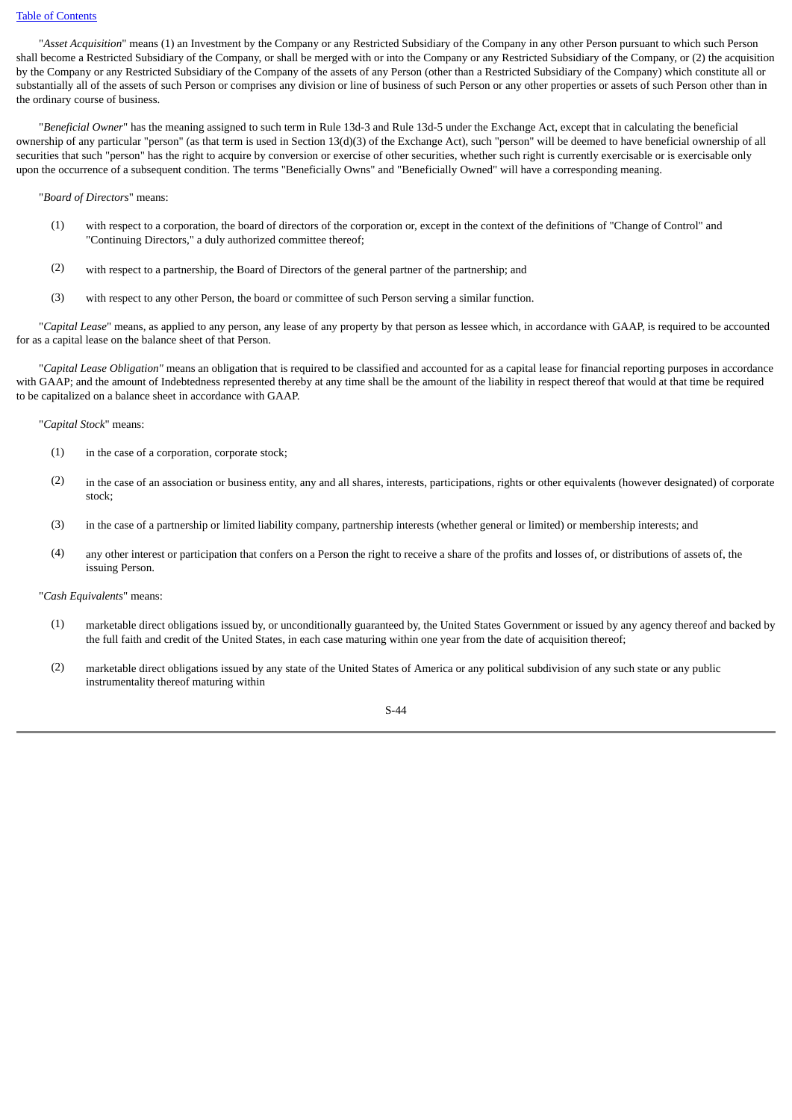"*Asset Acquisition*" means (1) an Investment by the Company or any Restricted Subsidiary of the Company in any other Person pursuant to which such Person shall become a Restricted Subsidiary of the Company, or shall be merged with or into the Company or any Restricted Subsidiary of the Company, or (2) the acquisition by the Company or any Restricted Subsidiary of the Company of the assets of any Person (other than a Restricted Subsidiary of the Company) which constitute all or substantially all of the assets of such Person or comprises any division or line of business of such Person or any other properties or assets of such Person other than in the ordinary course of business.

 "*Beneficial Owner*" has the meaning assigned to such term in Rule 13d-3 and Rule 13d-5 under the Exchange Act, except that in calculating the beneficial ownership of any particular "person" (as that term is used in Section 13(d)(3) of the Exchange Act), such "person" will be deemed to have beneficial ownership of all securities that such "person" has the right to acquire by conversion or exercise of other securities, whether such right is currently exercisable or is exercisable only upon the occurrence of a subsequent condition. The terms "Beneficially Owns" and "Beneficially Owned" will have a corresponding meaning.

"*Board of Directors*" means:

- (1) with respect to a corporation, the board of directors of the corporation or, except in the context of the definitions of "Change of Control" and "Continuing Directors," a duly authorized committee thereof;
- (2) with respect to a partnership, the Board of Directors of the general partner of the partnership; and
- (3) with respect to any other Person, the board or committee of such Person serving a similar function.

 "*Capital Lease*" means, as applied to any person, any lease of any property by that person as lessee which, in accordance with GAAP, is required to be accounted for as a capital lease on the balance sheet of that Person.

 "*Capital Lease Obligation"* means an obligation that is required to be classified and accounted for as a capital lease for financial reporting purposes in accordance with GAAP; and the amount of Indebtedness represented thereby at any time shall be the amount of the liability in respect thereof that would at that time be required to be capitalized on a balance sheet in accordance with GAAP.

"*Capital Stock*" means:

- (1) in the case of a corporation, corporate stock;
- (2) in the case of an association or business entity, any and all shares, interests, participations, rights or other equivalents (however designated) of corporate stock;
- (3) in the case of a partnership or limited liability company, partnership interests (whether general or limited) or membership interests; and
- (4) any other interest or participation that confers on a Person the right to receive a share of the profits and losses of, or distributions of assets of, the issuing Person.

"*Cash Equivalents*" means:

- (1) marketable direct obligations issued by, or unconditionally guaranteed by, the United States Government or issued by any agency thereof and backed by the full faith and credit of the United States, in each case maturing within one year from the date of acquisition thereof;
- (2) marketable direct obligations issued by any state of the United States of America or any political subdivision of any such state or any public instrumentality thereof maturing within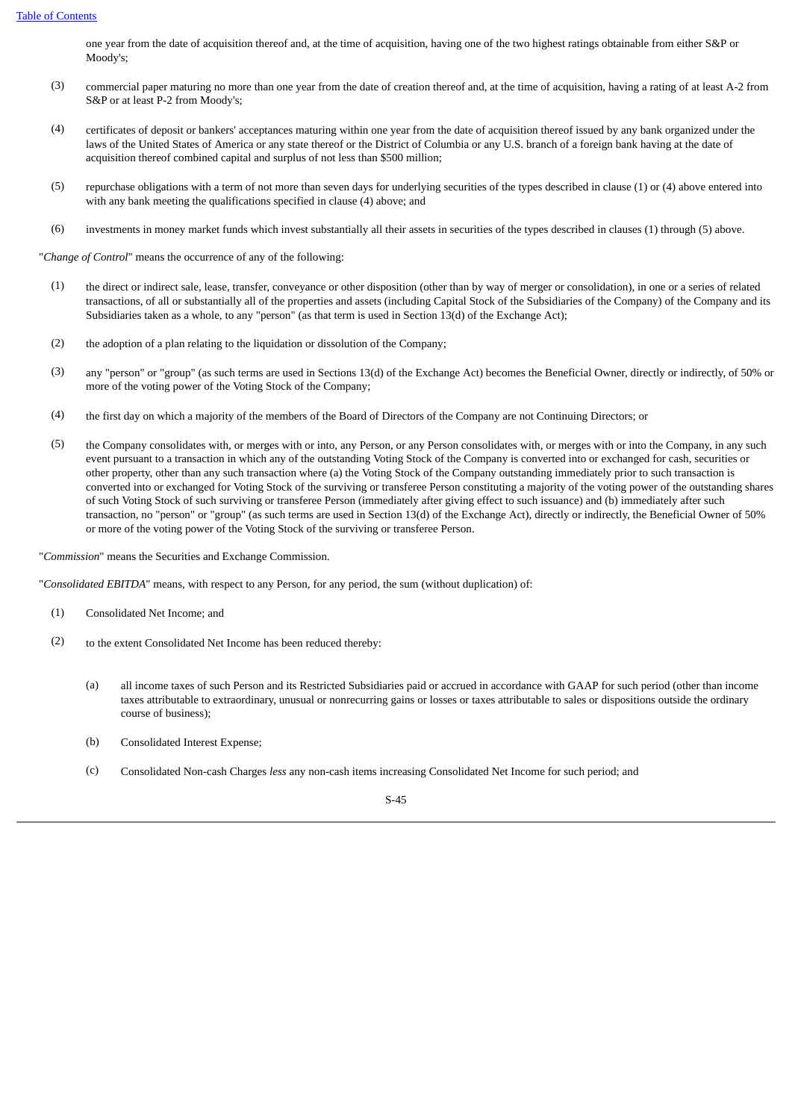one year from the date of acquisition thereof and, at the time of acquisition, having one of the two highest ratings obtainable from either S&P or Moody's;

- (3) commercial paper maturing no more than one year from the date of creation thereof and, at the time of acquisition, having a rating of at least A-2 from S&P or at least P-2 from Moody's;
- (4) certificates of deposit or bankers' acceptances maturing within one year from the date of acquisition thereof issued by any bank organized under the laws of the United States of America or any state thereof or the District of Columbia or any U.S. branch of a foreign bank having at the date of acquisition thereof combined capital and surplus of not less than \$500 million;
- (5) repurchase obligations with a term of not more than seven days for underlying securities of the types described in clause (1) or (4) above entered into with any bank meeting the qualifications specified in clause (4) above; and
- (6) investments in money market funds which invest substantially all their assets in securities of the types described in clauses (1) through (5) above.

"*Change of Control*" means the occurrence of any of the following:

- (1) the direct or indirect sale, lease, transfer, conveyance or other disposition (other than by way of merger or consolidation), in one or a series of related transactions, of all or substantially all of the properties and assets (including Capital Stock of the Subsidiaries of the Company) of the Company and its Subsidiaries taken as a whole, to any "person" (as that term is used in Section 13(d) of the Exchange Act);
- (2) the adoption of a plan relating to the liquidation or dissolution of the Company;
- (3) any "person" or "group" (as such terms are used in Sections 13(d) of the Exchange Act) becomes the Beneficial Owner, directly or indirectly, of 50% or more of the voting power of the Voting Stock of the Company;
- (4) the first day on which a majority of the members of the Board of Directors of the Company are not Continuing Directors; or
- (5) the Company consolidates with, or merges with or into, any Person, or any Person consolidates with, or merges with or into the Company, in any such event pursuant to a transaction in which any of the outstanding Voting Stock of the Company is converted into or exchanged for cash, securities or other property, other than any such transaction where (a) the Voting Stock of the Company outstanding immediately prior to such transaction is converted into or exchanged for Voting Stock of the surviving or transferee Person constituting a majority of the voting power of the outstanding shares of such Voting Stock of such surviving or transferee Person (immediately after giving effect to such issuance) and (b) immediately after such transaction, no "person" or "group" (as such terms are used in Section 13(d) of the Exchange Act), directly or indirectly, the Beneficial Owner of 50% or more of the voting power of the Voting Stock of the surviving or transferee Person.
- "*Commission*" means the Securities and Exchange Commission.

"*Consolidated EBITDA*" means, with respect to any Person, for any period, the sum (without duplication) of:

- (1) Consolidated Net Income; and
- (2) to the extent Consolidated Net Income has been reduced thereby:
	- (a) all income taxes of such Person and its Restricted Subsidiaries paid or accrued in accordance with GAAP for such period (other than income taxes attributable to extraordinary, unusual or nonrecurring gains or losses or taxes attributable to sales or dispositions outside the ordinary course of business);
	- (b) Consolidated Interest Expense;
	- (c) Consolidated Non-cash Charges *less* any non-cash items increasing Consolidated Net Income for such period; and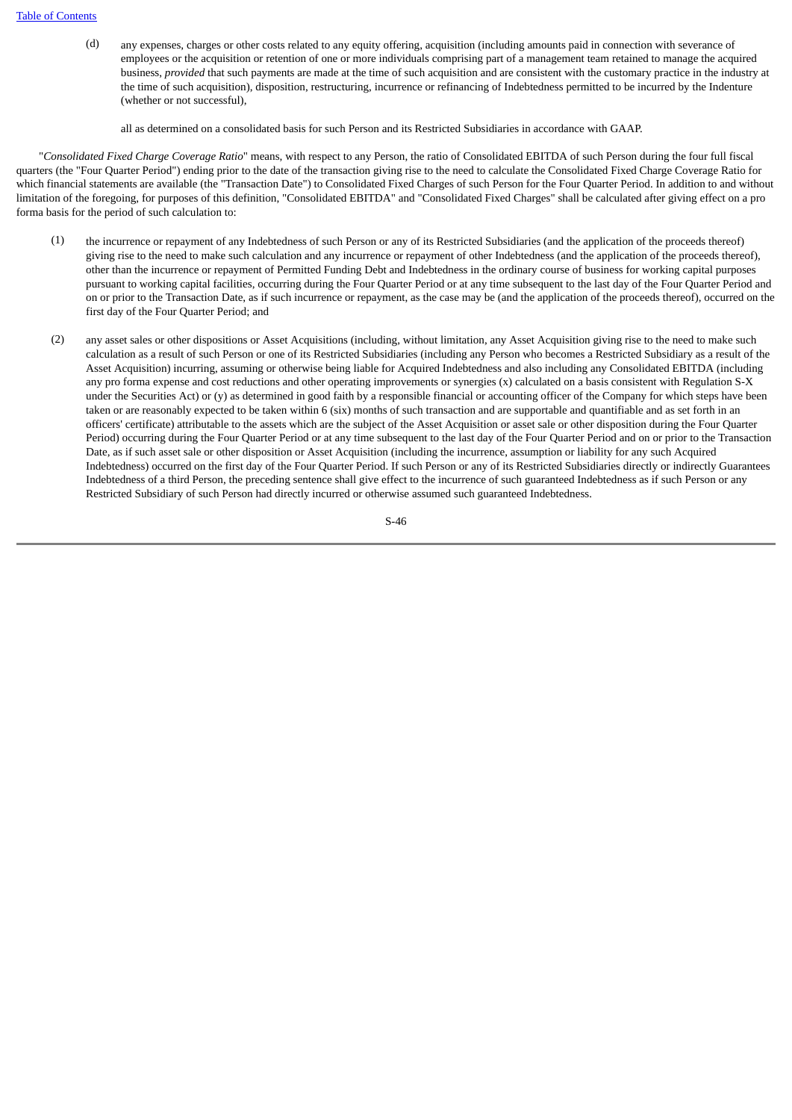(d) any expenses, charges or other costs related to any equity offering, acquisition (including amounts paid in connection with severance of employees or the acquisition or retention of one or more individuals comprising part of a management team retained to manage the acquired business, *provided* that such payments are made at the time of such acquisition and are consistent with the customary practice in the industry at the time of such acquisition), disposition, restructuring, incurrence or refinancing of Indebtedness permitted to be incurred by the Indenture (whether or not successful),

all as determined on a consolidated basis for such Person and its Restricted Subsidiaries in accordance with GAAP.

 "*Consolidated Fixed Charge Coverage Ratio*" means, with respect to any Person, the ratio of Consolidated EBITDA of such Person during the four full fiscal quarters (the "Four Quarter Period") ending prior to the date of the transaction giving rise to the need to calculate the Consolidated Fixed Charge Coverage Ratio for which financial statements are available (the "Transaction Date") to Consolidated Fixed Charges of such Person for the Four Quarter Period. In addition to and without limitation of the foregoing, for purposes of this definition, "Consolidated EBITDA" and "Consolidated Fixed Charges" shall be calculated after giving effect on a pro forma basis for the period of such calculation to:

- (1) the incurrence or repayment of any Indebtedness of such Person or any of its Restricted Subsidiaries (and the application of the proceeds thereof) giving rise to the need to make such calculation and any incurrence or repayment of other Indebtedness (and the application of the proceeds thereof), other than the incurrence or repayment of Permitted Funding Debt and Indebtedness in the ordinary course of business for working capital purposes pursuant to working capital facilities, occurring during the Four Quarter Period or at any time subsequent to the last day of the Four Quarter Period and on or prior to the Transaction Date, as if such incurrence or repayment, as the case may be (and the application of the proceeds thereof), occurred on the first day of the Four Quarter Period; and
- (2) any asset sales or other dispositions or Asset Acquisitions (including, without limitation, any Asset Acquisition giving rise to the need to make such calculation as a result of such Person or one of its Restricted Subsidiaries (including any Person who becomes a Restricted Subsidiary as a result of the Asset Acquisition) incurring, assuming or otherwise being liable for Acquired Indebtedness and also including any Consolidated EBITDA (including any pro forma expense and cost reductions and other operating improvements or synergies (x) calculated on a basis consistent with Regulation S-X under the Securities Act) or (y) as determined in good faith by a responsible financial or accounting officer of the Company for which steps have been taken or are reasonably expected to be taken within 6 (six) months of such transaction and are supportable and quantifiable and as set forth in an officers' certificate) attributable to the assets which are the subject of the Asset Acquisition or asset sale or other disposition during the Four Quarter Period) occurring during the Four Quarter Period or at any time subsequent to the last day of the Four Quarter Period and on or prior to the Transaction Date, as if such asset sale or other disposition or Asset Acquisition (including the incurrence, assumption or liability for any such Acquired Indebtedness) occurred on the first day of the Four Quarter Period. If such Person or any of its Restricted Subsidiaries directly or indirectly Guarantees Indebtedness of a third Person, the preceding sentence shall give effect to the incurrence of such guaranteed Indebtedness as if such Person or any Restricted Subsidiary of such Person had directly incurred or otherwise assumed such guaranteed Indebtedness.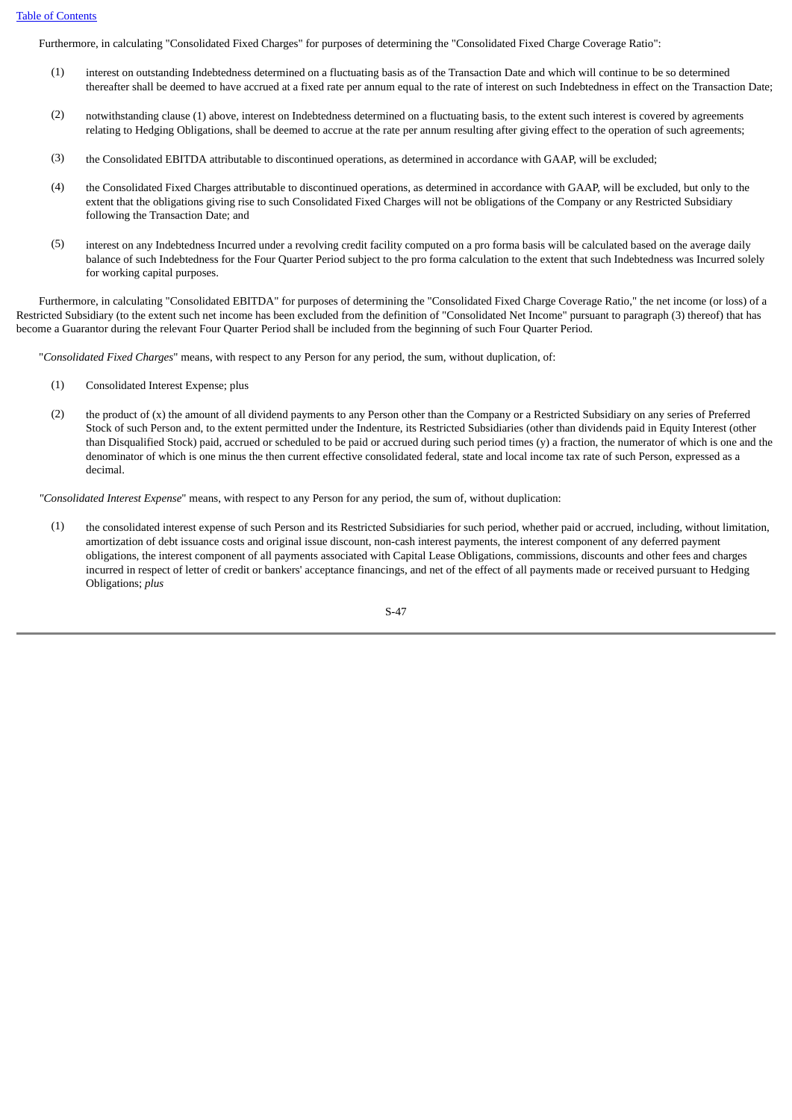Furthermore, in calculating "Consolidated Fixed Charges" for purposes of determining the "Consolidated Fixed Charge Coverage Ratio":

- (1) interest on outstanding Indebtedness determined on a fluctuating basis as of the Transaction Date and which will continue to be so determined thereafter shall be deemed to have accrued at a fixed rate per annum equal to the rate of interest on such Indebtedness in effect on the Transaction Date;
- (2) notwithstanding clause (1) above, interest on Indebtedness determined on a fluctuating basis, to the extent such interest is covered by agreements relating to Hedging Obligations, shall be deemed to accrue at the rate per annum resulting after giving effect to the operation of such agreements;
- (3) the Consolidated EBITDA attributable to discontinued operations, as determined in accordance with GAAP, will be excluded;
- (4) the Consolidated Fixed Charges attributable to discontinued operations, as determined in accordance with GAAP, will be excluded, but only to the extent that the obligations giving rise to such Consolidated Fixed Charges will not be obligations of the Company or any Restricted Subsidiary following the Transaction Date; and
- (5) interest on any Indebtedness Incurred under a revolving credit facility computed on a pro forma basis will be calculated based on the average daily balance of such Indebtedness for the Four Quarter Period subject to the pro forma calculation to the extent that such Indebtedness was Incurred solely for working capital purposes.

 Furthermore, in calculating "Consolidated EBITDA" for purposes of determining the "Consolidated Fixed Charge Coverage Ratio," the net income (or loss) of a Restricted Subsidiary (to the extent such net income has been excluded from the definition of "Consolidated Net Income" pursuant to paragraph (3) thereof) that has become a Guarantor during the relevant Four Quarter Period shall be included from the beginning of such Four Quarter Period.

"*Consolidated Fixed Charges*" means, with respect to any Person for any period, the sum, without duplication, of:

- (1) Consolidated Interest Expense; plus
- (2) the product of (x) the amount of all dividend payments to any Person other than the Company or a Restricted Subsidiary on any series of Preferred Stock of such Person and, to the extent permitted under the Indenture, its Restricted Subsidiaries (other than dividends paid in Equity Interest (other than Disqualified Stock) paid, accrued or scheduled to be paid or accrued during such period times (y) a fraction, the numerator of which is one and the denominator of which is one minus the then current effective consolidated federal, state and local income tax rate of such Person, expressed as a decimal.

*"Consolidated Interest Expense*" means, with respect to any Person for any period, the sum of, without duplication:

(1) the consolidated interest expense of such Person and its Restricted Subsidiaries for such period, whether paid or accrued, including, without limitation, amortization of debt issuance costs and original issue discount, non-cash interest payments, the interest component of any deferred payment obligations, the interest component of all payments associated with Capital Lease Obligations, commissions, discounts and other fees and charges incurred in respect of letter of credit or bankers' acceptance financings, and net of the effect of all payments made or received pursuant to Hedging Obligations; *plus*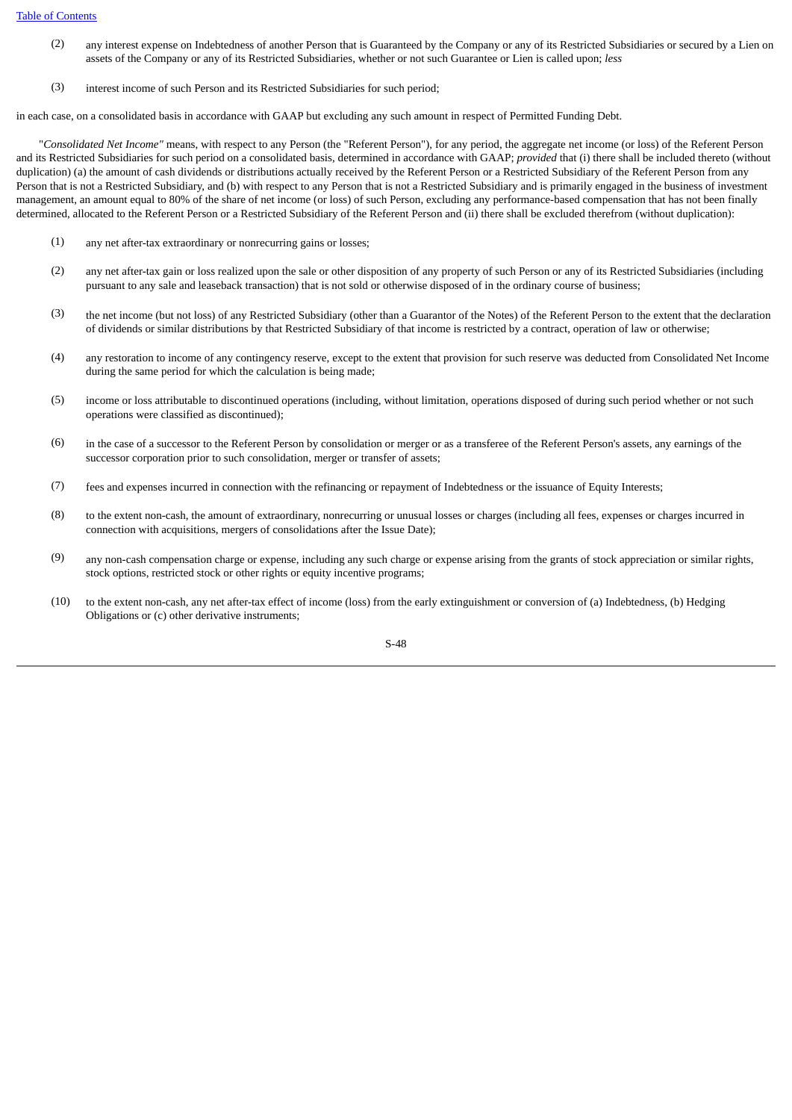- (2) any interest expense on Indebtedness of another Person that is Guaranteed by the Company or any of its Restricted Subsidiaries or secured by a Lien on assets of the Company or any of its Restricted Subsidiaries, whether or not such Guarantee or Lien is called upon; *less*
- (3) interest income of such Person and its Restricted Subsidiaries for such period;

in each case, on a consolidated basis in accordance with GAAP but excluding any such amount in respect of Permitted Funding Debt.

 "*Consolidated Net Income"* means, with respect to any Person (the "Referent Person"), for any period, the aggregate net income (or loss) of the Referent Person and its Restricted Subsidiaries for such period on a consolidated basis, determined in accordance with GAAP; *provided* that (i) there shall be included thereto (without duplication) (a) the amount of cash dividends or distributions actually received by the Referent Person or a Restricted Subsidiary of the Referent Person from any Person that is not a Restricted Subsidiary, and (b) with respect to any Person that is not a Restricted Subsidiary and is primarily engaged in the business of investment management, an amount equal to 80% of the share of net income (or loss) of such Person, excluding any performance-based compensation that has not been finally determined, allocated to the Referent Person or a Restricted Subsidiary of the Referent Person and (ii) there shall be excluded therefrom (without duplication):

- (1) any net after-tax extraordinary or nonrecurring gains or losses;
- (2) any net after-tax gain or loss realized upon the sale or other disposition of any property of such Person or any of its Restricted Subsidiaries (including pursuant to any sale and leaseback transaction) that is not sold or otherwise disposed of in the ordinary course of business;
- (3) the net income (but not loss) of any Restricted Subsidiary (other than a Guarantor of the Notes) of the Referent Person to the extent that the declaration of dividends or similar distributions by that Restricted Subsidiary of that income is restricted by a contract, operation of law or otherwise;
- (4) any restoration to income of any contingency reserve, except to the extent that provision for such reserve was deducted from Consolidated Net Income during the same period for which the calculation is being made;
- (5) income or loss attributable to discontinued operations (including, without limitation, operations disposed of during such period whether or not such operations were classified as discontinued);
- (6) in the case of a successor to the Referent Person by consolidation or merger or as a transferee of the Referent Person's assets, any earnings of the successor corporation prior to such consolidation, merger or transfer of assets;
- (7) fees and expenses incurred in connection with the refinancing or repayment of Indebtedness or the issuance of Equity Interests;
- (8) to the extent non-cash, the amount of extraordinary, nonrecurring or unusual losses or charges (including all fees, expenses or charges incurred in connection with acquisitions, mergers of consolidations after the Issue Date);
- (9) any non-cash compensation charge or expense, including any such charge or expense arising from the grants of stock appreciation or similar rights, stock options, restricted stock or other rights or equity incentive programs;
- (10) to the extent non-cash, any net after-tax effect of income (loss) from the early extinguishment or conversion of (a) Indebtedness, (b) Hedging Obligations or (c) other derivative instruments;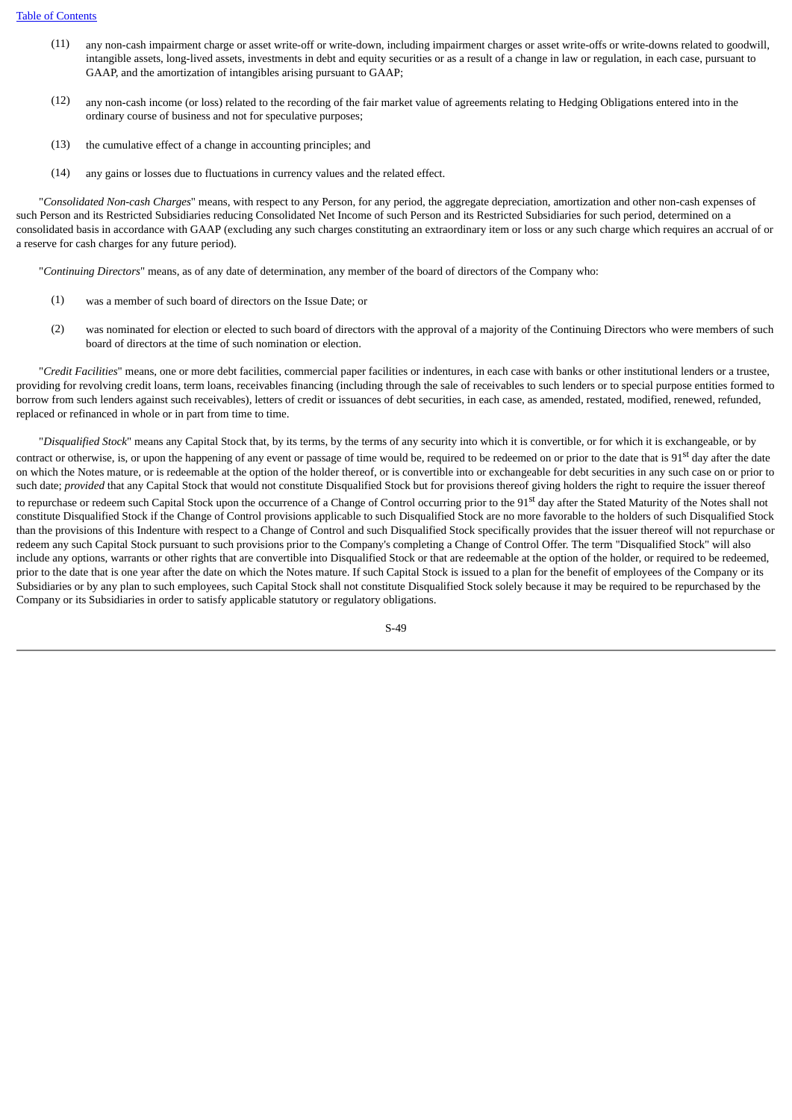- (11) any non-cash impairment charge or asset write-off or write-down, including impairment charges or asset write-offs or write-downs related to goodwill, intangible assets, long-lived assets, investments in debt and equity securities or as a result of a change in law or regulation, in each case, pursuant to GAAP, and the amortization of intangibles arising pursuant to GAAP;
- (12) any non-cash income (or loss) related to the recording of the fair market value of agreements relating to Hedging Obligations entered into in the ordinary course of business and not for speculative purposes;
- (13) the cumulative effect of a change in accounting principles; and
- (14) any gains or losses due to fluctuations in currency values and the related effect.

 "*Consolidated Non-cash Charges*" means, with respect to any Person, for any period, the aggregate depreciation, amortization and other non-cash expenses of such Person and its Restricted Subsidiaries reducing Consolidated Net Income of such Person and its Restricted Subsidiaries for such period, determined on a consolidated basis in accordance with GAAP (excluding any such charges constituting an extraordinary item or loss or any such charge which requires an accrual of or a reserve for cash charges for any future period).

"*Continuing Directors*" means, as of any date of determination, any member of the board of directors of the Company who:

- (1) was a member of such board of directors on the Issue Date; or
- (2) was nominated for election or elected to such board of directors with the approval of a majority of the Continuing Directors who were members of such board of directors at the time of such nomination or election.

 "*Credit Facilities*" means, one or more debt facilities, commercial paper facilities or indentures, in each case with banks or other institutional lenders or a trustee, providing for revolving credit loans, term loans, receivables financing (including through the sale of receivables to such lenders or to special purpose entities formed to borrow from such lenders against such receivables), letters of credit or issuances of debt securities, in each case, as amended, restated, modified, renewed, refunded, replaced or refinanced in whole or in part from time to time.

 "*Disqualified Stock*" means any Capital Stock that, by its terms, by the terms of any security into which it is convertible, or for which it is exchangeable, or by contract or otherwise, is, or upon the happening of any event or passage of time would be, required to be redeemed on or prior to the date that is 91<sup>st</sup> day after the date on which the Notes mature, or is redeemable at the option of the holder thereof, or is convertible into or exchangeable for debt securities in any such case on or prior to such date; *provided* that any Capital Stock that would not constitute Disqualified Stock but for provisions thereof giving holders the right to require the issuer thereof to repurchase or redeem such Capital Stock upon the occurrence of a Change of Control occurring prior to the 91<sup>st</sup> day after the Stated Maturity of the Notes shall not constitute Disqualified Stock if the Change of Control provisions applicable to such Disqualified Stock are no more favorable to the holders of such Disqualified Stock than the provisions of this Indenture with respect to a Change of Control and such Disqualified Stock specifically provides that the issuer thereof will not repurchase or redeem any such Capital Stock pursuant to such provisions prior to the Company's completing a Change of Control Offer. The term "Disqualified Stock" will also include any options, warrants or other rights that are convertible into Disqualified Stock or that are redeemable at the option of the holder, or required to be redeemed, prior to the date that is one year after the date on which the Notes mature. If such Capital Stock is issued to a plan for the benefit of employees of the Company or its Subsidiaries or by any plan to such employees, such Capital Stock shall not constitute Disqualified Stock solely because it may be required to be repurchased by the Company or its Subsidiaries in order to satisfy applicable statutory or regulatory obligations.

S-49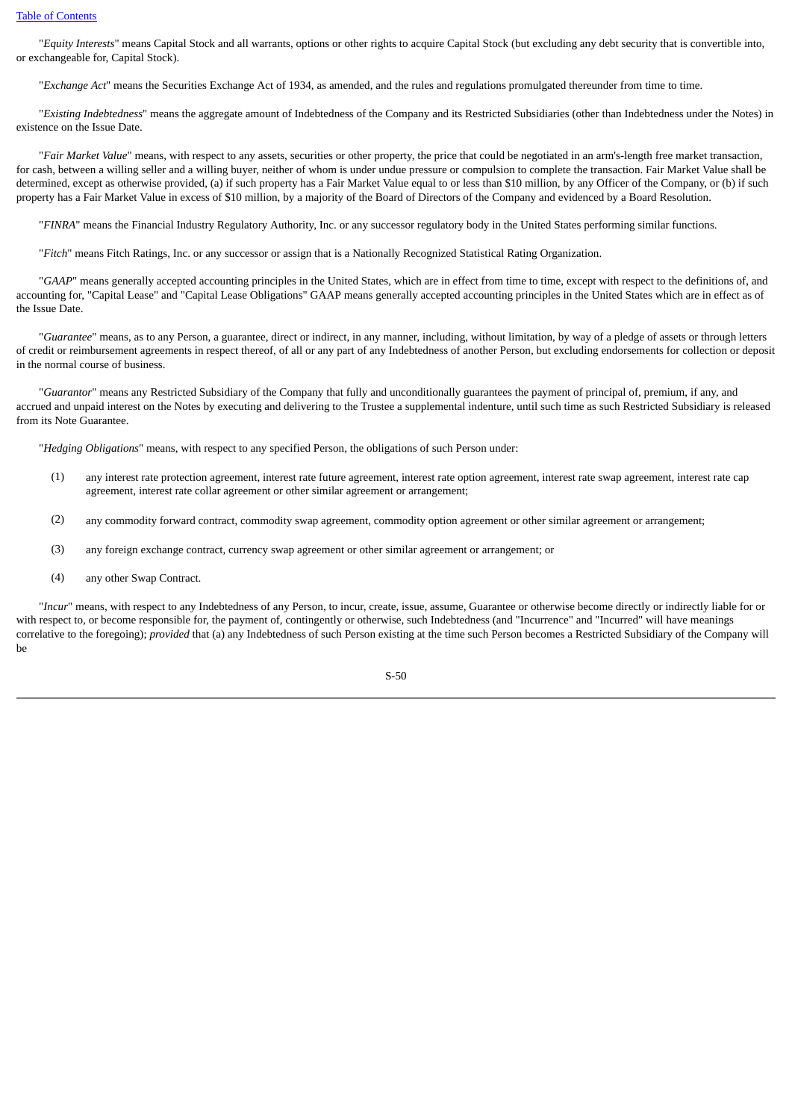"*Equity Interests*" means Capital Stock and all warrants, options or other rights to acquire Capital Stock (but excluding any debt security that is convertible into, or exchangeable for, Capital Stock).

"*Exchange Act*" means the Securities Exchange Act of 1934, as amended, and the rules and regulations promulgated thereunder from time to time.

 "*Existing Indebtedness*" means the aggregate amount of Indebtedness of the Company and its Restricted Subsidiaries (other than Indebtedness under the Notes) in existence on the Issue Date.

 "*Fair Market Value*" means, with respect to any assets, securities or other property, the price that could be negotiated in an arm's-length free market transaction, for cash, between a willing seller and a willing buyer, neither of whom is under undue pressure or compulsion to complete the transaction. Fair Market Value shall be determined, except as otherwise provided, (a) if such property has a Fair Market Value equal to or less than \$10 million, by any Officer of the Company, or (b) if such property has a Fair Market Value in excess of \$10 million, by a majority of the Board of Directors of the Company and evidenced by a Board Resolution.

"*FINRA*" means the Financial Industry Regulatory Authority, Inc. or any successor regulatory body in the United States performing similar functions.

"*Fitch*" means Fitch Ratings, Inc. or any successor or assign that is a Nationally Recognized Statistical Rating Organization.

 "*GAAP*" means generally accepted accounting principles in the United States, which are in effect from time to time, except with respect to the definitions of, and accounting for, "Capital Lease" and "Capital Lease Obligations" GAAP means generally accepted accounting principles in the United States which are in effect as of the Issue Date.

 "*Guarantee*" means, as to any Person, a guarantee, direct or indirect, in any manner, including, without limitation, by way of a pledge of assets or through letters of credit or reimbursement agreements in respect thereof, of all or any part of any Indebtedness of another Person, but excluding endorsements for collection or deposit in the normal course of business.

 "*Guarantor*" means any Restricted Subsidiary of the Company that fully and unconditionally guarantees the payment of principal of, premium, if any, and accrued and unpaid interest on the Notes by executing and delivering to the Trustee a supplemental indenture, until such time as such Restricted Subsidiary is released from its Note Guarantee.

"*Hedging Obligations*" means, with respect to any specified Person, the obligations of such Person under:

- (1) any interest rate protection agreement, interest rate future agreement, interest rate option agreement, interest rate swap agreement, interest rate cap agreement, interest rate collar agreement or other similar agreement or arrangement;
- (2) any commodity forward contract, commodity swap agreement, commodity option agreement or other similar agreement or arrangement;
- (3) any foreign exchange contract, currency swap agreement or other similar agreement or arrangement; or
- (4) any other Swap Contract.

 "*Incur*" means, with respect to any Indebtedness of any Person, to incur, create, issue, assume, Guarantee or otherwise become directly or indirectly liable for or with respect to, or become responsible for, the payment of, contingently or otherwise, such Indebtedness (and "Incurrence" and "Incurred" will have meanings correlative to the foregoing); *provided* that (a) any Indebtedness of such Person existing at the time such Person becomes a Restricted Subsidiary of the Company will be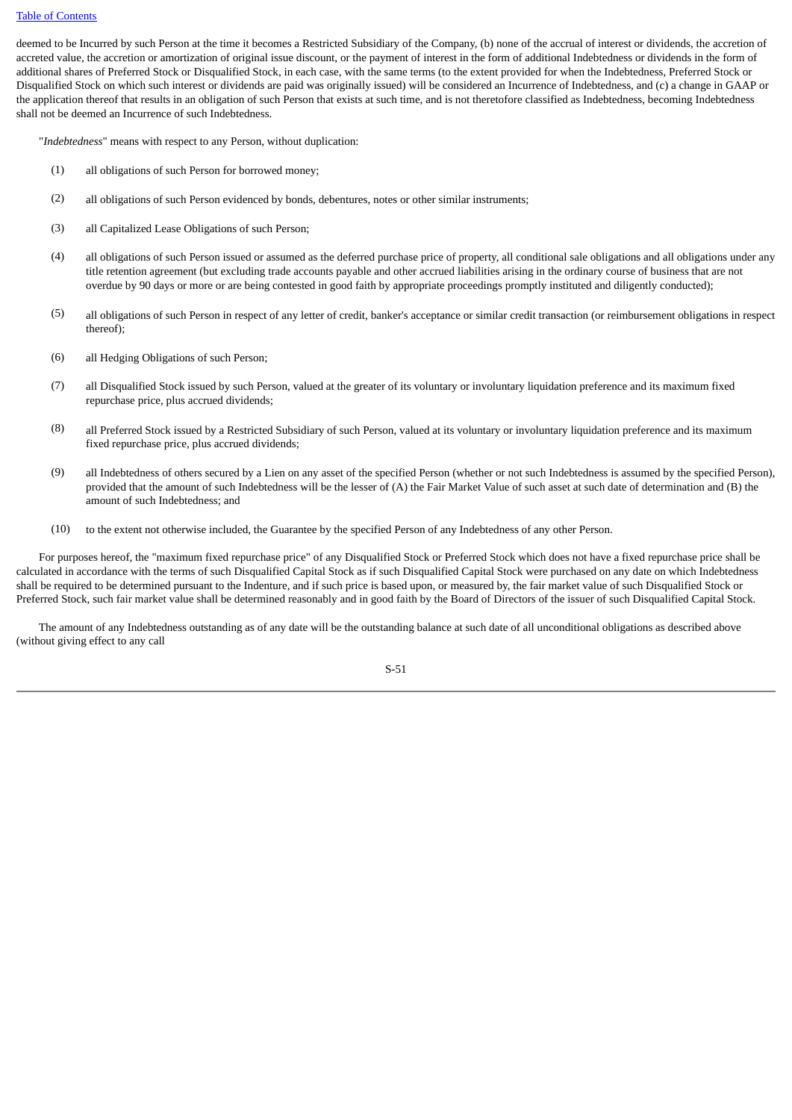deemed to be Incurred by such Person at the time it becomes a Restricted Subsidiary of the Company, (b) none of the accrual of interest or dividends, the accretion of accreted value, the accretion or amortization of original issue discount, or the payment of interest in the form of additional Indebtedness or dividends in the form of additional shares of Preferred Stock or Disqualified Stock, in each case, with the same terms (to the extent provided for when the Indebtedness, Preferred Stock or Disqualified Stock on which such interest or dividends are paid was originally issued) will be considered an Incurrence of Indebtedness, and (c) a change in GAAP or the application thereof that results in an obligation of such Person that exists at such time, and is not theretofore classified as Indebtedness, becoming Indebtedness shall not be deemed an Incurrence of such Indebtedness.

"*Indebtedness*" means with respect to any Person, without duplication:

- (1) all obligations of such Person for borrowed money;
- (2) all obligations of such Person evidenced by bonds, debentures, notes or other similar instruments;
- (3) all Capitalized Lease Obligations of such Person;
- (4) all obligations of such Person issued or assumed as the deferred purchase price of property, all conditional sale obligations and all obligations under any title retention agreement (but excluding trade accounts payable and other accrued liabilities arising in the ordinary course of business that are not overdue by 90 days or more or are being contested in good faith by appropriate proceedings promptly instituted and diligently conducted);
- (5) all obligations of such Person in respect of any letter of credit, banker's acceptance or similar credit transaction (or reimbursement obligations in respect thereof);
- (6) all Hedging Obligations of such Person;
- (7) all Disqualified Stock issued by such Person, valued at the greater of its voluntary or involuntary liquidation preference and its maximum fixed repurchase price, plus accrued dividends;
- (8) all Preferred Stock issued by a Restricted Subsidiary of such Person, valued at its voluntary or involuntary liquidation preference and its maximum fixed repurchase price, plus accrued dividends;
- (9) all Indebtedness of others secured by a Lien on any asset of the specified Person (whether or not such Indebtedness is assumed by the specified Person), provided that the amount of such Indebtedness will be the lesser of (A) the Fair Market Value of such asset at such date of determination and (B) the amount of such Indebtedness; and
- (10) to the extent not otherwise included, the Guarantee by the specified Person of any Indebtedness of any other Person.

 For purposes hereof, the "maximum fixed repurchase price" of any Disqualified Stock or Preferred Stock which does not have a fixed repurchase price shall be calculated in accordance with the terms of such Disqualified Capital Stock as if such Disqualified Capital Stock were purchased on any date on which Indebtedness shall be required to be determined pursuant to the Indenture, and if such price is based upon, or measured by, the fair market value of such Disqualified Stock or Preferred Stock, such fair market value shall be determined reasonably and in good faith by the Board of Directors of the issuer of such Disqualified Capital Stock.

 The amount of any Indebtedness outstanding as of any date will be the outstanding balance at such date of all unconditional obligations as described above (without giving effect to any call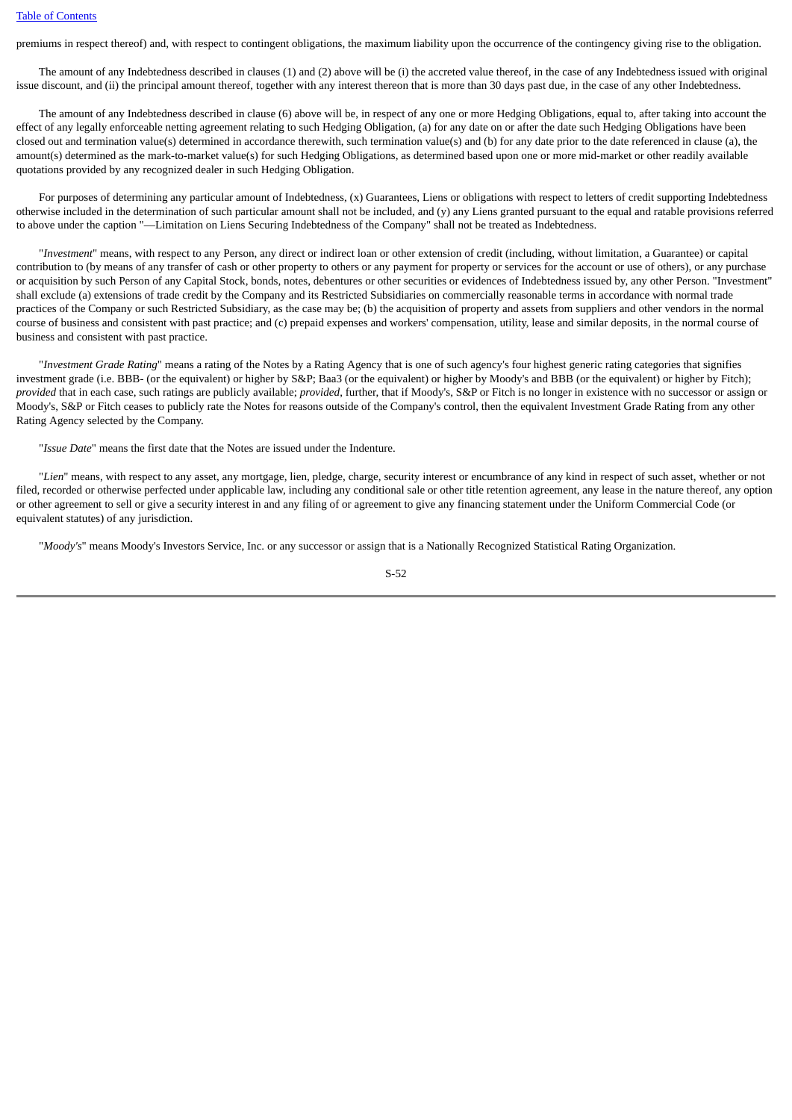premiums in respect thereof) and, with respect to contingent obligations, the maximum liability upon the occurrence of the contingency giving rise to the obligation.

 The amount of any Indebtedness described in clauses (1) and (2) above will be (i) the accreted value thereof, in the case of any Indebtedness issued with original issue discount, and (ii) the principal amount thereof, together with any interest thereon that is more than 30 days past due, in the case of any other Indebtedness.

 The amount of any Indebtedness described in clause (6) above will be, in respect of any one or more Hedging Obligations, equal to, after taking into account the effect of any legally enforceable netting agreement relating to such Hedging Obligation, (a) for any date on or after the date such Hedging Obligations have been closed out and termination value(s) determined in accordance therewith, such termination value(s) and (b) for any date prior to the date referenced in clause (a), the amount(s) determined as the mark-to-market value(s) for such Hedging Obligations, as determined based upon one or more mid-market or other readily available quotations provided by any recognized dealer in such Hedging Obligation.

For purposes of determining any particular amount of Indebtedness, (x) Guarantees, Liens or obligations with respect to letters of credit supporting Indebtedness otherwise included in the determination of such particular amount shall not be included, and (y) any Liens granted pursuant to the equal and ratable provisions referred to above under the caption "—Limitation on Liens Securing Indebtedness of the Company" shall not be treated as Indebtedness.

 "*Investment*" means, with respect to any Person, any direct or indirect loan or other extension of credit (including, without limitation, a Guarantee) or capital contribution to (by means of any transfer of cash or other property to others or any payment for property or services for the account or use of others), or any purchase or acquisition by such Person of any Capital Stock, bonds, notes, debentures or other securities or evidences of Indebtedness issued by, any other Person. "Investment" shall exclude (a) extensions of trade credit by the Company and its Restricted Subsidiaries on commercially reasonable terms in accordance with normal trade practices of the Company or such Restricted Subsidiary, as the case may be; (b) the acquisition of property and assets from suppliers and other vendors in the normal course of business and consistent with past practice; and (c) prepaid expenses and workers' compensation, utility, lease and similar deposits, in the normal course of business and consistent with past practice.

 "*Investment Grade Rating*" means a rating of the Notes by a Rating Agency that is one of such agency's four highest generic rating categories that signifies investment grade (i.e. BBB- (or the equivalent) or higher by S&P; Baa3 (or the equivalent) or higher by Moody's and BBB (or the equivalent) or higher by Fitch); *provided* that in each case, such ratings are publicly available; *provided*, further, that if Moody's, S&P or Fitch is no longer in existence with no successor or assign or Moody's, S&P or Fitch ceases to publicly rate the Notes for reasons outside of the Company's control, then the equivalent Investment Grade Rating from any other Rating Agency selected by the Company.

"*Issue Date*" means the first date that the Notes are issued under the Indenture.

 "*Lien*" means, with respect to any asset, any mortgage, lien, pledge, charge, security interest or encumbrance of any kind in respect of such asset, whether or not filed, recorded or otherwise perfected under applicable law, including any conditional sale or other title retention agreement, any lease in the nature thereof, any option or other agreement to sell or give a security interest in and any filing of or agreement to give any financing statement under the Uniform Commercial Code (or equivalent statutes) of any jurisdiction.

"*Moody's*" means Moody's Investors Service, Inc. or any successor or assign that is a Nationally Recognized Statistical Rating Organization.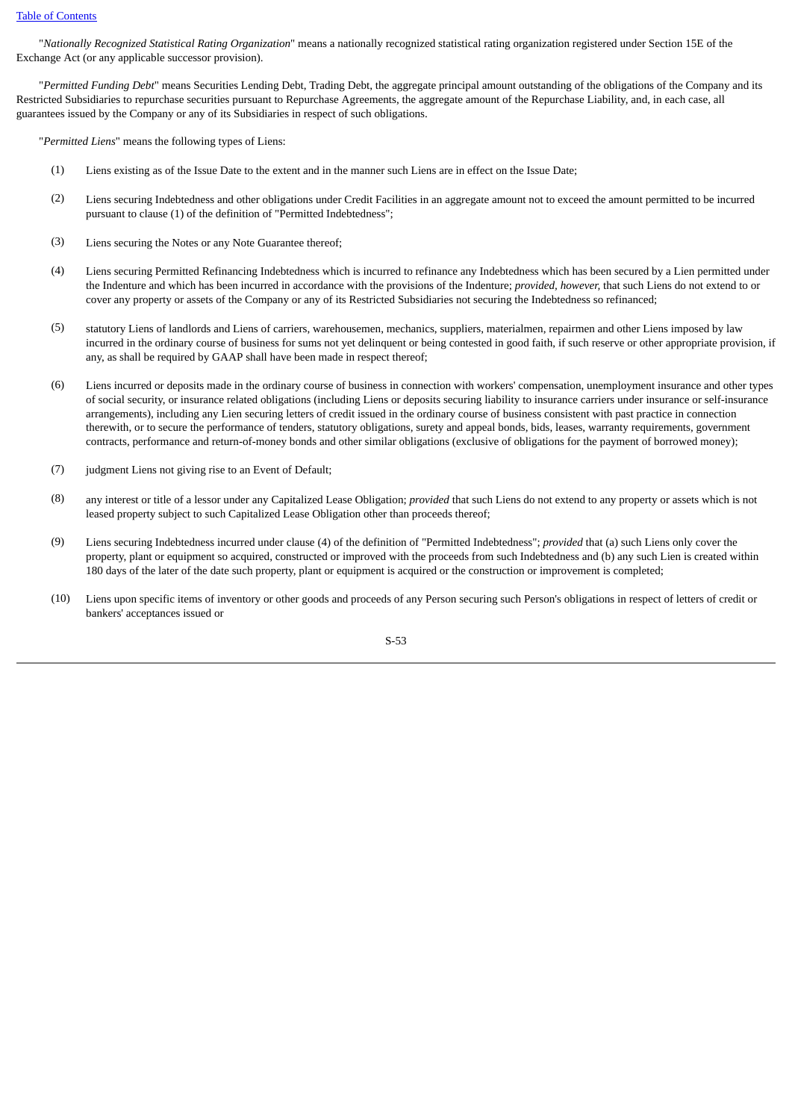"*Nationally Recognized Statistical Rating Organization*" means a nationally recognized statistical rating organization registered under Section 15E of the Exchange Act (or any applicable successor provision).

 "*Permitted Funding Debt*" means Securities Lending Debt, Trading Debt, the aggregate principal amount outstanding of the obligations of the Company and its Restricted Subsidiaries to repurchase securities pursuant to Repurchase Agreements, the aggregate amount of the Repurchase Liability, and, in each case, all guarantees issued by the Company or any of its Subsidiaries in respect of such obligations.

"*Permitted Liens*" means the following types of Liens:

- (1) Liens existing as of the Issue Date to the extent and in the manner such Liens are in effect on the Issue Date;
- (2) Liens securing Indebtedness and other obligations under Credit Facilities in an aggregate amount not to exceed the amount permitted to be incurred pursuant to clause (1) of the definition of "Permitted Indebtedness";
- (3) Liens securing the Notes or any Note Guarantee thereof;
- (4) Liens securing Permitted Refinancing Indebtedness which is incurred to refinance any Indebtedness which has been secured by a Lien permitted under the Indenture and which has been incurred in accordance with the provisions of the Indenture; *provided, however,* that such Liens do not extend to or cover any property or assets of the Company or any of its Restricted Subsidiaries not securing the Indebtedness so refinanced;
- (5) statutory Liens of landlords and Liens of carriers, warehousemen, mechanics, suppliers, materialmen, repairmen and other Liens imposed by law incurred in the ordinary course of business for sums not yet delinquent or being contested in good faith, if such reserve or other appropriate provision, if any, as shall be required by GAAP shall have been made in respect thereof;
- (6) Liens incurred or deposits made in the ordinary course of business in connection with workers' compensation, unemployment insurance and other types of social security, or insurance related obligations (including Liens or deposits securing liability to insurance carriers under insurance or self-insurance arrangements), including any Lien securing letters of credit issued in the ordinary course of business consistent with past practice in connection therewith, or to secure the performance of tenders, statutory obligations, surety and appeal bonds, bids, leases, warranty requirements, government contracts, performance and return-of-money bonds and other similar obligations (exclusive of obligations for the payment of borrowed money);
- (7) judgment Liens not giving rise to an Event of Default;
- (8) any interest or title of a lessor under any Capitalized Lease Obligation; *provided* that such Liens do not extend to any property or assets which is not leased property subject to such Capitalized Lease Obligation other than proceeds thereof;
- (9) Liens securing Indebtedness incurred under clause (4) of the definition of "Permitted Indebtedness"; *provided* that (a) such Liens only cover the property, plant or equipment so acquired, constructed or improved with the proceeds from such Indebtedness and (b) any such Lien is created within 180 days of the later of the date such property, plant or equipment is acquired or the construction or improvement is completed;
- (10) Liens upon specific items of inventory or other goods and proceeds of any Person securing such Person's obligations in respect of letters of credit or bankers' acceptances issued or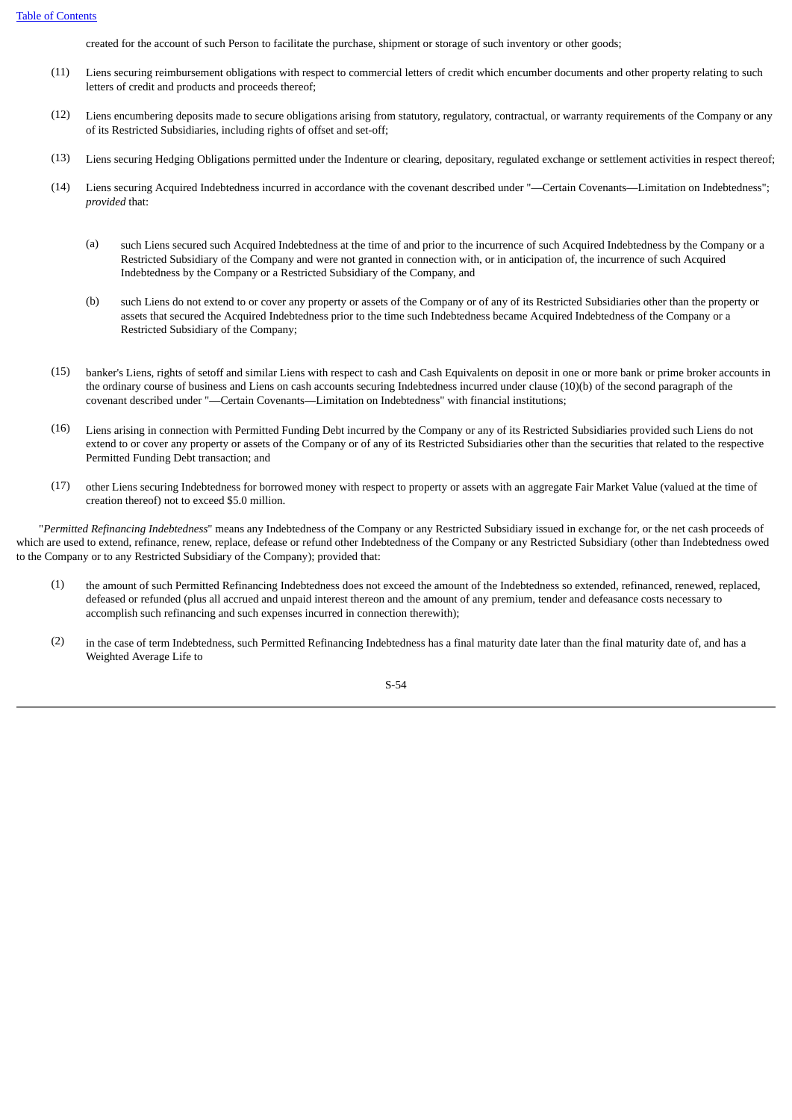created for the account of such Person to facilitate the purchase, shipment or storage of such inventory or other goods;

- (11) Liens securing reimbursement obligations with respect to commercial letters of credit which encumber documents and other property relating to such letters of credit and products and proceeds thereof;
- (12) Liens encumbering deposits made to secure obligations arising from statutory, regulatory, contractual, or warranty requirements of the Company or any of its Restricted Subsidiaries, including rights of offset and set-off;
- (13) Liens securing Hedging Obligations permitted under the Indenture or clearing, depositary, regulated exchange or settlement activities in respect thereof;
- (14) Liens securing Acquired Indebtedness incurred in accordance with the covenant described under "—Certain Covenants—Limitation on Indebtedness"; *provided* that:
	- (a) such Liens secured such Acquired Indebtedness at the time of and prior to the incurrence of such Acquired Indebtedness by the Company or a Restricted Subsidiary of the Company and were not granted in connection with, or in anticipation of, the incurrence of such Acquired Indebtedness by the Company or a Restricted Subsidiary of the Company, and
	- (b) such Liens do not extend to or cover any property or assets of the Company or of any of its Restricted Subsidiaries other than the property or assets that secured the Acquired Indebtedness prior to the time such Indebtedness became Acquired Indebtedness of the Company or a Restricted Subsidiary of the Company;
- (15) banker's Liens, rights of setoff and similar Liens with respect to cash and Cash Equivalents on deposit in one or more bank or prime broker accounts in the ordinary course of business and Liens on cash accounts securing Indebtedness incurred under clause (10)(b) of the second paragraph of the covenant described under "—Certain Covenants—Limitation on Indebtedness" with financial institutions;
- (16) Liens arising in connection with Permitted Funding Debt incurred by the Company or any of its Restricted Subsidiaries provided such Liens do not extend to or cover any property or assets of the Company or of any of its Restricted Subsidiaries other than the securities that related to the respective Permitted Funding Debt transaction; and
- (17) other Liens securing Indebtedness for borrowed money with respect to property or assets with an aggregate Fair Market Value (valued at the time of creation thereof) not to exceed \$5.0 million.

 "*Permitted Refinancing Indebtedness*" means any Indebtedness of the Company or any Restricted Subsidiary issued in exchange for, or the net cash proceeds of which are used to extend, refinance, renew, replace, defease or refund other Indebtedness of the Company or any Restricted Subsidiary (other than Indebtedness owed to the Company or to any Restricted Subsidiary of the Company); provided that:

- (1) the amount of such Permitted Refinancing Indebtedness does not exceed the amount of the Indebtedness so extended, refinanced, renewed, replaced, defeased or refunded (plus all accrued and unpaid interest thereon and the amount of any premium, tender and defeasance costs necessary to accomplish such refinancing and such expenses incurred in connection therewith);
- (2) in the case of term Indebtedness, such Permitted Refinancing Indebtedness has a final maturity date later than the final maturity date of, and has a Weighted Average Life to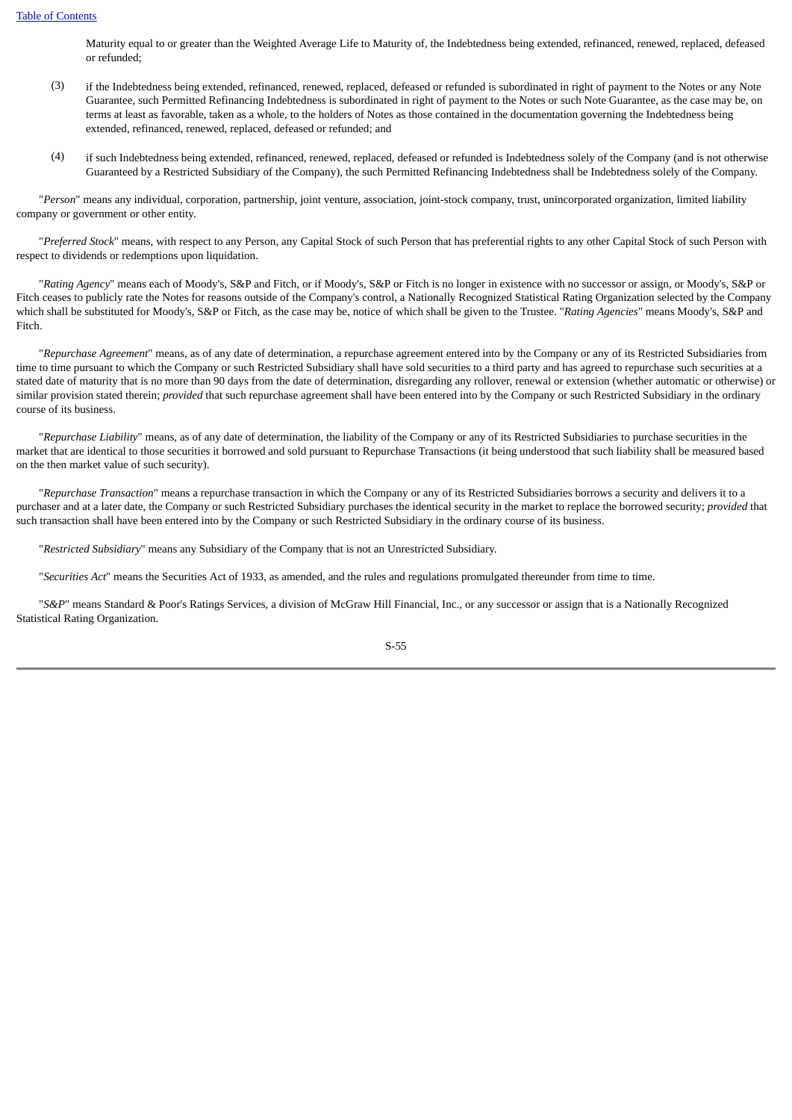Maturity equal to or greater than the Weighted Average Life to Maturity of, the Indebtedness being extended, refinanced, renewed, replaced, defeased or refunded;

- (3) if the Indebtedness being extended, refinanced, renewed, replaced, defeased or refunded is subordinated in right of payment to the Notes or any Note Guarantee, such Permitted Refinancing Indebtedness is subordinated in right of payment to the Notes or such Note Guarantee, as the case may be, on terms at least as favorable, taken as a whole, to the holders of Notes as those contained in the documentation governing the Indebtedness being extended, refinanced, renewed, replaced, defeased or refunded; and
- (4) if such Indebtedness being extended, refinanced, renewed, replaced, defeased or refunded is Indebtedness solely of the Company (and is not otherwise Guaranteed by a Restricted Subsidiary of the Company), the such Permitted Refinancing Indebtedness shall be Indebtedness solely of the Company.

 "*Person*" means any individual, corporation, partnership, joint venture, association, joint-stock company, trust, unincorporated organization, limited liability company or government or other entity.

 "*Preferred Stock*" means, with respect to any Person, any Capital Stock of such Person that has preferential rights to any other Capital Stock of such Person with respect to dividends or redemptions upon liquidation.

 "*Rating Agency*" means each of Moody's, S&P and Fitch, or if Moody's, S&P or Fitch is no longer in existence with no successor or assign, or Moody's, S&P or Fitch ceases to publicly rate the Notes for reasons outside of the Company's control, a Nationally Recognized Statistical Rating Organization selected by the Company which shall be substituted for Moody's, S&P or Fitch, as the case may be, notice of which shall be given to the Trustee. "*Rating Agencies*" means Moody's, S&P and Fitch.

 "*Repurchase Agreement*" means, as of any date of determination, a repurchase agreement entered into by the Company or any of its Restricted Subsidiaries from time to time pursuant to which the Company or such Restricted Subsidiary shall have sold securities to a third party and has agreed to repurchase such securities at a stated date of maturity that is no more than 90 days from the date of determination, disregarding any rollover, renewal or extension (whether automatic or otherwise) or similar provision stated therein; *provided* that such repurchase agreement shall have been entered into by the Company or such Restricted Subsidiary in the ordinary course of its business.

"*Repurchase Liability*" means, as of any date of determination, the liability of the Company or any of its Restricted Subsidiaries to purchase securities in the market that are identical to those securities it borrowed and sold pursuant to Repurchase Transactions (it being understood that such liability shall be measured based on the then market value of such security).

 "*Repurchase Transaction*" means a repurchase transaction in which the Company or any of its Restricted Subsidiaries borrows a security and delivers it to a purchaser and at a later date, the Company or such Restricted Subsidiary purchases the identical security in the market to replace the borrowed security; *provided* that such transaction shall have been entered into by the Company or such Restricted Subsidiary in the ordinary course of its business.

"*Restricted Subsidiary*" means any Subsidiary of the Company that is not an Unrestricted Subsidiary.

"*Securities Act*" means the Securities Act of 1933, as amended, and the rules and regulations promulgated thereunder from time to time.

 "*S&P*" means Standard & Poor's Ratings Services, a division of McGraw Hill Financial, Inc., or any successor or assign that is a Nationally Recognized Statistical Rating Organization.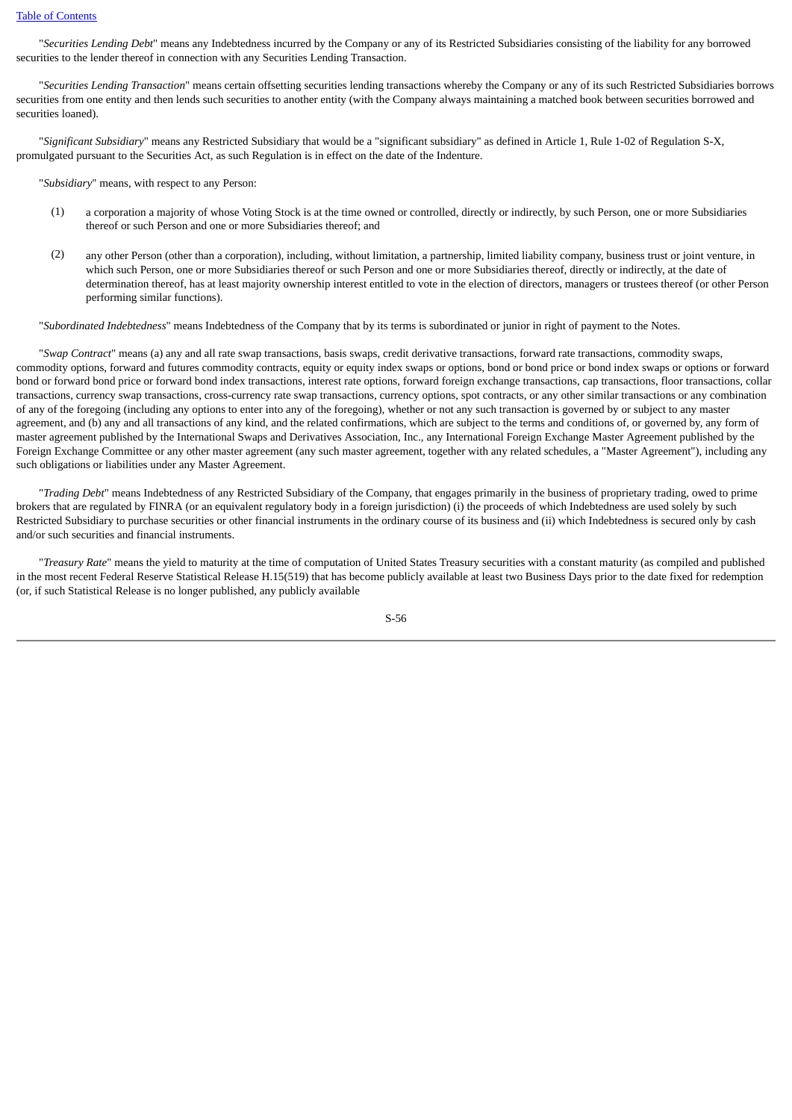"*Securities Lending Debt*" means any Indebtedness incurred by the Company or any of its Restricted Subsidiaries consisting of the liability for any borrowed securities to the lender thereof in connection with any Securities Lending Transaction.

 "*Securities Lending Transaction*" means certain offsetting securities lending transactions whereby the Company or any of its such Restricted Subsidiaries borrows securities from one entity and then lends such securities to another entity (with the Company always maintaining a matched book between securities borrowed and securities loaned).

 "*Significant Subsidiary*" means any Restricted Subsidiary that would be a "significant subsidiary" as defined in Article 1, Rule 1-02 of Regulation S-X, promulgated pursuant to the Securities Act, as such Regulation is in effect on the date of the Indenture.

"*Subsidiary*" means, with respect to any Person:

- (1) a corporation a majority of whose Voting Stock is at the time owned or controlled, directly or indirectly, by such Person, one or more Subsidiaries thereof or such Person and one or more Subsidiaries thereof; and
- (2) any other Person (other than a corporation), including, without limitation, a partnership, limited liability company, business trust or joint venture, in which such Person, one or more Subsidiaries thereof or such Person and one or more Subsidiaries thereof, directly or indirectly, at the date of determination thereof, has at least majority ownership interest entitled to vote in the election of directors, managers or trustees thereof (or other Person performing similar functions).

"*Subordinated Indebtedness*" means Indebtedness of the Company that by its terms is subordinated or junior in right of payment to the Notes.

 "*Swap Contract*" means (a) any and all rate swap transactions, basis swaps, credit derivative transactions, forward rate transactions, commodity swaps, commodity options, forward and futures commodity contracts, equity or equity index swaps or options, bond or bond price or bond index swaps or options or forward bond or forward bond price or forward bond index transactions, interest rate options, forward foreign exchange transactions, cap transactions, floor transactions, collar transactions, currency swap transactions, cross-currency rate swap transactions, currency options, spot contracts, or any other similar transactions or any combination of any of the foregoing (including any options to enter into any of the foregoing), whether or not any such transaction is governed by or subject to any master agreement, and (b) any and all transactions of any kind, and the related confirmations, which are subject to the terms and conditions of, or governed by, any form of master agreement published by the International Swaps and Derivatives Association, Inc., any International Foreign Exchange Master Agreement published by the Foreign Exchange Committee or any other master agreement (any such master agreement, together with any related schedules, a "Master Agreement"), including any such obligations or liabilities under any Master Agreement.

 "*Trading Debt*" means Indebtedness of any Restricted Subsidiary of the Company, that engages primarily in the business of proprietary trading, owed to prime brokers that are regulated by FINRA (or an equivalent regulatory body in a foreign jurisdiction) (i) the proceeds of which Indebtedness are used solely by such Restricted Subsidiary to purchase securities or other financial instruments in the ordinary course of its business and (ii) which Indebtedness is secured only by cash and/or such securities and financial instruments.

 "*Treasury Rate*" means the yield to maturity at the time of computation of United States Treasury securities with a constant maturity (as compiled and published in the most recent Federal Reserve Statistical Release H.15(519) that has become publicly available at least two Business Days prior to the date fixed for redemption (or, if such Statistical Release is no longer published, any publicly available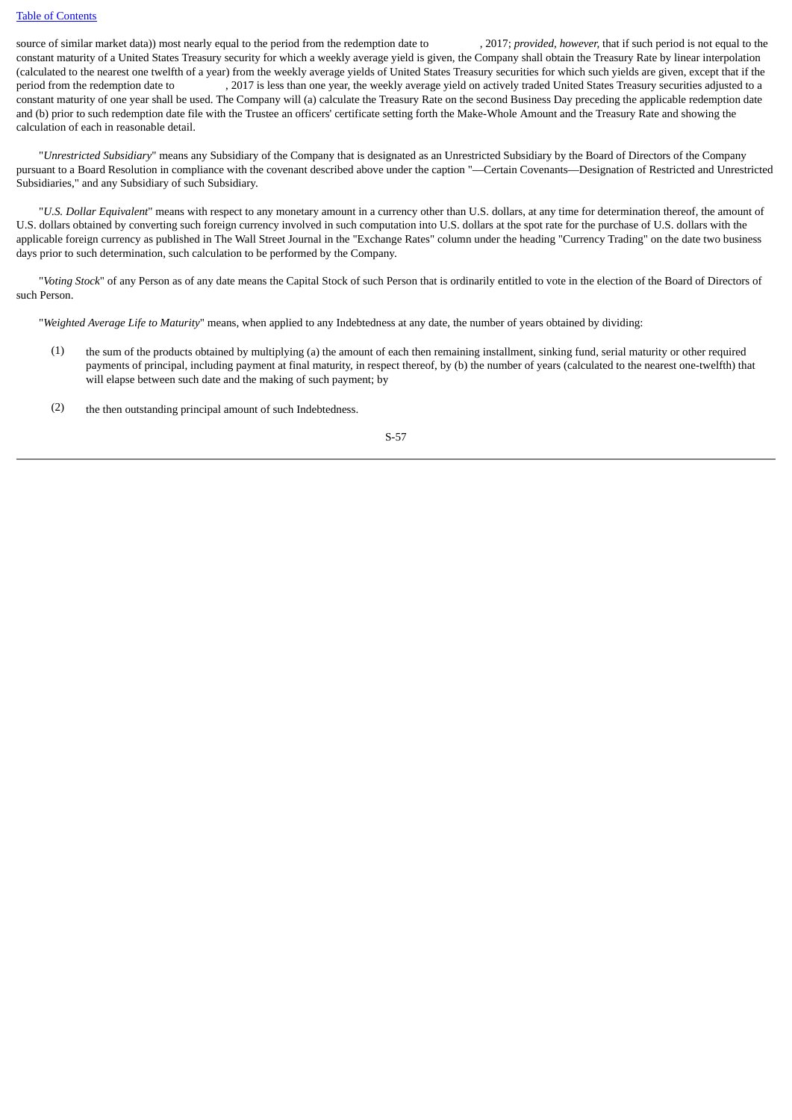source of similar market data)) most nearly equal to the period from the redemption date to , 2017; *provided, however,* that if such period is not equal to the constant maturity of a United States Treasury security for which a weekly average yield is given, the Company shall obtain the Treasury Rate by linear interpolation (calculated to the nearest one twelfth of a year) from the weekly average yields of United States Treasury securities for which such yields are given, except that if the period from the redemption date to , 2017 is less than one year, the weekly average yield on actively traded United States Treasury securities adjusted to a constant maturity of one year shall be used. The Company will (a) calculate the Treasury Rate on the second Business Day preceding the applicable redemption date and (b) prior to such redemption date file with the Trustee an officers' certificate setting forth the Make-Whole Amount and the Treasury Rate and showing the calculation of each in reasonable detail.

 "*Unrestricted Subsidiary*" means any Subsidiary of the Company that is designated as an Unrestricted Subsidiary by the Board of Directors of the Company pursuant to a Board Resolution in compliance with the covenant described above under the caption "—Certain Covenants—Designation of Restricted and Unrestricted Subsidiaries," and any Subsidiary of such Subsidiary.

 "*U.S. Dollar Equivalent*" means with respect to any monetary amount in a currency other than U.S. dollars, at any time for determination thereof, the amount of U.S. dollars obtained by converting such foreign currency involved in such computation into U.S. dollars at the spot rate for the purchase of U.S. dollars with the applicable foreign currency as published in The Wall Street Journal in the "Exchange Rates" column under the heading "Currency Trading" on the date two business days prior to such determination, such calculation to be performed by the Company.

 "*Voting Stock*" of any Person as of any date means the Capital Stock of such Person that is ordinarily entitled to vote in the election of the Board of Directors of such Person.

"*Weighted Average Life to Maturity*" means, when applied to any Indebtedness at any date, the number of years obtained by dividing:

- (1) the sum of the products obtained by multiplying (a) the amount of each then remaining installment, sinking fund, serial maturity or other required payments of principal, including payment at final maturity, in respect thereof, by (b) the number of years (calculated to the nearest one-twelfth) that will elapse between such date and the making of such payment; by
- (2) the then outstanding principal amount of such Indebtedness.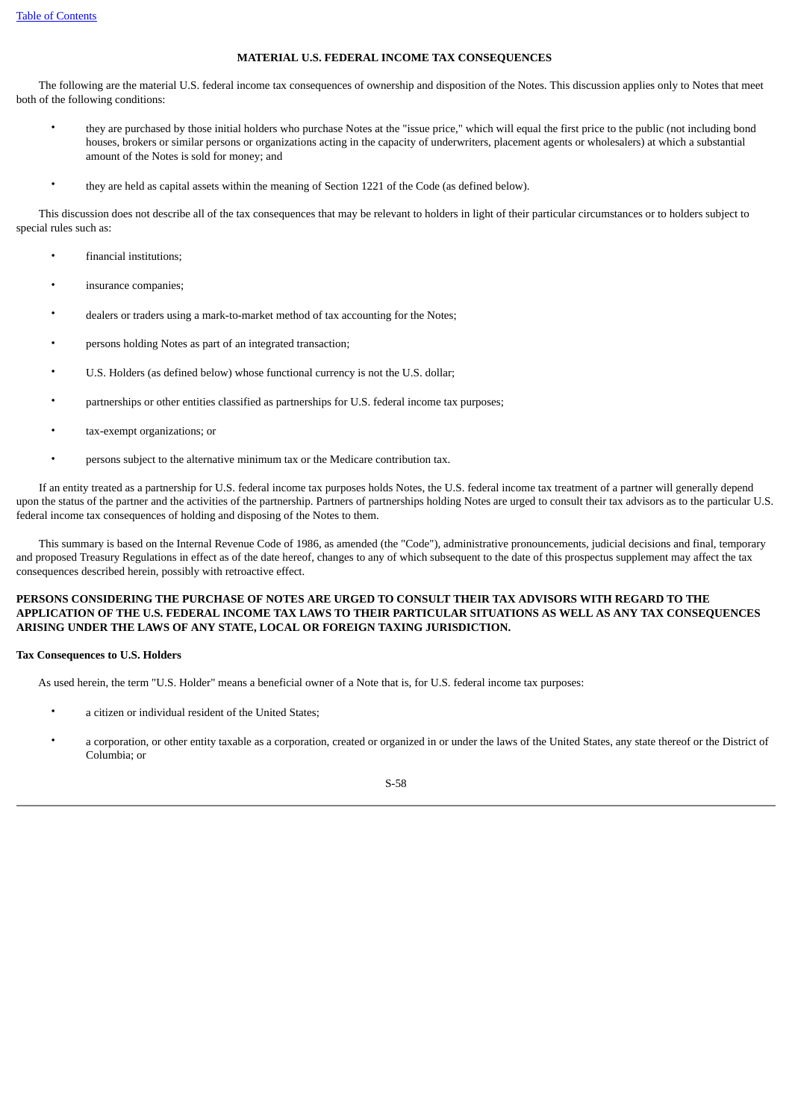### **MATERIAL U.S. FEDERAL INCOME TAX CONSEQUENCES**

 The following are the material U.S. federal income tax consequences of ownership and disposition of the Notes. This discussion applies only to Notes that meet both of the following conditions:

- they are purchased by those initial holders who purchase Notes at the "issue price," which will equal the first price to the public (not including bond houses, brokers or similar persons or organizations acting in the capacity of underwriters, placement agents or wholesalers) at which a substantial amount of the Notes is sold for money; and
- they are held as capital assets within the meaning of Section 1221 of the Code (as defined below).

 This discussion does not describe all of the tax consequences that may be relevant to holders in light of their particular circumstances or to holders subject to special rules such as:

- financial institutions;
- insurance companies;
- dealers or traders using a mark-to-market method of tax accounting for the Notes;
- persons holding Notes as part of an integrated transaction;
- U.S. Holders (as defined below) whose functional currency is not the U.S. dollar;
- partnerships or other entities classified as partnerships for U.S. federal income tax purposes;
- tax-exempt organizations; or
- persons subject to the alternative minimum tax or the Medicare contribution tax.

 If an entity treated as a partnership for U.S. federal income tax purposes holds Notes, the U.S. federal income tax treatment of a partner will generally depend upon the status of the partner and the activities of the partnership. Partners of partnerships holding Notes are urged to consult their tax advisors as to the particular U.S. federal income tax consequences of holding and disposing of the Notes to them.

 This summary is based on the Internal Revenue Code of 1986, as amended (the "Code"), administrative pronouncements, judicial decisions and final, temporary and proposed Treasury Regulations in effect as of the date hereof, changes to any of which subsequent to the date of this prospectus supplement may affect the tax consequences described herein, possibly with retroactive effect.

### **PERSONS CONSIDERING THE PURCHASE OF NOTES ARE URGED TO CONSULT THEIR TAX ADVISORS WITH REGARD TO THE APPLICATION OF THE U.S. FEDERAL INCOME TAX LAWS TO THEIR PARTICULAR SITUATIONS AS WELL AS ANY TAX CONSEQUENCES ARISING UNDER THE LAWS OF ANY STATE, LOCAL OR FOREIGN TAXING JURISDICTION.**

### **Tax Consequences to U.S. Holders**

As used herein, the term "U.S. Holder" means a beneficial owner of a Note that is, for U.S. federal income tax purposes:

- a citizen or individual resident of the United States:
- a corporation, or other entity taxable as a corporation, created or organized in or under the laws of the United States, any state thereof or the District of Columbia; or

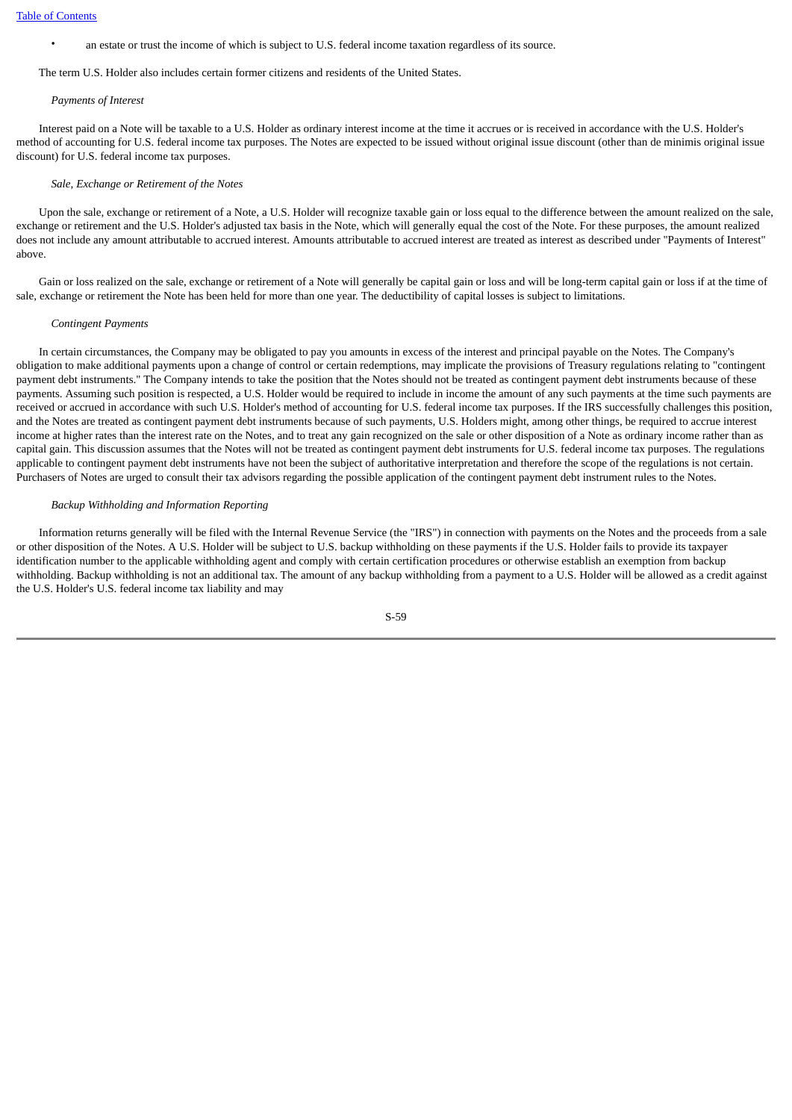• an estate or trust the income of which is subject to U.S. federal income taxation regardless of its source.

The term U.S. Holder also includes certain former citizens and residents of the United States.

#### *Payments of Interest*

 Interest paid on a Note will be taxable to a U.S. Holder as ordinary interest income at the time it accrues or is received in accordance with the U.S. Holder's method of accounting for U.S. federal income tax purposes. The Notes are expected to be issued without original issue discount (other than de minimis original issue discount) for U.S. federal income tax purposes.

#### *Sale, Exchange or Retirement of the Notes*

 Upon the sale, exchange or retirement of a Note, a U.S. Holder will recognize taxable gain or loss equal to the difference between the amount realized on the sale, exchange or retirement and the U.S. Holder's adjusted tax basis in the Note, which will generally equal the cost of the Note. For these purposes, the amount realized does not include any amount attributable to accrued interest. Amounts attributable to accrued interest are treated as interest as described under "Payments of Interest" above.

 Gain or loss realized on the sale, exchange or retirement of a Note will generally be capital gain or loss and will be long-term capital gain or loss if at the time of sale, exchange or retirement the Note has been held for more than one year. The deductibility of capital losses is subject to limitations.

#### *Contingent Payments*

 In certain circumstances, the Company may be obligated to pay you amounts in excess of the interest and principal payable on the Notes. The Company's obligation to make additional payments upon a change of control or certain redemptions, may implicate the provisions of Treasury regulations relating to "contingent payment debt instruments." The Company intends to take the position that the Notes should not be treated as contingent payment debt instruments because of these payments. Assuming such position is respected, a U.S. Holder would be required to include in income the amount of any such payments at the time such payments are received or accrued in accordance with such U.S. Holder's method of accounting for U.S. federal income tax purposes. If the IRS successfully challenges this position, and the Notes are treated as contingent payment debt instruments because of such payments, U.S. Holders might, among other things, be required to accrue interest income at higher rates than the interest rate on the Notes, and to treat any gain recognized on the sale or other disposition of a Note as ordinary income rather than as capital gain. This discussion assumes that the Notes will not be treated as contingent payment debt instruments for U.S. federal income tax purposes. The regulations applicable to contingent payment debt instruments have not been the subject of authoritative interpretation and therefore the scope of the regulations is not certain. Purchasers of Notes are urged to consult their tax advisors regarding the possible application of the contingent payment debt instrument rules to the Notes.

### *Backup Withholding and Information Reporting*

 Information returns generally will be filed with the Internal Revenue Service (the "IRS") in connection with payments on the Notes and the proceeds from a sale or other disposition of the Notes. A U.S. Holder will be subject to U.S. backup withholding on these payments if the U.S. Holder fails to provide its taxpayer identification number to the applicable withholding agent and comply with certain certification procedures or otherwise establish an exemption from backup withholding. Backup withholding is not an additional tax. The amount of any backup withholding from a payment to a U.S. Holder will be allowed as a credit against the U.S. Holder's U.S. federal income tax liability and may

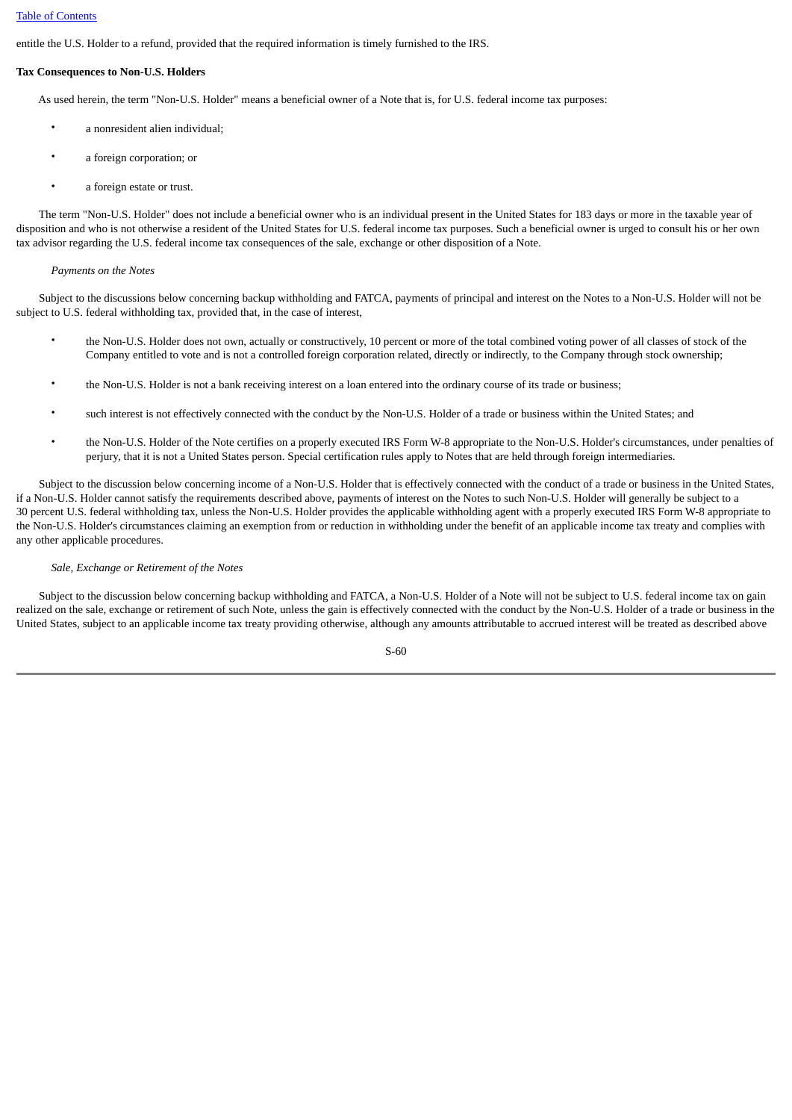entitle the U.S. Holder to a refund, provided that the required information is timely furnished to the IRS.

### **Tax Consequences to Non-U.S. Holders**

As used herein, the term "Non-U.S. Holder" means a beneficial owner of a Note that is, for U.S. federal income tax purposes:

- a nonresident alien individual;
- a foreign corporation; or
- a foreign estate or trust.

 The term "Non-U.S. Holder" does not include a beneficial owner who is an individual present in the United States for 183 days or more in the taxable year of disposition and who is not otherwise a resident of the United States for U.S. federal income tax purposes. Such a beneficial owner is urged to consult his or her own tax advisor regarding the U.S. federal income tax consequences of the sale, exchange or other disposition of a Note.

### *Payments on the Notes*

 Subject to the discussions below concerning backup withholding and FATCA, payments of principal and interest on the Notes to a Non-U.S. Holder will not be subject to U.S. federal withholding tax, provided that, in the case of interest,

- the Non-U.S. Holder does not own, actually or constructively, 10 percent or more of the total combined voting power of all classes of stock of the Company entitled to vote and is not a controlled foreign corporation related, directly or indirectly, to the Company through stock ownership;
- the Non-U.S. Holder is not a bank receiving interest on a loan entered into the ordinary course of its trade or business;
- such interest is not effectively connected with the conduct by the Non-U.S. Holder of a trade or business within the United States; and
- the Non-U.S. Holder of the Note certifies on a properly executed IRS Form W-8 appropriate to the Non-U.S. Holder's circumstances, under penalties of perjury, that it is not a United States person. Special certification rules apply to Notes that are held through foreign intermediaries.

 Subject to the discussion below concerning income of a Non-U.S. Holder that is effectively connected with the conduct of a trade or business in the United States, if a Non-U.S. Holder cannot satisfy the requirements described above, payments of interest on the Notes to such Non-U.S. Holder will generally be subject to a 30 percent U.S. federal withholding tax, unless the Non-U.S. Holder provides the applicable withholding agent with a properly executed IRS Form W-8 appropriate to the Non-U.S. Holder's circumstances claiming an exemption from or reduction in withholding under the benefit of an applicable income tax treaty and complies with any other applicable procedures.

### *Sale, Exchange or Retirement of the Notes*

Subject to the discussion below concerning backup withholding and FATCA, a Non-U.S. Holder of a Note will not be subject to U.S. federal income tax on gain realized on the sale, exchange or retirement of such Note, unless the gain is effectively connected with the conduct by the Non-U.S. Holder of a trade or business in the United States, subject to an applicable income tax treaty providing otherwise, although any amounts attributable to accrued interest will be treated as described above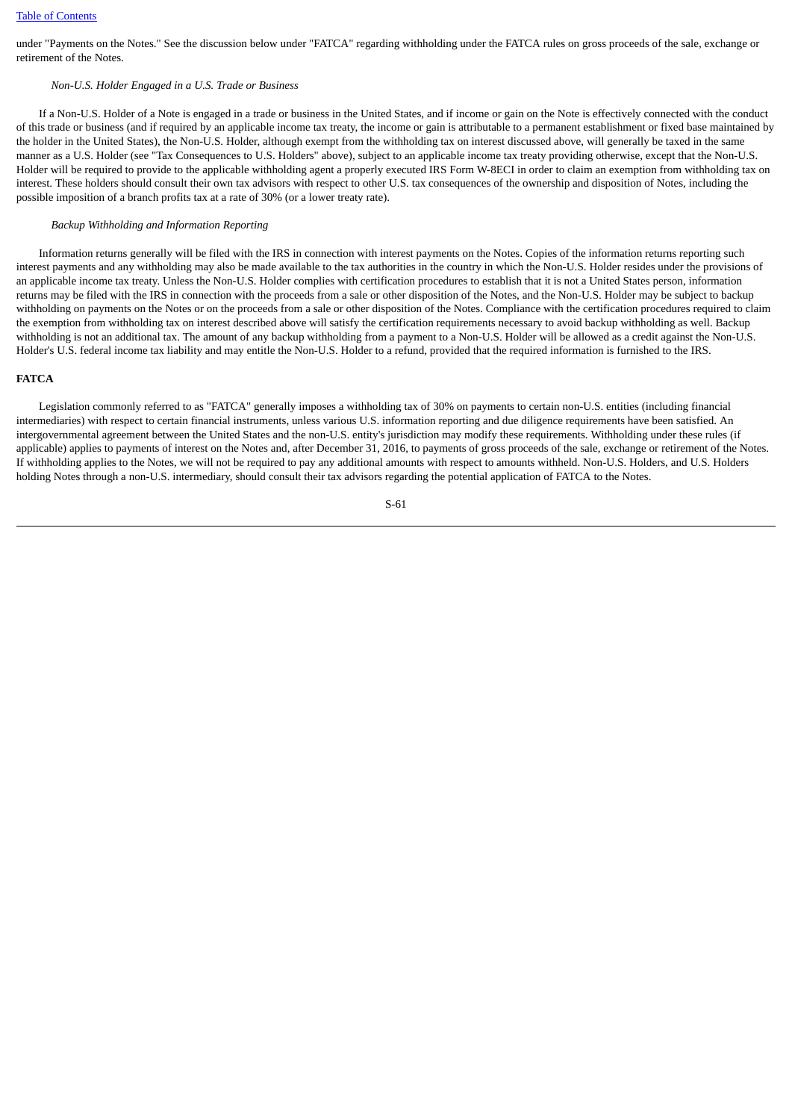under "Payments on the Notes." See the discussion below under "FATCA" regarding withholding under the FATCA rules on gross proceeds of the sale, exchange or retirement of the Notes.

### *Non-U.S. Holder Engaged in a U.S. Trade or Business*

 If a Non-U.S. Holder of a Note is engaged in a trade or business in the United States, and if income or gain on the Note is effectively connected with the conduct of this trade or business (and if required by an applicable income tax treaty, the income or gain is attributable to a permanent establishment or fixed base maintained by the holder in the United States), the Non-U.S. Holder, although exempt from the withholding tax on interest discussed above, will generally be taxed in the same manner as a U.S. Holder (see "Tax Consequences to U.S. Holders" above), subject to an applicable income tax treaty providing otherwise, except that the Non-U.S. Holder will be required to provide to the applicable withholding agent a properly executed IRS Form W-8ECI in order to claim an exemption from withholding tax on interest. These holders should consult their own tax advisors with respect to other U.S. tax consequences of the ownership and disposition of Notes, including the possible imposition of a branch profits tax at a rate of 30% (or a lower treaty rate).

#### *Backup Withholding and Information Reporting*

 Information returns generally will be filed with the IRS in connection with interest payments on the Notes. Copies of the information returns reporting such interest payments and any withholding may also be made available to the tax authorities in the country in which the Non-U.S. Holder resides under the provisions of an applicable income tax treaty. Unless the Non-U.S. Holder complies with certification procedures to establish that it is not a United States person, information returns may be filed with the IRS in connection with the proceeds from a sale or other disposition of the Notes, and the Non-U.S. Holder may be subject to backup withholding on payments on the Notes or on the proceeds from a sale or other disposition of the Notes. Compliance with the certification procedures required to claim the exemption from withholding tax on interest described above will satisfy the certification requirements necessary to avoid backup withholding as well. Backup withholding is not an additional tax. The amount of any backup withholding from a payment to a Non-U.S. Holder will be allowed as a credit against the Non-U.S. Holder's U.S. federal income tax liability and may entitle the Non-U.S. Holder to a refund, provided that the required information is furnished to the IRS.

#### **FATCA**

 Legislation commonly referred to as "FATCA" generally imposes a withholding tax of 30% on payments to certain non-U.S. entities (including financial intermediaries) with respect to certain financial instruments, unless various U.S. information reporting and due diligence requirements have been satisfied. An intergovernmental agreement between the United States and the non-U.S. entity's jurisdiction may modify these requirements. Withholding under these rules (if applicable) applies to payments of interest on the Notes and, after December 31, 2016, to payments of gross proceeds of the sale, exchange or retirement of the Notes. If withholding applies to the Notes, we will not be required to pay any additional amounts with respect to amounts withheld. Non-U.S. Holders, and U.S. Holders holding Notes through a non-U.S. intermediary, should consult their tax advisors regarding the potential application of FATCA to the Notes.

$$
S-61
$$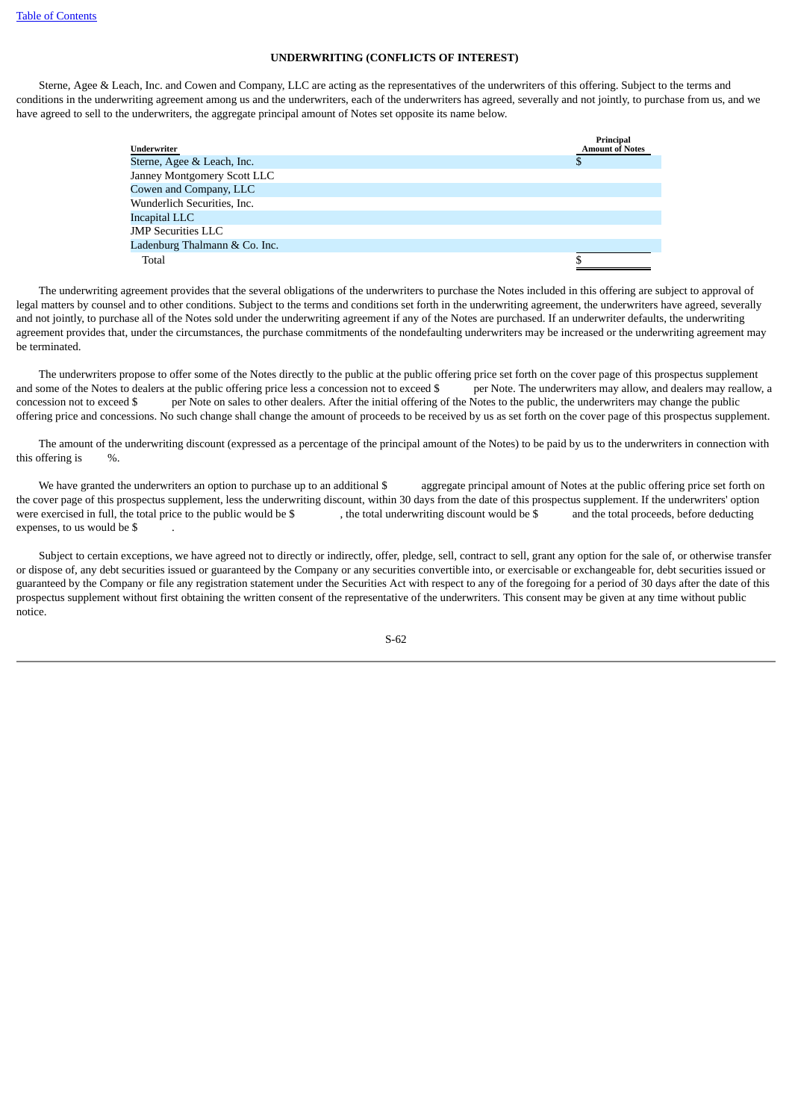### **UNDERWRITING (CONFLICTS OF INTEREST)**

 Sterne, Agee & Leach, Inc. and Cowen and Company, LLC are acting as the representatives of the underwriters of this offering. Subject to the terms and conditions in the underwriting agreement among us and the underwriters, each of the underwriters has agreed, severally and not jointly, to purchase from us, and we have agreed to sell to the underwriters, the aggregate principal amount of Notes set opposite its name below.

| Underwriter                   | Principal<br><b>Amount of Notes</b> |
|-------------------------------|-------------------------------------|
| Sterne, Agee & Leach, Inc.    |                                     |
| Janney Montgomery Scott LLC   |                                     |
| Cowen and Company, LLC        |                                     |
| Wunderlich Securities, Inc.   |                                     |
| Incapital LLC                 |                                     |
| <b>JMP</b> Securities LLC     |                                     |
| Ladenburg Thalmann & Co. Inc. |                                     |
| Total                         |                                     |

 The underwriting agreement provides that the several obligations of the underwriters to purchase the Notes included in this offering are subject to approval of legal matters by counsel and to other conditions. Subject to the terms and conditions set forth in the underwriting agreement, the underwriters have agreed, severally and not jointly, to purchase all of the Notes sold under the underwriting agreement if any of the Notes are purchased. If an underwriter defaults, the underwriting agreement provides that, under the circumstances, the purchase commitments of the nondefaulting underwriters may be increased or the underwriting agreement may be terminated.

 The underwriters propose to offer some of the Notes directly to the public at the public offering price set forth on the cover page of this prospectus supplement and some of the Notes to dealers at the public offering price less a concession not to exceed \$ per Note. The underwriters may allow, and dealers may reallow, a concession not to exceed \$ per Note on sales to other dealers. After the initial offering of the Notes to the public, the underwriters may change the public offering price and concessions. No such change shall change the amount of proceeds to be received by us as set forth on the cover page of this prospectus supplement.

 The amount of the underwriting discount (expressed as a percentage of the principal amount of the Notes) to be paid by us to the underwriters in connection with this offering is %.

We have granted the underwriters an option to purchase up to an additional \$ aggregate principal amount of Notes at the public offering price set forth on the cover page of this prospectus supplement, less the underwriting discount, within 30 days from the date of this prospectus supplement. If the underwriters' option were exercised in full, the total price to the public would be \$ , the total underwriting discount would be \$ and the total proceeds, before deducting expenses, to us would be \$

 Subject to certain exceptions, we have agreed not to directly or indirectly, offer, pledge, sell, contract to sell, grant any option for the sale of, or otherwise transfer or dispose of, any debt securities issued or guaranteed by the Company or any securities convertible into, or exercisable or exchangeable for, debt securities issued or guaranteed by the Company or file any registration statement under the Securities Act with respect to any of the foregoing for a period of 30 days after the date of this prospectus supplement without first obtaining the written consent of the representative of the underwriters. This consent may be given at any time without public notice.

| I  | ٠<br>I |
|----|--------|
| ۰, | $\sim$ |
| ×  |        |
|    |        |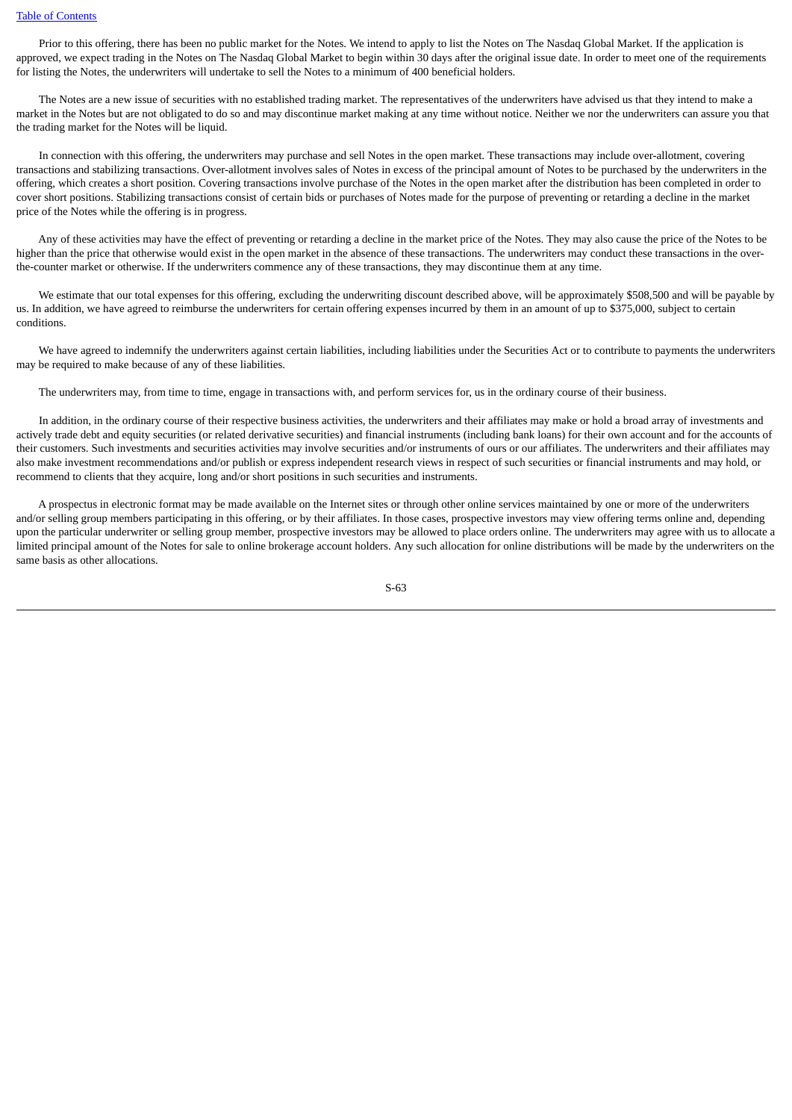Prior to this offering, there has been no public market for the Notes. We intend to apply to list the Notes on The Nasdaq Global Market. If the application is approved, we expect trading in the Notes on The Nasdaq Global Market to begin within 30 days after the original issue date. In order to meet one of the requirements for listing the Notes, the underwriters will undertake to sell the Notes to a minimum of 400 beneficial holders.

 The Notes are a new issue of securities with no established trading market. The representatives of the underwriters have advised us that they intend to make a market in the Notes but are not obligated to do so and may discontinue market making at any time without notice. Neither we nor the underwriters can assure you that the trading market for the Notes will be liquid.

 In connection with this offering, the underwriters may purchase and sell Notes in the open market. These transactions may include over-allotment, covering transactions and stabilizing transactions. Over-allotment involves sales of Notes in excess of the principal amount of Notes to be purchased by the underwriters in the offering, which creates a short position. Covering transactions involve purchase of the Notes in the open market after the distribution has been completed in order to cover short positions. Stabilizing transactions consist of certain bids or purchases of Notes made for the purpose of preventing or retarding a decline in the market price of the Notes while the offering is in progress.

 Any of these activities may have the effect of preventing or retarding a decline in the market price of the Notes. They may also cause the price of the Notes to be higher than the price that otherwise would exist in the open market in the absence of these transactions. The underwriters may conduct these transactions in the overthe-counter market or otherwise. If the underwriters commence any of these transactions, they may discontinue them at any time.

We estimate that our total expenses for this offering, excluding the underwriting discount described above, will be approximately \$508,500 and will be payable by us. In addition, we have agreed to reimburse the underwriters for certain offering expenses incurred by them in an amount of up to \$375,000, subject to certain conditions.

 We have agreed to indemnify the underwriters against certain liabilities, including liabilities under the Securities Act or to contribute to payments the underwriters may be required to make because of any of these liabilities.

The underwriters may, from time to time, engage in transactions with, and perform services for, us in the ordinary course of their business.

 In addition, in the ordinary course of their respective business activities, the underwriters and their affiliates may make or hold a broad array of investments and actively trade debt and equity securities (or related derivative securities) and financial instruments (including bank loans) for their own account and for the accounts of their customers. Such investments and securities activities may involve securities and/or instruments of ours or our affiliates. The underwriters and their affiliates may also make investment recommendations and/or publish or express independent research views in respect of such securities or financial instruments and may hold, or recommend to clients that they acquire, long and/or short positions in such securities and instruments.

 A prospectus in electronic format may be made available on the Internet sites or through other online services maintained by one or more of the underwriters and/or selling group members participating in this offering, or by their affiliates. In those cases, prospective investors may view offering terms online and, depending upon the particular underwriter or selling group member, prospective investors may be allowed to place orders online. The underwriters may agree with us to allocate a limited principal amount of the Notes for sale to online brokerage account holders. Any such allocation for online distributions will be made by the underwriters on the same basis as other allocations.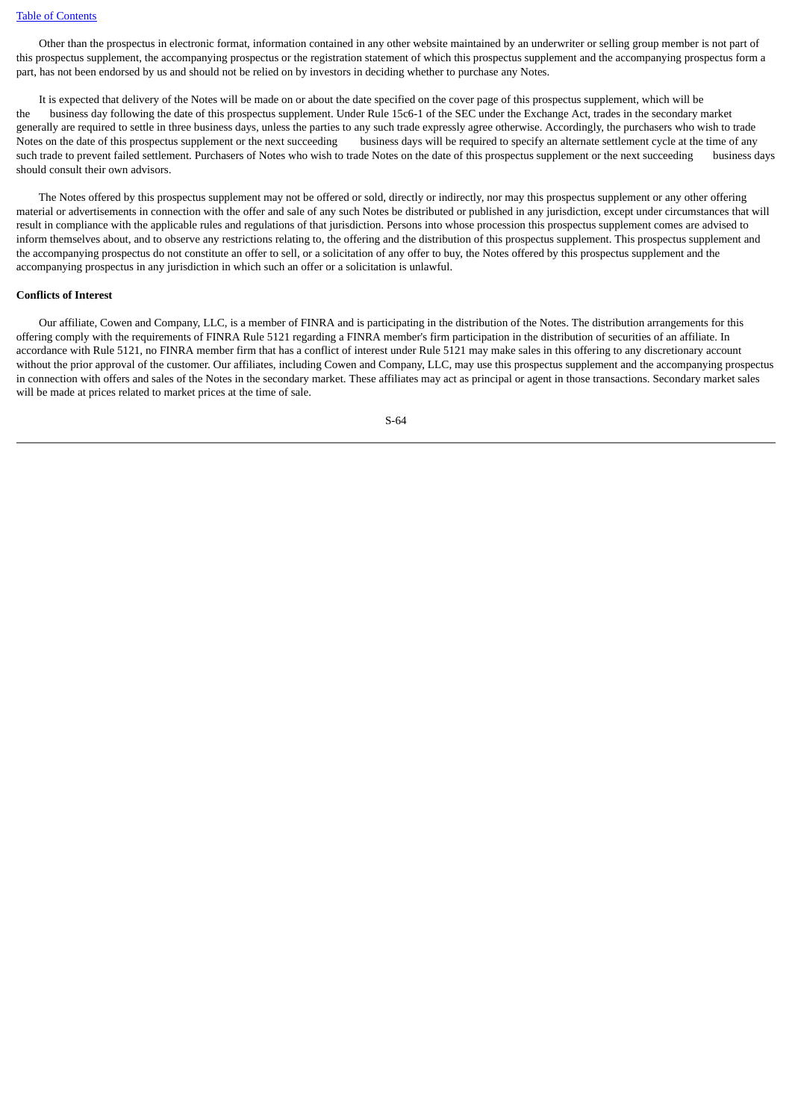Other than the prospectus in electronic format, information contained in any other website maintained by an underwriter or selling group member is not part of this prospectus supplement, the accompanying prospectus or the registration statement of which this prospectus supplement and the accompanying prospectus form a part, has not been endorsed by us and should not be relied on by investors in deciding whether to purchase any Notes.

 It is expected that delivery of the Notes will be made on or about the date specified on the cover page of this prospectus supplement, which will be the business day following the date of this prospectus supplement. Under Rule 15c6-1 of the SEC under the Exchange Act, trades in the secondary market generally are required to settle in three business days, unless the parties to any such trade expressly agree otherwise. Accordingly, the purchasers who wish to trade Notes on the date of this prospectus supplement or the next succeeding business days will be required to specify an alternate settlement cycle at the time of any such trade to prevent failed settlement. Purchasers of Notes who wish to trade Notes on the date of this prospectus supplement or the next succeeding business days should consult their own advisors.

 The Notes offered by this prospectus supplement may not be offered or sold, directly or indirectly, nor may this prospectus supplement or any other offering material or advertisements in connection with the offer and sale of any such Notes be distributed or published in any jurisdiction, except under circumstances that will result in compliance with the applicable rules and regulations of that jurisdiction. Persons into whose procession this prospectus supplement comes are advised to inform themselves about, and to observe any restrictions relating to, the offering and the distribution of this prospectus supplement. This prospectus supplement and the accompanying prospectus do not constitute an offer to sell, or a solicitation of any offer to buy, the Notes offered by this prospectus supplement and the accompanying prospectus in any jurisdiction in which such an offer or a solicitation is unlawful.

#### **Conflicts of Interest**

 Our affiliate, Cowen and Company, LLC, is a member of FINRA and is participating in the distribution of the Notes. The distribution arrangements for this offering comply with the requirements of FINRA Rule 5121 regarding a FINRA member's firm participation in the distribution of securities of an affiliate. In accordance with Rule 5121, no FINRA member firm that has a conflict of interest under Rule 5121 may make sales in this offering to any discretionary account without the prior approval of the customer. Our affiliates, including Cowen and Company, LLC, may use this prospectus supplement and the accompanying prospectus in connection with offers and sales of the Notes in the secondary market. These affiliates may act as principal or agent in those transactions. Secondary market sales will be made at prices related to market prices at the time of sale.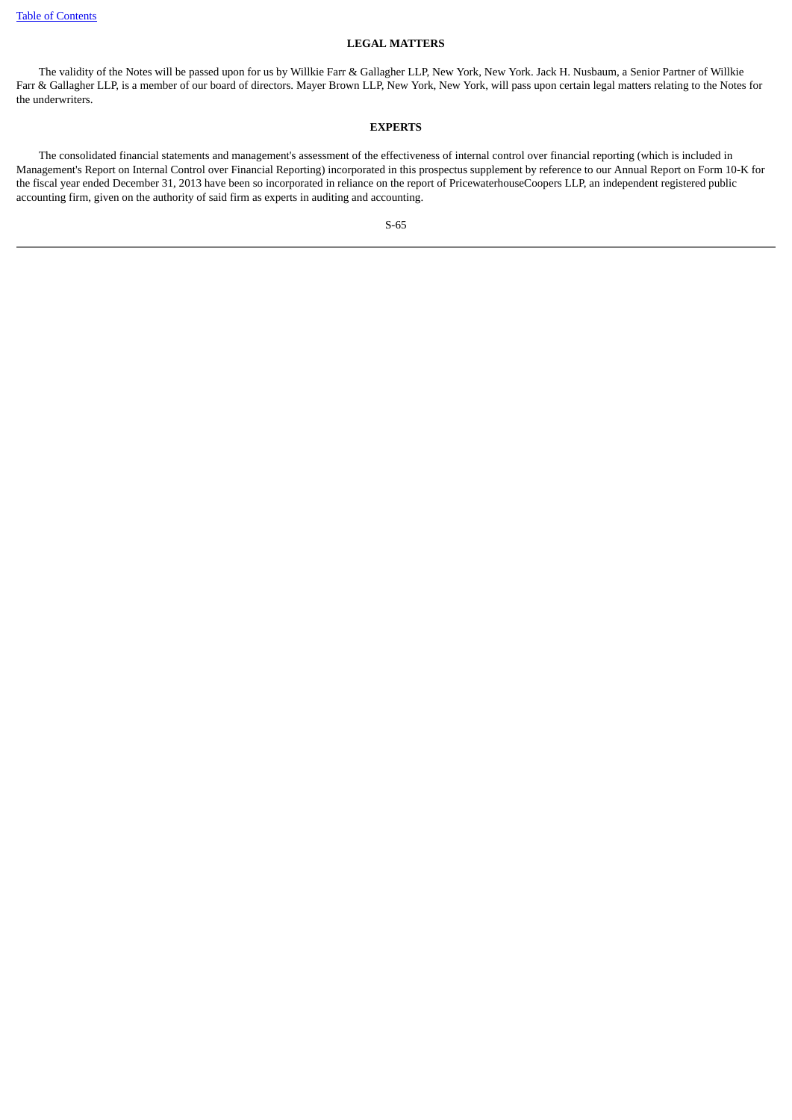### **LEGAL MATTERS**

 The validity of the Notes will be passed upon for us by Willkie Farr & Gallagher LLP, New York, New York. Jack H. Nusbaum, a Senior Partner of Willkie Farr & Gallagher LLP, is a member of our board of directors. Mayer Brown LLP, New York, New York, will pass upon certain legal matters relating to the Notes for the underwriters.

### **EXPERTS**

 The consolidated financial statements and management's assessment of the effectiveness of internal control over financial reporting (which is included in Management's Report on Internal Control over Financial Reporting) incorporated in this prospectus supplement by reference to our Annual Report on Form 10-K for the fiscal year ended December 31, 2013 have been so incorporated in reliance on the report of PricewaterhouseCoopers LLP, an independent registered public accounting firm, given on the authority of said firm as experts in auditing and accounting.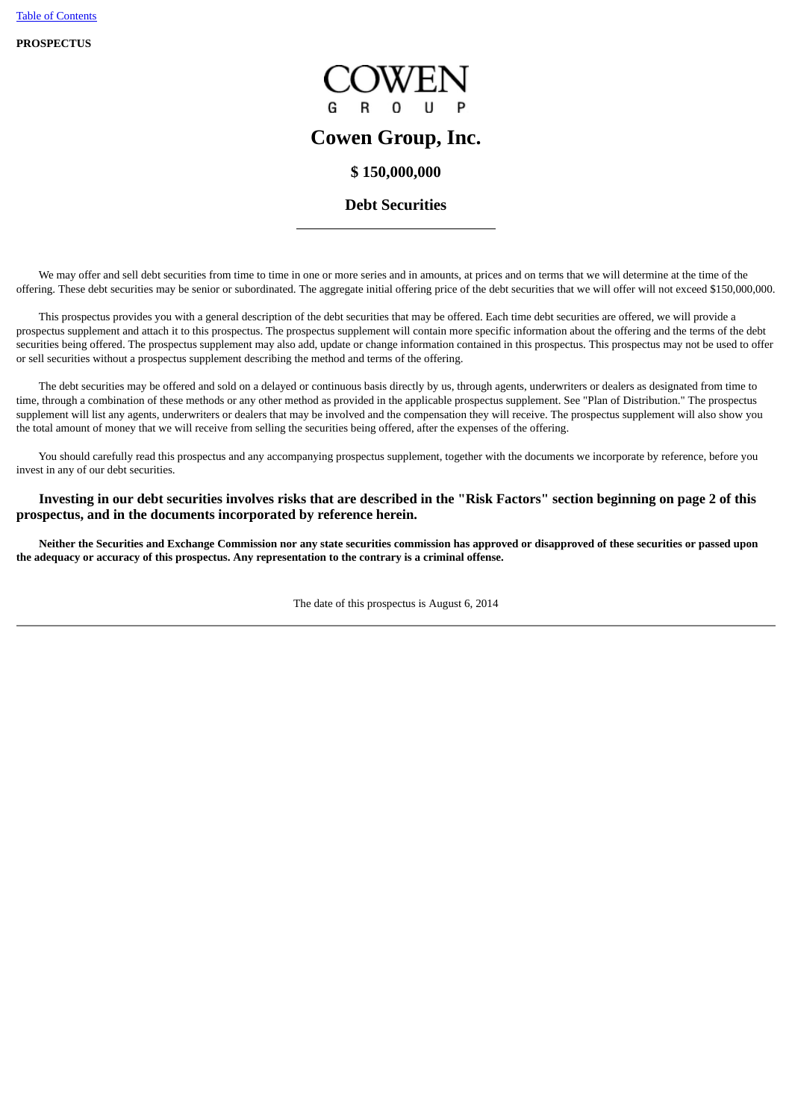**PROSPECTUS**



# **Cowen Group, Inc.**

# **\$ 150,000,000**

# **Debt Securities**

 We may offer and sell debt securities from time to time in one or more series and in amounts, at prices and on terms that we will determine at the time of the offering. These debt securities may be senior or subordinated. The aggregate initial offering price of the debt securities that we will offer will not exceed \$150,000,000.

This prospectus provides you with a general description of the debt securities that may be offered. Each time debt securities are offered, we will provide a prospectus supplement and attach it to this prospectus. The prospectus supplement will contain more specific information about the offering and the terms of the debt securities being offered. The prospectus supplement may also add, update or change information contained in this prospectus. This prospectus may not be used to offer or sell securities without a prospectus supplement describing the method and terms of the offering.

 The debt securities may be offered and sold on a delayed or continuous basis directly by us, through agents, underwriters or dealers as designated from time to time, through a combination of these methods or any other method as provided in the applicable prospectus supplement. See "Plan of Distribution." The prospectus supplement will list any agents, underwriters or dealers that may be involved and the compensation they will receive. The prospectus supplement will also show you the total amount of money that we will receive from selling the securities being offered, after the expenses of the offering.

 You should carefully read this prospectus and any accompanying prospectus supplement, together with the documents we incorporate by reference, before you invest in any of our debt securities.

 **Investing in our debt securities involves risks that are described in the "Risk Factors" section beginning on page 2 of this prospectus, and in the documents incorporated by reference herein.**

 **Neither the Securities and Exchange Commission nor any state securities commission has approved or disapproved of these securities or passed upon the adequacy or accuracy of this prospectus. Any representation to the contrary is a criminal offense.**

The date of this prospectus is August 6, 2014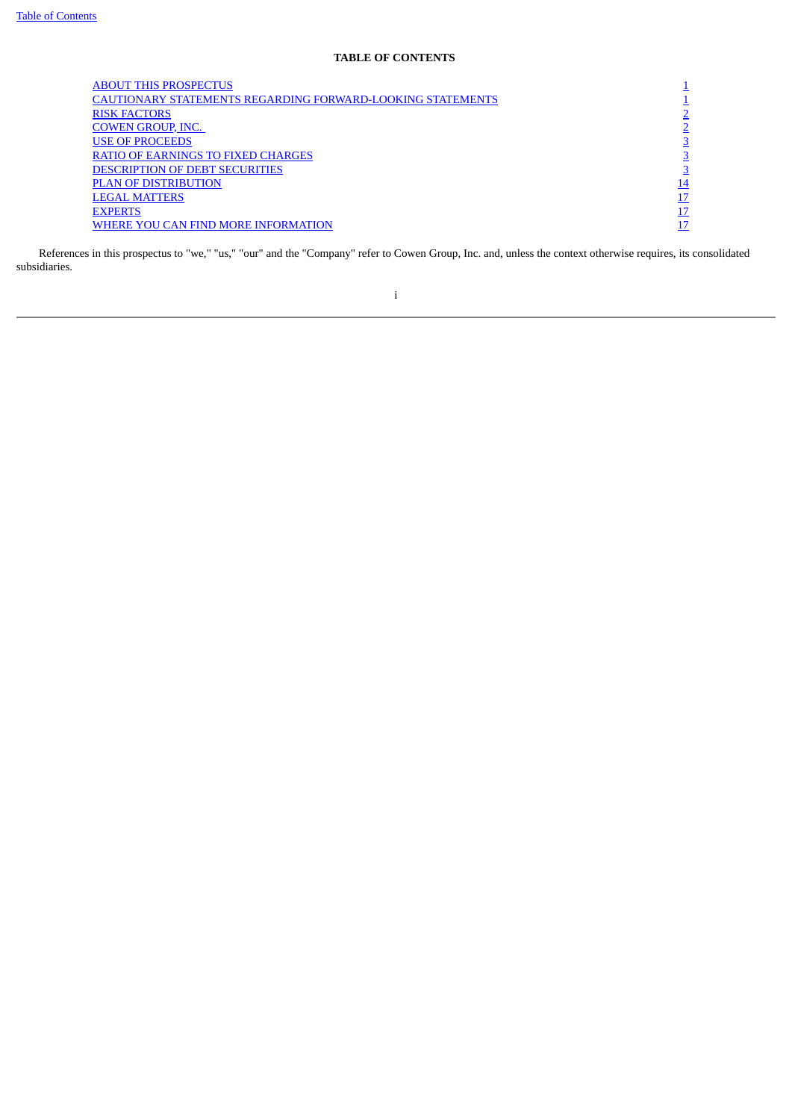## **TABLE OF CONTENTS**

<span id="page-69-0"></span>

| <b>ABOUT THIS PROSPECTUS</b>                               |    |
|------------------------------------------------------------|----|
| CAUTIONARY STATEMENTS REGARDING FORWARD-LOOKING STATEMENTS |    |
| <b>RISK FACTORS</b>                                        |    |
| <b>COWEN GROUP, INC.</b>                                   |    |
| <b>USE OF PROCEEDS</b>                                     |    |
| <b>RATIO OF EARNINGS TO FIXED CHARGES</b>                  |    |
| DESCRIPTION OF DEBT SECURITIES                             |    |
| <b>PLAN OF DISTRIBUTION</b>                                | 14 |
| <b>LEGAL MATTERS</b>                                       | 17 |
| <b>EXPERTS</b>                                             | 17 |
| WHERE YOU CAN FIND MORE INFORMATION                        | 17 |
|                                                            |    |

 References in this prospectus to "we," "us," "our" and the "Company" refer to Cowen Group, Inc. and, unless the context otherwise requires, its consolidated subsidiaries.

i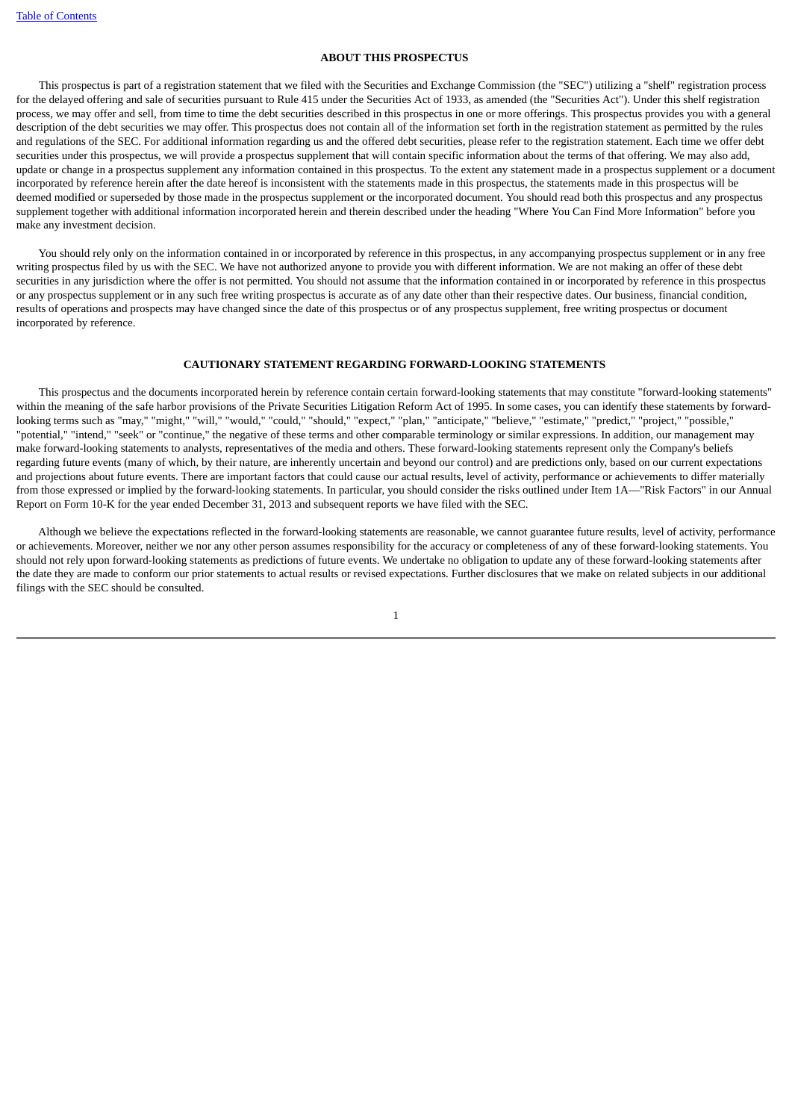### **ABOUT THIS PROSPECTUS**

<span id="page-70-0"></span> This prospectus is part of a registration statement that we filed with the Securities and Exchange Commission (the "SEC") utilizing a "shelf" registration process for the delayed offering and sale of securities pursuant to Rule 415 under the Securities Act of 1933, as amended (the "Securities Act"). Under this shelf registration process, we may offer and sell, from time to time the debt securities described in this prospectus in one or more offerings. This prospectus provides you with a general description of the debt securities we may offer. This prospectus does not contain all of the information set forth in the registration statement as permitted by the rules and regulations of the SEC. For additional information regarding us and the offered debt securities, please refer to the registration statement. Each time we offer debt securities under this prospectus, we will provide a prospectus supplement that will contain specific information about the terms of that offering. We may also add, update or change in a prospectus supplement any information contained in this prospectus. To the extent any statement made in a prospectus supplement or a document incorporated by reference herein after the date hereof is inconsistent with the statements made in this prospectus, the statements made in this prospectus will be deemed modified or superseded by those made in the prospectus supplement or the incorporated document. You should read both this prospectus and any prospectus supplement together with additional information incorporated herein and therein described under the heading "Where You Can Find More Information" before you make any investment decision.

 You should rely only on the information contained in or incorporated by reference in this prospectus, in any accompanying prospectus supplement or in any free writing prospectus filed by us with the SEC. We have not authorized anyone to provide you with different information. We are not making an offer of these debt securities in any jurisdiction where the offer is not permitted. You should not assume that the information contained in or incorporated by reference in this prospectus or any prospectus supplement or in any such free writing prospectus is accurate as of any date other than their respective dates. Our business, financial condition, results of operations and prospects may have changed since the date of this prospectus or of any prospectus supplement, free writing prospectus or document incorporated by reference.

#### **CAUTIONARY STATEMENT REGARDING FORWARD-LOOKING STATEMENTS**

<span id="page-70-1"></span> This prospectus and the documents incorporated herein by reference contain certain forward-looking statements that may constitute "forward-looking statements" within the meaning of the safe harbor provisions of the Private Securities Litigation Reform Act of 1995. In some cases, you can identify these statements by forwardlooking terms such as "may," "might," "will," "would," "could," "should," "expect," "plan," "anticipate," "believe," "estimate," "predict," "project," "possible," "potential," "intend," "seek" or "continue," the negative of these terms and other comparable terminology or similar expressions. In addition, our management may make forward-looking statements to analysts, representatives of the media and others. These forward-looking statements represent only the Company's beliefs regarding future events (many of which, by their nature, are inherently uncertain and beyond our control) and are predictions only, based on our current expectations and projections about future events. There are important factors that could cause our actual results, level of activity, performance or achievements to differ materially from those expressed or implied by the forward-looking statements. In particular, you should consider the risks outlined under Item 1A—"Risk Factors" in our Annual Report on Form 10-K for the year ended December 31, 2013 and subsequent reports we have filed with the SEC.

 Although we believe the expectations reflected in the forward-looking statements are reasonable, we cannot guarantee future results, level of activity, performance or achievements. Moreover, neither we nor any other person assumes responsibility for the accuracy or completeness of any of these forward-looking statements. You should not rely upon forward-looking statements as predictions of future events. We undertake no obligation to update any of these forward-looking statements after the date they are made to conform our prior statements to actual results or revised expectations. Further disclosures that we make on related subjects in our additional filings with the SEC should be consulted.

1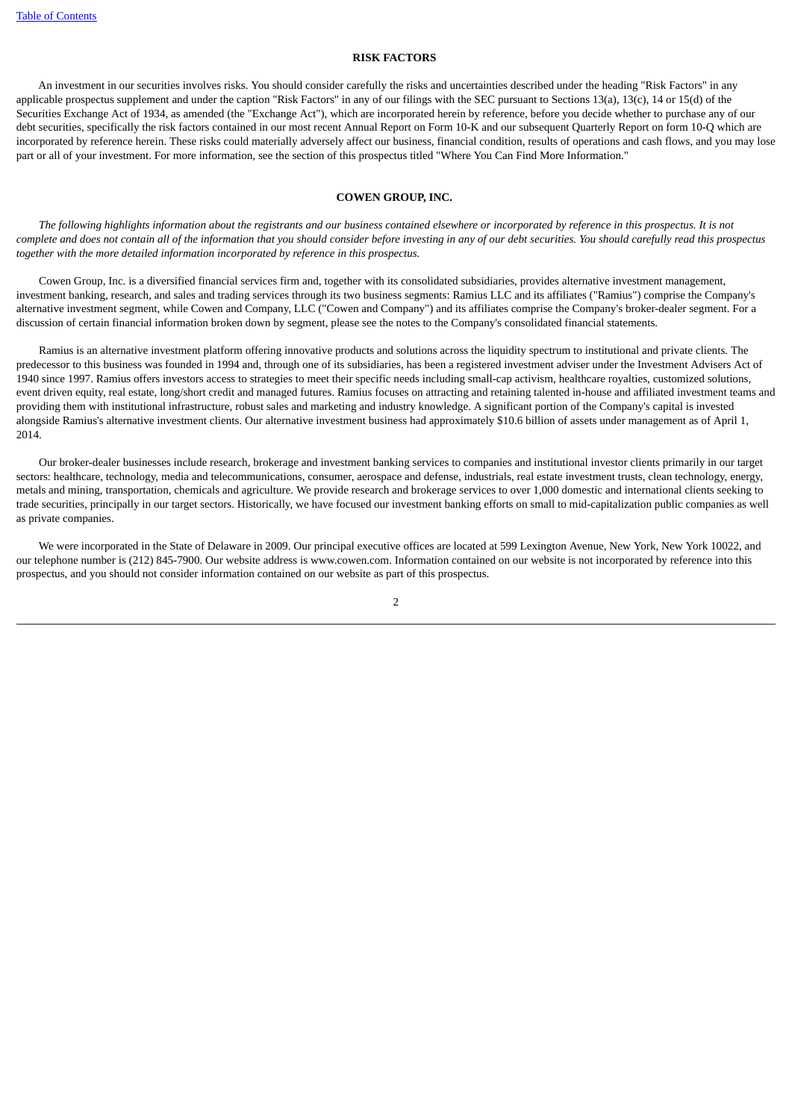### **RISK FACTORS**

<span id="page-71-0"></span> An investment in our securities involves risks. You should consider carefully the risks and uncertainties described under the heading "Risk Factors" in any applicable prospectus supplement and under the caption "Risk Factors" in any of our filings with the SEC pursuant to Sections 13(a), 13(c), 14 or 15(d) of the Securities Exchange Act of 1934, as amended (the "Exchange Act"), which are incorporated herein by reference, before you decide whether to purchase any of our debt securities, specifically the risk factors contained in our most recent Annual Report on Form 10-K and our subsequent Quarterly Report on form 10-Q which are incorporated by reference herein. These risks could materially adversely affect our business, financial condition, results of operations and cash flows, and you may lose part or all of your investment. For more information, see the section of this prospectus titled "Where You Can Find More Information."

#### **COWEN GROUP, INC.**

<span id="page-71-1"></span> *The following highlights information about the registrants and our business contained elsewhere or incorporated by reference in this prospectus. It is not complete and does not contain all of the information that you should consider before investing in any of our debt securities. You should carefully read this prospectus together with the more detailed information incorporated by reference in this prospectus.*

 Cowen Group, Inc. is a diversified financial services firm and, together with its consolidated subsidiaries, provides alternative investment management, investment banking, research, and sales and trading services through its two business segments: Ramius LLC and its affiliates ("Ramius") comprise the Company's alternative investment segment, while Cowen and Company, LLC ("Cowen and Company") and its affiliates comprise the Company's broker-dealer segment. For a discussion of certain financial information broken down by segment, please see the notes to the Company's consolidated financial statements.

 Ramius is an alternative investment platform offering innovative products and solutions across the liquidity spectrum to institutional and private clients. The predecessor to this business was founded in 1994 and, through one of its subsidiaries, has been a registered investment adviser under the Investment Advisers Act of 1940 since 1997. Ramius offers investors access to strategies to meet their specific needs including small-cap activism, healthcare royalties, customized solutions, event driven equity, real estate, long/short credit and managed futures. Ramius focuses on attracting and retaining talented in-house and affiliated investment teams and providing them with institutional infrastructure, robust sales and marketing and industry knowledge. A significant portion of the Company's capital is invested alongside Ramius's alternative investment clients. Our alternative investment business had approximately \$10.6 billion of assets under management as of April 1, 2014.

 Our broker-dealer businesses include research, brokerage and investment banking services to companies and institutional investor clients primarily in our target sectors: healthcare, technology, media and telecommunications, consumer, aerospace and defense, industrials, real estate investment trusts, clean technology, energy, metals and mining, transportation, chemicals and agriculture. We provide research and brokerage services to over 1,000 domestic and international clients seeking to trade securities, principally in our target sectors. Historically, we have focused our investment banking efforts on small to mid-capitalization public companies as well as private companies.

 We were incorporated in the State of Delaware in 2009. Our principal executive offices are located at 599 Lexington Avenue, New York, New York 10022, and our telephone number is (212) 845-7900. Our website address is www.cowen.com. Information contained on our website is not incorporated by reference into this prospectus, and you should not consider information contained on our website as part of this prospectus.

2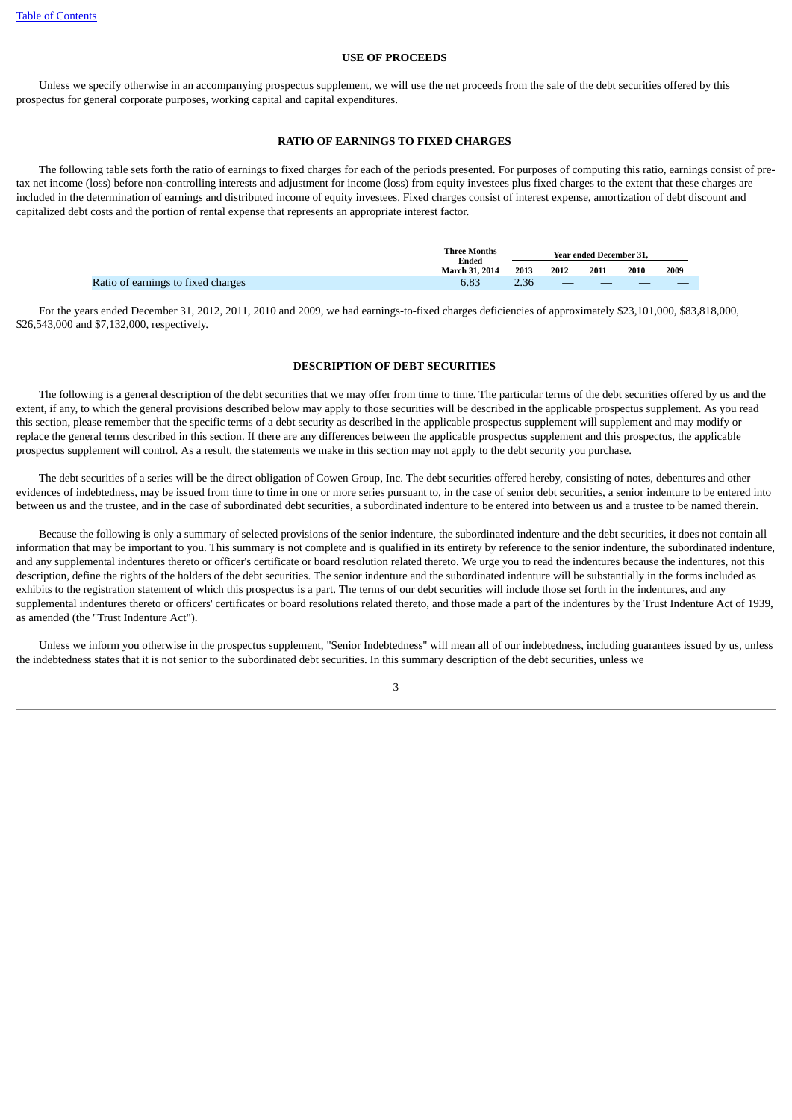#### **USE OF PROCEEDS**

 Unless we specify otherwise in an accompanying prospectus supplement, we will use the net proceeds from the sale of the debt securities offered by this prospectus for general corporate purposes, working capital and capital expenditures.

#### **RATIO OF EARNINGS TO FIXED CHARGES**

 The following table sets forth the ratio of earnings to fixed charges for each of the periods presented. For purposes of computing this ratio, earnings consist of pretax net income (loss) before non-controlling interests and adjustment for income (loss) from equity investees plus fixed charges to the extent that these charges are included in the determination of earnings and distributed income of equity investees. Fixed charges consist of interest expense, amortization of debt discount and capitalized debt costs and the portion of rental expense that represents an appropriate interest factor.

|                                    | <b>Three Months</b><br>Ended | Year ended December 31. |      |      |      |      |
|------------------------------------|------------------------------|-------------------------|------|------|------|------|
|                                    | <b>March 31, 2014</b>        | 2013                    | 2012 | 2011 | 2010 | 2009 |
| Ratio of earnings to fixed charges | 6.83                         | 2.36                    |      |      |      |      |

 For the years ended December 31, 2012, 2011, 2010 and 2009, we had earnings-to-fixed charges deficiencies of approximately \$23,101,000, \$83,818,000, \$26,543,000 and \$7,132,000, respectively.

#### **DESCRIPTION OF DEBT SECURITIES**

The following is a general description of the debt securities that we may offer from time to time. The particular terms of the debt securities offered by us and the extent, if any, to which the general provisions described below may apply to those securities will be described in the applicable prospectus supplement. As you read this section, please remember that the specific terms of a debt security as described in the applicable prospectus supplement will supplement and may modify or replace the general terms described in this section. If there are any differences between the applicable prospectus supplement and this prospectus, the applicable prospectus supplement will control. As a result, the statements we make in this section may not apply to the debt security you purchase.

 The debt securities of a series will be the direct obligation of Cowen Group, Inc. The debt securities offered hereby, consisting of notes, debentures and other evidences of indebtedness, may be issued from time to time in one or more series pursuant to, in the case of senior debt securities, a senior indenture to be entered into between us and the trustee, and in the case of subordinated debt securities, a subordinated indenture to be entered into between us and a trustee to be named therein.

 Because the following is only a summary of selected provisions of the senior indenture, the subordinated indenture and the debt securities, it does not contain all information that may be important to you. This summary is not complete and is qualified in its entirety by reference to the senior indenture, the subordinated indenture, and any supplemental indentures thereto or officer's certificate or board resolution related thereto. We urge you to read the indentures because the indentures, not this description, define the rights of the holders of the debt securities. The senior indenture and the subordinated indenture will be substantially in the forms included as exhibits to the registration statement of which this prospectus is a part. The terms of our debt securities will include those set forth in the indentures, and any supplemental indentures thereto or officers' certificates or board resolutions related thereto, and those made a part of the indentures by the Trust Indenture Act of 1939, as amended (the "Trust Indenture Act").

 Unless we inform you otherwise in the prospectus supplement, "Senior Indebtedness" will mean all of our indebtedness, including guarantees issued by us, unless the indebtedness states that it is not senior to the subordinated debt securities. In this summary description of the debt securities, unless we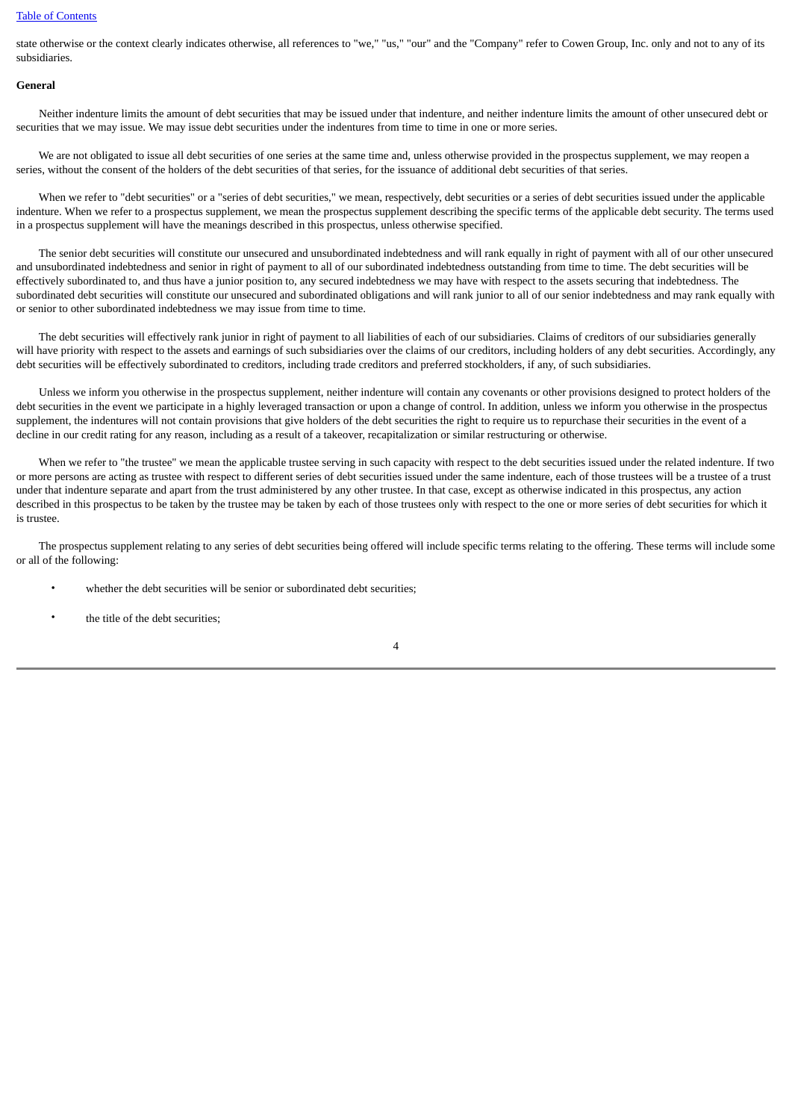state otherwise or the context clearly indicates otherwise, all references to "we," "us," "our" and the "Company" refer to Cowen Group, Inc. only and not to any of its subsidiaries.

## **General**

 Neither indenture limits the amount of debt securities that may be issued under that indenture, and neither indenture limits the amount of other unsecured debt or securities that we may issue. We may issue debt securities under the indentures from time to time in one or more series.

 We are not obligated to issue all debt securities of one series at the same time and, unless otherwise provided in the prospectus supplement, we may reopen a series, without the consent of the holders of the debt securities of that series, for the issuance of additional debt securities of that series.

 When we refer to "debt securities" or a "series of debt securities," we mean, respectively, debt securities or a series of debt securities issued under the applicable indenture. When we refer to a prospectus supplement, we mean the prospectus supplement describing the specific terms of the applicable debt security. The terms used in a prospectus supplement will have the meanings described in this prospectus, unless otherwise specified.

 The senior debt securities will constitute our unsecured and unsubordinated indebtedness and will rank equally in right of payment with all of our other unsecured and unsubordinated indebtedness and senior in right of payment to all of our subordinated indebtedness outstanding from time to time. The debt securities will be effectively subordinated to, and thus have a junior position to, any secured indebtedness we may have with respect to the assets securing that indebtedness. The subordinated debt securities will constitute our unsecured and subordinated obligations and will rank junior to all of our senior indebtedness and may rank equally with or senior to other subordinated indebtedness we may issue from time to time.

 The debt securities will effectively rank junior in right of payment to all liabilities of each of our subsidiaries. Claims of creditors of our subsidiaries generally will have priority with respect to the assets and earnings of such subsidiaries over the claims of our creditors, including holders of any debt securities. Accordingly, any debt securities will be effectively subordinated to creditors, including trade creditors and preferred stockholders, if any, of such subsidiaries.

 Unless we inform you otherwise in the prospectus supplement, neither indenture will contain any covenants or other provisions designed to protect holders of the debt securities in the event we participate in a highly leveraged transaction or upon a change of control. In addition, unless we inform you otherwise in the prospectus supplement, the indentures will not contain provisions that give holders of the debt securities the right to require us to repurchase their securities in the event of a decline in our credit rating for any reason, including as a result of a takeover, recapitalization or similar restructuring or otherwise.

When we refer to "the trustee" we mean the applicable trustee serving in such capacity with respect to the debt securities issued under the related indenture. If two or more persons are acting as trustee with respect to different series of debt securities issued under the same indenture, each of those trustees will be a trustee of a trust under that indenture separate and apart from the trust administered by any other trustee. In that case, except as otherwise indicated in this prospectus, any action described in this prospectus to be taken by the trustee may be taken by each of those trustees only with respect to the one or more series of debt securities for which it is trustee.

 The prospectus supplement relating to any series of debt securities being offered will include specific terms relating to the offering. These terms will include some or all of the following:

- whether the debt securities will be senior or subordinated debt securities;
- the title of the debt securities;

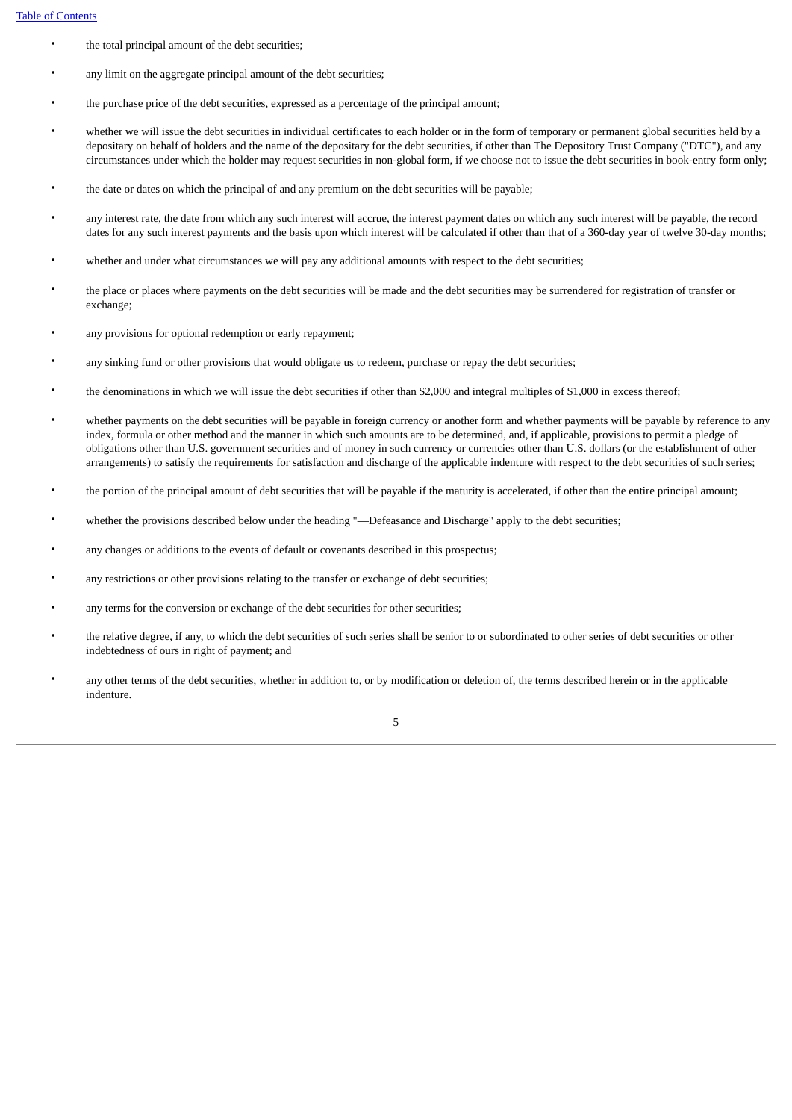- the total principal amount of the debt securities;
- any limit on the aggregate principal amount of the debt securities;
- the purchase price of the debt securities, expressed as a percentage of the principal amount;
- whether we will issue the debt securities in individual certificates to each holder or in the form of temporary or permanent global securities held by a depositary on behalf of holders and the name of the depositary for the debt securities, if other than The Depository Trust Company ("DTC"), and any circumstances under which the holder may request securities in non-global form, if we choose not to issue the debt securities in book-entry form only;
- the date or dates on which the principal of and any premium on the debt securities will be payable;
- any interest rate, the date from which any such interest will accrue, the interest payment dates on which any such interest will be payable, the record dates for any such interest payments and the basis upon which interest will be calculated if other than that of a 360-day year of twelve 30-day months;
- whether and under what circumstances we will pay any additional amounts with respect to the debt securities;
- the place or places where payments on the debt securities will be made and the debt securities may be surrendered for registration of transfer or exchange;
- any provisions for optional redemption or early repayment;
- any sinking fund or other provisions that would obligate us to redeem, purchase or repay the debt securities;
- the denominations in which we will issue the debt securities if other than \$2,000 and integral multiples of \$1,000 in excess thereof;
- whether payments on the debt securities will be payable in foreign currency or another form and whether payments will be payable by reference to any index, formula or other method and the manner in which such amounts are to be determined, and, if applicable, provisions to permit a pledge of obligations other than U.S. government securities and of money in such currency or currencies other than U.S. dollars (or the establishment of other arrangements) to satisfy the requirements for satisfaction and discharge of the applicable indenture with respect to the debt securities of such series;
- the portion of the principal amount of debt securities that will be payable if the maturity is accelerated, if other than the entire principal amount;
- whether the provisions described below under the heading "—Defeasance and Discharge" apply to the debt securities;
- any changes or additions to the events of default or covenants described in this prospectus;
- any restrictions or other provisions relating to the transfer or exchange of debt securities;
- any terms for the conversion or exchange of the debt securities for other securities;
- the relative degree, if any, to which the debt securities of such series shall be senior to or subordinated to other series of debt securities or other indebtedness of ours in right of payment; and
- any other terms of the debt securities, whether in addition to, or by modification or deletion of, the terms described herein or in the applicable indenture.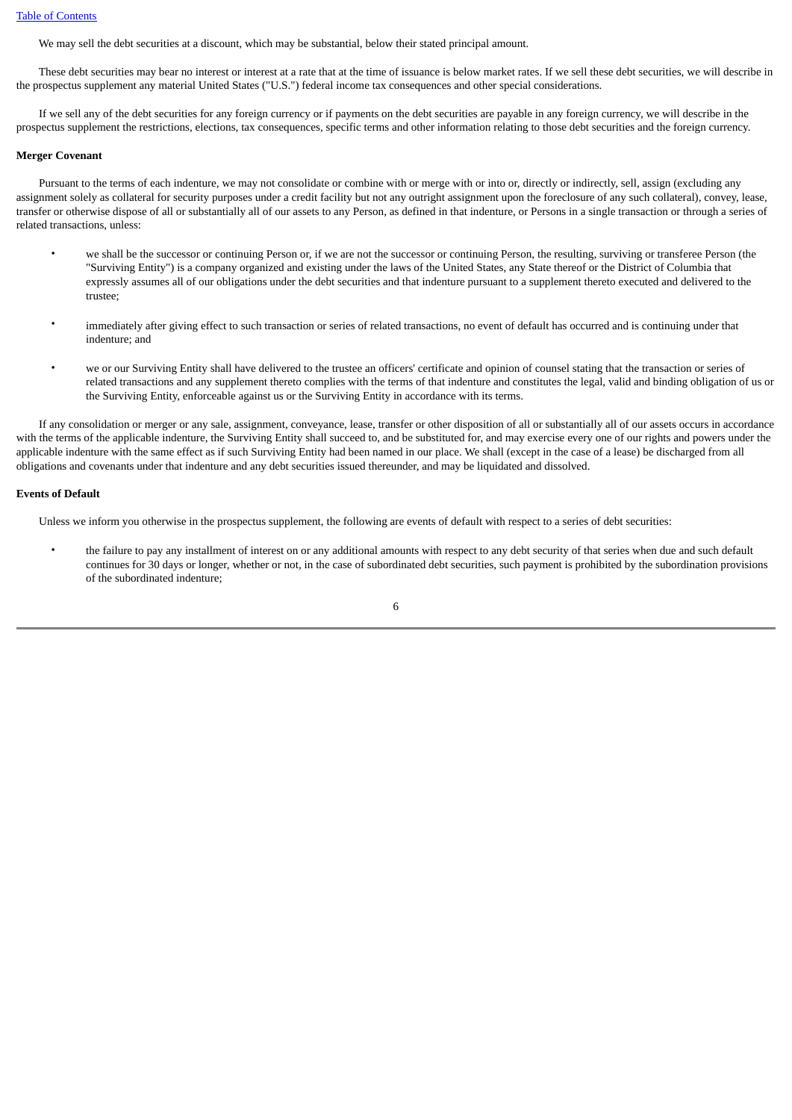We may sell the debt securities at a discount, which may be substantial, below their stated principal amount.

 These debt securities may bear no interest or interest at a rate that at the time of issuance is below market rates. If we sell these debt securities, we will describe in the prospectus supplement any material United States ("U.S.") federal income tax consequences and other special considerations.

 If we sell any of the debt securities for any foreign currency or if payments on the debt securities are payable in any foreign currency, we will describe in the prospectus supplement the restrictions, elections, tax consequences, specific terms and other information relating to those debt securities and the foreign currency.

#### **Merger Covenant**

 Pursuant to the terms of each indenture, we may not consolidate or combine with or merge with or into or, directly or indirectly, sell, assign (excluding any assignment solely as collateral for security purposes under a credit facility but not any outright assignment upon the foreclosure of any such collateral), convey, lease, transfer or otherwise dispose of all or substantially all of our assets to any Person, as defined in that indenture, or Persons in a single transaction or through a series of related transactions, unless:

- we shall be the successor or continuing Person or, if we are not the successor or continuing Person, the resulting, surviving or transferee Person (the "Surviving Entity") is a company organized and existing under the laws of the United States, any State thereof or the District of Columbia that expressly assumes all of our obligations under the debt securities and that indenture pursuant to a supplement thereto executed and delivered to the trustee;
- immediately after giving effect to such transaction or series of related transactions, no event of default has occurred and is continuing under that indenture; and
- we or our Surviving Entity shall have delivered to the trustee an officers' certificate and opinion of counsel stating that the transaction or series of related transactions and any supplement thereto complies with the terms of that indenture and constitutes the legal, valid and binding obligation of us or the Surviving Entity, enforceable against us or the Surviving Entity in accordance with its terms.

 If any consolidation or merger or any sale, assignment, conveyance, lease, transfer or other disposition of all or substantially all of our assets occurs in accordance with the terms of the applicable indenture, the Surviving Entity shall succeed to, and be substituted for, and may exercise every one of our rights and powers under the applicable indenture with the same effect as if such Surviving Entity had been named in our place. We shall (except in the case of a lease) be discharged from all obligations and covenants under that indenture and any debt securities issued thereunder, and may be liquidated and dissolved.

## **Events of Default**

Unless we inform you otherwise in the prospectus supplement, the following are events of default with respect to a series of debt securities:

• the failure to pay any installment of interest on or any additional amounts with respect to any debt security of that series when due and such default continues for 30 days or longer, whether or not, in the case of subordinated debt securities, such payment is prohibited by the subordination provisions of the subordinated indenture;

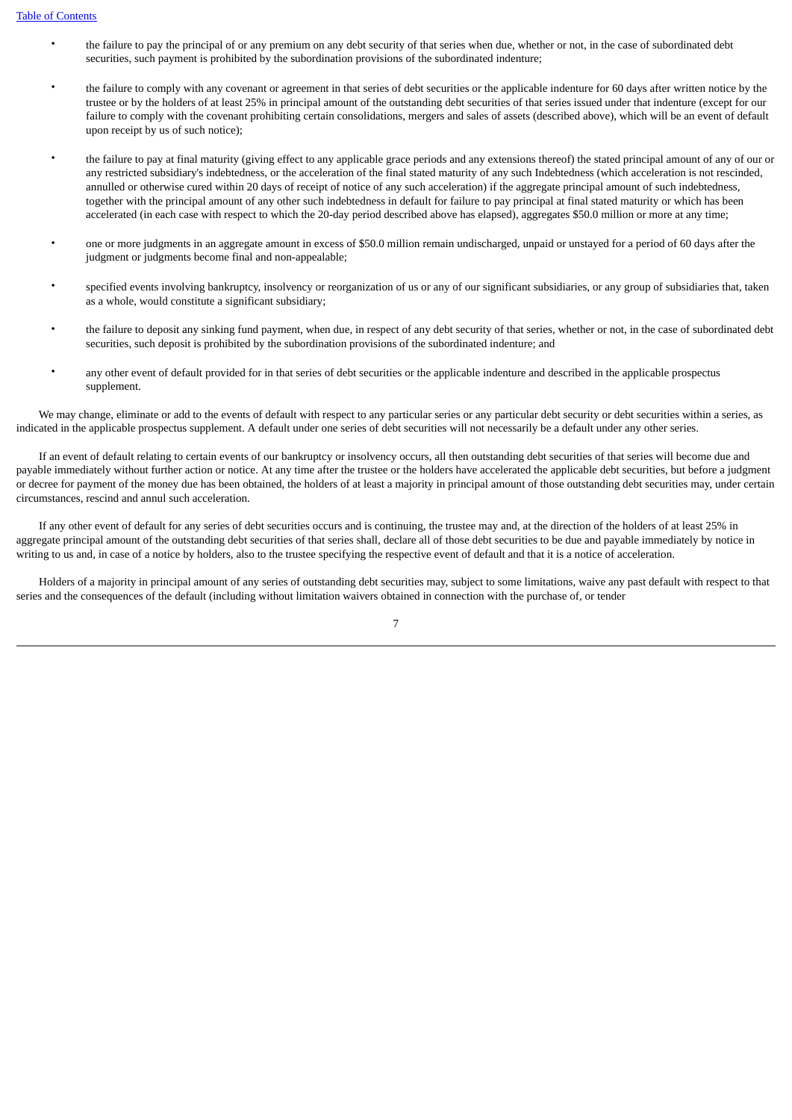- the failure to pay the principal of or any premium on any debt security of that series when due, whether or not, in the case of subordinated debt securities, such payment is prohibited by the subordination provisions of the subordinated indenture;
- the failure to comply with any covenant or agreement in that series of debt securities or the applicable indenture for 60 days after written notice by the trustee or by the holders of at least 25% in principal amount of the outstanding debt securities of that series issued under that indenture (except for our failure to comply with the covenant prohibiting certain consolidations, mergers and sales of assets (described above), which will be an event of default upon receipt by us of such notice);
- the failure to pay at final maturity (giving effect to any applicable grace periods and any extensions thereof) the stated principal amount of any of our or any restricted subsidiary's indebtedness, or the acceleration of the final stated maturity of any such Indebtedness (which acceleration is not rescinded, annulled or otherwise cured within 20 days of receipt of notice of any such acceleration) if the aggregate principal amount of such indebtedness, together with the principal amount of any other such indebtedness in default for failure to pay principal at final stated maturity or which has been accelerated (in each case with respect to which the 20-day period described above has elapsed), aggregates \$50.0 million or more at any time;
- one or more judgments in an aggregate amount in excess of \$50.0 million remain undischarged, unpaid or unstayed for a period of 60 days after the judgment or judgments become final and non-appealable;
- specified events involving bankruptcy, insolvency or reorganization of us or any of our significant subsidiaries, or any group of subsidiaries that, taken as a whole, would constitute a significant subsidiary;
- the failure to deposit any sinking fund payment, when due, in respect of any debt security of that series, whether or not, in the case of subordinated debt securities, such deposit is prohibited by the subordination provisions of the subordinated indenture; and
- any other event of default provided for in that series of debt securities or the applicable indenture and described in the applicable prospectus supplement.

 We may change, eliminate or add to the events of default with respect to any particular series or any particular debt security or debt securities within a series, as indicated in the applicable prospectus supplement. A default under one series of debt securities will not necessarily be a default under any other series.

 If an event of default relating to certain events of our bankruptcy or insolvency occurs, all then outstanding debt securities of that series will become due and payable immediately without further action or notice. At any time after the trustee or the holders have accelerated the applicable debt securities, but before a judgment or decree for payment of the money due has been obtained, the holders of at least a majority in principal amount of those outstanding debt securities may, under certain circumstances, rescind and annul such acceleration.

 If any other event of default for any series of debt securities occurs and is continuing, the trustee may and, at the direction of the holders of at least 25% in aggregate principal amount of the outstanding debt securities of that series shall, declare all of those debt securities to be due and payable immediately by notice in writing to us and, in case of a notice by holders, also to the trustee specifying the respective event of default and that it is a notice of acceleration.

 Holders of a majority in principal amount of any series of outstanding debt securities may, subject to some limitations, waive any past default with respect to that series and the consequences of the default (including without limitation waivers obtained in connection with the purchase of, or tender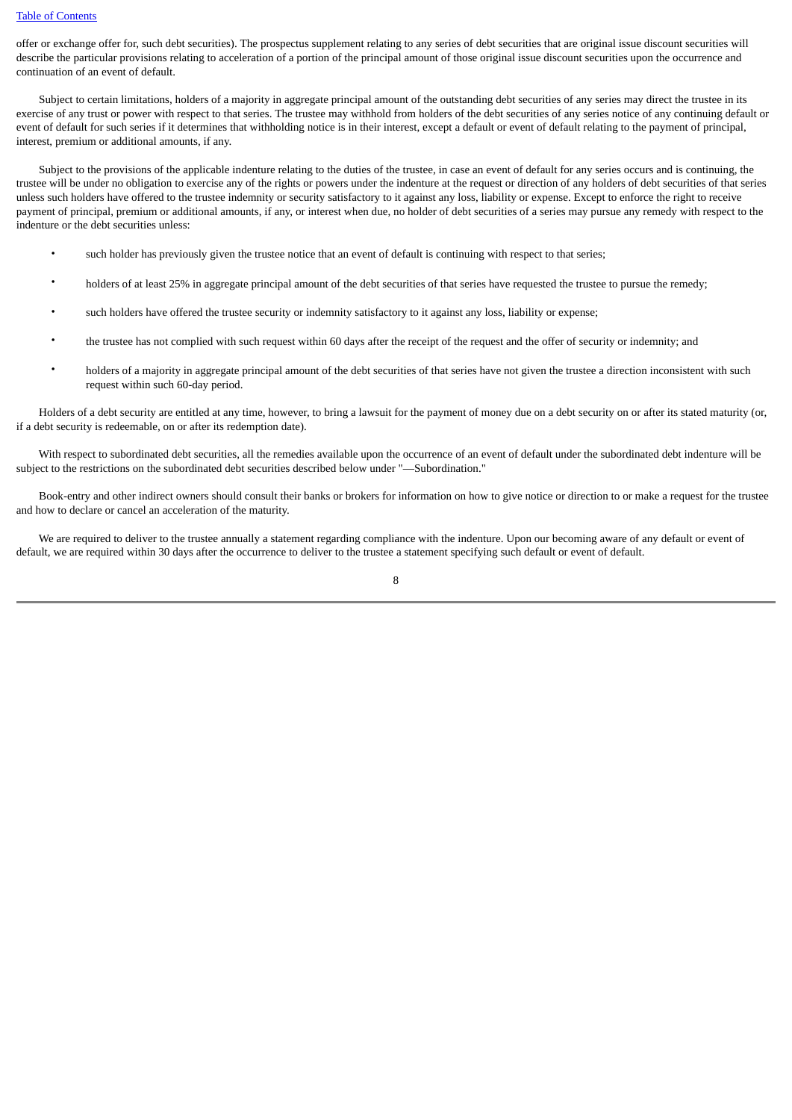offer or exchange offer for, such debt securities). The prospectus supplement relating to any series of debt securities that are original issue discount securities will describe the particular provisions relating to acceleration of a portion of the principal amount of those original issue discount securities upon the occurrence and continuation of an event of default.

Subject to certain limitations, holders of a majority in aggregate principal amount of the outstanding debt securities of any series may direct the trustee in its exercise of any trust or power with respect to that series. The trustee may withhold from holders of the debt securities of any series notice of any continuing default or event of default for such series if it determines that withholding notice is in their interest, except a default or event of default relating to the payment of principal, interest, premium or additional amounts, if any.

 Subject to the provisions of the applicable indenture relating to the duties of the trustee, in case an event of default for any series occurs and is continuing, the trustee will be under no obligation to exercise any of the rights or powers under the indenture at the request or direction of any holders of debt securities of that series unless such holders have offered to the trustee indemnity or security satisfactory to it against any loss, liability or expense. Except to enforce the right to receive payment of principal, premium or additional amounts, if any, or interest when due, no holder of debt securities of a series may pursue any remedy with respect to the indenture or the debt securities unless:

- such holder has previously given the trustee notice that an event of default is continuing with respect to that series;
- holders of at least 25% in aggregate principal amount of the debt securities of that series have requested the trustee to pursue the remedy;
- such holders have offered the trustee security or indemnity satisfactory to it against any loss, liability or expense;
- the trustee has not complied with such request within 60 days after the receipt of the request and the offer of security or indemnity; and
- holders of a majority in aggregate principal amount of the debt securities of that series have not given the trustee a direction inconsistent with such request within such 60-day period.

 Holders of a debt security are entitled at any time, however, to bring a lawsuit for the payment of money due on a debt security on or after its stated maturity (or, if a debt security is redeemable, on or after its redemption date).

 With respect to subordinated debt securities, all the remedies available upon the occurrence of an event of default under the subordinated debt indenture will be subject to the restrictions on the subordinated debt securities described below under "—Subordination."

 Book-entry and other indirect owners should consult their banks or brokers for information on how to give notice or direction to or make a request for the trustee and how to declare or cancel an acceleration of the maturity.

 We are required to deliver to the trustee annually a statement regarding compliance with the indenture. Upon our becoming aware of any default or event of default, we are required within 30 days after the occurrence to deliver to the trustee a statement specifying such default or event of default.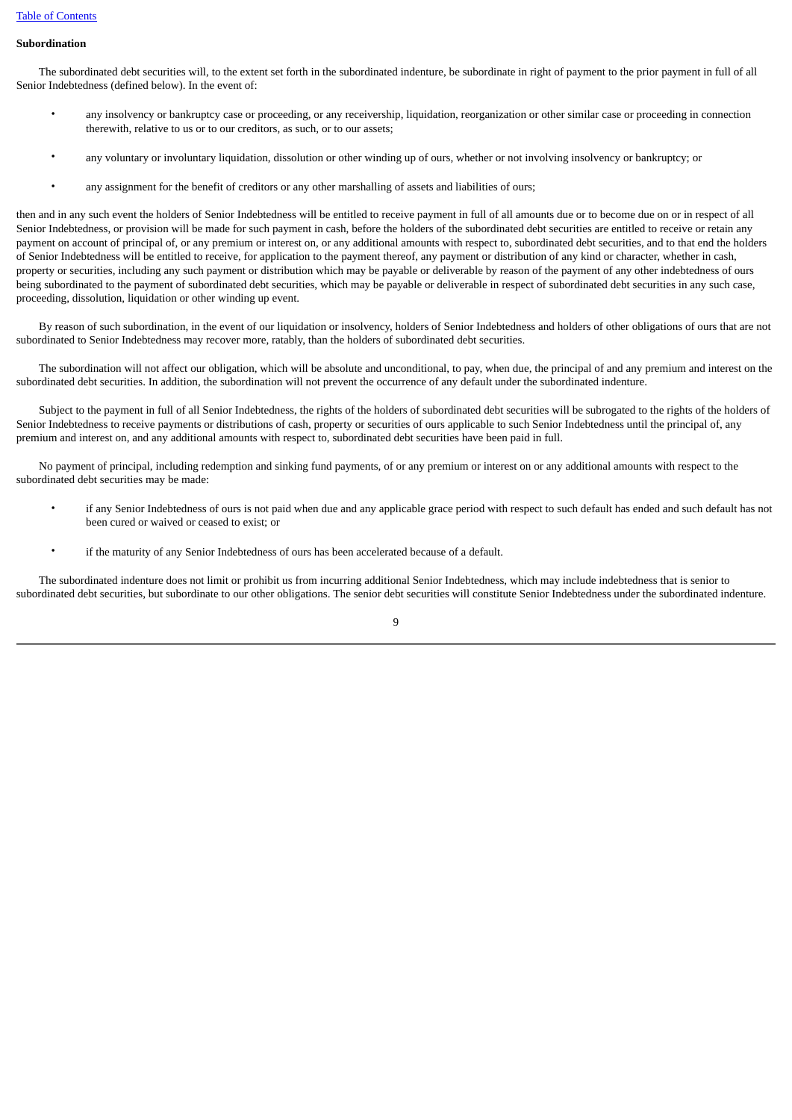#### **Subordination**

 The subordinated debt securities will, to the extent set forth in the subordinated indenture, be subordinate in right of payment to the prior payment in full of all Senior Indebtedness (defined below). In the event of:

- any insolvency or bankruptcy case or proceeding, or any receivership, liquidation, reorganization or other similar case or proceeding in connection therewith, relative to us or to our creditors, as such, or to our assets;
- any voluntary or involuntary liquidation, dissolution or other winding up of ours, whether or not involving insolvency or bankruptcy; or
- any assignment for the benefit of creditors or any other marshalling of assets and liabilities of ours;

then and in any such event the holders of Senior Indebtedness will be entitled to receive payment in full of all amounts due or to become due on or in respect of all Senior Indebtedness, or provision will be made for such payment in cash, before the holders of the subordinated debt securities are entitled to receive or retain any payment on account of principal of, or any premium or interest on, or any additional amounts with respect to, subordinated debt securities, and to that end the holders of Senior Indebtedness will be entitled to receive, for application to the payment thereof, any payment or distribution of any kind or character, whether in cash, property or securities, including any such payment or distribution which may be payable or deliverable by reason of the payment of any other indebtedness of ours being subordinated to the payment of subordinated debt securities, which may be payable or deliverable in respect of subordinated debt securities in any such case, proceeding, dissolution, liquidation or other winding up event.

 By reason of such subordination, in the event of our liquidation or insolvency, holders of Senior Indebtedness and holders of other obligations of ours that are not subordinated to Senior Indebtedness may recover more, ratably, than the holders of subordinated debt securities.

 The subordination will not affect our obligation, which will be absolute and unconditional, to pay, when due, the principal of and any premium and interest on the subordinated debt securities. In addition, the subordination will not prevent the occurrence of any default under the subordinated indenture.

Subject to the payment in full of all Senior Indebtedness, the rights of the holders of subordinated debt securities will be subrogated to the rights of the holders of Senior Indebtedness to receive payments or distributions of cash, property or securities of ours applicable to such Senior Indebtedness until the principal of, any premium and interest on, and any additional amounts with respect to, subordinated debt securities have been paid in full.

 No payment of principal, including redemption and sinking fund payments, of or any premium or interest on or any additional amounts with respect to the subordinated debt securities may be made:

- if any Senior Indebtedness of ours is not paid when due and any applicable grace period with respect to such default has ended and such default has not been cured or waived or ceased to exist; or
- if the maturity of any Senior Indebtedness of ours has been accelerated because of a default.

 The subordinated indenture does not limit or prohibit us from incurring additional Senior Indebtedness, which may include indebtedness that is senior to subordinated debt securities, but subordinate to our other obligations. The senior debt securities will constitute Senior Indebtedness under the subordinated indenture.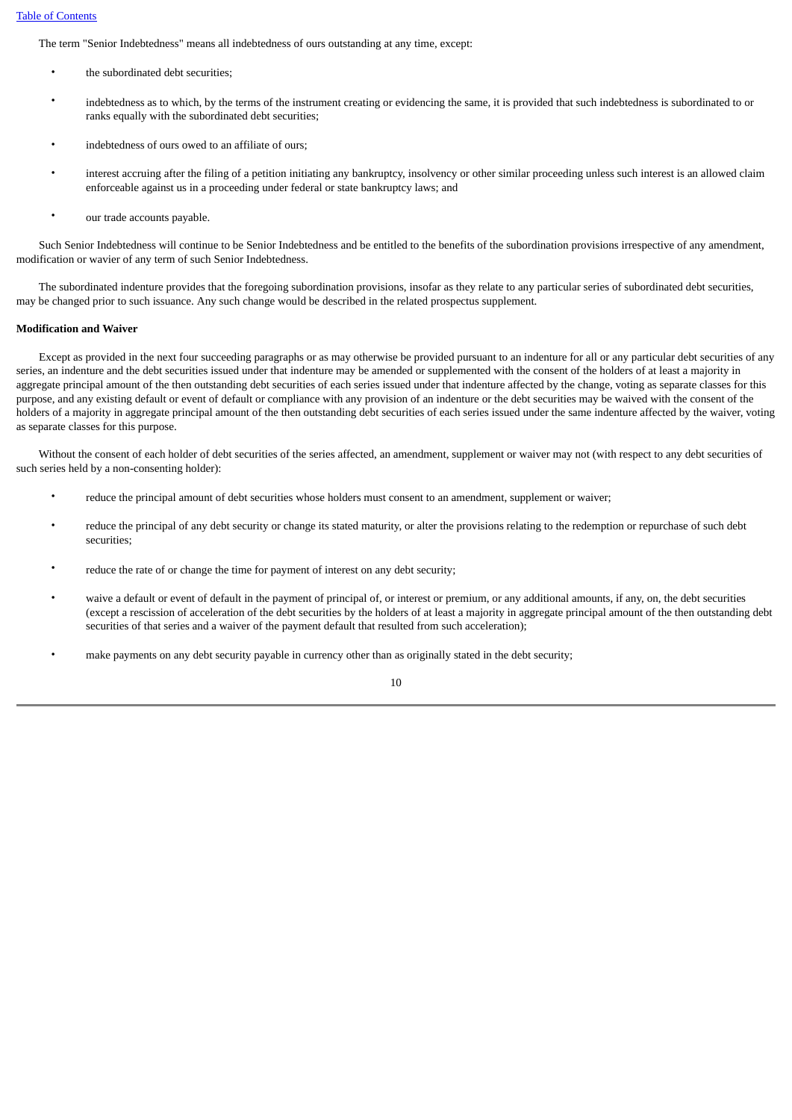The term "Senior Indebtedness" means all indebtedness of ours outstanding at any time, except:

- the subordinated debt securities;
- indebtedness as to which, by the terms of the instrument creating or evidencing the same, it is provided that such indebtedness is subordinated to or ranks equally with the subordinated debt securities;
- indebtedness of ours owed to an affiliate of ours;
- interest accruing after the filing of a petition initiating any bankruptcy, insolvency or other similar proceeding unless such interest is an allowed claim enforceable against us in a proceeding under federal or state bankruptcy laws; and
- our trade accounts payable.

 Such Senior Indebtedness will continue to be Senior Indebtedness and be entitled to the benefits of the subordination provisions irrespective of any amendment, modification or wavier of any term of such Senior Indebtedness.

 The subordinated indenture provides that the foregoing subordination provisions, insofar as they relate to any particular series of subordinated debt securities, may be changed prior to such issuance. Any such change would be described in the related prospectus supplement.

#### **Modification and Waiver**

 Except as provided in the next four succeeding paragraphs or as may otherwise be provided pursuant to an indenture for all or any particular debt securities of any series, an indenture and the debt securities issued under that indenture may be amended or supplemented with the consent of the holders of at least a majority in aggregate principal amount of the then outstanding debt securities of each series issued under that indenture affected by the change, voting as separate classes for this purpose, and any existing default or event of default or compliance with any provision of an indenture or the debt securities may be waived with the consent of the holders of a majority in aggregate principal amount of the then outstanding debt securities of each series issued under the same indenture affected by the waiver, voting as separate classes for this purpose.

 Without the consent of each holder of debt securities of the series affected, an amendment, supplement or waiver may not (with respect to any debt securities of such series held by a non-consenting holder):

- reduce the principal amount of debt securities whose holders must consent to an amendment, supplement or waiver;
- reduce the principal of any debt security or change its stated maturity, or alter the provisions relating to the redemption or repurchase of such debt securities;
- reduce the rate of or change the time for payment of interest on any debt security;
- waive a default or event of default in the payment of principal of, or interest or premium, or any additional amounts, if any, on, the debt securities (except a rescission of acceleration of the debt securities by the holders of at least a majority in aggregate principal amount of the then outstanding debt securities of that series and a waiver of the payment default that resulted from such acceleration);
- make payments on any debt security payable in currency other than as originally stated in the debt security;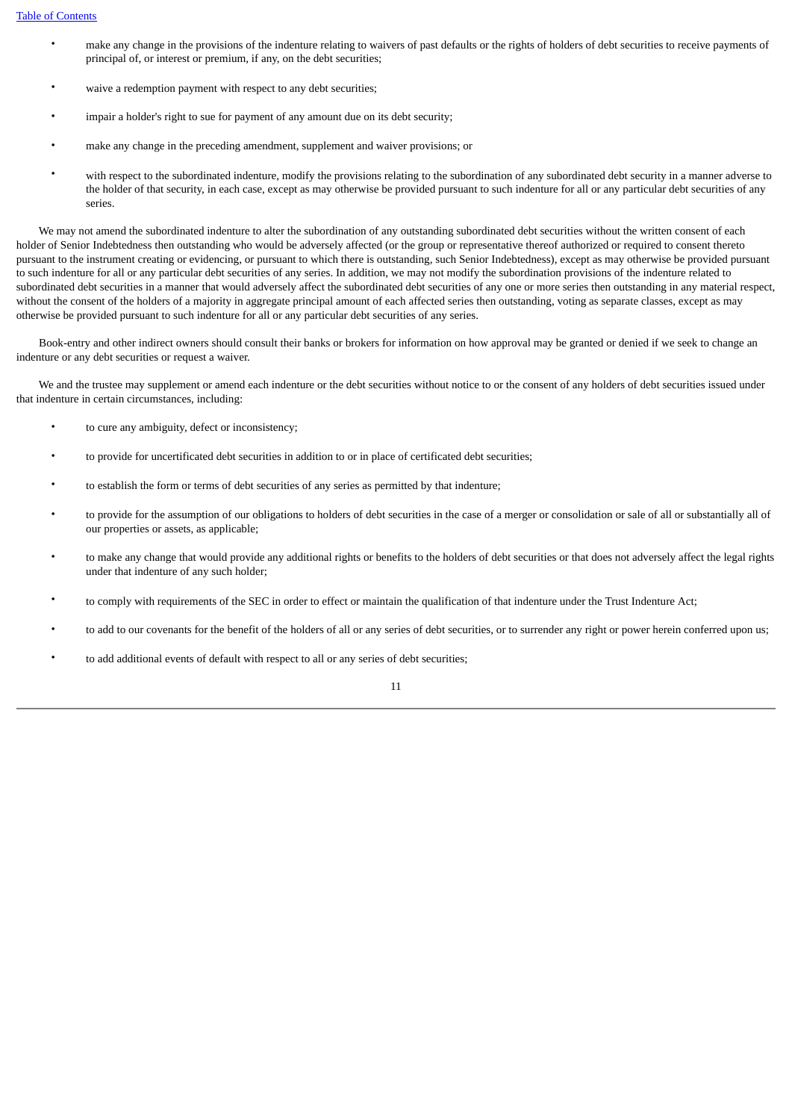- make any change in the provisions of the indenture relating to waivers of past defaults or the rights of holders of debt securities to receive payments of principal of, or interest or premium, if any, on the debt securities;
- waive a redemption payment with respect to any debt securities;
- impair a holder's right to sue for payment of any amount due on its debt security;
- make any change in the preceding amendment, supplement and waiver provisions; or
- with respect to the subordinated indenture, modify the provisions relating to the subordination of any subordinated debt security in a manner adverse to the holder of that security, in each case, except as may otherwise be provided pursuant to such indenture for all or any particular debt securities of any series.

 We may not amend the subordinated indenture to alter the subordination of any outstanding subordinated debt securities without the written consent of each holder of Senior Indebtedness then outstanding who would be adversely affected (or the group or representative thereof authorized or required to consent thereto pursuant to the instrument creating or evidencing, or pursuant to which there is outstanding, such Senior Indebtedness), except as may otherwise be provided pursuant to such indenture for all or any particular debt securities of any series. In addition, we may not modify the subordination provisions of the indenture related to subordinated debt securities in a manner that would adversely affect the subordinated debt securities of any one or more series then outstanding in any material respect, without the consent of the holders of a majority in aggregate principal amount of each affected series then outstanding, voting as separate classes, except as may otherwise be provided pursuant to such indenture for all or any particular debt securities of any series.

 Book-entry and other indirect owners should consult their banks or brokers for information on how approval may be granted or denied if we seek to change an indenture or any debt securities or request a waiver.

 We and the trustee may supplement or amend each indenture or the debt securities without notice to or the consent of any holders of debt securities issued under that indenture in certain circumstances, including:

- to cure any ambiguity, defect or inconsistency;
- to provide for uncertificated debt securities in addition to or in place of certificated debt securities;
- to establish the form or terms of debt securities of any series as permitted by that indenture;
- to provide for the assumption of our obligations to holders of debt securities in the case of a merger or consolidation or sale of all or substantially all of our properties or assets, as applicable;
- to make any change that would provide any additional rights or benefits to the holders of debt securities or that does not adversely affect the legal rights under that indenture of any such holder;
- to comply with requirements of the SEC in order to effect or maintain the qualification of that indenture under the Trust Indenture Act;
- to add to our covenants for the benefit of the holders of all or any series of debt securities, or to surrender any right or power herein conferred upon us;
- to add additional events of default with respect to all or any series of debt securities;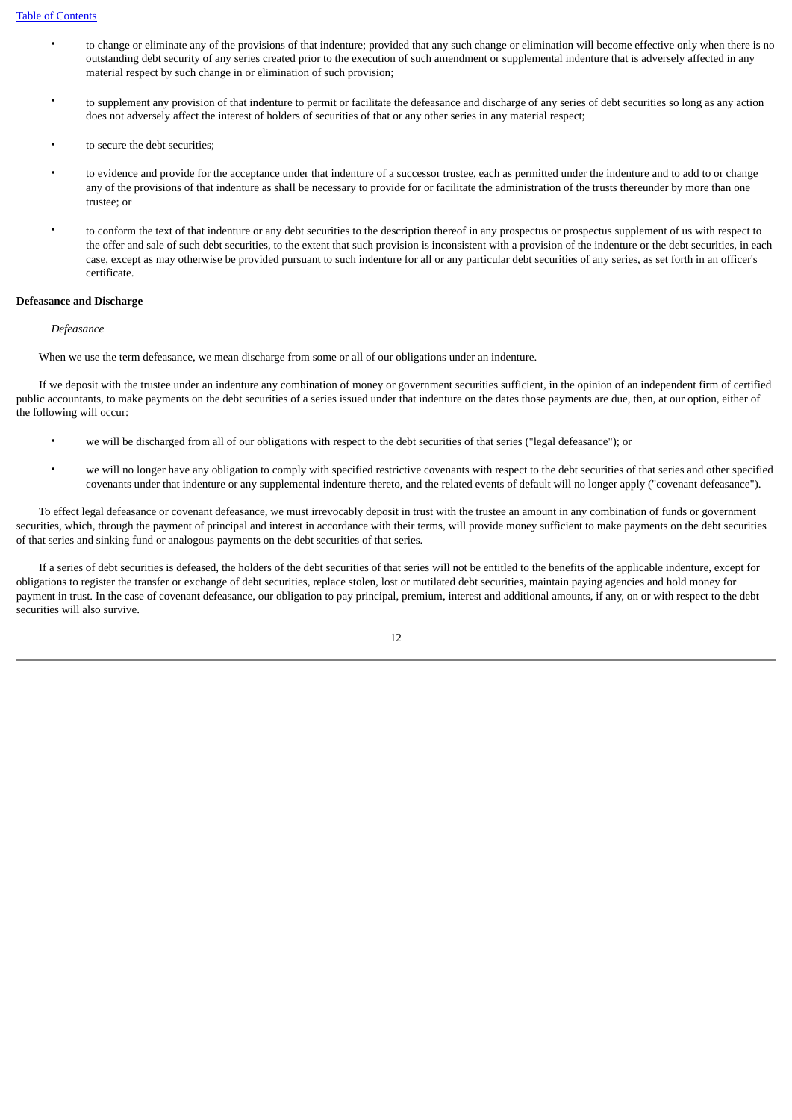- to change or eliminate any of the provisions of that indenture; provided that any such change or elimination will become effective only when there is no outstanding debt security of any series created prior to the execution of such amendment or supplemental indenture that is adversely affected in any material respect by such change in or elimination of such provision;
- to supplement any provision of that indenture to permit or facilitate the defeasance and discharge of any series of debt securities so long as any action does not adversely affect the interest of holders of securities of that or any other series in any material respect;
- to secure the debt securities;
- to evidence and provide for the acceptance under that indenture of a successor trustee, each as permitted under the indenture and to add to or change any of the provisions of that indenture as shall be necessary to provide for or facilitate the administration of the trusts thereunder by more than one trustee; or
- to conform the text of that indenture or any debt securities to the description thereof in any prospectus or prospectus supplement of us with respect to the offer and sale of such debt securities, to the extent that such provision is inconsistent with a provision of the indenture or the debt securities, in each case, except as may otherwise be provided pursuant to such indenture for all or any particular debt securities of any series, as set forth in an officer's certificate.

#### **Defeasance and Discharge**

#### *Defeasance*

When we use the term defeasance, we mean discharge from some or all of our obligations under an indenture.

 If we deposit with the trustee under an indenture any combination of money or government securities sufficient, in the opinion of an independent firm of certified public accountants, to make payments on the debt securities of a series issued under that indenture on the dates those payments are due, then, at our option, either of the following will occur:

- we will be discharged from all of our obligations with respect to the debt securities of that series ("legal defeasance"); or
- we will no longer have any obligation to comply with specified restrictive covenants with respect to the debt securities of that series and other specified covenants under that indenture or any supplemental indenture thereto, and the related events of default will no longer apply ("covenant defeasance").

 To effect legal defeasance or covenant defeasance, we must irrevocably deposit in trust with the trustee an amount in any combination of funds or government securities, which, through the payment of principal and interest in accordance with their terms, will provide money sufficient to make payments on the debt securities of that series and sinking fund or analogous payments on the debt securities of that series.

 If a series of debt securities is defeased, the holders of the debt securities of that series will not be entitled to the benefits of the applicable indenture, except for obligations to register the transfer or exchange of debt securities, replace stolen, lost or mutilated debt securities, maintain paying agencies and hold money for payment in trust. In the case of covenant defeasance, our obligation to pay principal, premium, interest and additional amounts, if any, on or with respect to the debt securities will also survive.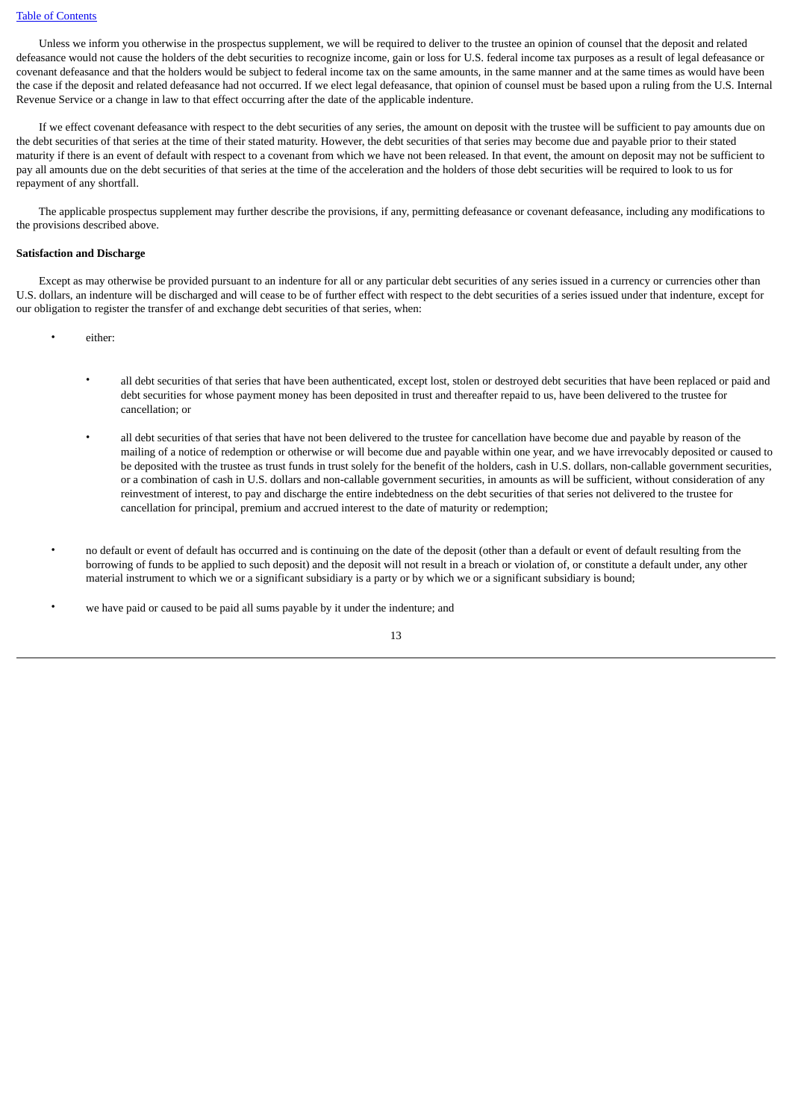Unless we inform you otherwise in the prospectus supplement, we will be required to deliver to the trustee an opinion of counsel that the deposit and related defeasance would not cause the holders of the debt securities to recognize income, gain or loss for U.S. federal income tax purposes as a result of legal defeasance or covenant defeasance and that the holders would be subject to federal income tax on the same amounts, in the same manner and at the same times as would have been the case if the deposit and related defeasance had not occurred. If we elect legal defeasance, that opinion of counsel must be based upon a ruling from the U.S. Internal Revenue Service or a change in law to that effect occurring after the date of the applicable indenture.

 If we effect covenant defeasance with respect to the debt securities of any series, the amount on deposit with the trustee will be sufficient to pay amounts due on the debt securities of that series at the time of their stated maturity. However, the debt securities of that series may become due and payable prior to their stated maturity if there is an event of default with respect to a covenant from which we have not been released. In that event, the amount on deposit may not be sufficient to pay all amounts due on the debt securities of that series at the time of the acceleration and the holders of those debt securities will be required to look to us for repayment of any shortfall.

 The applicable prospectus supplement may further describe the provisions, if any, permitting defeasance or covenant defeasance, including any modifications to the provisions described above.

#### **Satisfaction and Discharge**

 Except as may otherwise be provided pursuant to an indenture for all or any particular debt securities of any series issued in a currency or currencies other than U.S. dollars, an indenture will be discharged and will cease to be of further effect with respect to the debt securities of a series issued under that indenture, except for our obligation to register the transfer of and exchange debt securities of that series, when:

- either:
	- all debt securities of that series that have been authenticated, except lost, stolen or destroyed debt securities that have been replaced or paid and debt securities for whose payment money has been deposited in trust and thereafter repaid to us, have been delivered to the trustee for cancellation; or
	- all debt securities of that series that have not been delivered to the trustee for cancellation have become due and payable by reason of the mailing of a notice of redemption or otherwise or will become due and payable within one year, and we have irrevocably deposited or caused to be deposited with the trustee as trust funds in trust solely for the benefit of the holders, cash in U.S. dollars, non-callable government securities, or a combination of cash in U.S. dollars and non-callable government securities, in amounts as will be sufficient, without consideration of any reinvestment of interest, to pay and discharge the entire indebtedness on the debt securities of that series not delivered to the trustee for cancellation for principal, premium and accrued interest to the date of maturity or redemption;
- no default or event of default has occurred and is continuing on the date of the deposit (other than a default or event of default resulting from the borrowing of funds to be applied to such deposit) and the deposit will not result in a breach or violation of, or constitute a default under, any other material instrument to which we or a significant subsidiary is a party or by which we or a significant subsidiary is bound;
- we have paid or caused to be paid all sums payable by it under the indenture; and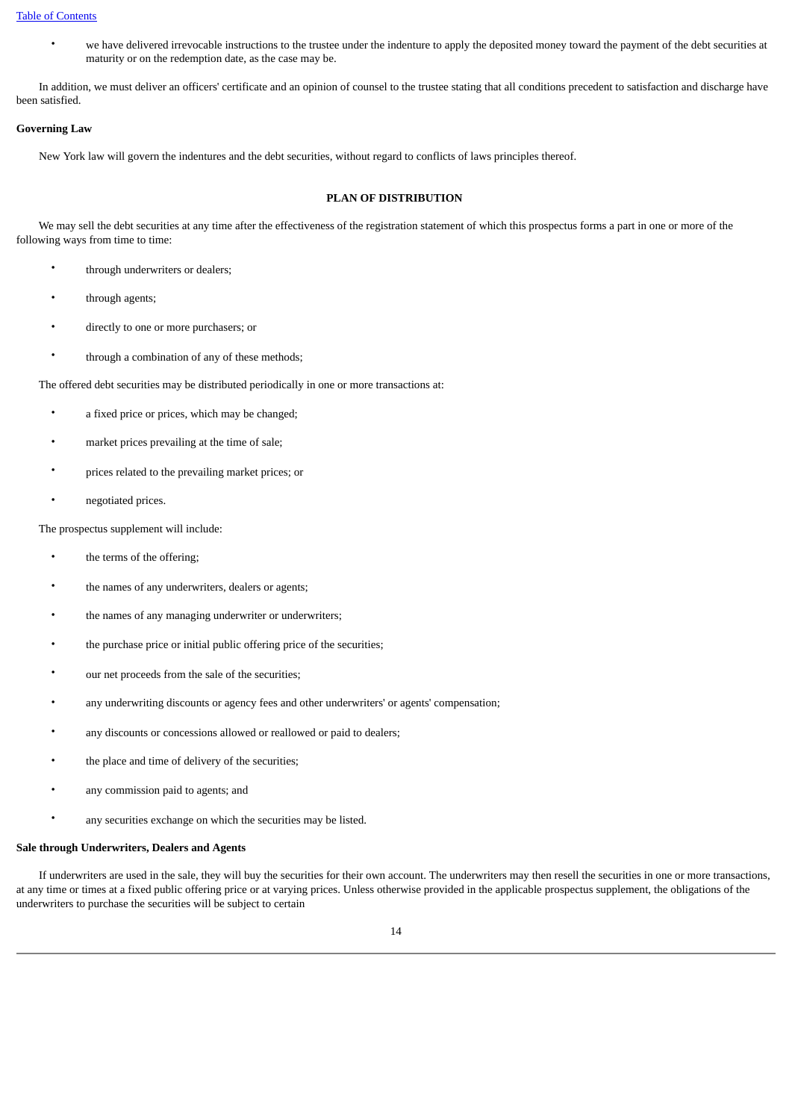• we have delivered irrevocable instructions to the trustee under the indenture to apply the deposited money toward the payment of the debt securities at maturity or on the redemption date, as the case may be.

 In addition, we must deliver an officers' certificate and an opinion of counsel to the trustee stating that all conditions precedent to satisfaction and discharge have been satisfied.

#### **Governing Law**

New York law will govern the indentures and the debt securities, without regard to conflicts of laws principles thereof.

## **PLAN OF DISTRIBUTION**

 We may sell the debt securities at any time after the effectiveness of the registration statement of which this prospectus forms a part in one or more of the following ways from time to time:

- through underwriters or dealers;
- through agents;
- directly to one or more purchasers; or
- through a combination of any of these methods;

The offered debt securities may be distributed periodically in one or more transactions at:

- a fixed price or prices, which may be changed;
- market prices prevailing at the time of sale;
- prices related to the prevailing market prices; or
- negotiated prices.

The prospectus supplement will include:

- the terms of the offering;
- the names of any underwriters, dealers or agents;
- the names of any managing underwriter or underwriters;
- the purchase price or initial public offering price of the securities;
- our net proceeds from the sale of the securities;
- any underwriting discounts or agency fees and other underwriters' or agents' compensation;
- any discounts or concessions allowed or reallowed or paid to dealers;
- the place and time of delivery of the securities;
- any commission paid to agents; and
- any securities exchange on which the securities may be listed.

#### **Sale through Underwriters, Dealers and Agents**

 If underwriters are used in the sale, they will buy the securities for their own account. The underwriters may then resell the securities in one or more transactions, at any time or times at a fixed public offering price or at varying prices. Unless otherwise provided in the applicable prospectus supplement, the obligations of the underwriters to purchase the securities will be subject to certain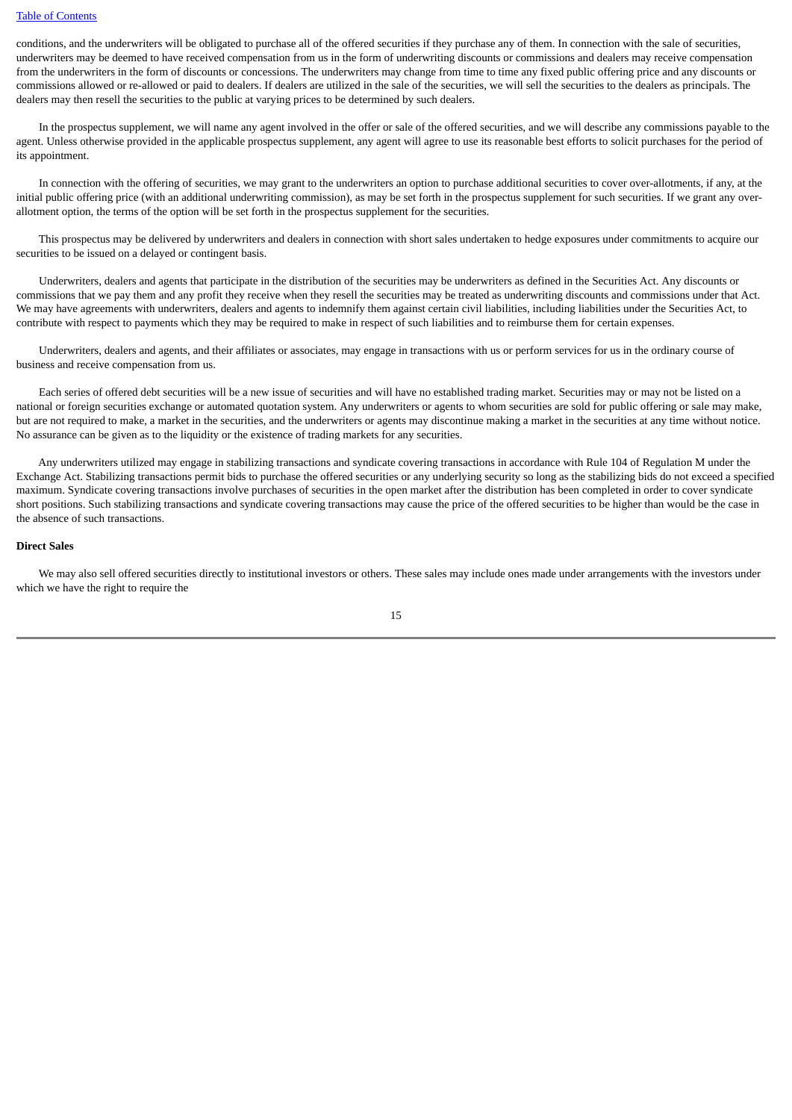conditions, and the underwriters will be obligated to purchase all of the offered securities if they purchase any of them. In connection with the sale of securities, underwriters may be deemed to have received compensation from us in the form of underwriting discounts or commissions and dealers may receive compensation from the underwriters in the form of discounts or concessions. The underwriters may change from time to time any fixed public offering price and any discounts or commissions allowed or re-allowed or paid to dealers. If dealers are utilized in the sale of the securities, we will sell the securities to the dealers as principals. The dealers may then resell the securities to the public at varying prices to be determined by such dealers.

 In the prospectus supplement, we will name any agent involved in the offer or sale of the offered securities, and we will describe any commissions payable to the agent. Unless otherwise provided in the applicable prospectus supplement, any agent will agree to use its reasonable best efforts to solicit purchases for the period of its appointment.

 In connection with the offering of securities, we may grant to the underwriters an option to purchase additional securities to cover over-allotments, if any, at the initial public offering price (with an additional underwriting commission), as may be set forth in the prospectus supplement for such securities. If we grant any overallotment option, the terms of the option will be set forth in the prospectus supplement for the securities.

 This prospectus may be delivered by underwriters and dealers in connection with short sales undertaken to hedge exposures under commitments to acquire our securities to be issued on a delayed or contingent basis.

 Underwriters, dealers and agents that participate in the distribution of the securities may be underwriters as defined in the Securities Act. Any discounts or commissions that we pay them and any profit they receive when they resell the securities may be treated as underwriting discounts and commissions under that Act. We may have agreements with underwriters, dealers and agents to indemnify them against certain civil liabilities, including liabilities under the Securities Act, to contribute with respect to payments which they may be required to make in respect of such liabilities and to reimburse them for certain expenses.

 Underwriters, dealers and agents, and their affiliates or associates, may engage in transactions with us or perform services for us in the ordinary course of business and receive compensation from us.

 Each series of offered debt securities will be a new issue of securities and will have no established trading market. Securities may or may not be listed on a national or foreign securities exchange or automated quotation system. Any underwriters or agents to whom securities are sold for public offering or sale may make, but are not required to make, a market in the securities, and the underwriters or agents may discontinue making a market in the securities at any time without notice. No assurance can be given as to the liquidity or the existence of trading markets for any securities.

 Any underwriters utilized may engage in stabilizing transactions and syndicate covering transactions in accordance with Rule 104 of Regulation M under the Exchange Act. Stabilizing transactions permit bids to purchase the offered securities or any underlying security so long as the stabilizing bids do not exceed a specified maximum. Syndicate covering transactions involve purchases of securities in the open market after the distribution has been completed in order to cover syndicate short positions. Such stabilizing transactions and syndicate covering transactions may cause the price of the offered securities to be higher than would be the case in the absence of such transactions.

#### **Direct Sales**

 We may also sell offered securities directly to institutional investors or others. These sales may include ones made under arrangements with the investors under which we have the right to require the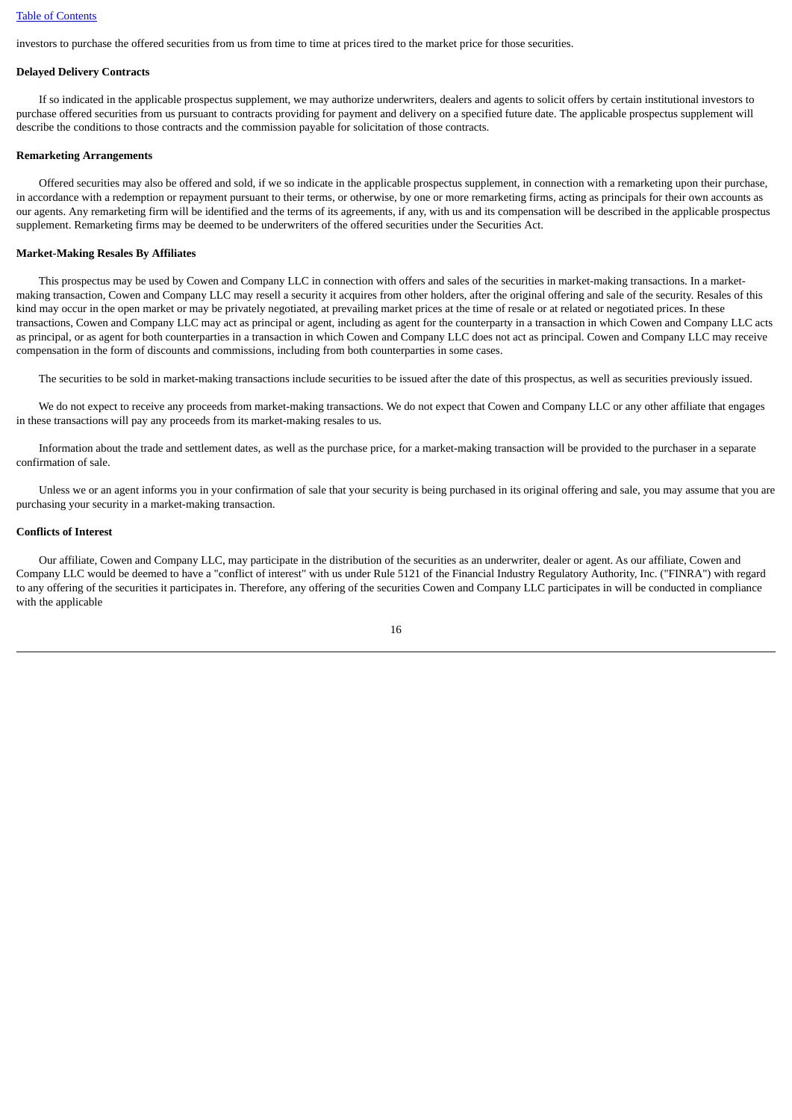investors to purchase the offered securities from us from time to time at prices tired to the market price for those securities.

#### **Delayed Delivery Contracts**

 If so indicated in the applicable prospectus supplement, we may authorize underwriters, dealers and agents to solicit offers by certain institutional investors to purchase offered securities from us pursuant to contracts providing for payment and delivery on a specified future date. The applicable prospectus supplement will describe the conditions to those contracts and the commission payable for solicitation of those contracts.

#### **Remarketing Arrangements**

 Offered securities may also be offered and sold, if we so indicate in the applicable prospectus supplement, in connection with a remarketing upon their purchase, in accordance with a redemption or repayment pursuant to their terms, or otherwise, by one or more remarketing firms, acting as principals for their own accounts as our agents. Any remarketing firm will be identified and the terms of its agreements, if any, with us and its compensation will be described in the applicable prospectus supplement. Remarketing firms may be deemed to be underwriters of the offered securities under the Securities Act.

#### **Market-Making Resales By Affiliates**

 This prospectus may be used by Cowen and Company LLC in connection with offers and sales of the securities in market-making transactions. In a marketmaking transaction, Cowen and Company LLC may resell a security it acquires from other holders, after the original offering and sale of the security. Resales of this kind may occur in the open market or may be privately negotiated, at prevailing market prices at the time of resale or at related or negotiated prices. In these transactions, Cowen and Company LLC may act as principal or agent, including as agent for the counterparty in a transaction in which Cowen and Company LLC acts as principal, or as agent for both counterparties in a transaction in which Cowen and Company LLC does not act as principal. Cowen and Company LLC may receive compensation in the form of discounts and commissions, including from both counterparties in some cases.

The securities to be sold in market-making transactions include securities to be issued after the date of this prospectus, as well as securities previously issued.

We do not expect to receive any proceeds from market-making transactions. We do not expect that Cowen and Company LLC or any other affiliate that engages in these transactions will pay any proceeds from its market-making resales to us.

 Information about the trade and settlement dates, as well as the purchase price, for a market-making transaction will be provided to the purchaser in a separate confirmation of sale.

 Unless we or an agent informs you in your confirmation of sale that your security is being purchased in its original offering and sale, you may assume that you are purchasing your security in a market-making transaction.

#### **Conflicts of Interest**

 Our affiliate, Cowen and Company LLC, may participate in the distribution of the securities as an underwriter, dealer or agent. As our affiliate, Cowen and Company LLC would be deemed to have a "conflict of interest" with us under Rule 5121 of the Financial Industry Regulatory Authority, Inc. ("FINRA") with regard to any offering of the securities it participates in. Therefore, any offering of the securities Cowen and Company LLC participates in will be conducted in compliance with the applicable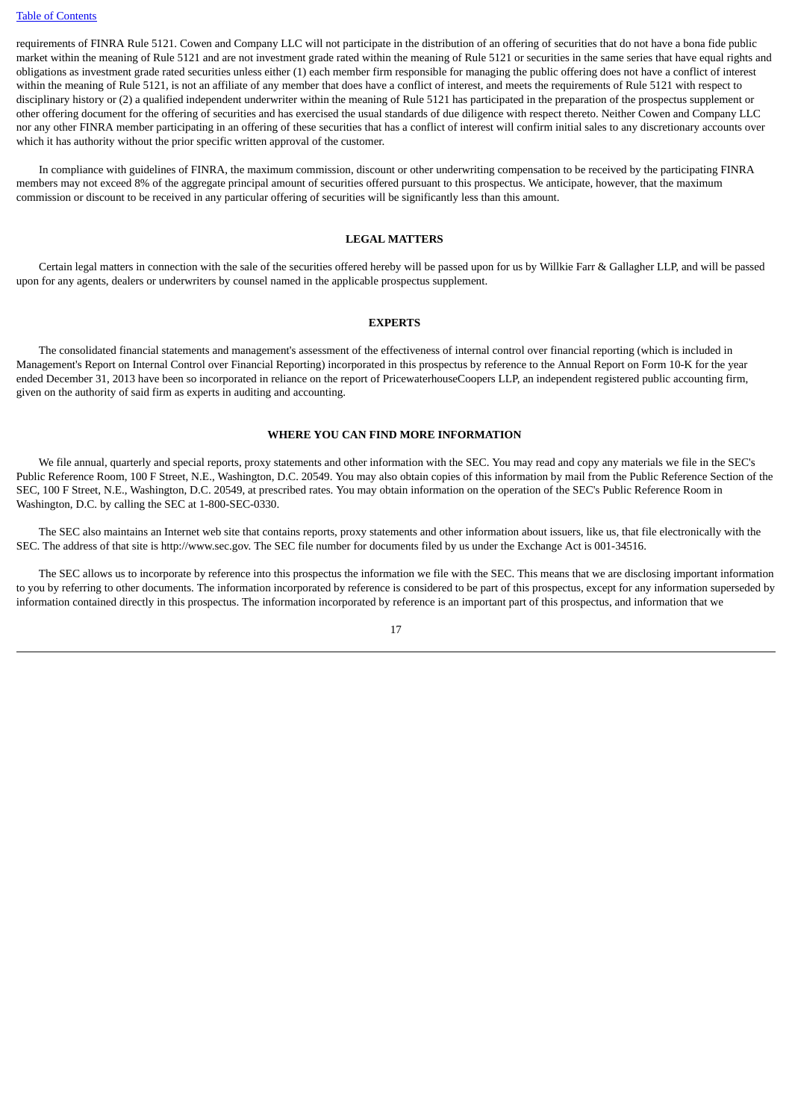requirements of FINRA Rule 5121. Cowen and Company LLC will not participate in the distribution of an offering of securities that do not have a bona fide public market within the meaning of Rule 5121 and are not investment grade rated within the meaning of Rule 5121 or securities in the same series that have equal rights and obligations as investment grade rated securities unless either (1) each member firm responsible for managing the public offering does not have a conflict of interest within the meaning of Rule 5121, is not an affiliate of any member that does have a conflict of interest, and meets the requirements of Rule 5121 with respect to disciplinary history or (2) a qualified independent underwriter within the meaning of Rule 5121 has participated in the preparation of the prospectus supplement or other offering document for the offering of securities and has exercised the usual standards of due diligence with respect thereto. Neither Cowen and Company LLC nor any other FINRA member participating in an offering of these securities that has a conflict of interest will confirm initial sales to any discretionary accounts over which it has authority without the prior specific written approval of the customer.

 In compliance with guidelines of FINRA, the maximum commission, discount or other underwriting compensation to be received by the participating FINRA members may not exceed 8% of the aggregate principal amount of securities offered pursuant to this prospectus. We anticipate, however, that the maximum commission or discount to be received in any particular offering of securities will be significantly less than this amount.

#### **LEGAL MATTERS**

 Certain legal matters in connection with the sale of the securities offered hereby will be passed upon for us by Willkie Farr & Gallagher LLP, and will be passed upon for any agents, dealers or underwriters by counsel named in the applicable prospectus supplement.

#### **EXPERTS**

 The consolidated financial statements and management's assessment of the effectiveness of internal control over financial reporting (which is included in Management's Report on Internal Control over Financial Reporting) incorporated in this prospectus by reference to the Annual Report on Form 10-K for the year ended December 31, 2013 have been so incorporated in reliance on the report of PricewaterhouseCoopers LLP, an independent registered public accounting firm, given on the authority of said firm as experts in auditing and accounting.

#### **WHERE YOU CAN FIND MORE INFORMATION**

 We file annual, quarterly and special reports, proxy statements and other information with the SEC. You may read and copy any materials we file in the SEC's Public Reference Room, 100 F Street, N.E., Washington, D.C. 20549. You may also obtain copies of this information by mail from the Public Reference Section of the SEC, 100 F Street, N.E., Washington, D.C. 20549, at prescribed rates. You may obtain information on the operation of the SEC's Public Reference Room in Washington, D.C. by calling the SEC at 1-800-SEC-0330.

 The SEC also maintains an Internet web site that contains reports, proxy statements and other information about issuers, like us, that file electronically with the SEC. The address of that site is http://www.sec.gov. The SEC file number for documents filed by us under the Exchange Act is 001-34516.

 The SEC allows us to incorporate by reference into this prospectus the information we file with the SEC. This means that we are disclosing important information to you by referring to other documents. The information incorporated by reference is considered to be part of this prospectus, except for any information superseded by information contained directly in this prospectus. The information incorporated by reference is an important part of this prospectus, and information that we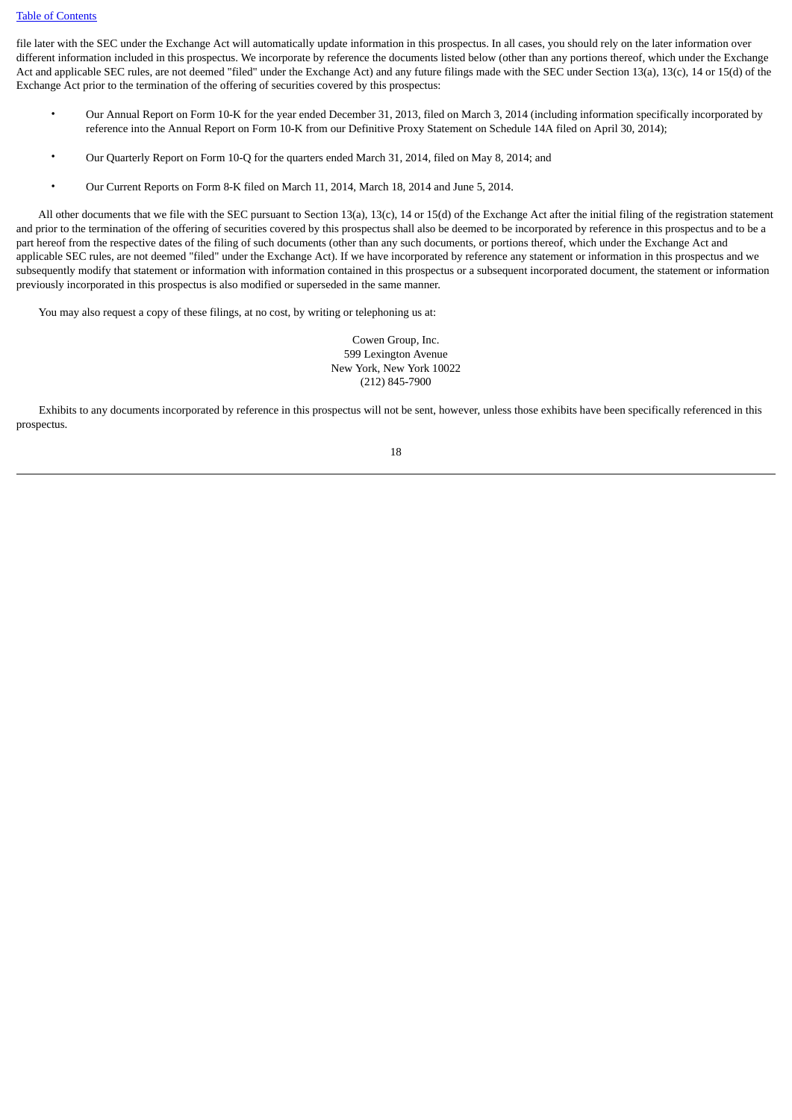file later with the SEC under the Exchange Act will automatically update information in this prospectus. In all cases, you should rely on the later information over different information included in this prospectus. We incorporate by reference the documents listed below (other than any portions thereof, which under the Exchange Act and applicable SEC rules, are not deemed "filed" under the Exchange Act) and any future filings made with the SEC under Section 13(a), 13(c), 14 or 15(d) of the Exchange Act prior to the termination of the offering of securities covered by this prospectus:

- Our Annual Report on Form 10-K for the year ended December 31, 2013, filed on March 3, 2014 (including information specifically incorporated by reference into the Annual Report on Form 10-K from our Definitive Proxy Statement on Schedule 14A filed on April 30, 2014);
- Our Quarterly Report on Form 10-Q for the quarters ended March 31, 2014, filed on May 8, 2014; and
- Our Current Reports on Form 8-K filed on March 11, 2014, March 18, 2014 and June 5, 2014.

 All other documents that we file with the SEC pursuant to Section 13(a), 13(c), 14 or 15(d) of the Exchange Act after the initial filing of the registration statement and prior to the termination of the offering of securities covered by this prospectus shall also be deemed to be incorporated by reference in this prospectus and to be a part hereof from the respective dates of the filing of such documents (other than any such documents, or portions thereof, which under the Exchange Act and applicable SEC rules, are not deemed "filed" under the Exchange Act). If we have incorporated by reference any statement or information in this prospectus and we subsequently modify that statement or information with information contained in this prospectus or a subsequent incorporated document, the statement or information previously incorporated in this prospectus is also modified or superseded in the same manner.

You may also request a copy of these filings, at no cost, by writing or telephoning us at:

Cowen Group, Inc. 599 Lexington Avenue New York, New York 10022 (212) 845-7900

 Exhibits to any documents incorporated by reference in this prospectus will not be sent, however, unless those exhibits have been specifically referenced in this prospectus.